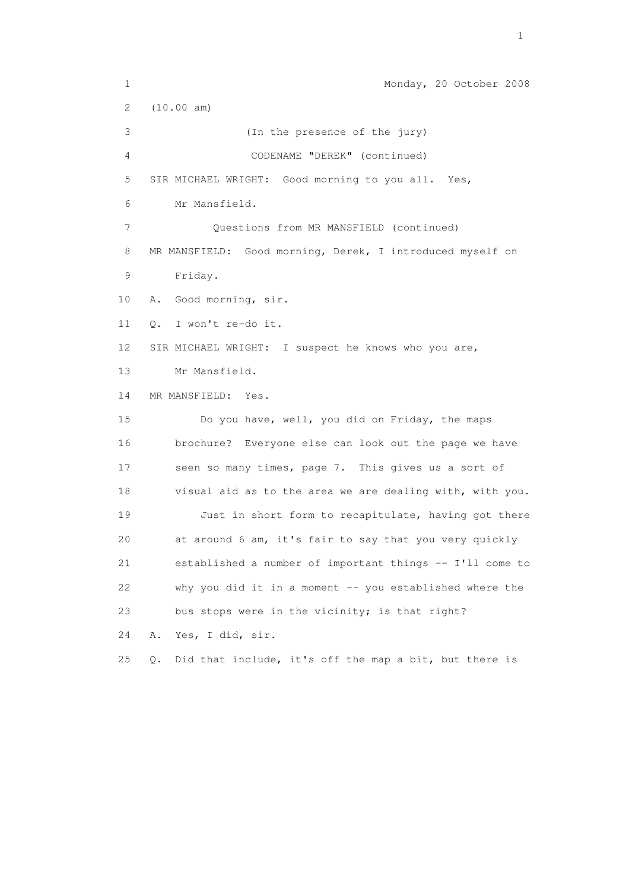1 Monday, 20 October 2008 2 (10.00 am) 3 (In the presence of the jury) 4 CODENAME "DEREK" (continued) 5 SIR MICHAEL WRIGHT: Good morning to you all. Yes, 6 Mr Mansfield. 7 Questions from MR MANSFIELD (continued) 8 MR MANSFIELD: Good morning, Derek, I introduced myself on 9 Friday. 10 A. Good morning, sir. 11 Q. I won't re-do it. 12 SIR MICHAEL WRIGHT: I suspect he knows who you are, 13 Mr Mansfield. 14 MR MANSFIELD: Yes. 15 Do you have, well, you did on Friday, the maps 16 brochure? Everyone else can look out the page we have 17 seen so many times, page 7. This gives us a sort of 18 visual aid as to the area we are dealing with, with you. 19 Just in short form to recapitulate, having got there 20 at around 6 am, it's fair to say that you very quickly 21 established a number of important things -- I'll come to 22 why you did it in a moment -- you established where the 23 bus stops were in the vicinity; is that right? 24 A. Yes, I did, sir. 25 Q. Did that include, it's off the map a bit, but there is

the contract of the contract of the contract of the contract of the contract of the contract of the contract of the contract of the contract of the contract of the contract of the contract of the contract of the contract o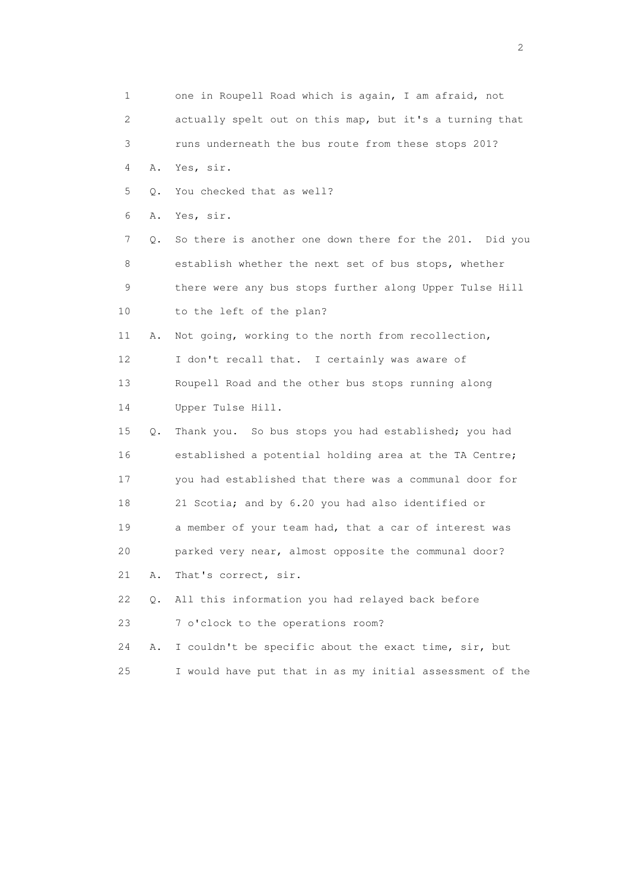1 one in Roupell Road which is again, I am afraid, not 2 actually spelt out on this map, but it's a turning that 3 runs underneath the bus route from these stops 201? 4 A. Yes, sir. 5 Q. You checked that as well? 6 A. Yes, sir. 7 Q. So there is another one down there for the 201. Did you 8 establish whether the next set of bus stops, whether 9 there were any bus stops further along Upper Tulse Hill 10 to the left of the plan? 11 A. Not going, working to the north from recollection, 12 I don't recall that. I certainly was aware of 13 Roupell Road and the other bus stops running along 14 Upper Tulse Hill. 15 Q. Thank you. So bus stops you had established; you had 16 established a potential holding area at the TA Centre; 17 you had established that there was a communal door for 18 21 Scotia; and by 6.20 you had also identified or 19 a member of your team had, that a car of interest was 20 parked very near, almost opposite the communal door? 21 A. That's correct, sir. 22 Q. All this information you had relayed back before 23 7 o'clock to the operations room? 24 A. I couldn't be specific about the exact time, sir, but 25 I would have put that in as my initial assessment of the

 $\overline{2}$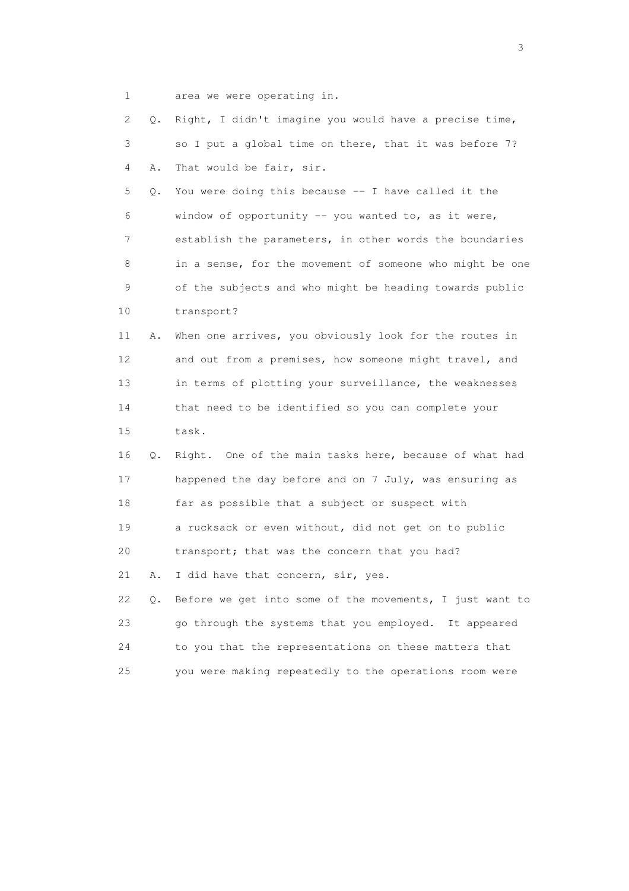1 area we were operating in.

| 2  | О.        | Right, I didn't imagine you would have a precise time,   |
|----|-----------|----------------------------------------------------------|
| 3  |           | so I put a global time on there, that it was before 7?   |
| 4  | Α.        | That would be fair, sir.                                 |
| 5  | Q.        | You were doing this because $-$ I have called it the     |
| 6  |           | window of opportunity -- you wanted to, as it were,      |
| 7  |           | establish the parameters, in other words the boundaries  |
| 8  |           | in a sense, for the movement of someone who might be one |
| 9  |           | of the subjects and who might be heading towards public  |
| 10 |           | transport?                                               |
| 11 | Α.        | When one arrives, you obviously look for the routes in   |
| 12 |           | and out from a premises, how someone might travel, and   |
| 13 |           | in terms of plotting your surveillance, the weaknesses   |
| 14 |           | that need to be identified so you can complete your      |
| 15 |           | task.                                                    |
| 16 | Q.        | Right. One of the main tasks here, because of what had   |
| 17 |           | happened the day before and on 7 July, was ensuring as   |
| 18 |           | far as possible that a subject or suspect with           |
| 19 |           | a rucksack or even without, did not get on to public     |
| 20 |           | transport; that was the concern that you had?            |
| 21 | Α.        | I did have that concern, sir, yes.                       |
| 22 | $\circ$ . | Before we get into some of the movements, I just want to |
| 23 |           | go through the systems that you employed. It appeared    |
| 24 |           | to you that the representations on these matters that    |
| 25 |           | you were making repeatedly to the operations room were   |

 $\sim$  3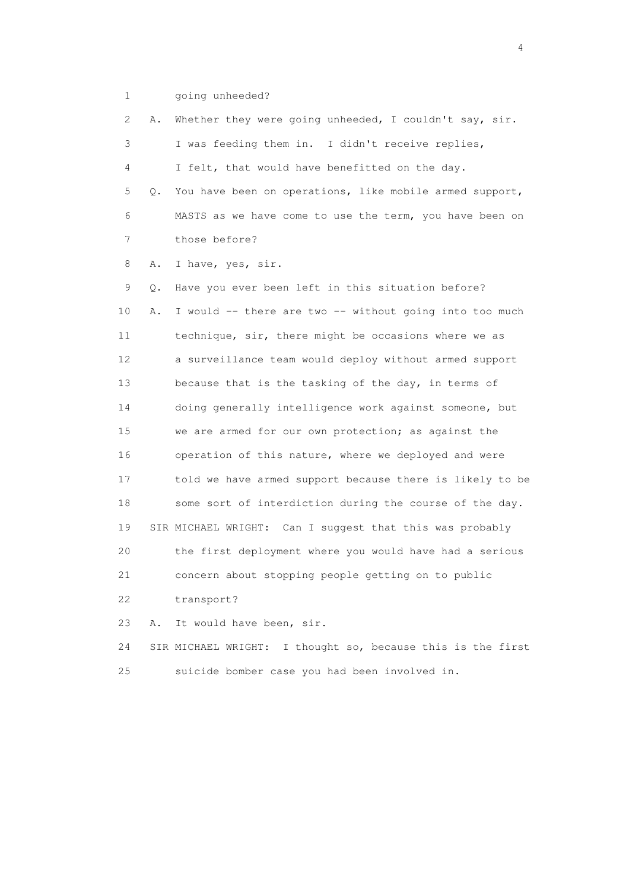1 going unheeded?

 2 A. Whether they were going unheeded, I couldn't say, sir. 3 I was feeding them in. I didn't receive replies, 4 I felt, that would have benefitted on the day. 5 Q. You have been on operations, like mobile armed support, 6 MASTS as we have come to use the term, you have been on 7 those before? 8 A. I have, yes, sir. 9 Q. Have you ever been left in this situation before? 10 A. I would -- there are two -- without going into too much 11 technique, sir, there might be occasions where we as 12 a surveillance team would deploy without armed support 13 because that is the tasking of the day, in terms of 14 doing generally intelligence work against someone, but 15 we are armed for our own protection; as against the 16 operation of this nature, where we deployed and were 17 told we have armed support because there is likely to be 18 some sort of interdiction during the course of the day. 19 SIR MICHAEL WRIGHT: Can I suggest that this was probably 20 the first deployment where you would have had a serious 21 concern about stopping people getting on to public 22 transport? 23 A. It would have been, sir. 24 SIR MICHAEL WRIGHT: I thought so, because this is the first

25 suicide bomber case you had been involved in.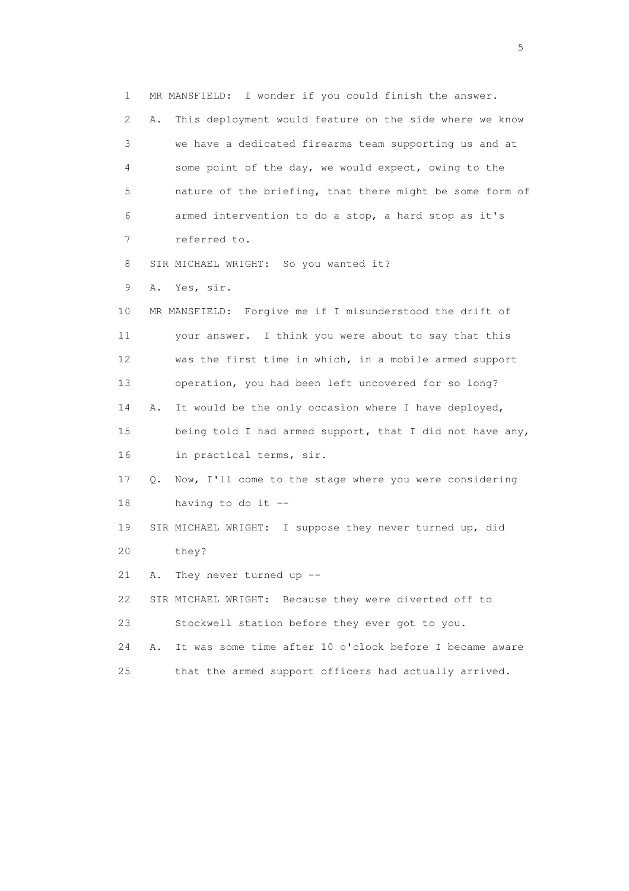1 MR MANSFIELD: I wonder if you could finish the answer. 2 A. This deployment would feature on the side where we know 3 we have a dedicated firearms team supporting us and at 4 some point of the day, we would expect, owing to the 5 nature of the briefing, that there might be some form of 6 armed intervention to do a stop, a hard stop as it's 7 referred to. 8 SIR MICHAEL WRIGHT: So you wanted it? 9 A. Yes, sir. 10 MR MANSFIELD: Forgive me if I misunderstood the drift of 11 your answer. I think you were about to say that this 12 was the first time in which, in a mobile armed support 13 operation, you had been left uncovered for so long? 14 A. It would be the only occasion where I have deployed, 15 being told I had armed support, that I did not have any, 16 in practical terms, sir. 17 Q. Now, I'll come to the stage where you were considering 18 having to do it -- 19 SIR MICHAEL WRIGHT: I suppose they never turned up, did 20 they? 21 A. They never turned up -- 22 SIR MICHAEL WRIGHT: Because they were diverted off to 23 Stockwell station before they ever got to you. 24 A. It was some time after 10 o'clock before I became aware 25 that the armed support officers had actually arrived.

 $\sim$  5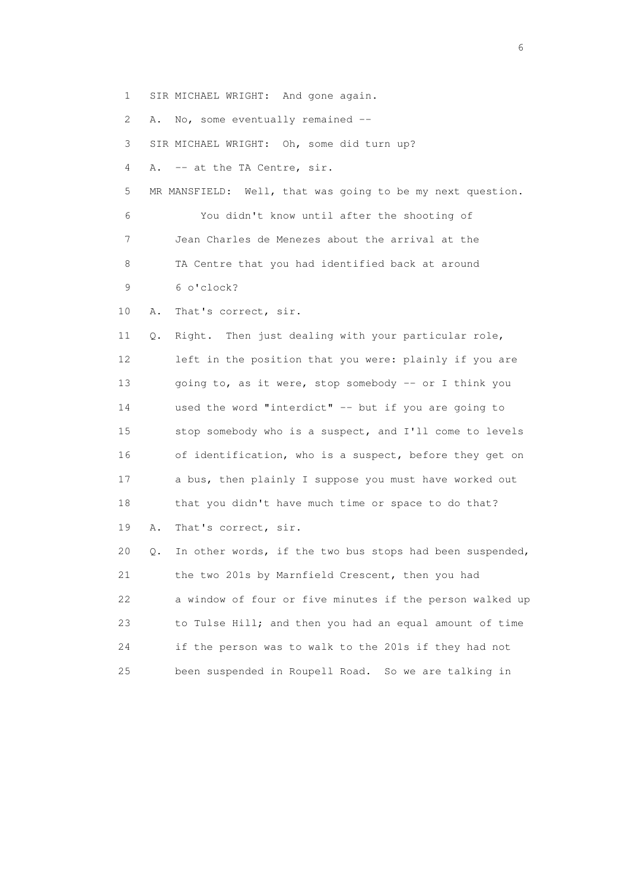1 SIR MICHAEL WRIGHT: And gone again.

2 A. No, some eventually remained --

3 SIR MICHAEL WRIGHT: Oh, some did turn up?

4 A. -- at the TA Centre, sir.

 5 MR MANSFIELD: Well, that was going to be my next question. 6 You didn't know until after the shooting of 7 Jean Charles de Menezes about the arrival at the

8 TA Centre that you had identified back at around

9 6 o'clock?

10 A. That's correct, sir.

 11 Q. Right. Then just dealing with your particular role, 12 left in the position that you were: plainly if you are 13 going to, as it were, stop somebody -- or I think you 14 used the word "interdict" -- but if you are going to 15 stop somebody who is a suspect, and I'll come to levels 16 of identification, who is a suspect, before they get on 17 a bus, then plainly I suppose you must have worked out 18 that you didn't have much time or space to do that? 19 A. That's correct, sir.

 20 Q. In other words, if the two bus stops had been suspended, 21 the two 201s by Marnfield Crescent, then you had 22 a window of four or five minutes if the person walked up 23 to Tulse Hill; and then you had an equal amount of time 24 if the person was to walk to the 201s if they had not 25 been suspended in Roupell Road. So we are talking in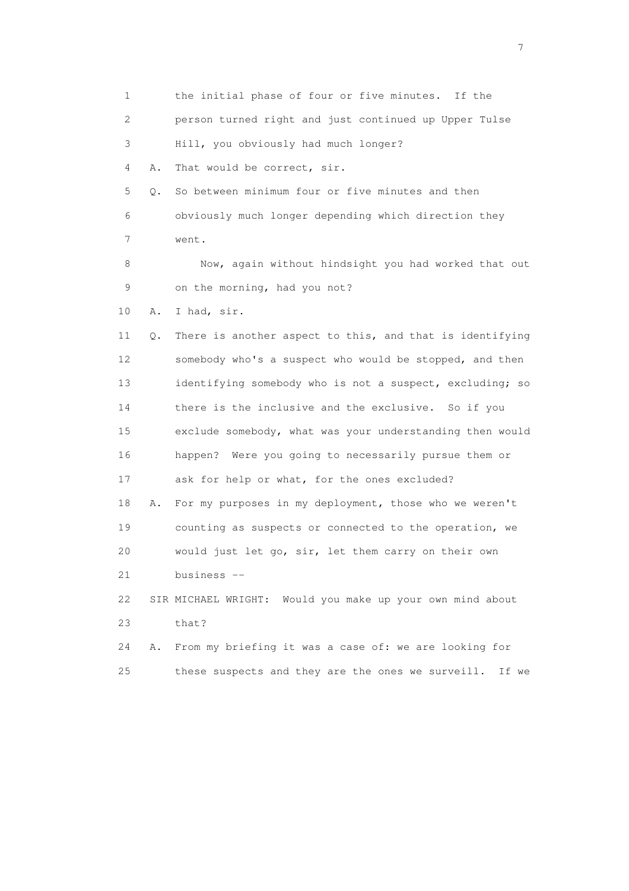1 the initial phase of four or five minutes. If the 2 person turned right and just continued up Upper Tulse 3 Hill, you obviously had much longer? 4 A. That would be correct, sir. 5 Q. So between minimum four or five minutes and then 6 obviously much longer depending which direction they 7 went. 8 Now, again without hindsight you had worked that out 9 on the morning, had you not? 10 A. I had, sir. 11 Q. There is another aspect to this, and that is identifying 12 somebody who's a suspect who would be stopped, and then 13 identifying somebody who is not a suspect, excluding; so 14 there is the inclusive and the exclusive. So if you 15 exclude somebody, what was your understanding then would 16 happen? Were you going to necessarily pursue them or 17 ask for help or what, for the ones excluded? 18 A. For my purposes in my deployment, those who we weren't 19 counting as suspects or connected to the operation, we 20 would just let go, sir, let them carry on their own 21 business -- 22 SIR MICHAEL WRIGHT: Would you make up your own mind about 23 that? 24 A. From my briefing it was a case of: we are looking for 25 these suspects and they are the ones we surveill. If we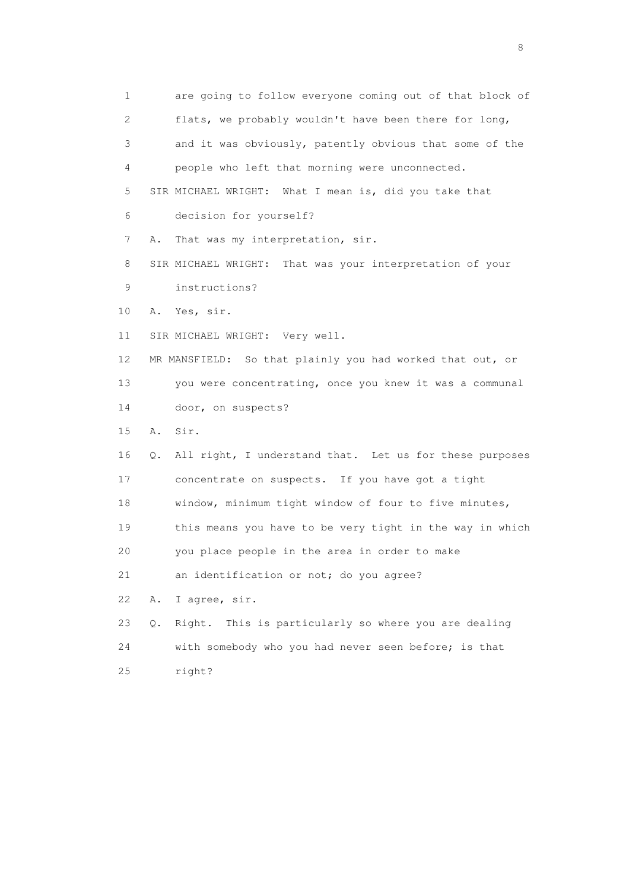1 are going to follow everyone coming out of that block of 2 flats, we probably wouldn't have been there for long, 3 and it was obviously, patently obvious that some of the 4 people who left that morning were unconnected. 5 SIR MICHAEL WRIGHT: What I mean is, did you take that 6 decision for yourself? 7 A. That was my interpretation, sir. 8 SIR MICHAEL WRIGHT: That was your interpretation of your 9 instructions? 10 A. Yes, sir. 11 SIR MICHAEL WRIGHT: Very well. 12 MR MANSFIELD: So that plainly you had worked that out, or 13 you were concentrating, once you knew it was a communal 14 door, on suspects? 15 A. Sir. 16 Q. All right, I understand that. Let us for these purposes 17 concentrate on suspects. If you have got a tight 18 window, minimum tight window of four to five minutes, 19 this means you have to be very tight in the way in which 20 you place people in the area in order to make 21 an identification or not; do you agree? 22 A. I agree, sir. 23 Q. Right. This is particularly so where you are dealing 24 with somebody who you had never seen before; is that 25 right?

en de la construction de la construction de la construction de la construction de la construction de la constr<br>18 de juny : la construction de la construction de la construction de la construction de la construction de l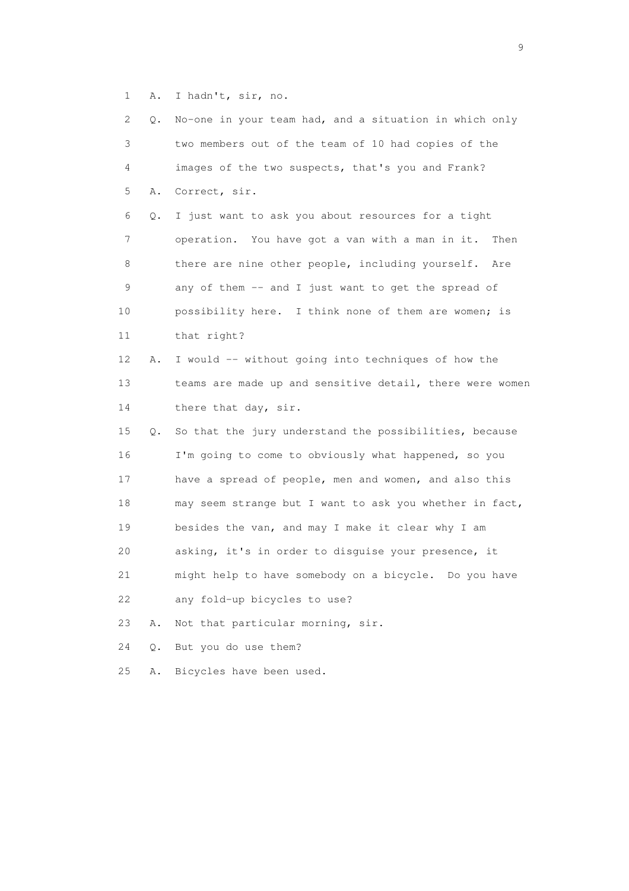1 A. I hadn't, sir, no.

| 2  | Q.    | No-one in your team had, and a situation in which only   |
|----|-------|----------------------------------------------------------|
| 3  |       | two members out of the team of 10 had copies of the      |
| 4  |       | images of the two suspects, that's you and Frank?        |
| 5  | Α.    | Correct, sir.                                            |
| 6  | Q.    | I just want to ask you about resources for a tight       |
| 7  |       | operation. You have got a van with a man in it. Then     |
| 8  |       | there are nine other people, including yourself.<br>Are  |
| 9  |       | any of them -- and I just want to get the spread of      |
| 10 |       | possibility here. I think none of them are women; is     |
| 11 |       | that right?                                              |
| 12 | Α.    | I would -- without going into techniques of how the      |
| 13 |       | teams are made up and sensitive detail, there were women |
| 14 |       | there that day, sir.                                     |
| 15 | Q.    | So that the jury understand the possibilities, because   |
| 16 |       | I'm going to come to obviously what happened, so you     |
| 17 |       | have a spread of people, men and women, and also this    |
| 18 |       | may seem strange but I want to ask you whether in fact,  |
| 19 |       | besides the van, and may I make it clear why I am        |
| 20 |       | asking, it's in order to disguise your presence, it      |
| 21 |       | might help to have somebody on a bicycle. Do you have    |
| 22 |       | any fold-up bicycles to use?                             |
| 23 | Α.    | Not that particular morning, sir.                        |
| 24 | $Q$ . | But you do use them?                                     |
| 25 | Α.    | Bicycles have been used.                                 |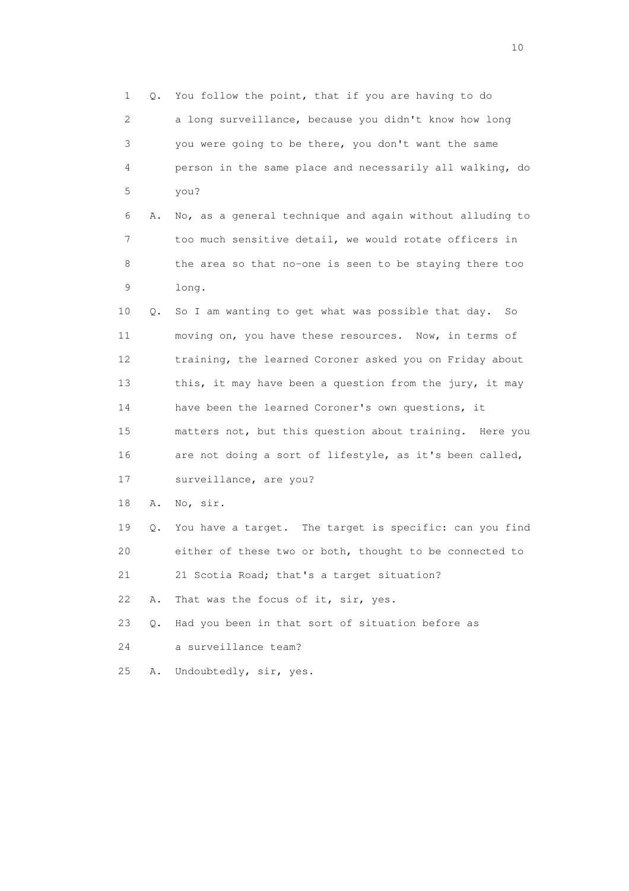1 Q. You follow the point, that if you are having to do 2 a long surveillance, because you didn't know how long 3 you were going to be there, you don't want the same 4 person in the same place and necessarily all walking, do 5 you? 6 A. No, as a general technique and again without alluding to 7 too much sensitive detail, we would rotate officers in 8 the area so that no-one is seen to be staying there too 9 long. 10 Q. So I am wanting to get what was possible that day. So 11 moving on, you have these resources. Now, in terms of 12 training, the learned Coroner asked you on Friday about 13 this, it may have been a question from the jury, it may 14 have been the learned Coroner's own questions, it 15 matters not, but this question about training. Here you 16 are not doing a sort of lifestyle, as it's been called, 17 surveillance, are you? 18 A. No, sir. 19 Q. You have a target. The target is specific: can you find 20 either of these two or both, thought to be connected to 21 21 Scotia Road; that's a target situation? 22 A. That was the focus of it, sir, yes. 23 Q. Had you been in that sort of situation before as 24 a surveillance team? 25 A. Undoubtedly, sir, yes.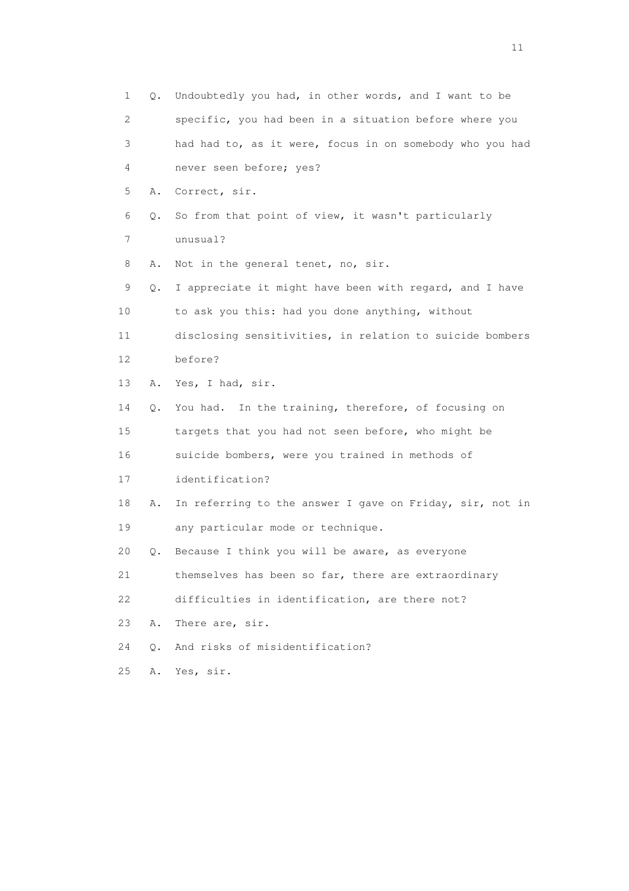1 Q. Undoubtedly you had, in other words, and I want to be 2 specific, you had been in a situation before where you 3 had had to, as it were, focus in on somebody who you had 4 never seen before; yes? 5 A. Correct, sir. 6 Q. So from that point of view, it wasn't particularly 7 unusual? 8 A. Not in the general tenet, no, sir. 9 Q. I appreciate it might have been with regard, and I have 10 to ask you this: had you done anything, without 11 disclosing sensitivities, in relation to suicide bombers 12 before? 13 A. Yes, I had, sir. 14 Q. You had. In the training, therefore, of focusing on 15 targets that you had not seen before, who might be 16 suicide bombers, were you trained in methods of 17 identification? 18 A. In referring to the answer I gave on Friday, sir, not in 19 any particular mode or technique. 20 Q. Because I think you will be aware, as everyone 21 themselves has been so far, there are extraordinary 22 difficulties in identification, are there not? 23 A. There are, sir. 24 Q. And risks of misidentification? 25 A. Yes, sir.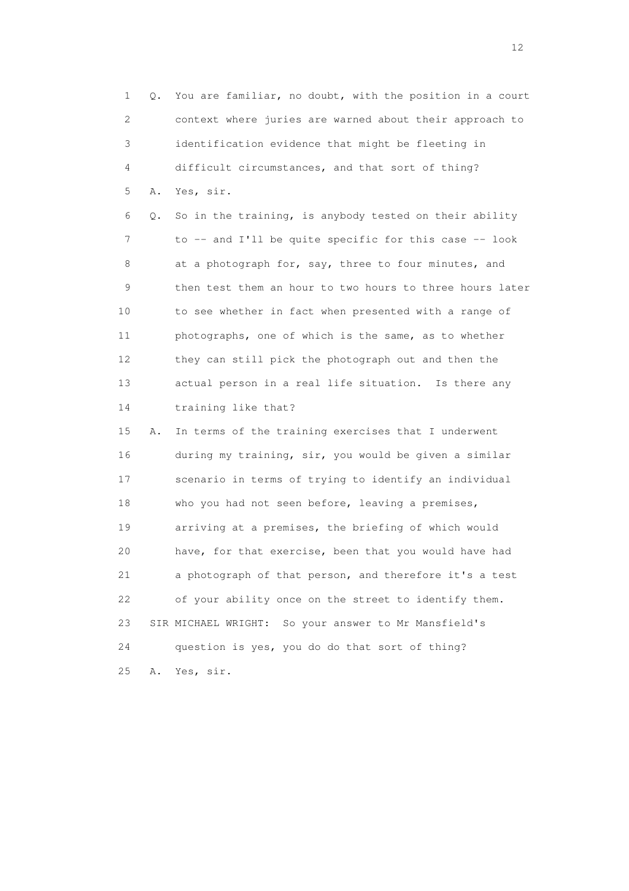1 Q. You are familiar, no doubt, with the position in a court 2 context where juries are warned about their approach to 3 identification evidence that might be fleeting in 4 difficult circumstances, and that sort of thing? 5 A. Yes, sir.

 6 Q. So in the training, is anybody tested on their ability 7 to -- and I'll be quite specific for this case -- look 8 at a photograph for, say, three to four minutes, and 9 then test them an hour to two hours to three hours later 10 to see whether in fact when presented with a range of 11 photographs, one of which is the same, as to whether 12 they can still pick the photograph out and then the 13 actual person in a real life situation. Is there any 14 training like that?

 15 A. In terms of the training exercises that I underwent 16 during my training, sir, you would be given a similar 17 scenario in terms of trying to identify an individual 18 who you had not seen before, leaving a premises, 19 arriving at a premises, the briefing of which would 20 have, for that exercise, been that you would have had 21 a photograph of that person, and therefore it's a test 22 of your ability once on the street to identify them. 23 SIR MICHAEL WRIGHT: So your answer to Mr Mansfield's 24 question is yes, you do do that sort of thing? 25 A. Yes, sir.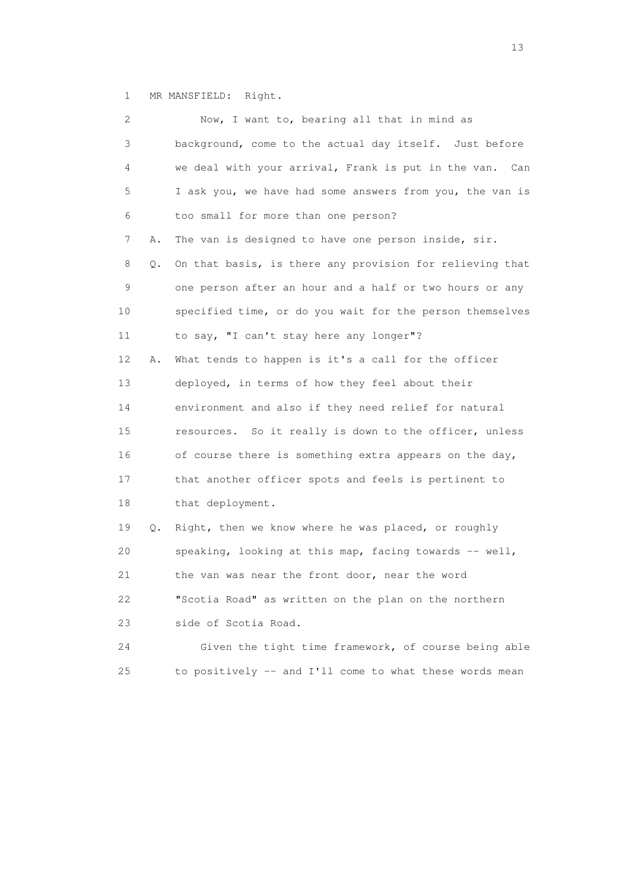1 MR MANSFIELD: Right.

| 2  |    | Now, I want to, bearing all that in mind as              |
|----|----|----------------------------------------------------------|
| 3  |    | background, come to the actual day itself. Just before   |
| 4  |    | we deal with your arrival, Frank is put in the van. Can  |
| 5  |    | I ask you, we have had some answers from you, the van is |
| 6  |    | too small for more than one person?                      |
| 7  | Α. | The van is designed to have one person inside, sir.      |
| 8  | Q. | On that basis, is there any provision for relieving that |
| 9  |    | one person after an hour and a half or two hours or any  |
| 10 |    | specified time, or do you wait for the person themselves |
| 11 |    | to say, "I can't stay here any longer"?                  |
| 12 | Α. | What tends to happen is it's a call for the officer      |
| 13 |    | deployed, in terms of how they feel about their          |
| 14 |    | environment and also if they need relief for natural     |
| 15 |    | resources. So it really is down to the officer, unless   |
| 16 |    | of course there is something extra appears on the day,   |
| 17 |    | that another officer spots and feels is pertinent to     |
| 18 |    | that deployment.                                         |
| 19 | Q. | Right, then we know where he was placed, or roughly      |
| 20 |    | speaking, looking at this map, facing towards -- well,   |
| 21 |    | the van was near the front door, near the word           |
| 22 |    | "Scotia Road" as written on the plan on the northern     |
| 23 |    | side of Scotia Road.                                     |
| 24 |    | Given the tight time framework, of course being able     |
| 25 |    | to positively -- and I'll come to what these words mean  |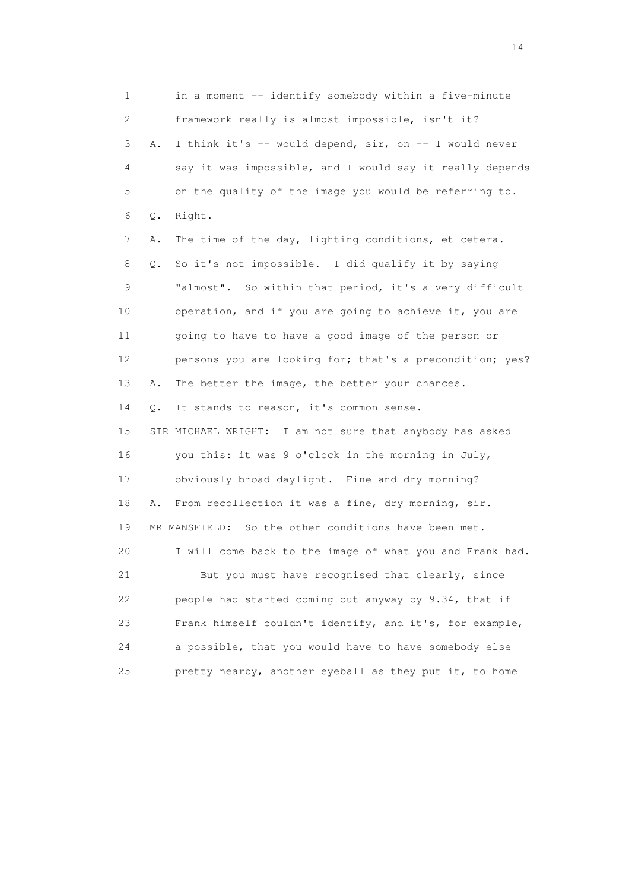1 in a moment -- identify somebody within a five-minute 2 framework really is almost impossible, isn't it? 3 A. I think it's -- would depend, sir, on -- I would never 4 say it was impossible, and I would say it really depends 5 on the quality of the image you would be referring to. 6 Q. Right. 7 A. The time of the day, lighting conditions, et cetera. 8 Q. So it's not impossible. I did qualify it by saying 9 "almost". So within that period, it's a very difficult 10 operation, and if you are going to achieve it, you are 11 going to have to have a good image of the person or 12 persons you are looking for; that's a precondition; yes? 13 A. The better the image, the better your chances. 14 Q. It stands to reason, it's common sense. 15 SIR MICHAEL WRIGHT: I am not sure that anybody has asked 16 you this: it was 9 o'clock in the morning in July, 17 obviously broad daylight. Fine and dry morning? 18 A. From recollection it was a fine, dry morning, sir. 19 MR MANSFIELD: So the other conditions have been met. 20 I will come back to the image of what you and Frank had. 21 But you must have recognised that clearly, since 22 people had started coming out anyway by 9.34, that if 23 Frank himself couldn't identify, and it's, for example, 24 a possible, that you would have to have somebody else 25 pretty nearby, another eyeball as they put it, to home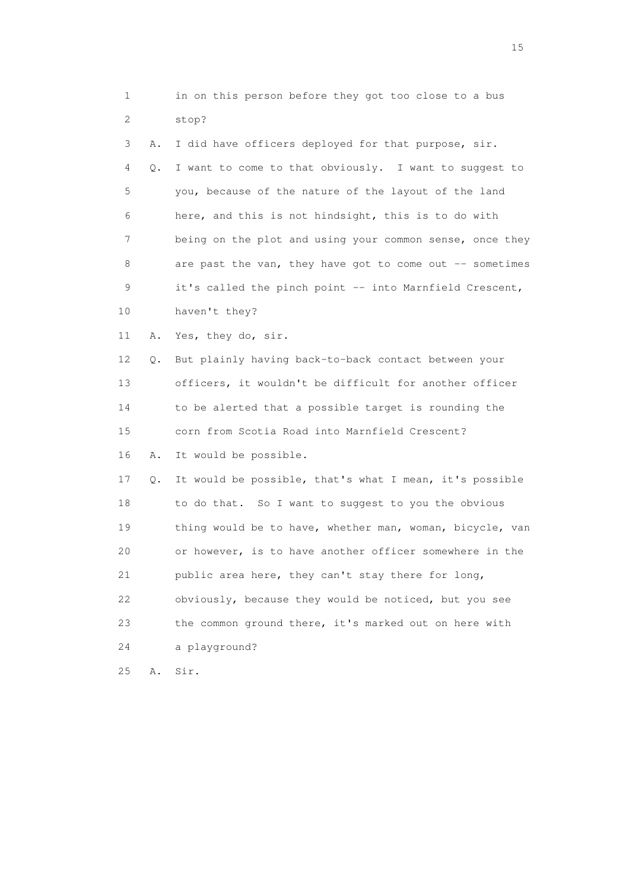| 1           |    | in on this person before they got too close to a bus     |
|-------------|----|----------------------------------------------------------|
| 2           |    | stop?                                                    |
| 3           | Α. | I did have officers deployed for that purpose, sir.      |
| 4           | Q. | I want to come to that obviously. I want to suggest to   |
| 5           |    | you, because of the nature of the layout of the land     |
| 6           |    | here, and this is not hindsight, this is to do with      |
| 7           |    | being on the plot and using your common sense, once they |
| 8           |    | are past the van, they have got to come out -- sometimes |
| $\mathsf 9$ |    | it's called the pinch point -- into Marnfield Crescent,  |
| 10          |    | haven't they?                                            |
| 11          | Α. | Yes, they do, sir.                                       |
| 12          | Q. | But plainly having back-to-back contact between your     |
| 13          |    | officers, it wouldn't be difficult for another officer   |
| 14          |    | to be alerted that a possible target is rounding the     |
| 15          |    | corn from Scotia Road into Marnfield Crescent?           |
| 16          | Α. | It would be possible.                                    |
| 17          | Q. | It would be possible, that's what I mean, it's possible  |
| 18          |    | to do that. So I want to suggest to you the obvious      |
| 19          |    | thing would be to have, whether man, woman, bicycle, van |
| 20          |    | or however, is to have another officer somewhere in the  |
| 21          |    | public area here, they can't stay there for long,        |
| 22          |    | obviously, because they would be noticed, but you see    |
| 23          |    | the common ground there, it's marked out on here with    |
| 24          |    | a playground?                                            |
| 25          | Α. | Sir.                                                     |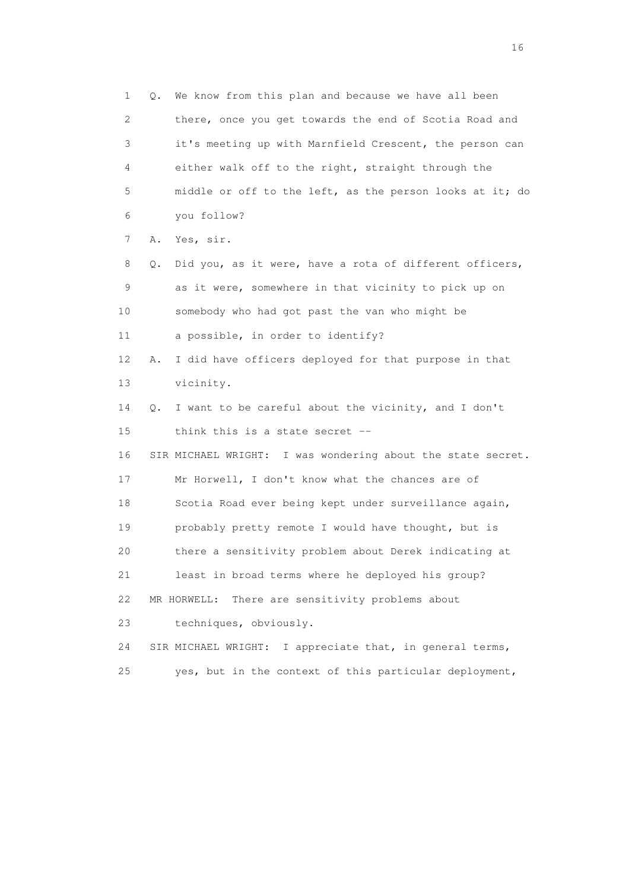1 Q. We know from this plan and because we have all been 2 there, once you get towards the end of Scotia Road and 3 it's meeting up with Marnfield Crescent, the person can 4 either walk off to the right, straight through the 5 middle or off to the left, as the person looks at it; do 6 you follow? 7 A. Yes, sir. 8 Q. Did you, as it were, have a rota of different officers, 9 as it were, somewhere in that vicinity to pick up on 10 somebody who had got past the van who might be 11 a possible, in order to identify? 12 A. I did have officers deployed for that purpose in that 13 vicinity. 14 Q. I want to be careful about the vicinity, and I don't 15 think this is a state secret -- 16 SIR MICHAEL WRIGHT: I was wondering about the state secret. 17 Mr Horwell, I don't know what the chances are of 18 Scotia Road ever being kept under surveillance again, 19 probably pretty remote I would have thought, but is 20 there a sensitivity problem about Derek indicating at 21 least in broad terms where he deployed his group? 22 MR HORWELL: There are sensitivity problems about 23 techniques, obviously. 24 SIR MICHAEL WRIGHT: I appreciate that, in general terms, 25 yes, but in the context of this particular deployment,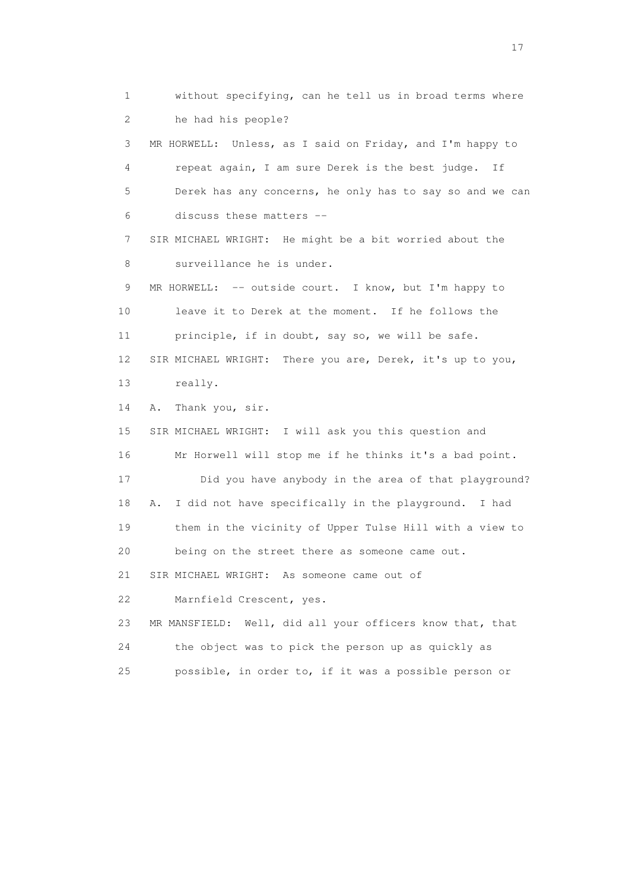1 without specifying, can he tell us in broad terms where 2 he had his people? 3 MR HORWELL: Unless, as I said on Friday, and I'm happy to 4 repeat again, I am sure Derek is the best judge. If 5 Derek has any concerns, he only has to say so and we can 6 discuss these matters -- 7 SIR MICHAEL WRIGHT: He might be a bit worried about the 8 surveillance he is under. 9 MR HORWELL: -- outside court. I know, but I'm happy to 10 leave it to Derek at the moment. If he follows the 11 principle, if in doubt, say so, we will be safe. 12 SIR MICHAEL WRIGHT: There you are, Derek, it's up to you, 13 really. 14 A. Thank you, sir. 15 SIR MICHAEL WRIGHT: I will ask you this question and 16 Mr Horwell will stop me if he thinks it's a bad point. 17 Did you have anybody in the area of that playground? 18 A. I did not have specifically in the playground. I had 19 them in the vicinity of Upper Tulse Hill with a view to 20 being on the street there as someone came out. 21 SIR MICHAEL WRIGHT: As someone came out of 22 Marnfield Crescent, yes. 23 MR MANSFIELD: Well, did all your officers know that, that 24 the object was to pick the person up as quickly as 25 possible, in order to, if it was a possible person or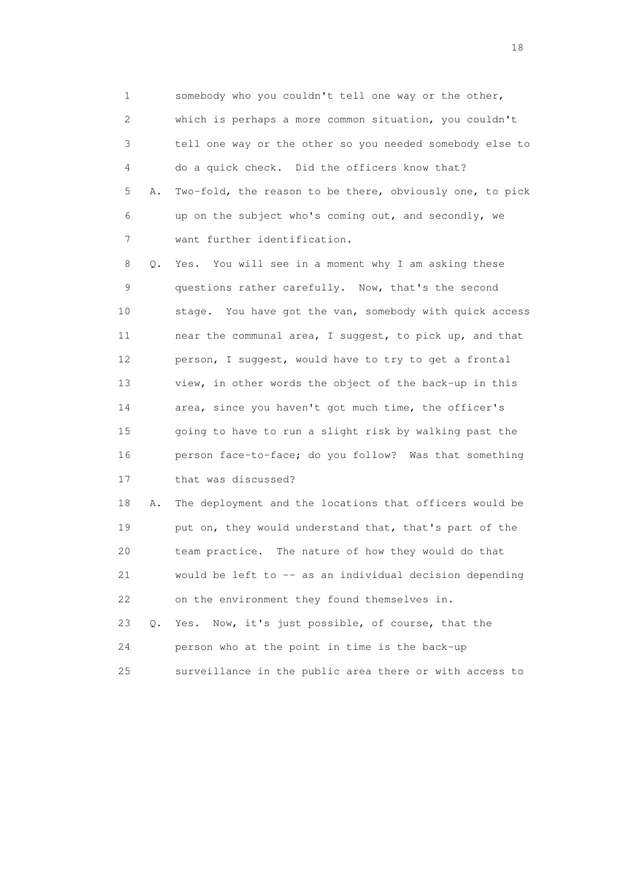1 somebody who you couldn't tell one way or the other, 2 which is perhaps a more common situation, you couldn't 3 tell one way or the other so you needed somebody else to 4 do a quick check. Did the officers know that? 5 A. Two-fold, the reason to be there, obviously one, to pick 6 up on the subject who's coming out, and secondly, we 7 want further identification.

 8 Q. Yes. You will see in a moment why I am asking these 9 questions rather carefully. Now, that's the second 10 stage. You have got the van, somebody with quick access 11 near the communal area, I suggest, to pick up, and that 12 person, I suggest, would have to try to get a frontal 13 view, in other words the object of the back-up in this 14 area, since you haven't got much time, the officer's 15 going to have to run a slight risk by walking past the 16 person face-to-face; do you follow? Was that something 17 that was discussed?

 18 A. The deployment and the locations that officers would be 19 put on, they would understand that, that's part of the 20 team practice. The nature of how they would do that 21 would be left to -- as an individual decision depending 22 on the environment they found themselves in. 23 Q. Yes. Now, it's just possible, of course, that the 24 person who at the point in time is the back-up

25 surveillance in the public area there or with access to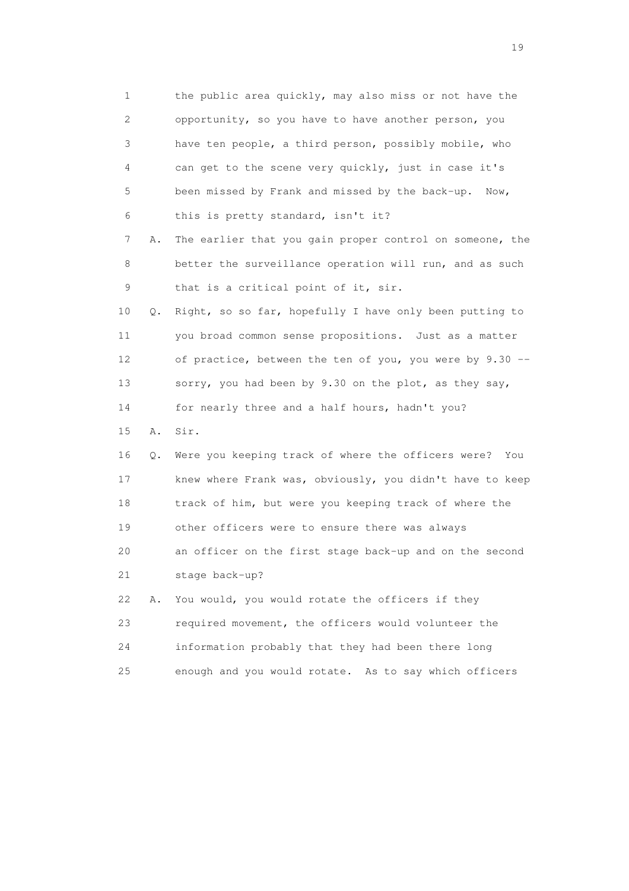1 the public area quickly, may also miss or not have the 2 opportunity, so you have to have another person, you 3 have ten people, a third person, possibly mobile, who 4 can get to the scene very quickly, just in case it's 5 been missed by Frank and missed by the back-up. Now, 6 this is pretty standard, isn't it? 7 A. The earlier that you gain proper control on someone, the 8 better the surveillance operation will run, and as such 9 that is a critical point of it, sir. 10 Q. Right, so so far, hopefully I have only been putting to 11 you broad common sense propositions. Just as a matter 12 of practice, between the ten of you, you were by 9.30 -- 13 sorry, you had been by 9.30 on the plot, as they say, 14 for nearly three and a half hours, hadn't you? 15 A. Sir. 16 Q. Were you keeping track of where the officers were? You 17 knew where Frank was, obviously, you didn't have to keep 18 track of him, but were you keeping track of where the 19 other officers were to ensure there was always 20 an officer on the first stage back-up and on the second 21 stage back-up? 22 A. You would, you would rotate the officers if they 23 required movement, the officers would volunteer the 24 information probably that they had been there long 25 enough and you would rotate. As to say which officers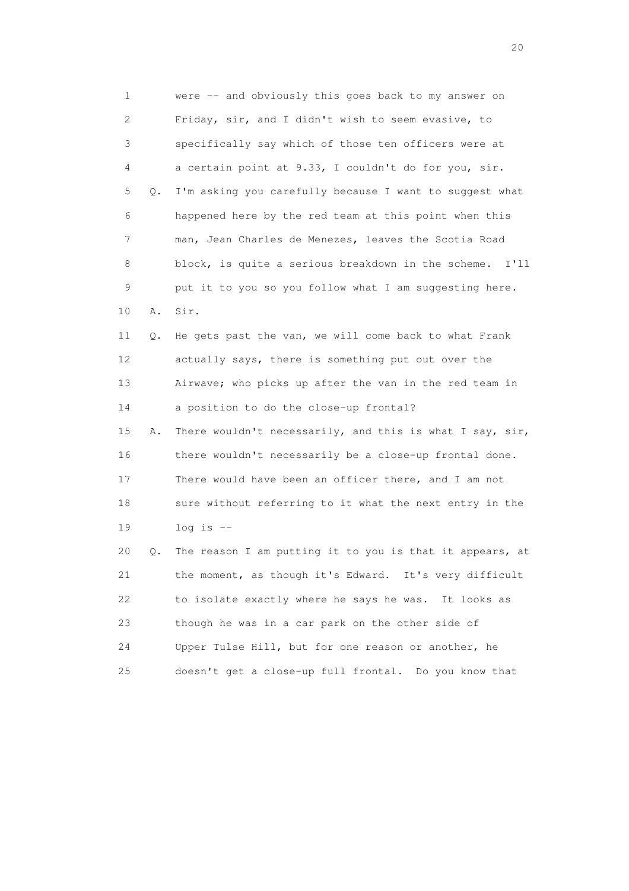1 were -- and obviously this goes back to my answer on 2 Friday, sir, and I didn't wish to seem evasive, to 3 specifically say which of those ten officers were at 4 a certain point at 9.33, I couldn't do for you, sir. 5 Q. I'm asking you carefully because I want to suggest what 6 happened here by the red team at this point when this 7 man, Jean Charles de Menezes, leaves the Scotia Road 8 block, is quite a serious breakdown in the scheme. I'll 9 put it to you so you follow what I am suggesting here. 10 A. Sir. 11 Q. He gets past the van, we will come back to what Frank 12 actually says, there is something put out over the 13 Airwave; who picks up after the van in the red team in 14 a position to do the close-up frontal? 15 A. There wouldn't necessarily, and this is what I say, sir, 16 there wouldn't necessarily be a close-up frontal done. 17 There would have been an officer there, and I am not 18 sure without referring to it what the next entry in the 19 log is -- 20 Q. The reason I am putting it to you is that it appears, at 21 the moment, as though it's Edward. It's very difficult 22 to isolate exactly where he says he was. It looks as 23 though he was in a car park on the other side of 24 Upper Tulse Hill, but for one reason or another, he 25 doesn't get a close-up full frontal. Do you know that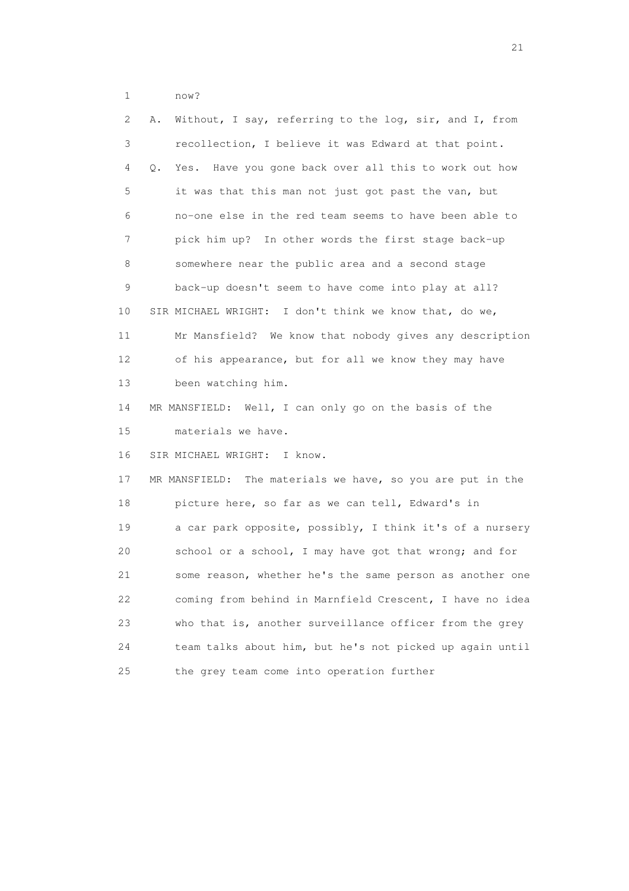1 now?

| $\mathbf{2}^{\mathsf{I}}$ | Without, I say, referring to the log, sir, and I, from<br>Α.   |
|---------------------------|----------------------------------------------------------------|
| 3                         | recollection, I believe it was Edward at that point.           |
| 4                         | Have you gone back over all this to work out how<br>Q.<br>Yes. |
| 5                         | it was that this man not just got past the van, but            |
| 6                         | no-one else in the red team seems to have been able to         |
| 7                         | pick him up? In other words the first stage back-up            |
| 8                         | somewhere near the public area and a second stage              |
| 9                         | back-up doesn't seem to have come into play at all?            |
| 10                        | SIR MICHAEL WRIGHT: I don't think we know that, do we,         |
| 11                        | Mr Mansfield? We know that nobody gives any description        |
| 12                        | of his appearance, but for all we know they may have           |
| 13                        | been watching him.                                             |
| 14                        | MR MANSFIELD: Well, I can only go on the basis of the          |
| 15                        | materials we have.                                             |
| 16                        | SIR MICHAEL WRIGHT: I know.                                    |
| 17                        | MR MANSFIELD: The materials we have, so you are put in the     |
| 18                        | picture here, so far as we can tell, Edward's in               |
| 19                        | a car park opposite, possibly, I think it's of a nursery       |
| 20                        | school or a school, I may have got that wrong; and for         |
| 21                        | some reason, whether he's the same person as another one       |
| 22                        | coming from behind in Marnfield Crescent, I have no idea       |
| 23                        | who that is, another surveillance officer from the grey        |
| 24                        | team talks about him, but he's not picked up again until       |
| 25                        | the grey team come into operation further                      |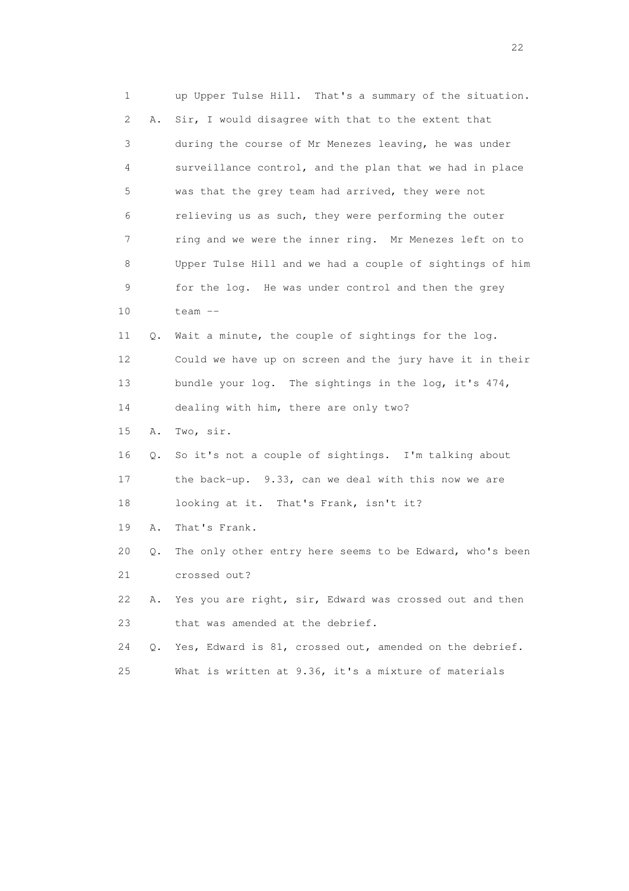1 up Upper Tulse Hill. That's a summary of the situation. 2 A. Sir, I would disagree with that to the extent that 3 during the course of Mr Menezes leaving, he was under 4 surveillance control, and the plan that we had in place 5 was that the grey team had arrived, they were not 6 relieving us as such, they were performing the outer 7 ring and we were the inner ring. Mr Menezes left on to 8 Upper Tulse Hill and we had a couple of sightings of him 9 for the log. He was under control and then the grey 10 team -- 11 Q. Wait a minute, the couple of sightings for the log. 12 Could we have up on screen and the jury have it in their 13 bundle your log. The sightings in the log, it's 474, 14 dealing with him, there are only two? 15 A. Two, sir. 16 Q. So it's not a couple of sightings. I'm talking about 17 the back-up. 9.33, can we deal with this now we are 18 looking at it. That's Frank, isn't it? 19 A. That's Frank. 20 Q. The only other entry here seems to be Edward, who's been 21 crossed out? 22 A. Yes you are right, sir, Edward was crossed out and then 23 that was amended at the debrief. 24 Q. Yes, Edward is 81, crossed out, amended on the debrief. 25 What is written at 9.36, it's a mixture of materials

22 and 22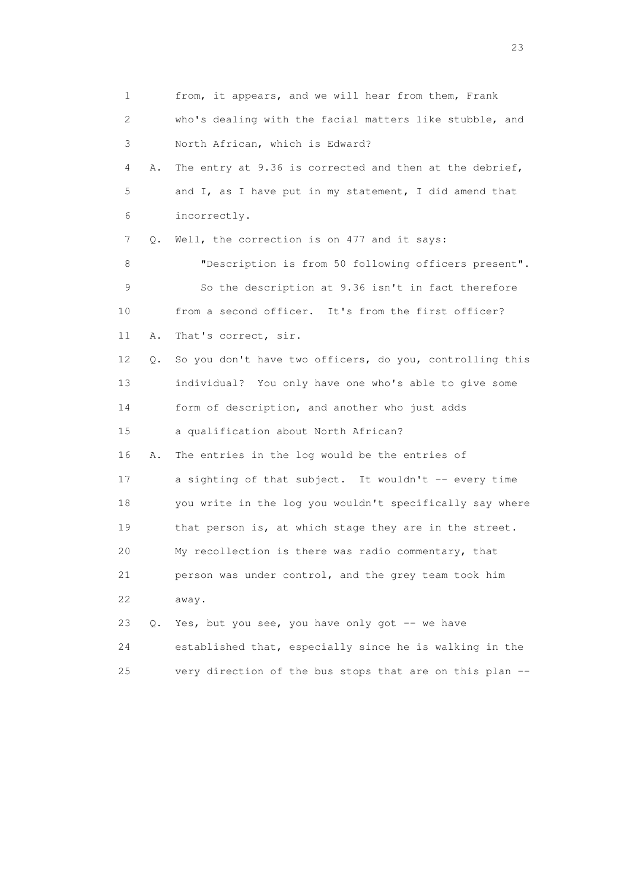1 from, it appears, and we will hear from them, Frank 2 who's dealing with the facial matters like stubble, and 3 North African, which is Edward? 4 A. The entry at 9.36 is corrected and then at the debrief, 5 and I, as I have put in my statement, I did amend that 6 incorrectly. 7 Q. Well, the correction is on 477 and it says: 8 "Description is from 50 following officers present". 9 So the description at 9.36 isn't in fact therefore 10 from a second officer. It's from the first officer? 11 A. That's correct, sir. 12 Q. So you don't have two officers, do you, controlling this 13 individual? You only have one who's able to give some 14 form of description, and another who just adds 15 a qualification about North African? 16 A. The entries in the log would be the entries of 17 a sighting of that subject. It wouldn't -- every time 18 you write in the log you wouldn't specifically say where 19 that person is, at which stage they are in the street. 20 My recollection is there was radio commentary, that 21 person was under control, and the grey team took him 22 away. 23 Q. Yes, but you see, you have only got -- we have 24 established that, especially since he is walking in the 25 very direction of the bus stops that are on this plan --

23 and 23 and 23 and 23 and 23 and 23 and 23 and 23 and 23 and 23 and 23 and 23 and 23 and 23 and 23 and 23 and 24 and 25 and 25 and 25 and 26 and 26 and 26 and 26 and 26 and 26 and 26 and 26 and 26 and 26 and 26 and 26 an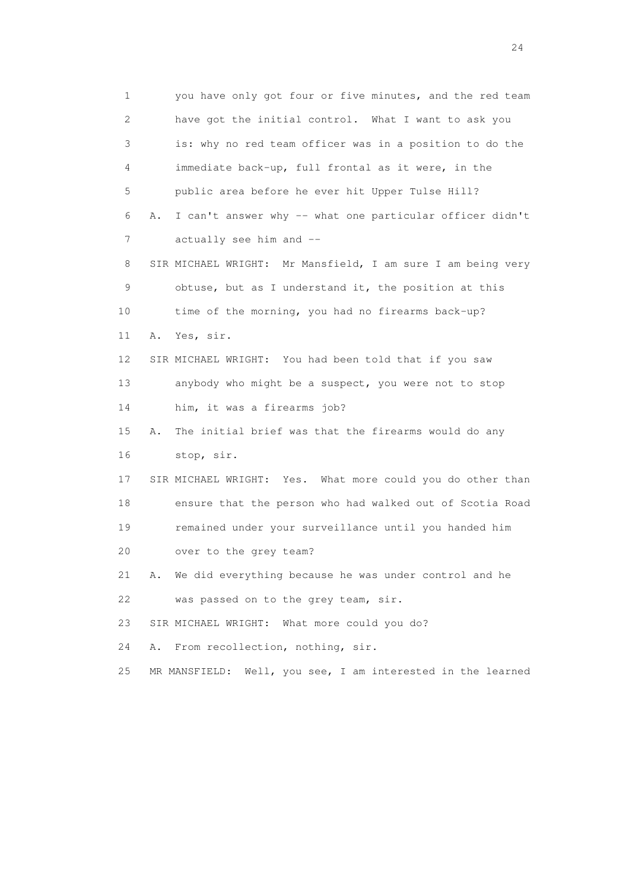1 you have only got four or five minutes, and the red team 2 have got the initial control. What I want to ask you 3 is: why no red team officer was in a position to do the 4 immediate back-up, full frontal as it were, in the 5 public area before he ever hit Upper Tulse Hill? 6 A. I can't answer why -- what one particular officer didn't 7 actually see him and -- 8 SIR MICHAEL WRIGHT: Mr Mansfield, I am sure I am being very 9 obtuse, but as I understand it, the position at this 10 time of the morning, you had no firearms back-up? 11 A. Yes, sir. 12 SIR MICHAEL WRIGHT: You had been told that if you saw 13 anybody who might be a suspect, you were not to stop 14 him, it was a firearms job? 15 A. The initial brief was that the firearms would do any 16 stop, sir. 17 SIR MICHAEL WRIGHT: Yes. What more could you do other than 18 ensure that the person who had walked out of Scotia Road 19 remained under your surveillance until you handed him 20 over to the grey team? 21 A. We did everything because he was under control and he 22 was passed on to the grey team, sir. 23 SIR MICHAEL WRIGHT: What more could you do? 24 A. From recollection, nothing, sir. 25 MR MANSFIELD: Well, you see, I am interested in the learned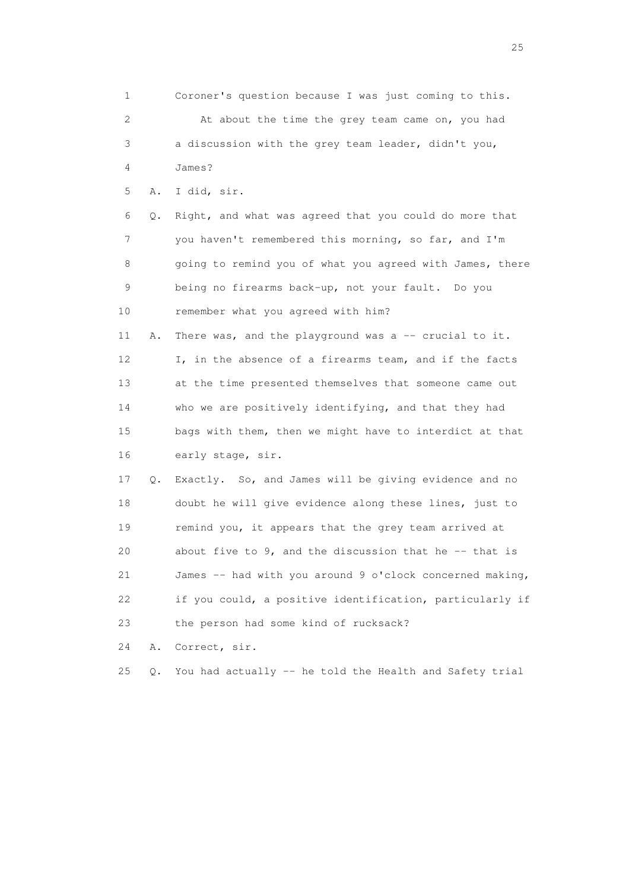1 Coroner's question because I was just coming to this. 2 At about the time the grey team came on, you had 3 a discussion with the grey team leader, didn't you, 4 James? 5 A. I did, sir. 6 Q. Right, and what was agreed that you could do more that 7 you haven't remembered this morning, so far, and I'm 8 going to remind you of what you agreed with James, there 9 being no firearms back-up, not your fault. Do you 10 remember what you agreed with him? 11 A. There was, and the playground was a -- crucial to it. 12 I, in the absence of a firearms team, and if the facts 13 at the time presented themselves that someone came out 14 who we are positively identifying, and that they had 15 bags with them, then we might have to interdict at that 16 early stage, sir. 17 Q. Exactly. So, and James will be giving evidence and no 18 doubt he will give evidence along these lines, just to 19 remind you, it appears that the grey team arrived at 20 about five to 9, and the discussion that he -- that is 21 James -- had with you around 9 o'clock concerned making, 22 if you could, a positive identification, particularly if 23 the person had some kind of rucksack? 24 A. Correct, sir. 25 Q. You had actually -- he told the Health and Safety trial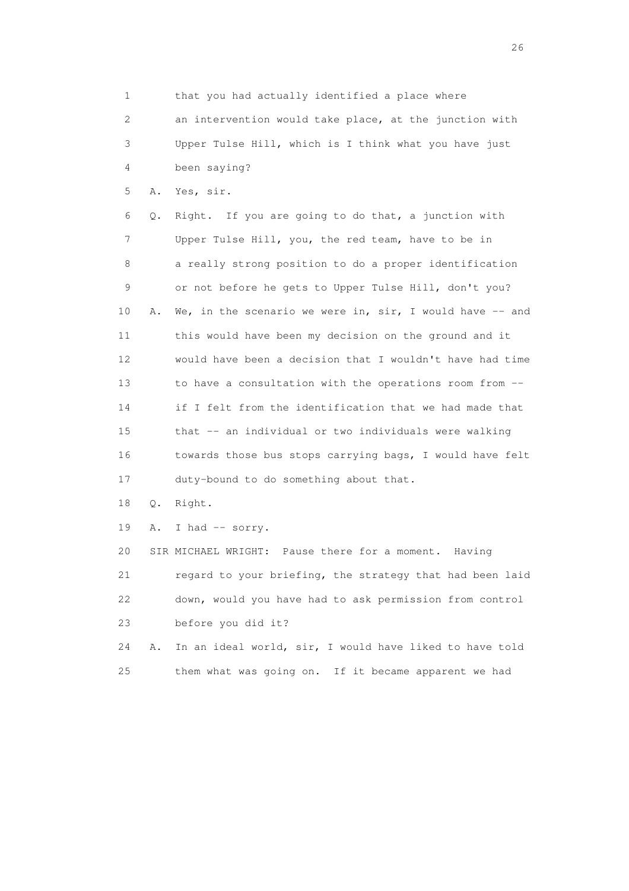1 that you had actually identified a place where 2 an intervention would take place, at the junction with 3 Upper Tulse Hill, which is I think what you have just 4 been saying? 5 A. Yes, sir. 6 Q. Right. If you are going to do that, a junction with 7 Upper Tulse Hill, you, the red team, have to be in 8 a really strong position to do a proper identification 9 or not before he gets to Upper Tulse Hill, don't you? 10 A. We, in the scenario we were in, sir, I would have -- and 11 this would have been my decision on the ground and it 12 would have been a decision that I wouldn't have had time 13 to have a consultation with the operations room from -- 14 if I felt from the identification that we had made that 15 that -- an individual or two individuals were walking 16 towards those bus stops carrying bags, I would have felt 17 duty-bound to do something about that. 18 Q. Right. 19 A. I had -- sorry. 20 SIR MICHAEL WRIGHT: Pause there for a moment. Having 21 regard to your briefing, the strategy that had been laid 22 down, would you have had to ask permission from control 23 before you did it? 24 A. In an ideal world, sir, I would have liked to have told 25 them what was going on. If it became apparent we had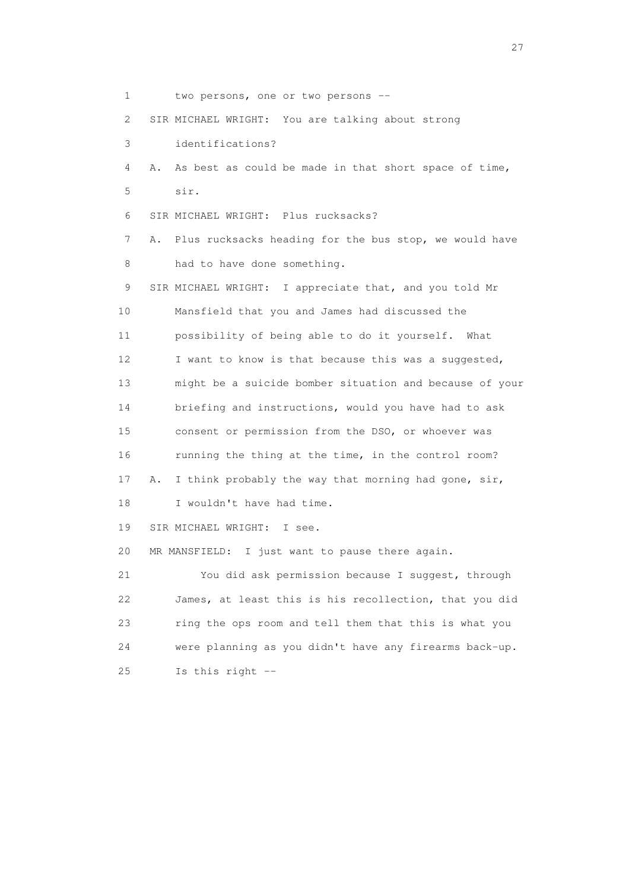1 two persons, one or two persons -- 2 SIR MICHAEL WRIGHT: You are talking about strong 3 identifications? 4 A. As best as could be made in that short space of time, 5 sir. 6 SIR MICHAEL WRIGHT: Plus rucksacks? 7 A. Plus rucksacks heading for the bus stop, we would have 8 had to have done something. 9 SIR MICHAEL WRIGHT: I appreciate that, and you told Mr 10 Mansfield that you and James had discussed the 11 possibility of being able to do it yourself. What 12 I want to know is that because this was a suggested, 13 might be a suicide bomber situation and because of your 14 briefing and instructions, would you have had to ask 15 consent or permission from the DSO, or whoever was 16 running the thing at the time, in the control room? 17 A. I think probably the way that morning had gone, sir, 18 I wouldn't have had time. 19 SIR MICHAEL WRIGHT: I see. 20 MR MANSFIELD: I just want to pause there again. 21 You did ask permission because I suggest, through 22 James, at least this is his recollection, that you did 23 ring the ops room and tell them that this is what you 24 were planning as you didn't have any firearms back-up. 25 Is this right --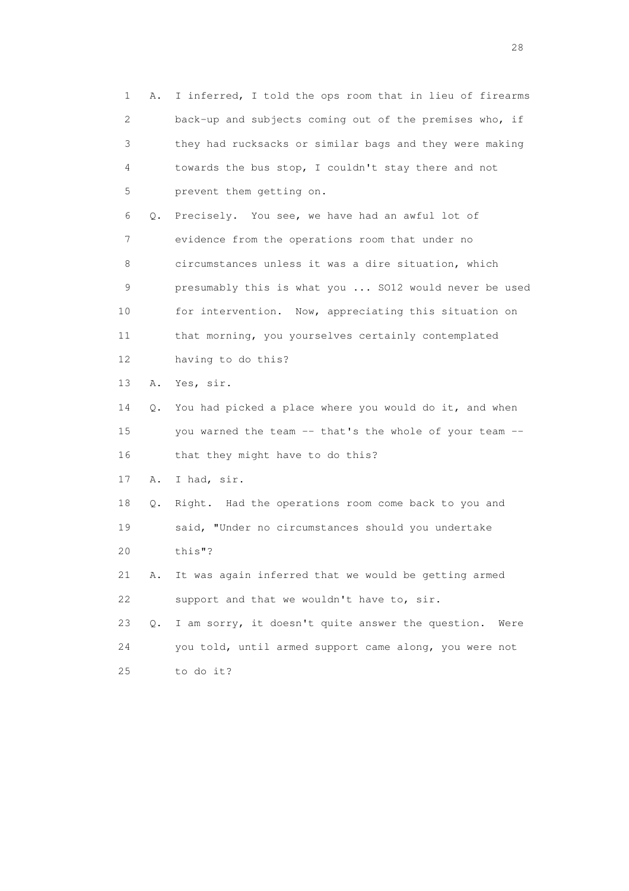1 A. I inferred, I told the ops room that in lieu of firearms 2 back-up and subjects coming out of the premises who, if 3 they had rucksacks or similar bags and they were making 4 towards the bus stop, I couldn't stay there and not 5 prevent them getting on. 6 Q. Precisely. You see, we have had an awful lot of 7 evidence from the operations room that under no 8 circumstances unless it was a dire situation, which 9 presumably this is what you ... SO12 would never be used 10 for intervention. Now, appreciating this situation on 11 that morning, you yourselves certainly contemplated 12 having to do this? 13 A. Yes, sir. 14 Q. You had picked a place where you would do it, and when 15 you warned the team -- that's the whole of your team -- 16 that they might have to do this? 17 A. I had, sir. 18 Q. Right. Had the operations room come back to you and 19 said, "Under no circumstances should you undertake 20 this"? 21 A. It was again inferred that we would be getting armed 22 support and that we wouldn't have to, sir. 23 Q. I am sorry, it doesn't quite answer the question. Were 24 you told, until armed support came along, you were not 25 to do it?

28 and 28 and 28 and 28 and 28 and 28 and 28 and 28 and 28 and 28 and 28 and 28 and 28 and 28 and 28 and 28 and 28 and 28 and 28 and 28 and 28 and 28 and 28 and 28 and 28 and 28 and 28 and 28 and 28 and 28 and 28 and 28 an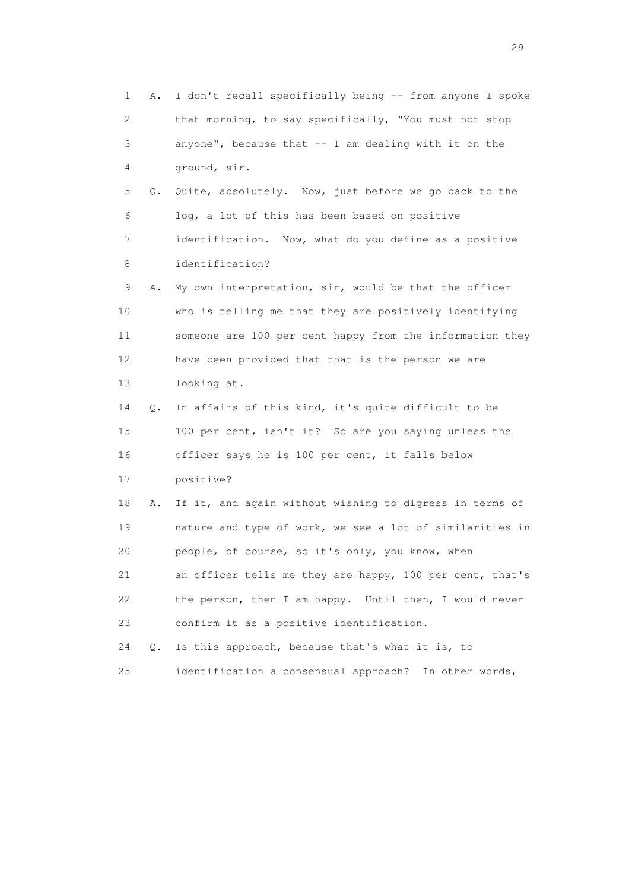1 A. I don't recall specifically being -- from anyone I spoke 2 that morning, to say specifically, "You must not stop 3 anyone", because that -- I am dealing with it on the 4 ground, sir. 5 Q. Quite, absolutely. Now, just before we go back to the 6 log, a lot of this has been based on positive 7 identification. Now, what do you define as a positive 8 identification? 9 A. My own interpretation, sir, would be that the officer 10 who is telling me that they are positively identifying 11 someone are 100 per cent happy from the information they 12 have been provided that that is the person we are 13 looking at. 14 Q. In affairs of this kind, it's quite difficult to be 15 100 per cent, isn't it? So are you saying unless the 16 officer says he is 100 per cent, it falls below 17 positive? 18 A. If it, and again without wishing to digress in terms of 19 nature and type of work, we see a lot of similarities in 20 people, of course, so it's only, you know, when 21 an officer tells me they are happy, 100 per cent, that's 22 the person, then I am happy. Until then, I would never 23 confirm it as a positive identification. 24 Q. Is this approach, because that's what it is, to 25 identification a consensual approach? In other words,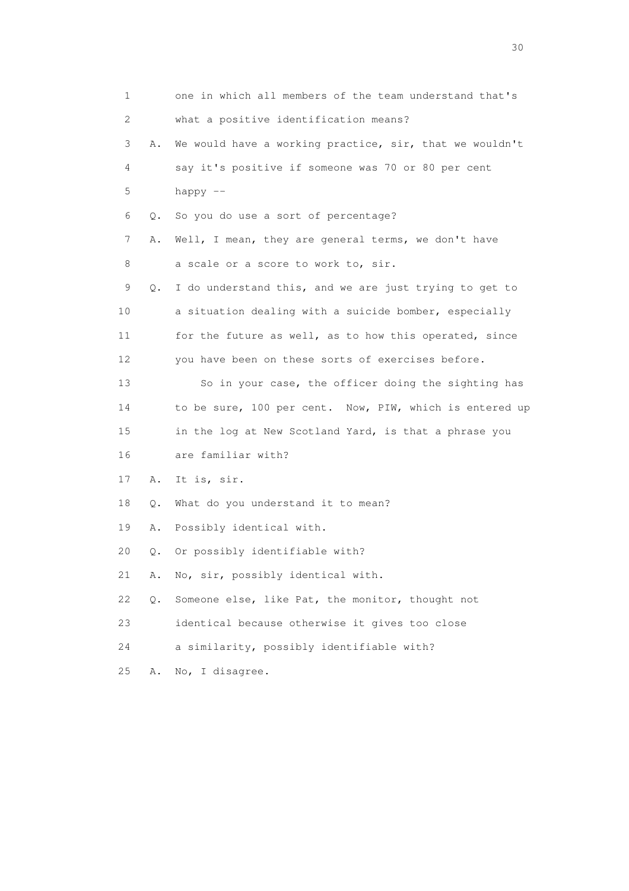| 1  |    | one in which all members of the team understand that's  |
|----|----|---------------------------------------------------------|
| 2  |    | what a positive identification means?                   |
| 3  | Α. | We would have a working practice, sir, that we wouldn't |
| 4  |    | say it's positive if someone was 70 or 80 per cent      |
| 5  |    | happy --                                                |
| 6  | Q. | So you do use a sort of percentage?                     |
| 7  | Α. | Well, I mean, they are general terms, we don't have     |
| 8  |    | a scale or a score to work to, sir.                     |
| 9  | Q. | I do understand this, and we are just trying to get to  |
| 10 |    | a situation dealing with a suicide bomber, especially   |
| 11 |    | for the future as well, as to how this operated, since  |
| 12 |    | you have been on these sorts of exercises before.       |
| 13 |    | So in your case, the officer doing the sighting has     |
| 14 |    | to be sure, 100 per cent. Now, PIW, which is entered up |
| 15 |    | in the log at New Scotland Yard, is that a phrase you   |
| 16 |    | are familiar with?                                      |
| 17 | Α. | It is, sir.                                             |
| 18 | Q. | What do you understand it to mean?                      |
| 19 | Α. | Possibly identical with.                                |
| 20 | Q. | Or possibly identifiable with?                          |
| 21 | Α. | No, sir, possibly identical with.                       |
| 22 | Q. | Someone else, like Pat, the monitor, thought not        |
| 23 |    | identical because otherwise it gives too close          |
| 24 |    | a similarity, possibly identifiable with?               |
| 25 | Α. | No, I disagree.                                         |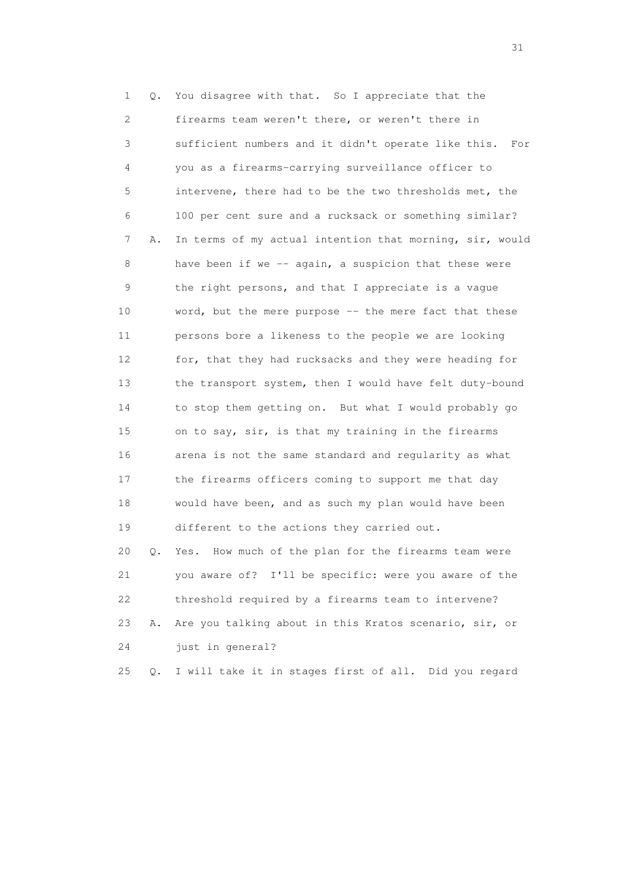1 Q. You disagree with that. So I appreciate that the 2 firearms team weren't there, or weren't there in 3 sufficient numbers and it didn't operate like this. For 4 you as a firearms-carrying surveillance officer to 5 intervene, there had to be the two thresholds met, the 6 100 per cent sure and a rucksack or something similar? 7 A. In terms of my actual intention that morning, sir, would 8 have been if we -- again, a suspicion that these were 9 the right persons, and that I appreciate is a vague 10 word, but the mere purpose -- the mere fact that these 11 persons bore a likeness to the people we are looking 12 for, that they had rucksacks and they were heading for 13 the transport system, then I would have felt duty-bound 14 to stop them getting on. But what I would probably go 15 on to say, sir, is that my training in the firearms 16 arena is not the same standard and regularity as what 17 the firearms officers coming to support me that day 18 would have been, and as such my plan would have been 19 different to the actions they carried out. 20 Q. Yes. How much of the plan for the firearms team were 21 you aware of? I'll be specific: were you aware of the 22 threshold required by a firearms team to intervene? 23 A. Are you talking about in this Kratos scenario, sir, or 24 just in general?

25 Q. I will take it in stages first of all. Did you regard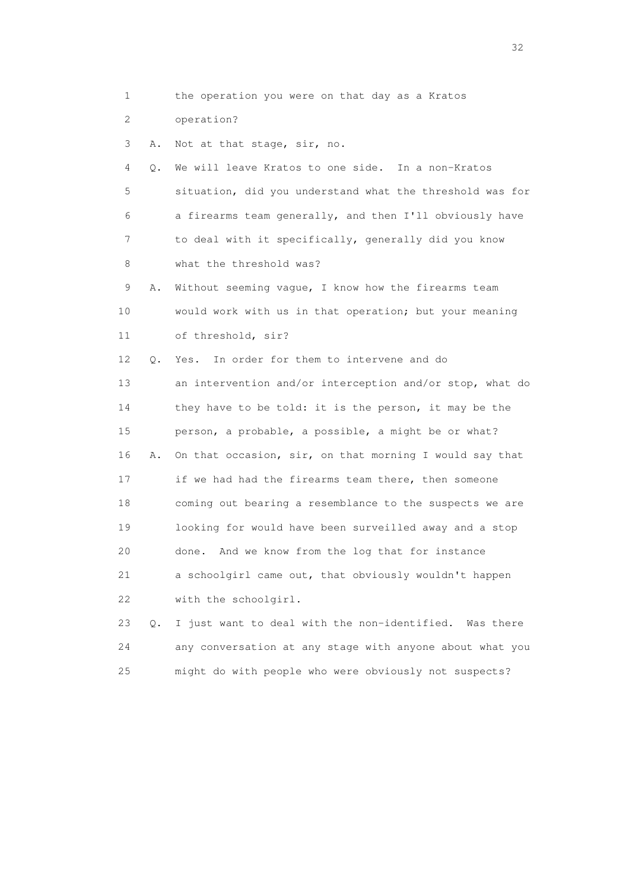1 the operation you were on that day as a Kratos

2 operation?

3 A. Not at that stage, sir, no.

 4 Q. We will leave Kratos to one side. In a non-Kratos 5 situation, did you understand what the threshold was for 6 a firearms team generally, and then I'll obviously have 7 to deal with it specifically, generally did you know 8 what the threshold was?

 9 A. Without seeming vague, I know how the firearms team 10 would work with us in that operation; but your meaning 11 of threshold, sir?

 12 Q. Yes. In order for them to intervene and do 13 an intervention and/or interception and/or stop, what do 14 they have to be told: it is the person, it may be the 15 person, a probable, a possible, a might be or what? 16 A. On that occasion, sir, on that morning I would say that 17 if we had had the firearms team there, then someone 18 coming out bearing a resemblance to the suspects we are 19 looking for would have been surveilled away and a stop 20 done. And we know from the log that for instance 21 a schoolgirl came out, that obviously wouldn't happen 22 with the schoolgirl.

 23 Q. I just want to deal with the non-identified. Was there 24 any conversation at any stage with anyone about what you 25 might do with people who were obviously not suspects?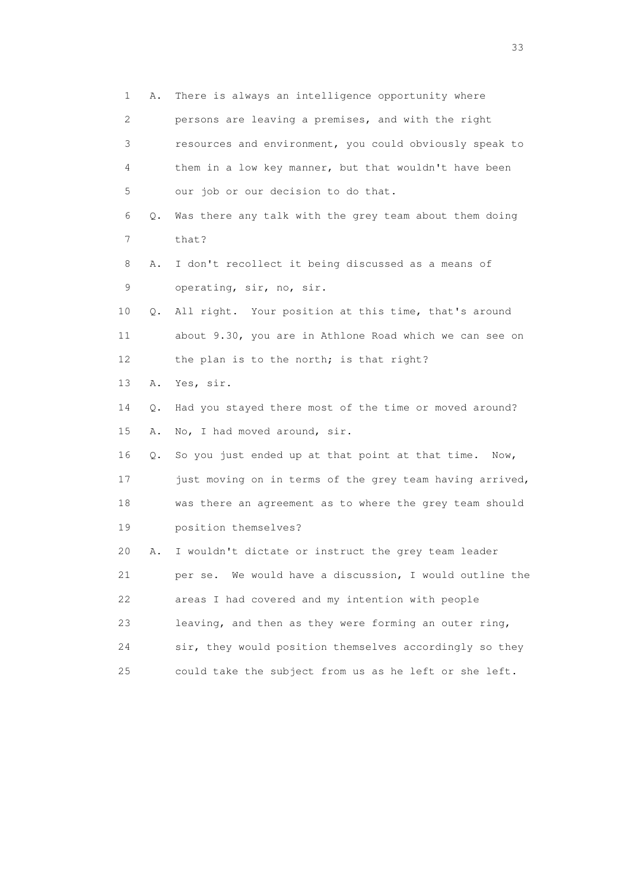1 A. There is always an intelligence opportunity where 2 persons are leaving a premises, and with the right 3 resources and environment, you could obviously speak to 4 them in a low key manner, but that wouldn't have been 5 our job or our decision to do that. 6 Q. Was there any talk with the grey team about them doing 7 that? 8 A. I don't recollect it being discussed as a means of 9 operating, sir, no, sir. 10 Q. All right. Your position at this time, that's around 11 about 9.30, you are in Athlone Road which we can see on 12 the plan is to the north; is that right? 13 A. Yes, sir. 14 Q. Had you stayed there most of the time or moved around? 15 A. No, I had moved around, sir. 16 Q. So you just ended up at that point at that time. Now, 17 just moving on in terms of the grey team having arrived, 18 was there an agreement as to where the grey team should 19 position themselves? 20 A. I wouldn't dictate or instruct the grey team leader 21 per se. We would have a discussion, I would outline the 22 areas I had covered and my intention with people 23 leaving, and then as they were forming an outer ring, 24 sir, they would position themselves accordingly so they 25 could take the subject from us as he left or she left.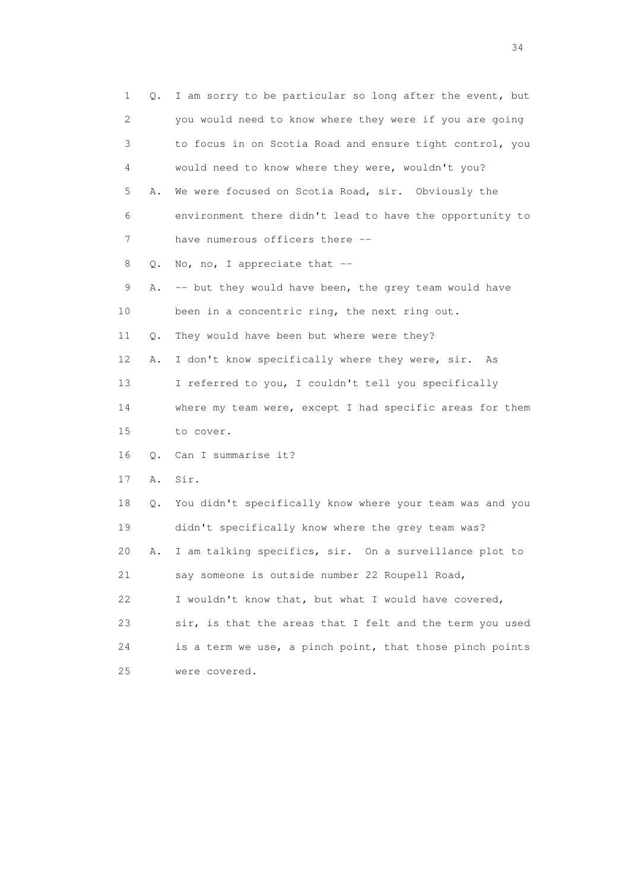| 1           | Q.        | I am sorry to be particular so long after the event, but |
|-------------|-----------|----------------------------------------------------------|
| 2           |           | you would need to know where they were if you are going  |
| 3           |           | to focus in on Scotia Road and ensure tight control, you |
| 4           |           | would need to know where they were, wouldn't you?        |
| 5           | Α.        | We were focused on Scotia Road, sir. Obviously the       |
| 6           |           | environment there didn't lead to have the opportunity to |
| 7           |           | have numerous officers there --                          |
| 8           | Q.        | No, no, I appreciate that --                             |
| $\mathsf 9$ | Α.        | -- but they would have been, the grey team would have    |
| 10          |           | been in a concentric ring, the next ring out.            |
| 11          | Q.        | They would have been but where were they?                |
| 12          | Α.        | I don't know specifically where they were, sir.<br>As    |
| 13          |           | I referred to you, I couldn't tell you specifically      |
| 14          |           | where my team were, except I had specific areas for them |
| 15          |           | to cover.                                                |
| 16          | $\circ$ . | Can I summarise it?                                      |
| 17          | Α.        | Sir.                                                     |
| 18          | Q.        | You didn't specifically know where your team was and you |
| 19          |           | didn't specifically know where the grey team was?        |
| 20          | Α.        | I am talking specifics, sir. On a surveillance plot to   |
| 21          |           | say someone is outside number 22 Roupell Road,           |
| 22          |           | I wouldn't know that, but what I would have covered,     |
| 23          |           | sir, is that the areas that I felt and the term you used |
| 24          |           | is a term we use, a pinch point, that those pinch points |
| 25          |           | were covered.                                            |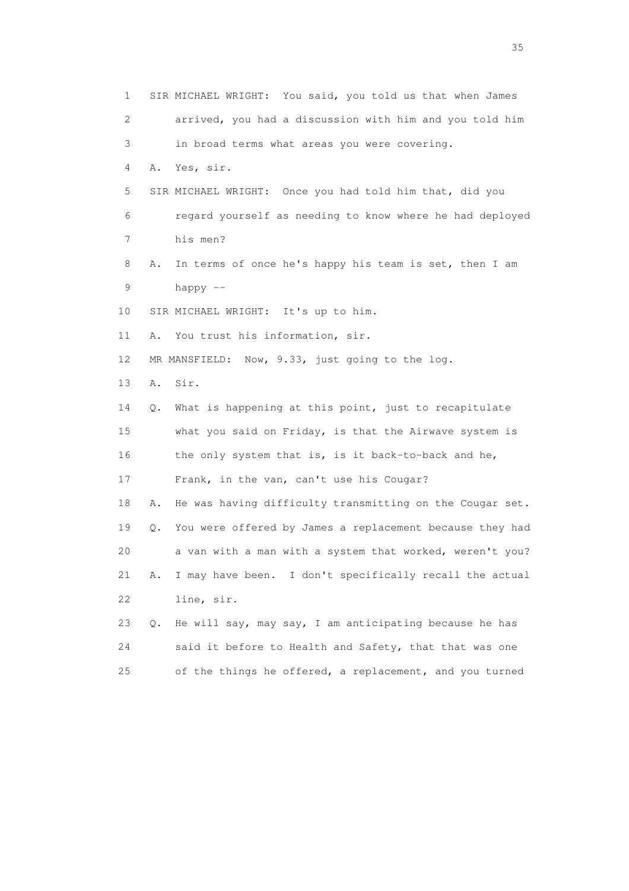1 SIR MICHAEL WRIGHT: You said, you told us that when James 2 arrived, you had a discussion with him and you told him 3 in broad terms what areas you were covering. 4 A. Yes, sir. 5 SIR MICHAEL WRIGHT: Once you had told him that, did you 6 regard yourself as needing to know where he had deployed 7 his men? 8 A. In terms of once he's happy his team is set, then I am 9 happy -- 10 SIR MICHAEL WRIGHT: It's up to him. 11 A. You trust his information, sir. 12 MR MANSFIELD: Now, 9.33, just going to the log. 13 A. Sir. 14 Q. What is happening at this point, just to recapitulate 15 what you said on Friday, is that the Airwave system is 16 the only system that is, is it back-to-back and he, 17 Frank, in the van, can't use his Cougar? 18 A. He was having difficulty transmitting on the Cougar set. 19 Q. You were offered by James a replacement because they had 20 a van with a man with a system that worked, weren't you? 21 A. I may have been. I don't specifically recall the actual 22 line, sir. 23 Q. He will say, may say, I am anticipating because he has 24 said it before to Health and Safety, that that was one 25 of the things he offered, a replacement, and you turned

<u>35</u> and the state of the state of the state of the state of the state of the state of the state of the state of the state of the state of the state of the state of the state of the state of the state of the state of the s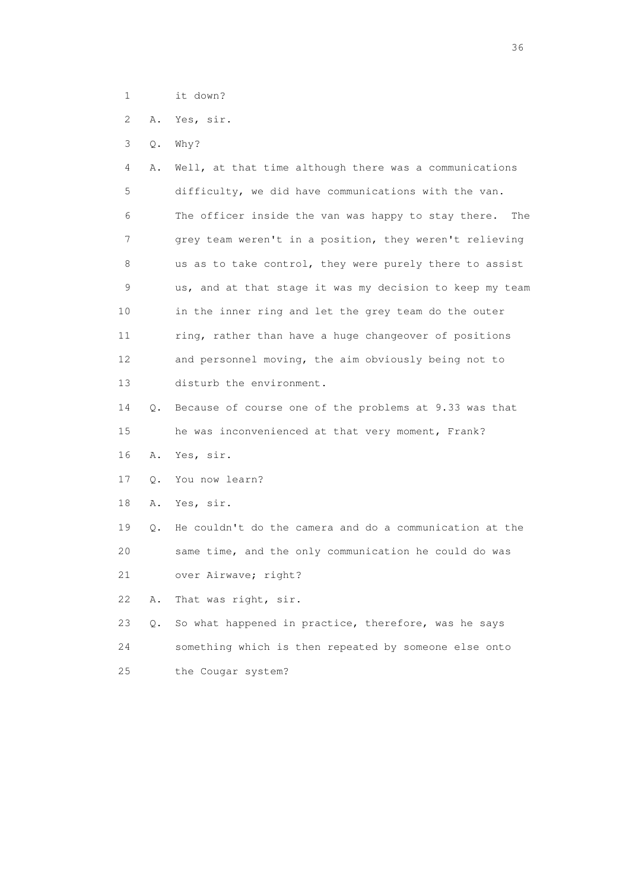- 1 it down?
- 2 A. Yes, sir.
- 3 Q. Why?

 4 A. Well, at that time although there was a communications 5 difficulty, we did have communications with the van. 6 The officer inside the van was happy to stay there. The 7 grey team weren't in a position, they weren't relieving 8 us as to take control, they were purely there to assist 9 us, and at that stage it was my decision to keep my team 10 in the inner ring and let the grey team do the outer 11 ring, rather than have a huge changeover of positions 12 and personnel moving, the aim obviously being not to 13 disturb the environment.

 14 Q. Because of course one of the problems at 9.33 was that 15 he was inconvenienced at that very moment, Frank?

16 A. Yes, sir.

17 Q. You now learn?

18 A. Yes, sir.

 19 Q. He couldn't do the camera and do a communication at the 20 same time, and the only communication he could do was

21 over Airwave; right?

22 A. That was right, sir.

 23 Q. So what happened in practice, therefore, was he says 24 something which is then repeated by someone else onto 25 the Cougar system?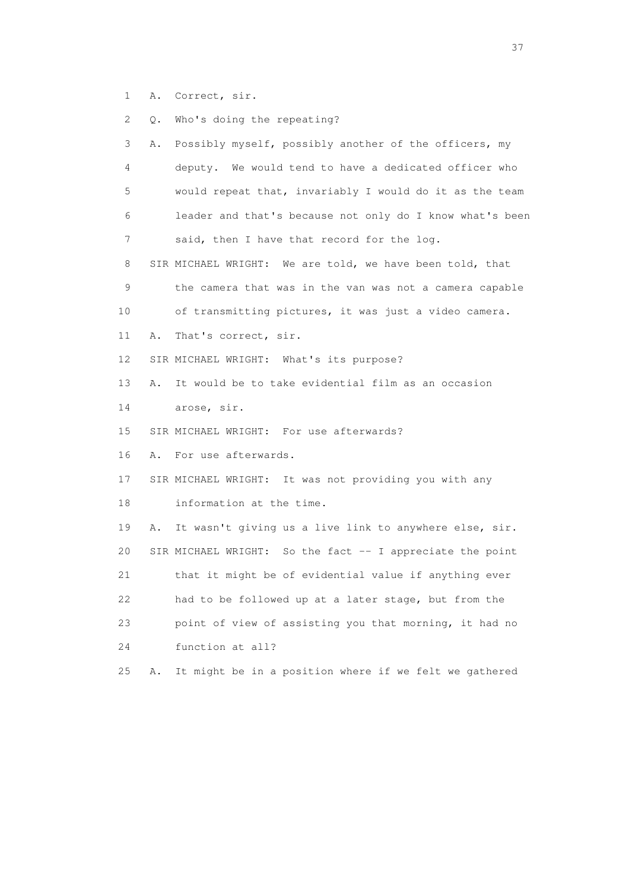1 A. Correct, sir.

2 Q. Who's doing the repeating?

| 3  | Α. | Possibly myself, possibly another of the officers, my     |
|----|----|-----------------------------------------------------------|
| 4  |    | deputy. We would tend to have a dedicated officer who     |
| 5  |    | would repeat that, invariably I would do it as the team   |
| 6  |    | leader and that's because not only do I know what's been  |
| 7  |    | said, then I have that record for the log.                |
| 8  |    | SIR MICHAEL WRIGHT: We are told, we have been told, that  |
| 9  |    | the camera that was in the van was not a camera capable   |
| 10 |    | of transmitting pictures, it was just a video camera.     |
| 11 | Α. | That's correct, sir.                                      |
| 12 |    | SIR MICHAEL WRIGHT: What's its purpose?                   |
| 13 | Α. | It would be to take evidential film as an occasion        |
| 14 |    | arose, sir.                                               |
| 15 |    | SIR MICHAEL WRIGHT: For use afterwards?                   |
| 16 | Α. | For use afterwards.                                       |
| 17 |    | SIR MICHAEL WRIGHT: It was not providing you with any     |
| 18 |    | information at the time.                                  |
| 19 | Α. | It wasn't giving us a live link to anywhere else, sir.    |
| 20 |    | SIR MICHAEL WRIGHT: So the fact -- I appreciate the point |
| 21 |    | that it might be of evidential value if anything ever     |
| 22 |    | had to be followed up at a later stage, but from the      |
| 23 |    | point of view of assisting you that morning, it had no    |
| 24 |    | function at all?                                          |
| 25 | Α. | It might be in a position where if we felt we gathered    |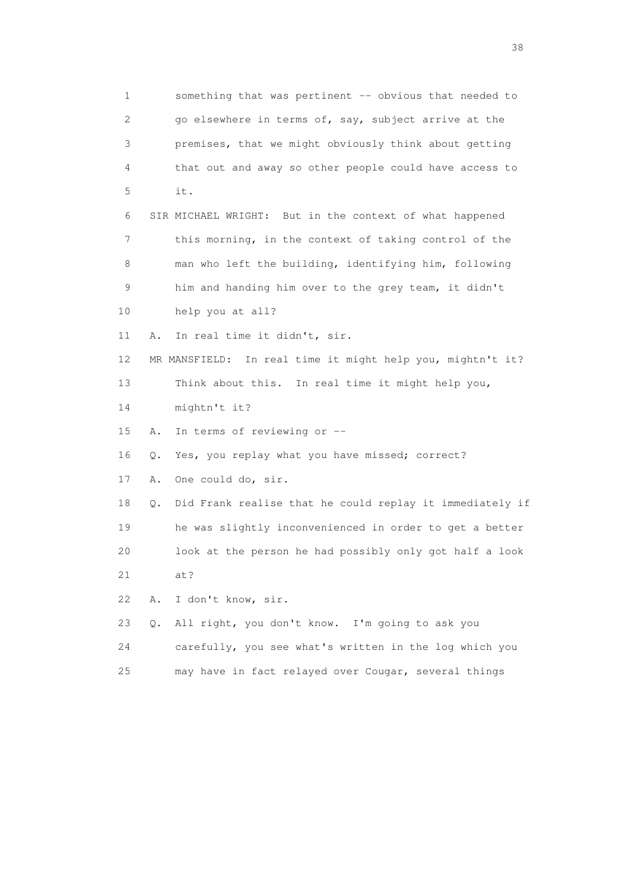1 something that was pertinent -- obvious that needed to 2 go elsewhere in terms of, say, subject arrive at the 3 premises, that we might obviously think about getting 4 that out and away so other people could have access to 5 it. 6 SIR MICHAEL WRIGHT: But in the context of what happened 7 this morning, in the context of taking control of the 8 man who left the building, identifying him, following 9 him and handing him over to the grey team, it didn't 10 help you at all? 11 A. In real time it didn't, sir. 12 MR MANSFIELD: In real time it might help you, mightn't it? 13 Think about this. In real time it might help you, 14 mightn't it? 15 A. In terms of reviewing or -- 16 Q. Yes, you replay what you have missed; correct? 17 A. One could do, sir. 18 Q. Did Frank realise that he could replay it immediately if 19 he was slightly inconvenienced in order to get a better 20 look at the person he had possibly only got half a look 21 at? 22 A. I don't know, sir. 23 Q. All right, you don't know. I'm going to ask you 24 carefully, you see what's written in the log which you 25 may have in fact relayed over Cougar, several things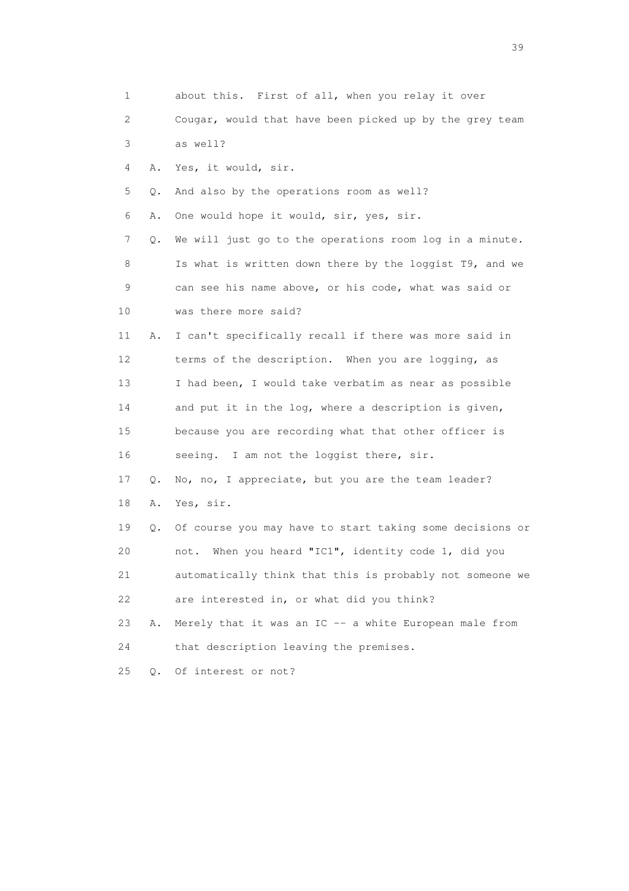| 1               |           | about this. First of all, when you relay it over         |
|-----------------|-----------|----------------------------------------------------------|
| 2               |           | Cougar, would that have been picked up by the grey team  |
| 3               |           | as well?                                                 |
| 4               | Α.        | Yes, it would, sir.                                      |
| 5               | Q.        | And also by the operations room as well?                 |
| 6               | Α.        | One would hope it would, sir, yes, sir.                  |
| 7               | Q.        | We will just go to the operations room log in a minute.  |
| 8               |           | Is what is written down there by the loggist T9, and we  |
| 9               |           | can see his name above, or his code, what was said or    |
| 10              |           | was there more said?                                     |
| 11              | Α.        | I can't specifically recall if there was more said in    |
| 12 <sup>°</sup> |           | terms of the description. When you are logging, as       |
| 13              |           | I had been, I would take verbatim as near as possible    |
| 14              |           | and put it in the log, where a description is given,     |
| 15              |           | because you are recording what that other officer is     |
| 16              |           | seeing. I am not the loggist there, sir.                 |
| 17              | Q.        | No, no, I appreciate, but you are the team leader?       |
| 18              | Α.        | Yes, sir.                                                |
| 19              | Q.        | Of course you may have to start taking some decisions or |
| 20              |           | When you heard "IC1", identity code 1, did you<br>not.   |
| 21              |           | automatically think that this is probably not someone we |
| 22              |           | are interested in, or what did you think?                |
| 23              | Α.        | Merely that it was an IC -- a white European male from   |
| 24              |           | that description leaving the premises.                   |
| 25              | $\circ$ . | Of interest or not?                                      |

 $39<sup>2</sup>$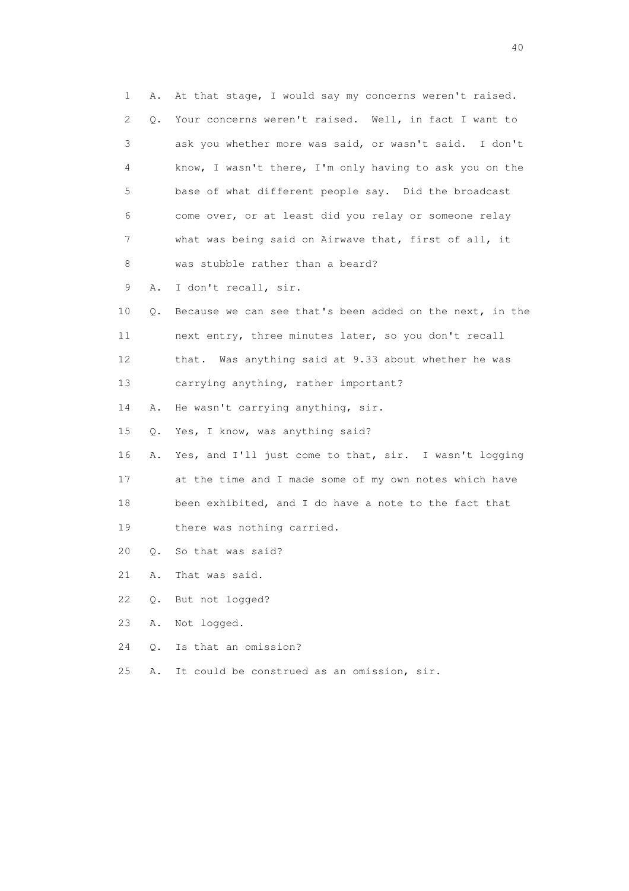1 A. At that stage, I would say my concerns weren't raised. 2 Q. Your concerns weren't raised. Well, in fact I want to 3 ask you whether more was said, or wasn't said. I don't 4 know, I wasn't there, I'm only having to ask you on the 5 base of what different people say. Did the broadcast 6 come over, or at least did you relay or someone relay 7 what was being said on Airwave that, first of all, it 8 was stubble rather than a beard? 9 A. I don't recall, sir. 10 Q. Because we can see that's been added on the next, in the 11 next entry, three minutes later, so you don't recall 12 that. Was anything said at 9.33 about whether he was 13 carrying anything, rather important? 14 A. He wasn't carrying anything, sir. 15 Q. Yes, I know, was anything said? 16 A. Yes, and I'll just come to that, sir. I wasn't logging 17 at the time and I made some of my own notes which have 18 been exhibited, and I do have a note to the fact that 19 there was nothing carried. 20 Q. So that was said? 21 A. That was said. 22 Q. But not logged? 23 A. Not logged. 24 Q. Is that an omission? 25 A. It could be construed as an omission, sir.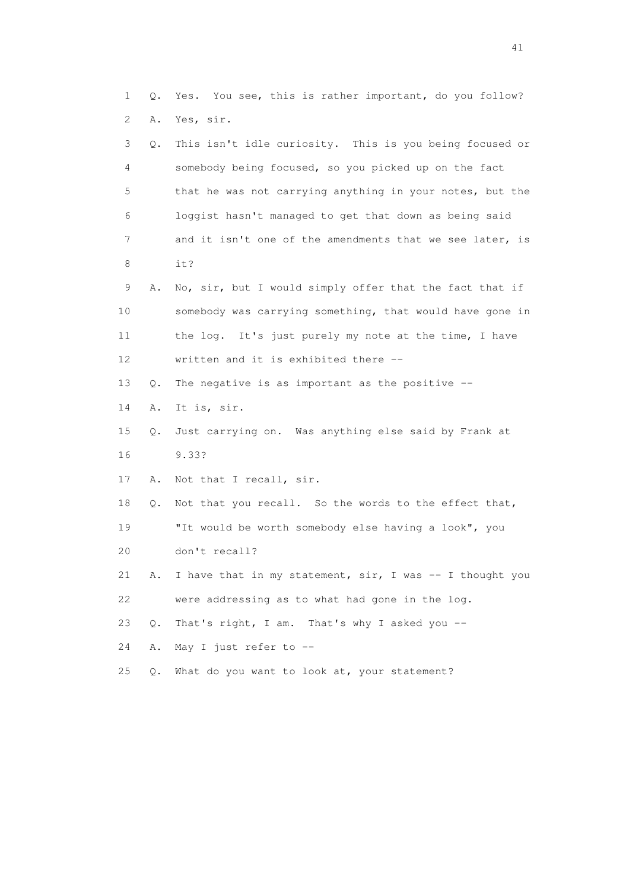1 Q. Yes. You see, this is rather important, do you follow? 2 A. Yes, sir. 3 Q. This isn't idle curiosity. This is you being focused or 4 somebody being focused, so you picked up on the fact 5 that he was not carrying anything in your notes, but the 6 loggist hasn't managed to get that down as being said 7 and it isn't one of the amendments that we see later, is 8 it? 9 A. No, sir, but I would simply offer that the fact that if 10 somebody was carrying something, that would have gone in 11 the log. It's just purely my note at the time, I have 12 written and it is exhibited there -- 13 Q. The negative is as important as the positive -- 14 A. It is, sir. 15 Q. Just carrying on. Was anything else said by Frank at 16 9.33? 17 A. Not that I recall, sir. 18 Q. Not that you recall. So the words to the effect that, 19 "It would be worth somebody else having a look", you 20 don't recall? 21 A. I have that in my statement, sir, I was -- I thought you 22 were addressing as to what had gone in the log. 23 Q. That's right, I am. That's why I asked you -- 24 A. May I just refer to -- 25 Q. What do you want to look at, your statement?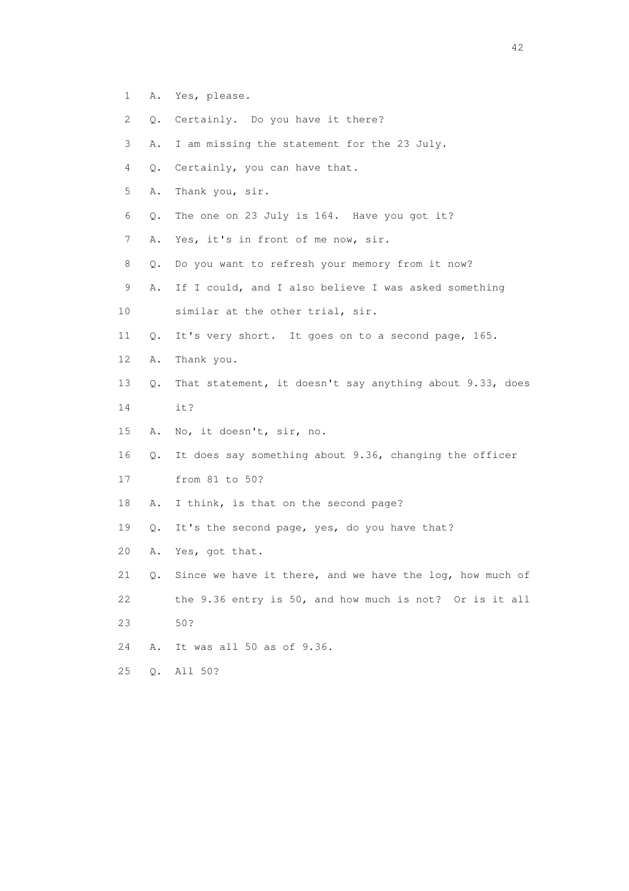- 1 A. Yes, please.
- 2 Q. Certainly. Do you have it there?
- 3 A. I am missing the statement for the 23 July.
- 4 Q. Certainly, you can have that.
- 5 A. Thank you, sir.
- 6 Q. The one on 23 July is 164. Have you got it?
- 7 A. Yes, it's in front of me now, sir.
- 8 Q. Do you want to refresh your memory from it now?
- 9 A. If I could, and I also believe I was asked something
- 10 similar at the other trial, sir.
- 11 Q. It's very short. It goes on to a second page, 165.
- 12 A. Thank you.
- 13 Q. That statement, it doesn't say anything about 9.33, does
- 14 it?
- 15 A. No, it doesn't, sir, no.
- 16 Q. It does say something about 9.36, changing the officer
- 17 from 81 to 50?
- 18 A. I think, is that on the second page?
- 19 Q. It's the second page, yes, do you have that?
- 20 A. Yes, got that.
- 21 Q. Since we have it there, and we have the log, how much of 22 the 9.36 entry is 50, and how much is not? Or is it all 23 50?
- 24 A. It was all 50 as of 9.36.
- 25 Q. All 50?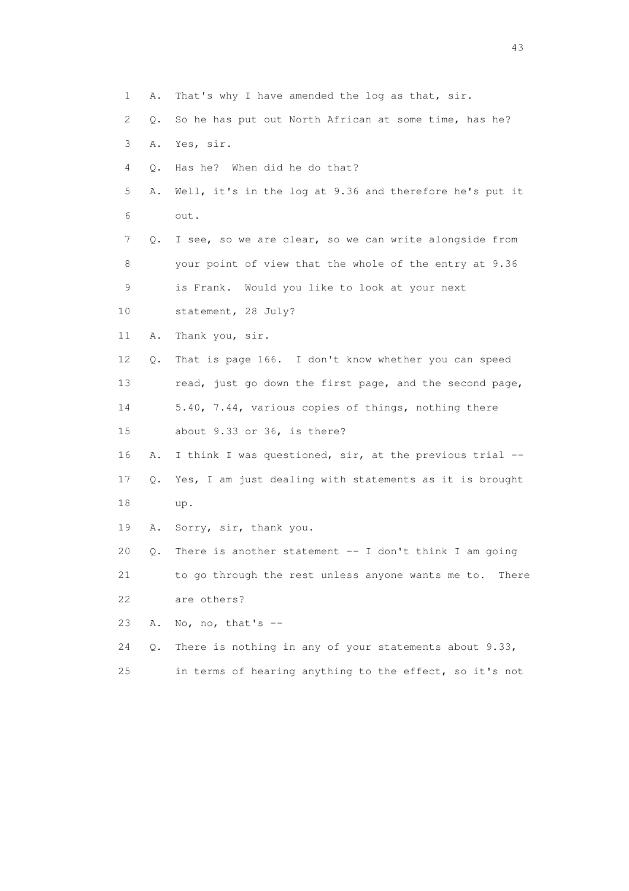1 A. That's why I have amended the log as that, sir. 2 Q. So he has put out North African at some time, has he? 3 A. Yes, sir. 4 Q. Has he? When did he do that? 5 A. Well, it's in the log at 9.36 and therefore he's put it 6 out. 7 Q. I see, so we are clear, so we can write alongside from 8 your point of view that the whole of the entry at 9.36 9 is Frank. Would you like to look at your next 10 statement, 28 July? 11 A. Thank you, sir. 12 Q. That is page 166. I don't know whether you can speed 13 read, just go down the first page, and the second page, 14 5.40, 7.44, various copies of things, nothing there 15 about 9.33 or 36, is there? 16 A. I think I was questioned, sir, at the previous trial -- 17 Q. Yes, I am just dealing with statements as it is brought 18 up. 19 A. Sorry, sir, thank you. 20 Q. There is another statement -- I don't think I am going 21 to go through the rest unless anyone wants me to. There 22 are others? 23 A. No, no, that's  $-$  24 Q. There is nothing in any of your statements about 9.33, 25 in terms of hearing anything to the effect, so it's not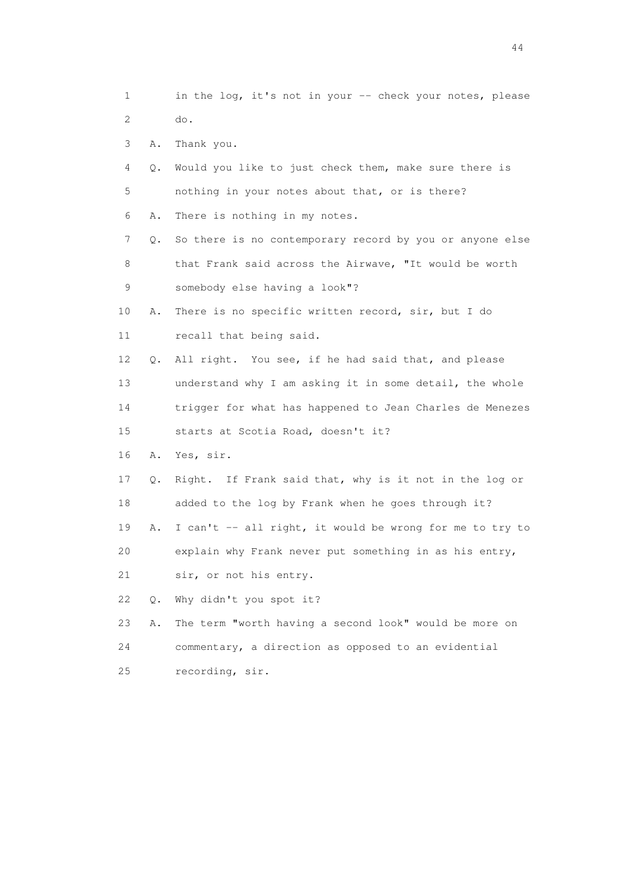1 in the log, it's not in your -- check your notes, please 2 do.

- 3 A. Thank you.
- 4 Q. Would you like to just check them, make sure there is 5 nothing in your notes about that, or is there?
- 6 A. There is nothing in my notes.
- 7 Q. So there is no contemporary record by you or anyone else 8 that Frank said across the Airwave, "It would be worth 9 somebody else having a look"?
- 10 A. There is no specific written record, sir, but I do 11 recall that being said.
- 12 Q. All right. You see, if he had said that, and please 13 understand why I am asking it in some detail, the whole 14 trigger for what has happened to Jean Charles de Menezes
- 15 starts at Scotia Road, doesn't it?
- 16 A. Yes, sir.
- 17 Q. Right. If Frank said that, why is it not in the log or 18 added to the log by Frank when he goes through it? 19 A. I can't -- all right, it would be wrong for me to try to
- 20 explain why Frank never put something in as his entry,
- 21 sir, or not his entry.
- 22 Q. Why didn't you spot it?
- 23 A. The term "worth having a second look" would be more on 24 commentary, a direction as opposed to an evidential 25 recording, sir.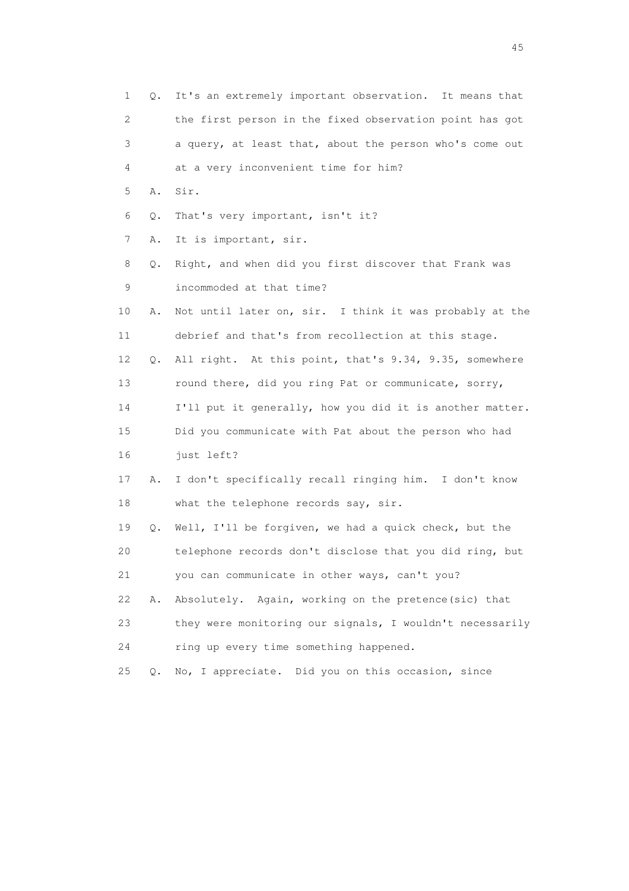| $\mathbf 1$ | Q. | It's an extremely important observation. It means that   |
|-------------|----|----------------------------------------------------------|
| 2           |    | the first person in the fixed observation point has got  |
| 3           |    | a query, at least that, about the person who's come out  |
| 4           |    | at a very inconvenient time for him?                     |
| 5           | Α. | Sir.                                                     |
| 6           | Q. | That's very important, isn't it?                         |
| 7           | Α. | It is important, sir.                                    |
| 8           | Q. | Right, and when did you first discover that Frank was    |
| 9           |    | incommoded at that time?                                 |
| 10          | Α. | Not until later on, sir. I think it was probably at the  |
| 11          |    | debrief and that's from recollection at this stage.      |
| 12          | Q. | All right. At this point, that's 9.34, 9.35, somewhere   |
| 13          |    | round there, did you ring Pat or communicate, sorry,     |
| 14          |    | I'll put it generally, how you did it is another matter. |
| 15          |    | Did you communicate with Pat about the person who had    |
| 16          |    | just left?                                               |
| 17          | Α. | I don't specifically recall ringing him. I don't know    |
| 18          |    | what the telephone records say, sir.                     |
| 19          | Q. | Well, I'll be forgiven, we had a quick check, but the    |
| 20          |    | telephone records don't disclose that you did ring, but  |
| 21          |    | you can communicate in other ways, can't you?            |
| 22          | Α. | Absolutely. Again, working on the pretence (sic) that    |
| 23          |    | they were monitoring our signals, I wouldn't necessarily |
| 24          |    | ring up every time something happened.                   |
| 25          | Q. | No, I appreciate. Did you on this occasion, since        |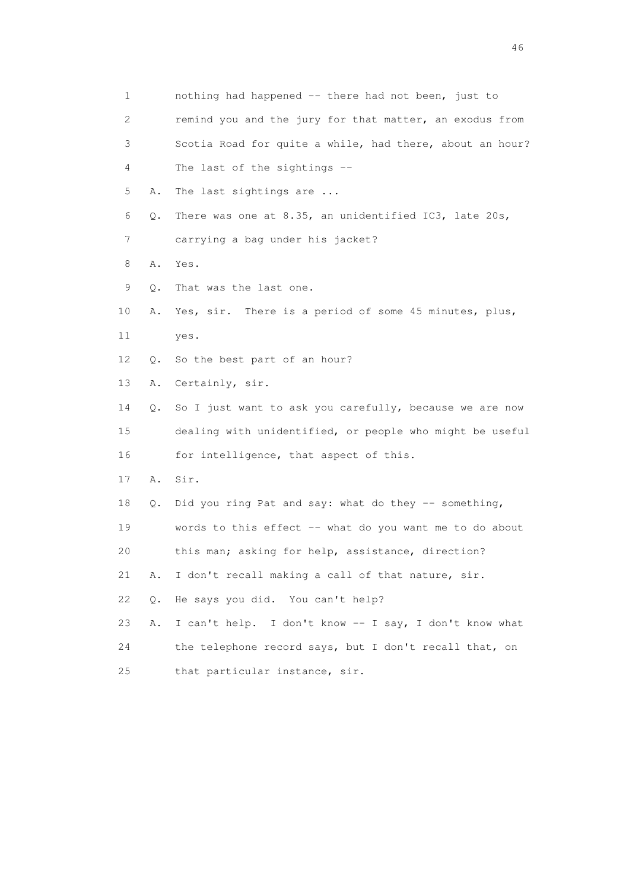| 1  |    | nothing had happened -- there had not been, just to      |
|----|----|----------------------------------------------------------|
| 2  |    | remind you and the jury for that matter, an exodus from  |
| 3  |    | Scotia Road for quite a while, had there, about an hour? |
| 4  |    | The last of the sightings $-$                            |
| 5  | Α. | The last sightings are                                   |
| 6  | Q. | There was one at 8.35, an unidentified IC3, late 20s,    |
| 7  |    | carrying a bag under his jacket?                         |
| 8  | Α. | Yes.                                                     |
| 9  | Q. | That was the last one.                                   |
| 10 | Α. | Yes, sir. There is a period of some 45 minutes, plus,    |
| 11 |    | yes.                                                     |
| 12 | Q. | So the best part of an hour?                             |
| 13 | Α. | Certainly, sir.                                          |
| 14 | Q. | So I just want to ask you carefully, because we are now  |
| 15 |    | dealing with unidentified, or people who might be useful |
| 16 |    | for intelligence, that aspect of this.                   |
| 17 | Α. | Sir.                                                     |
| 18 | Q. | Did you ring Pat and say: what do they -- something,     |
| 19 |    | words to this effect -- what do you want me to do about  |
| 20 |    | this man; asking for help, assistance, direction?        |
| 21 | Α. | I don't recall making a call of that nature, sir.        |
| 22 | Q. | He says you did. You can't help?                         |
| 23 | Α. | I can't help. I don't know -- I say, I don't know what   |
| 24 |    | the telephone record says, but I don't recall that, on   |
| 25 |    | that particular instance, sir.                           |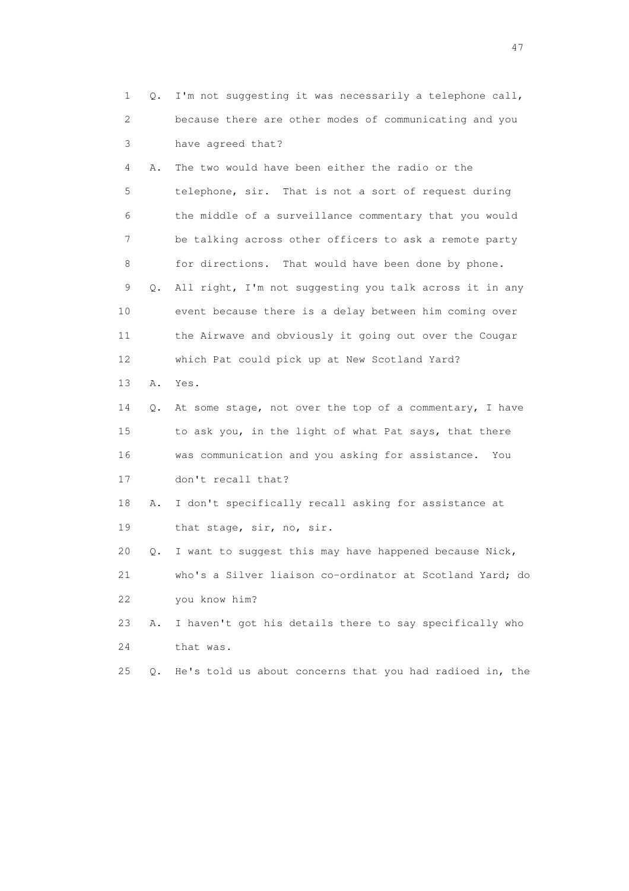| 1  | Q. | I'm not suggesting it was necessarily a telephone call,  |
|----|----|----------------------------------------------------------|
| 2  |    | because there are other modes of communicating and you   |
| 3  |    | have agreed that?                                        |
| 4  | Α. | The two would have been either the radio or the          |
| 5  |    | telephone, sir. That is not a sort of request during     |
| 6  |    | the middle of a surveillance commentary that you would   |
| 7  |    | be talking across other officers to ask a remote party   |
| 8  |    | for directions. That would have been done by phone.      |
| 9  | Q. | All right, I'm not suggesting you talk across it in any  |
| 10 |    | event because there is a delay between him coming over   |
| 11 |    | the Airwave and obviously it going out over the Cougar   |
| 12 |    | which Pat could pick up at New Scotland Yard?            |
| 13 | Α. | Yes.                                                     |
| 14 | Q. | At some stage, not over the top of a commentary, I have  |
| 15 |    | to ask you, in the light of what Pat says, that there    |
| 16 |    | was communication and you asking for assistance.<br>You  |
| 17 |    | don't recall that?                                       |
| 18 | Α. | I don't specifically recall asking for assistance at     |
| 19 |    | that stage, sir, no, sir.                                |
| 20 | Q. | I want to suggest this may have happened because Nick,   |
| 21 |    | who's a Silver liaison co-ordinator at Scotland Yard; do |
| 22 |    | you know him?                                            |
| 23 | Α. | I haven't got his details there to say specifically who  |
| 24 |    | that was.                                                |
| 25 | О. | He's told us about concerns that you had radioed in, the |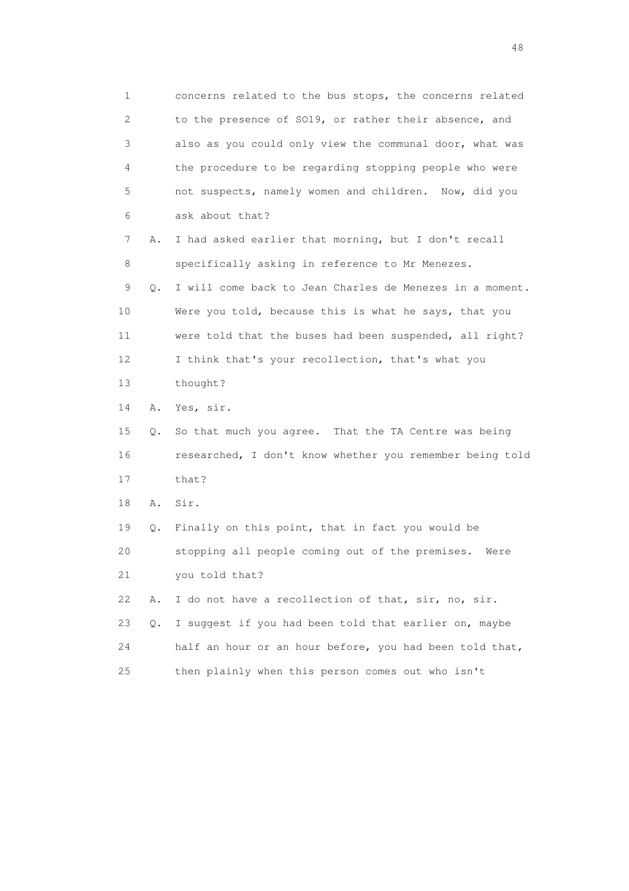1 concerns related to the bus stops, the concerns related 2 to the presence of SO19, or rather their absence, and 3 also as you could only view the communal door, what was 4 the procedure to be regarding stopping people who were 5 not suspects, namely women and children. Now, did you 6 ask about that? 7 A. I had asked earlier that morning, but I don't recall 8 specifically asking in reference to Mr Menezes. 9 Q. I will come back to Jean Charles de Menezes in a moment. 10 Were you told, because this is what he says, that you 11 were told that the buses had been suspended, all right? 12 I think that's your recollection, that's what you 13 thought? 14 A. Yes, sir. 15 Q. So that much you agree. That the TA Centre was being 16 researched, I don't know whether you remember being told 17 that? 18 A. Sir. 19 Q. Finally on this point, that in fact you would be 20 stopping all people coming out of the premises. Were 21 you told that? 22 A. I do not have a recollection of that, sir, no, sir. 23 Q. I suggest if you had been told that earlier on, maybe 24 half an hour or an hour before, you had been told that, 25 then plainly when this person comes out who isn't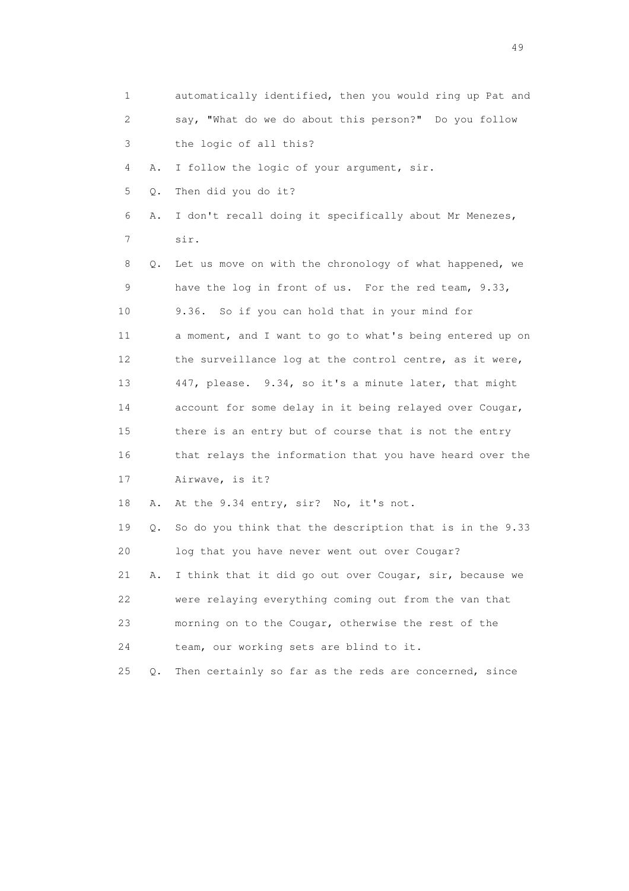| 1  |    | automatically identified, then you would ring up Pat and |
|----|----|----------------------------------------------------------|
| 2  |    | say, "What do we do about this person?" Do you follow    |
| 3  |    | the logic of all this?                                   |
| 4  | Α. | I follow the logic of your argument, sir.                |
| 5  | Q. | Then did you do it?                                      |
| 6  | Α. | I don't recall doing it specifically about Mr Menezes,   |
| 7  |    | sir.                                                     |
| 8  | Q. | Let us move on with the chronology of what happened, we  |
| 9  |    | have the log in front of us. For the red team, 9.33,     |
| 10 |    | 9.36.<br>So if you can hold that in your mind for        |
| 11 |    | a moment, and I want to go to what's being entered up on |
| 12 |    | the surveillance log at the control centre, as it were,  |
| 13 |    | 447, please. 9.34, so it's a minute later, that might    |
| 14 |    | account for some delay in it being relayed over Cougar,  |
| 15 |    | there is an entry but of course that is not the entry    |
| 16 |    | that relays the information that you have heard over the |
| 17 |    | Airwave, is it?                                          |
| 18 | Α. | At the 9.34 entry, sir? No, it's not.                    |
| 19 | Q. | So do you think that the description that is in the 9.33 |
| 20 |    | log that you have never went out over Cougar?            |
| 21 | Α. | I think that it did go out over Cougar, sir, because we  |
| 22 |    | were relaying everything coming out from the van that    |
| 23 |    | morning on to the Cougar, otherwise the rest of the      |
| 24 |    | team, our working sets are blind to it.                  |
| 25 | Q. | Then certainly so far as the reds are concerned, since   |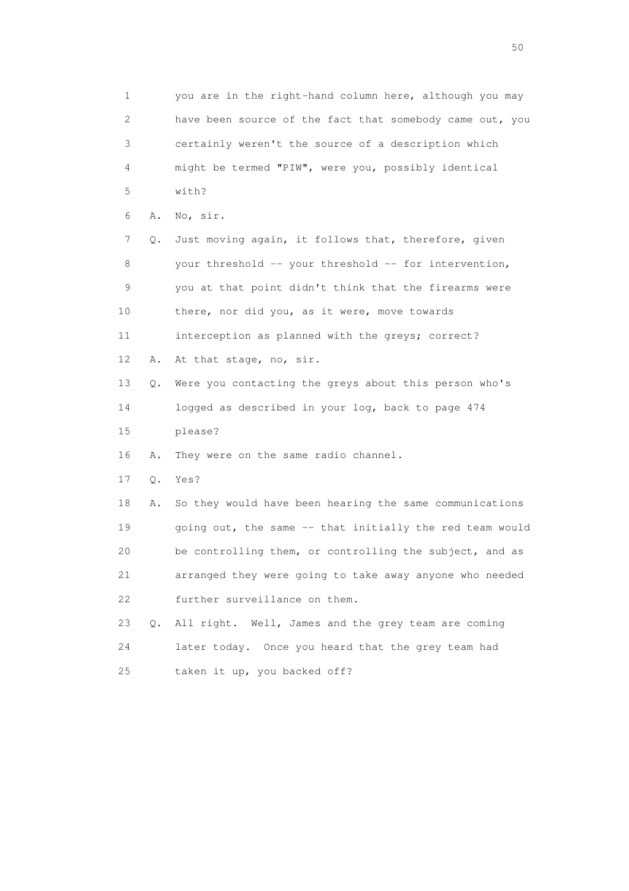1 you are in the right-hand column here, although you may 2 have been source of the fact that somebody came out, you 3 certainly weren't the source of a description which 4 might be termed "PIW", were you, possibly identical 5 with? 6 A. No, sir. 7 Q. Just moving again, it follows that, therefore, given 8 your threshold -- your threshold -- for intervention, 9 you at that point didn't think that the firearms were 10 there, nor did you, as it were, move towards 11 interception as planned with the greys; correct? 12 A. At that stage, no, sir. 13 Q. Were you contacting the greys about this person who's 14 logged as described in your log, back to page 474 15 please? 16 A. They were on the same radio channel. 17 Q. Yes? 18 A. So they would have been hearing the same communications 19 going out, the same -- that initially the red team would 20 be controlling them, or controlling the subject, and as 21 arranged they were going to take away anyone who needed 22 further surveillance on them. 23 Q. All right. Well, James and the grey team are coming 24 later today. Once you heard that the grey team had 25 taken it up, you backed off?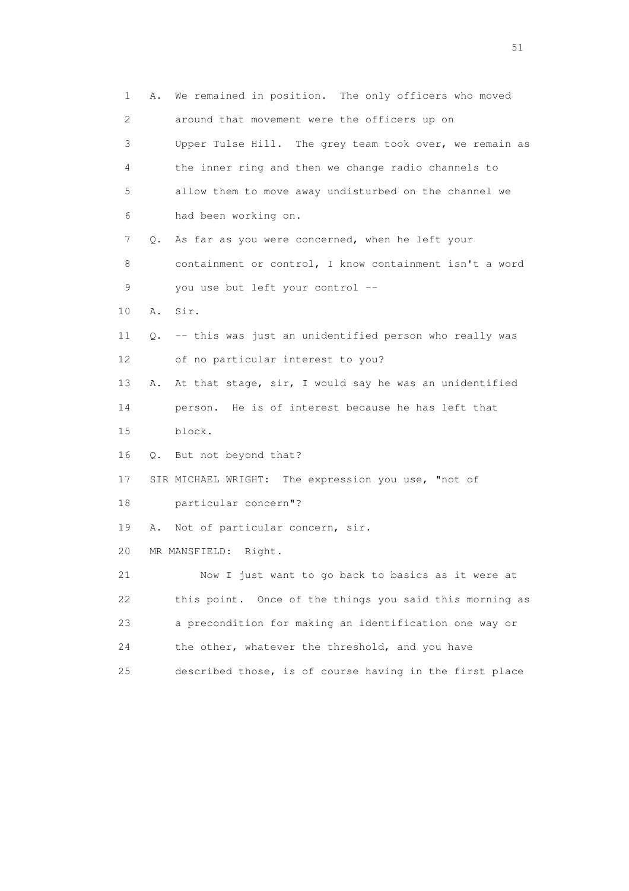1 A. We remained in position. The only officers who moved 2 around that movement were the officers up on 3 Upper Tulse Hill. The grey team took over, we remain as 4 the inner ring and then we change radio channels to 5 allow them to move away undisturbed on the channel we 6 had been working on. 7 Q. As far as you were concerned, when he left your 8 containment or control, I know containment isn't a word 9 you use but left your control -- 10 A. Sir. 11 Q. -- this was just an unidentified person who really was 12 of no particular interest to you? 13 A. At that stage, sir, I would say he was an unidentified 14 person. He is of interest because he has left that 15 block. 16 Q. But not beyond that? 17 SIR MICHAEL WRIGHT: The expression you use, "not of 18 particular concern"? 19 A. Not of particular concern, sir. 20 MR MANSFIELD: Right. 21 Now I just want to go back to basics as it were at 22 this point. Once of the things you said this morning as 23 a precondition for making an identification one way or 24 the other, whatever the threshold, and you have 25 described those, is of course having in the first place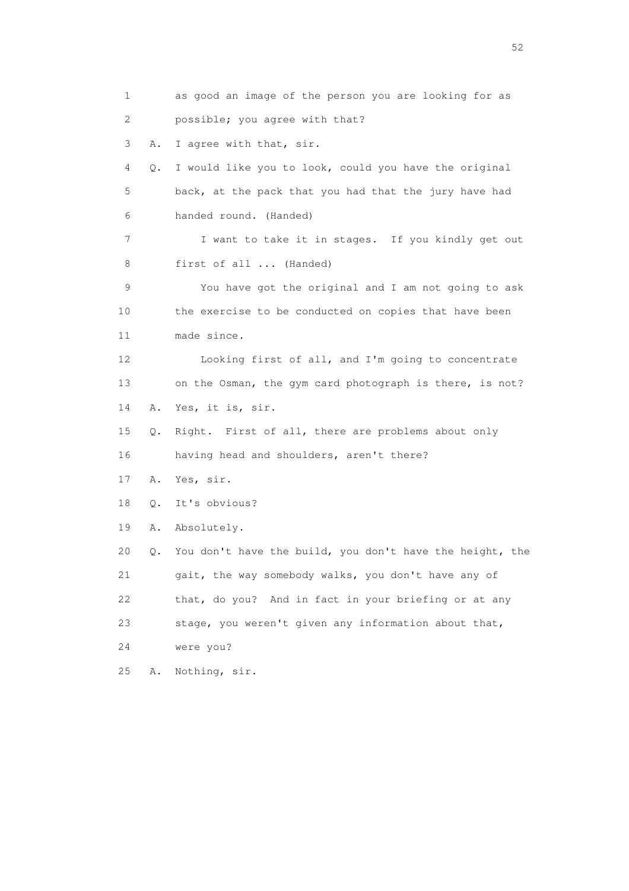1 as good an image of the person you are looking for as 2 possible; you agree with that? 3 A. I agree with that, sir. 4 Q. I would like you to look, could you have the original 5 back, at the pack that you had that the jury have had 6 handed round. (Handed) 7 I want to take it in stages. If you kindly get out 8 first of all ... (Handed) 9 You have got the original and I am not going to ask 10 the exercise to be conducted on copies that have been 11 made since. 12 Looking first of all, and I'm going to concentrate 13 on the Osman, the gym card photograph is there, is not? 14 A. Yes, it is, sir. 15 Q. Right. First of all, there are problems about only 16 having head and shoulders, aren't there? 17 A. Yes, sir. 18 Q. It's obvious? 19 A. Absolutely. 20 Q. You don't have the build, you don't have the height, the 21 gait, the way somebody walks, you don't have any of 22 that, do you? And in fact in your briefing or at any 23 stage, you weren't given any information about that, 24 were you? 25 A. Nothing, sir.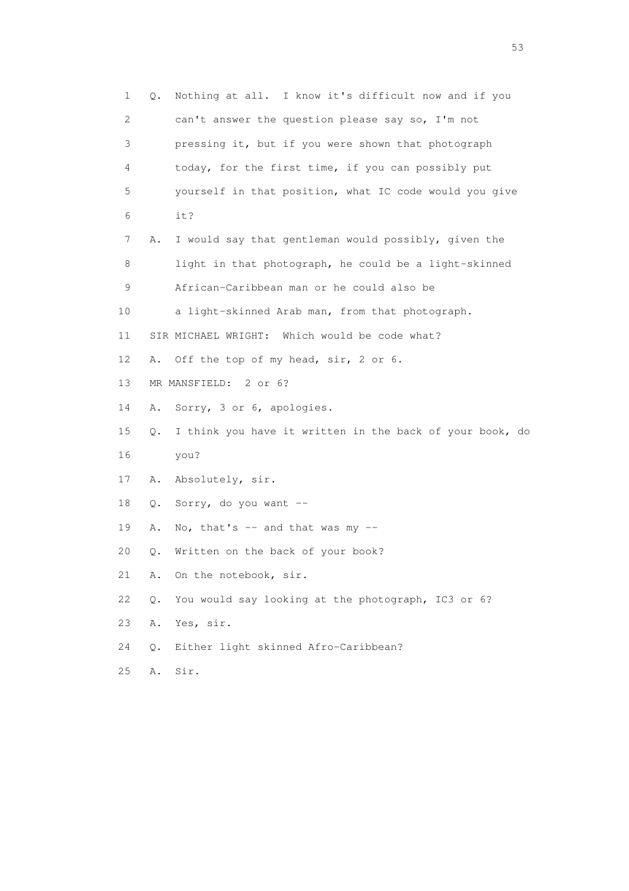1 Q. Nothing at all. I know it's difficult now and if you 2 can't answer the question please say so, I'm not 3 pressing it, but if you were shown that photograph 4 today, for the first time, if you can possibly put 5 yourself in that position, what IC code would you give 6 it? 7 A. I would say that gentleman would possibly, given the 8 light in that photograph, he could be a light-skinned 9 African-Caribbean man or he could also be 10 a light-skinned Arab man, from that photograph. 11 SIR MICHAEL WRIGHT: Which would be code what? 12 A. Off the top of my head, sir, 2 or 6. 13 MR MANSFIELD: 2 or 6? 14 A. Sorry, 3 or 6, apologies. 15 Q. I think you have it written in the back of your book, do 16 you? 17 A. Absolutely, sir. 18 Q. Sorry, do you want -- 19 A. No, that's  $-$  and that was my  $-$  20 Q. Written on the back of your book? 21 A. On the notebook, sir. 22 Q. You would say looking at the photograph, IC3 or 6? 23 A. Yes, sir. 24 Q. Either light skinned Afro-Caribbean? 25 A. Sir.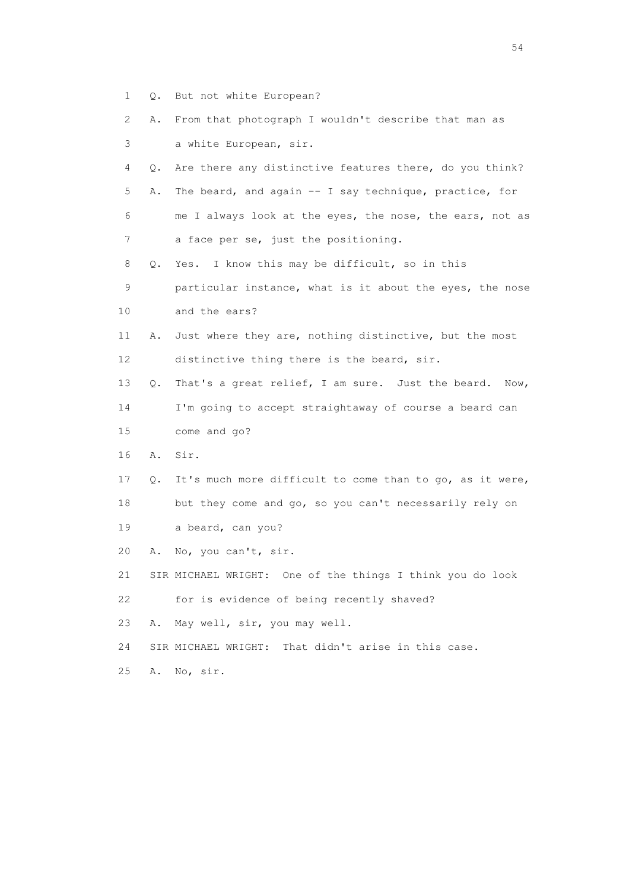- 1 Q. But not white European?
- 2 A. From that photograph I wouldn't describe that man as 3 a white European, sir.
- 4 Q. Are there any distinctive features there, do you think? 5 A. The beard, and again -- I say technique, practice, for 6 me I always look at the eyes, the nose, the ears, not as 7 a face per se, just the positioning.
- 8 Q. Yes. I know this may be difficult, so in this
- 9 particular instance, what is it about the eyes, the nose 10 and the ears?
- 11 A. Just where they are, nothing distinctive, but the most 12 distinctive thing there is the beard, sir.
- 13 Q. That's a great relief, I am sure. Just the beard. Now, 14 I'm going to accept straightaway of course a beard can
- 15 come and go?
- 16 A. Sir.
- 17 Q. It's much more difficult to come than to go, as it were, 18 but they come and go, so you can't necessarily rely on 19 a beard, can you?
- 20 A. No, you can't, sir.
- 21 SIR MICHAEL WRIGHT: One of the things I think you do look 22 for is evidence of being recently shaved?
- 23 A. May well, sir, you may well.
- 24 SIR MICHAEL WRIGHT: That didn't arise in this case.
- 25 A. No, sir.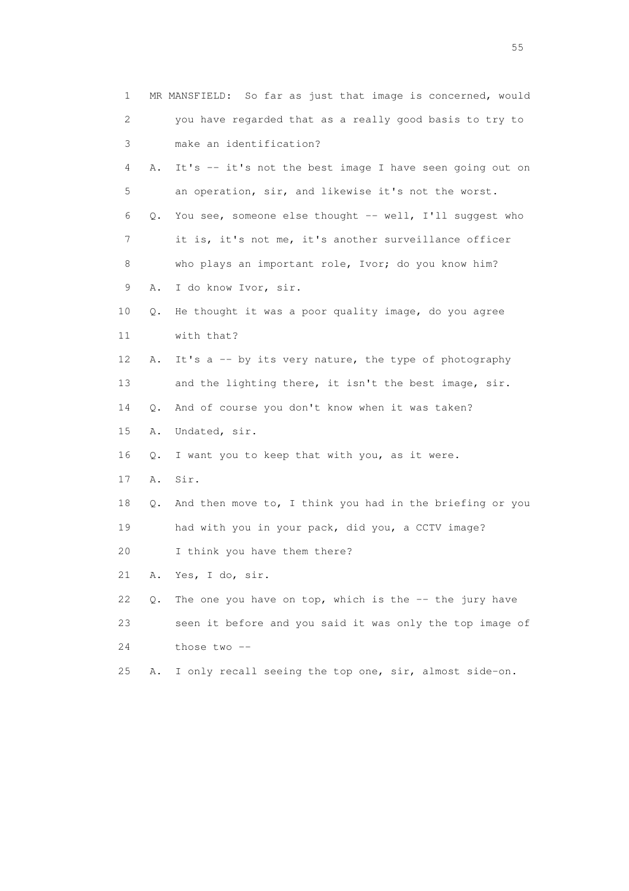| $\mathbf 1$ |    | MR MANSFIELD: So far as just that image is concerned, would |
|-------------|----|-------------------------------------------------------------|
| 2           |    | you have regarded that as a really good basis to try to     |
| 3           |    | make an identification?                                     |
| 4           | Α. | It's -- it's not the best image I have seen going out on    |
| 5           |    | an operation, sir, and likewise it's not the worst.         |
| 6           | Q. | You see, someone else thought -- well, I'll suggest who     |
| 7           |    | it is, it's not me, it's another surveillance officer       |
| 8           |    | who plays an important role, Ivor; do you know him?         |
| 9           | Α. | I do know Ivor, sir.                                        |
| 10          | Q. | He thought it was a poor quality image, do you agree        |
| 11          |    | with that?                                                  |
| 12          | Α. | It's a -- by its very nature, the type of photography       |
| 13          |    | and the lighting there, it isn't the best image, sir.       |
| 14          | Q. | And of course you don't know when it was taken?             |
| 15          | Α. | Undated, sir.                                               |
| 16          | Q. | I want you to keep that with you, as it were.               |
| 17          | Α. | Sir.                                                        |
| 18          | Q. | And then move to, I think you had in the briefing or you    |
| 19          |    | had with you in your pack, did you, a CCTV image?           |
| 20          |    | I think you have them there?                                |
| 21          | Α. | Yes, I do, sir.                                             |
| 22          | Q. | The one you have on top, which is the $-$ - the jury have   |
| 23          |    | seen it before and you said it was only the top image of    |
| 24          |    | those two --                                                |
| 25          | Α. | I only recall seeing the top one, sir, almost side-on.      |
|             |    |                                                             |

the state of the state of the state of the state of the state of the state of the state of the state of the state of the state of the state of the state of the state of the state of the state of the state of the state of t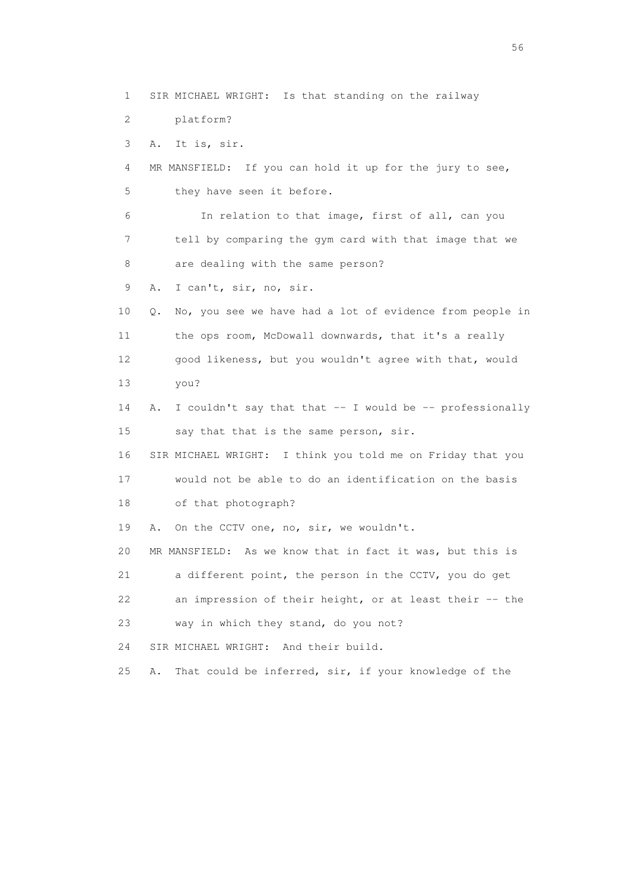1 SIR MICHAEL WRIGHT: Is that standing on the railway 2 platform? 3 A. It is, sir. 4 MR MANSFIELD: If you can hold it up for the jury to see, 5 they have seen it before. 6 In relation to that image, first of all, can you 7 tell by comparing the gym card with that image that we 8 are dealing with the same person? 9 A. I can't, sir, no, sir. 10 Q. No, you see we have had a lot of evidence from people in 11 the ops room, McDowall downwards, that it's a really 12 good likeness, but you wouldn't agree with that, would 13 you? 14 A. I couldn't say that that -- I would be -- professionally 15 say that that is the same person, sir. 16 SIR MICHAEL WRIGHT: I think you told me on Friday that you 17 would not be able to do an identification on the basis 18 of that photograph? 19 A. On the CCTV one, no, sir, we wouldn't. 20 MR MANSFIELD: As we know that in fact it was, but this is 21 a different point, the person in the CCTV, you do get 22 an impression of their height, or at least their -- the 23 way in which they stand, do you not? 24 SIR MICHAEL WRIGHT: And their build. 25 A. That could be inferred, sir, if your knowledge of the

 $56<sup>o</sup>$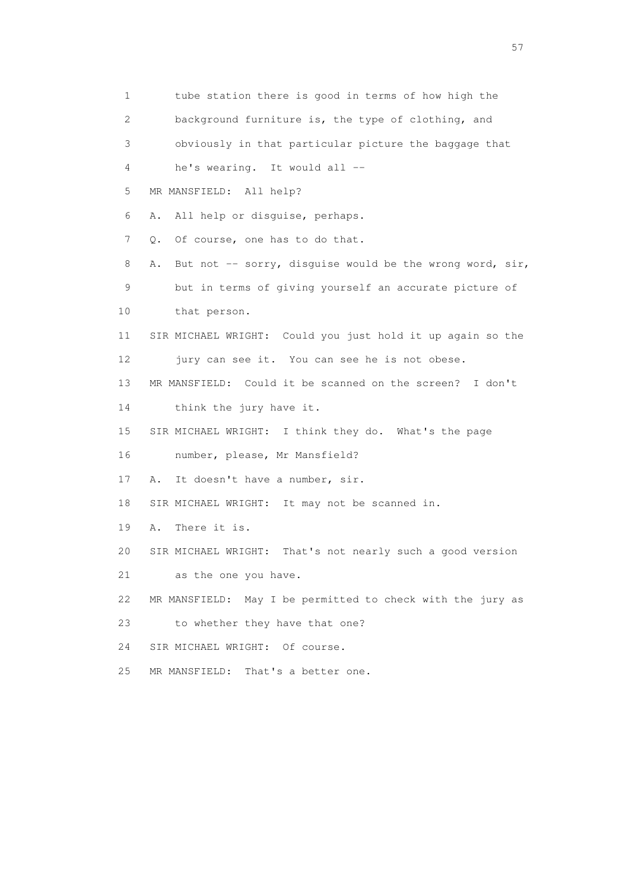1 tube station there is good in terms of how high the 2 background furniture is, the type of clothing, and 3 obviously in that particular picture the baggage that 4 he's wearing. It would all -- 5 MR MANSFIELD: All help? 6 A. All help or disguise, perhaps. 7 Q. Of course, one has to do that. 8 A. But not -- sorry, disquise would be the wrong word, sir, 9 but in terms of giving yourself an accurate picture of 10 that person. 11 SIR MICHAEL WRIGHT: Could you just hold it up again so the 12 jury can see it. You can see he is not obese. 13 MR MANSFIELD: Could it be scanned on the screen? I don't 14 think the jury have it. 15 SIR MICHAEL WRIGHT: I think they do. What's the page 16 number, please, Mr Mansfield? 17 A. It doesn't have a number, sir. 18 SIR MICHAEL WRIGHT: It may not be scanned in. 19 A. There it is. 20 SIR MICHAEL WRIGHT: That's not nearly such a good version 21 as the one you have. 22 MR MANSFIELD: May I be permitted to check with the jury as 23 to whether they have that one? 24 SIR MICHAEL WRIGHT: Of course. 25 MR MANSFIELD: That's a better one.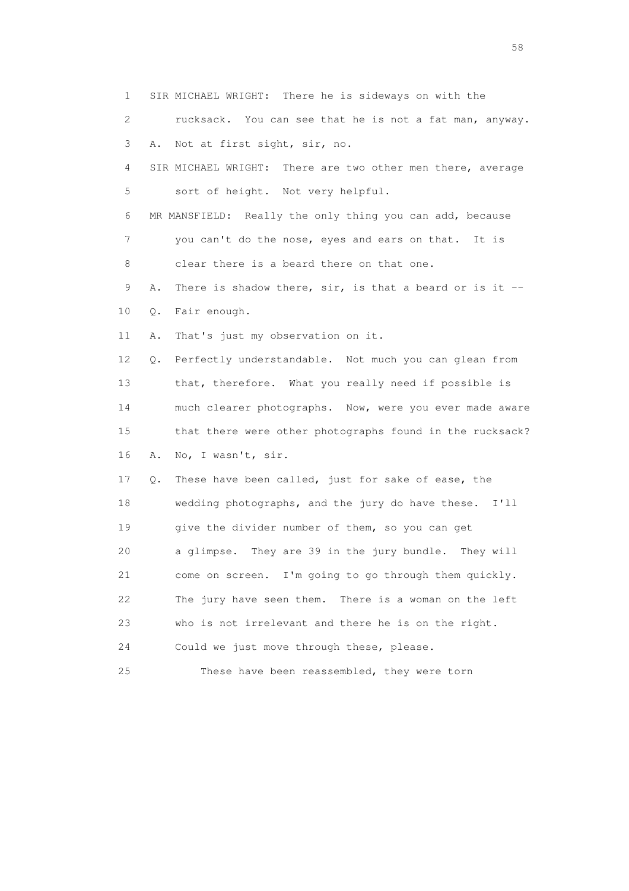1 SIR MICHAEL WRIGHT: There he is sideways on with the 2 rucksack. You can see that he is not a fat man, anyway. 3 A. Not at first sight, sir, no. 4 SIR MICHAEL WRIGHT: There are two other men there, average 5 sort of height. Not very helpful. 6 MR MANSFIELD: Really the only thing you can add, because 7 you can't do the nose, eyes and ears on that. It is 8 clear there is a beard there on that one. 9 A. There is shadow there, sir, is that a beard or is it -- 10 Q. Fair enough. 11 A. That's just my observation on it. 12 Q. Perfectly understandable. Not much you can glean from 13 that, therefore. What you really need if possible is 14 much clearer photographs. Now, were you ever made aware 15 that there were other photographs found in the rucksack? 16 A. No, I wasn't, sir. 17 Q. These have been called, just for sake of ease, the 18 wedding photographs, and the jury do have these. I'll 19 give the divider number of them, so you can get 20 a glimpse. They are 39 in the jury bundle. They will 21 come on screen. I'm going to go through them quickly. 22 The jury have seen them. There is a woman on the left 23 who is not irrelevant and there he is on the right. 24 Could we just move through these, please. 25 These have been reassembled, they were torn

the state of the state of the state of the state of the state of the state of the state of the state of the state of the state of the state of the state of the state of the state of the state of the state of the state of t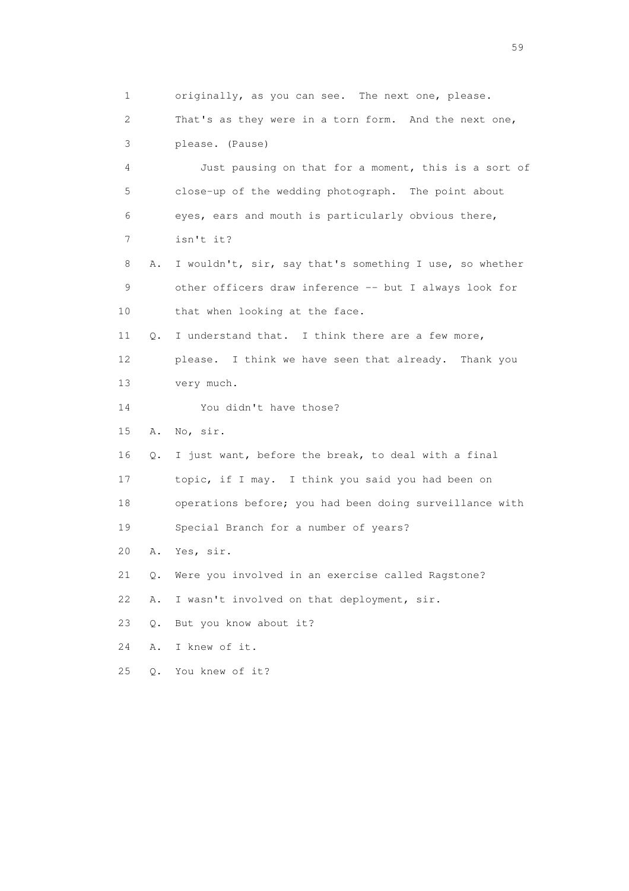1 originally, as you can see. The next one, please. 2 That's as they were in a torn form. And the next one, 3 please. (Pause) 4 Just pausing on that for a moment, this is a sort of 5 close-up of the wedding photograph. The point about 6 eyes, ears and mouth is particularly obvious there, 7 isn't it? 8 A. I wouldn't, sir, say that's something I use, so whether 9 other officers draw inference -- but I always look for 10 that when looking at the face. 11 Q. I understand that. I think there are a few more, 12 please. I think we have seen that already. Thank you 13 very much. 14 You didn't have those? 15 A. No, sir. 16 Q. I just want, before the break, to deal with a final 17 topic, if I may. I think you said you had been on 18 operations before; you had been doing surveillance with 19 Special Branch for a number of years? 20 A. Yes, sir. 21 Q. Were you involved in an exercise called Ragstone? 22 A. I wasn't involved on that deployment, sir. 23 Q. But you know about it? 24 A. I knew of it. 25 Q. You knew of it?

the contract of the contract of the contract of the contract of the contract of the contract of the contract of the contract of the contract of the contract of the contract of the contract of the contract of the contract o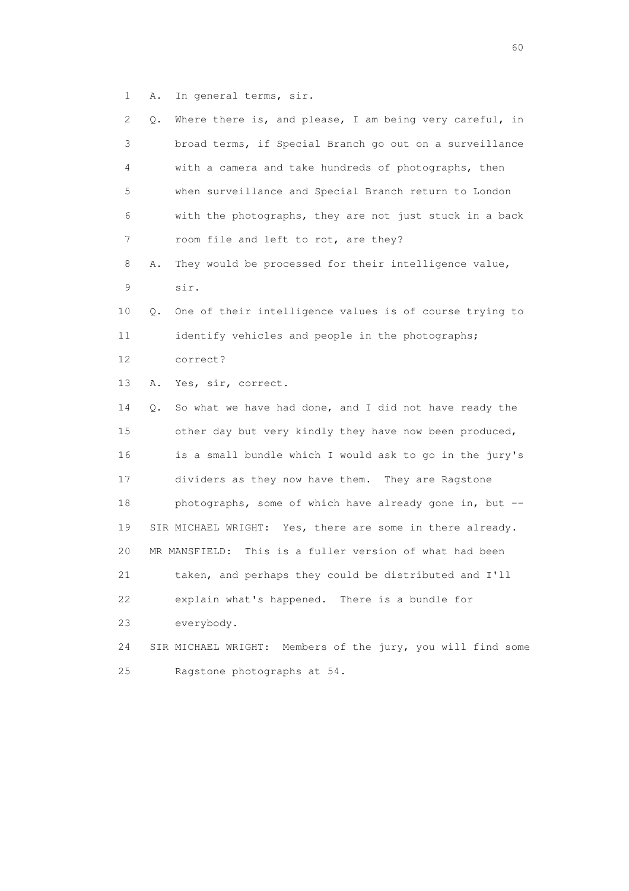1 A. In general terms, sir.

| 2  | Q. | Where there is, and please, I am being very careful, in        |
|----|----|----------------------------------------------------------------|
| 3  |    | broad terms, if Special Branch go out on a surveillance        |
| 4  |    | with a camera and take hundreds of photographs, then           |
| 5  |    | when surveillance and Special Branch return to London          |
| 6  |    | with the photographs, they are not just stuck in a back        |
| 7  |    | room file and left to rot, are they?                           |
| 8  | Α. | They would be processed for their intelligence value,          |
| 9  |    | sir.                                                           |
| 10 | Q. | One of their intelligence values is of course trying to        |
| 11 |    | identify vehicles and people in the photographs;               |
| 12 |    | correct?                                                       |
| 13 | Α. | Yes, sir, correct.                                             |
| 14 | Q. | So what we have had done, and I did not have ready the         |
| 15 |    | other day but very kindly they have now been produced,         |
| 16 |    | is a small bundle which I would ask to go in the jury's        |
| 17 |    | dividers as they now have them. They are Ragstone              |
| 18 |    | photographs, some of which have already gone in, but --        |
| 19 |    | SIR MICHAEL WRIGHT: Yes, there are some in there already.      |
| 20 |    | MR MANSFIELD: This is a fuller version of what had been        |
| 21 |    | taken, and perhaps they could be distributed and I'll          |
| 22 |    | explain what's happened. There is a bundle for                 |
| 23 |    | everybody.                                                     |
| 24 |    | Members of the jury, you will find some<br>SIR MICHAEL WRIGHT: |
| 25 |    | Ragstone photographs at 54.                                    |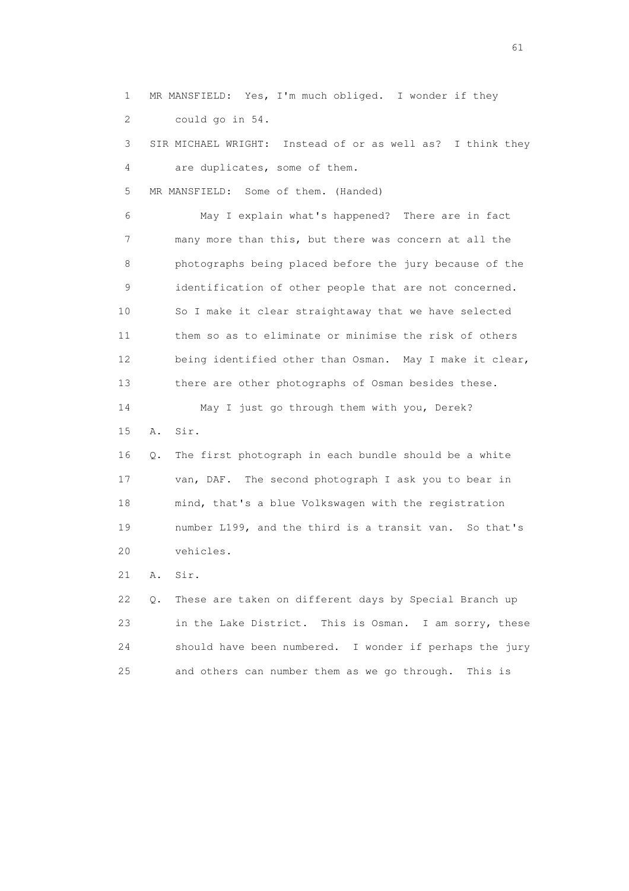1 MR MANSFIELD: Yes, I'm much obliged. I wonder if they 2 could go in 54.

 3 SIR MICHAEL WRIGHT: Instead of or as well as? I think they 4 are duplicates, some of them.

5 MR MANSFIELD: Some of them. (Handed)

 6 May I explain what's happened? There are in fact 7 many more than this, but there was concern at all the 8 photographs being placed before the jury because of the 9 identification of other people that are not concerned. 10 So I make it clear straightaway that we have selected 11 them so as to eliminate or minimise the risk of others 12 being identified other than Osman. May I make it clear, 13 there are other photographs of Osman besides these.

14 May I just go through them with you, Derek?

15 A. Sir.

 16 Q. The first photograph in each bundle should be a white 17 van, DAF. The second photograph I ask you to bear in 18 mind, that's a blue Volkswagen with the registration 19 number L199, and the third is a transit van. So that's 20 vehicles.

21 A. Sir.

 22 Q. These are taken on different days by Special Branch up 23 in the Lake District. This is Osman. I am sorry, these 24 should have been numbered. I wonder if perhaps the jury 25 and others can number them as we go through. This is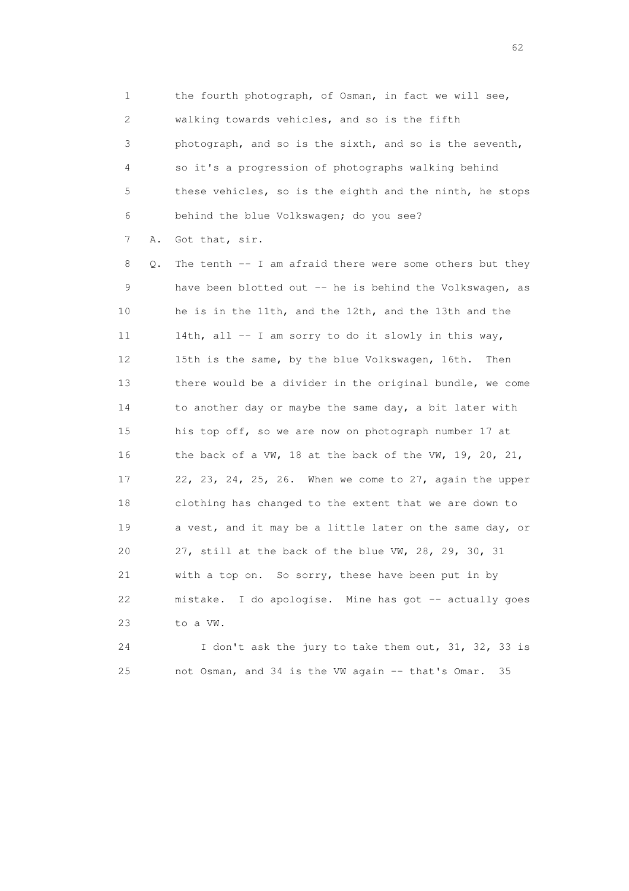1 the fourth photograph, of Osman, in fact we will see, 2 walking towards vehicles, and so is the fifth 3 photograph, and so is the sixth, and so is the seventh, 4 so it's a progression of photographs walking behind 5 these vehicles, so is the eighth and the ninth, he stops 6 behind the blue Volkswagen; do you see?

7 A. Got that, sir.

 8 Q. The tenth -- I am afraid there were some others but they 9 have been blotted out -- he is behind the Volkswagen, as 10 he is in the 11th, and the 12th, and the 13th and the 11 14th, all -- I am sorry to do it slowly in this way, 12 15th is the same, by the blue Volkswagen, 16th. Then 13 there would be a divider in the original bundle, we come 14 to another day or maybe the same day, a bit later with 15 his top off, so we are now on photograph number 17 at 16 the back of a VW, 18 at the back of the VW, 19, 20, 21, 17 22, 23, 24, 25, 26. When we come to 27, again the upper 18 clothing has changed to the extent that we are down to 19 a vest, and it may be a little later on the same day, or 20 27, still at the back of the blue VW, 28, 29, 30, 31 21 with a top on. So sorry, these have been put in by 22 mistake. I do apologise. Mine has got -- actually goes 23 to a VW.

 24 I don't ask the jury to take them out, 31, 32, 33 is 25 not Osman, and 34 is the VW again -- that's Omar. 35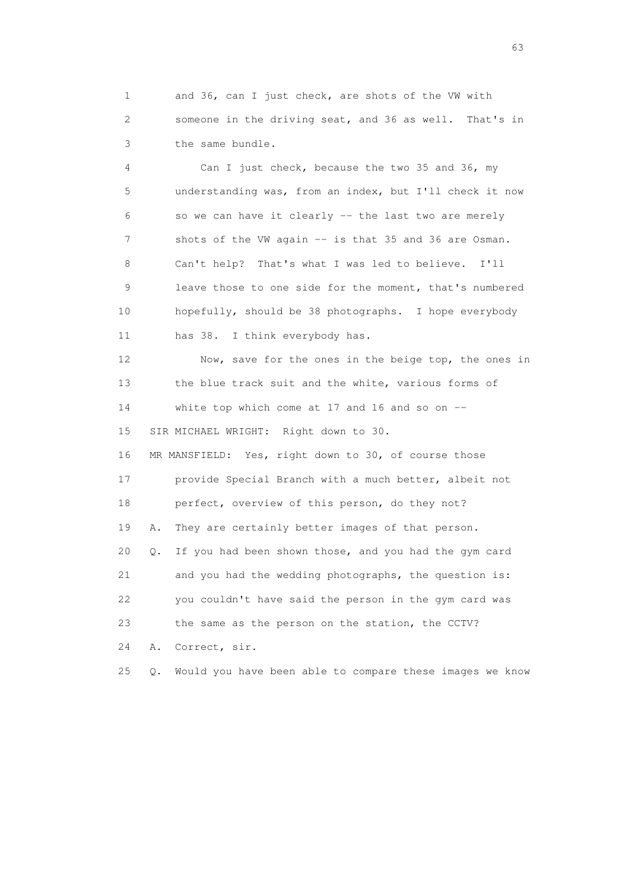1 and 36, can I just check, are shots of the VW with 2 someone in the driving seat, and 36 as well. That's in 3 the same bundle.

 4 Can I just check, because the two 35 and 36, my 5 understanding was, from an index, but I'll check it now 6 so we can have it clearly -- the last two are merely 7 shots of the VW again -- is that 35 and 36 are Osman. 8 Can't help? That's what I was led to believe. I'll 9 leave those to one side for the moment, that's numbered 10 hopefully, should be 38 photographs. I hope everybody 11 has 38. I think everybody has.

12 Now, save for the ones in the beige top, the ones in 13 the blue track suit and the white, various forms of 14 white top which come at 17 and 16 and so on -- 15 SIR MICHAEL WRIGHT: Right down to 30.

 16 MR MANSFIELD: Yes, right down to 30, of course those 17 provide Special Branch with a much better, albeit not 18 perfect, overview of this person, do they not? 19 A. They are certainly better images of that person. 20 Q. If you had been shown those, and you had the gym card 21 and you had the wedding photographs, the question is: 22 you couldn't have said the person in the gym card was 23 the same as the person on the station, the CCTV? 24 A. Correct, sir.

25 Q. Would you have been able to compare these images we know

experience of the contract of the contract of the contract of the contract of the contract of the contract of the contract of the contract of the contract of the contract of the contract of the contract of the contract of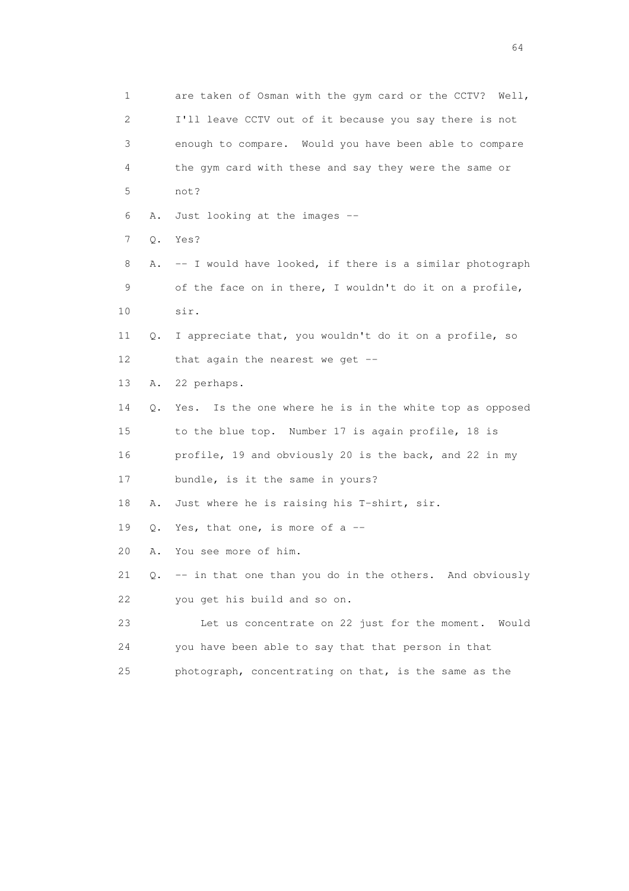|    | 1                         | are taken of Osman with the gym card or the CCTV? Well,    |
|----|---------------------------|------------------------------------------------------------|
|    | $\mathbf{2}^{\mathsf{I}}$ | I'll leave CCTV out of it because you say there is not     |
|    | 3                         | enough to compare. Would you have been able to compare     |
|    | 4                         | the gym card with these and say they were the same or      |
|    | 5                         | not?                                                       |
|    | 6<br>Α.                   | Just looking at the images --                              |
|    | 7<br>Q.                   | Yes?                                                       |
|    | 8<br>Α.                   | -- I would have looked, if there is a similar photograph   |
|    | 9                         | of the face on in there, I wouldn't do it on a profile,    |
| 10 |                           | sir.                                                       |
| 11 | Q.                        | I appreciate that, you wouldn't do it on a profile, so     |
| 12 |                           | that again the nearest we get $-$                          |
| 13 | Α.                        | 22 perhaps.                                                |
| 14 | Q.                        | Is the one where he is in the white top as opposed<br>Yes. |
| 15 |                           | to the blue top. Number 17 is again profile, 18 is         |
| 16 |                           | profile, 19 and obviously 20 is the back, and 22 in my     |
| 17 |                           | bundle, is it the same in yours?                           |
| 18 | Α.                        | Just where he is raising his T-shirt, sir.                 |
| 19 | Q.                        | Yes, that one, is more of a $-$                            |
| 20 | Α.                        | You see more of him.                                       |
| 21 |                           | Q. -- in that one than you do in the others. And obviously |
| 22 |                           | you get his build and so on.                               |
| 23 |                           | Let us concentrate on 22 just for the moment. Would        |
| 24 |                           | you have been able to say that that person in that         |
| 25 |                           | photograph, concentrating on that, is the same as the      |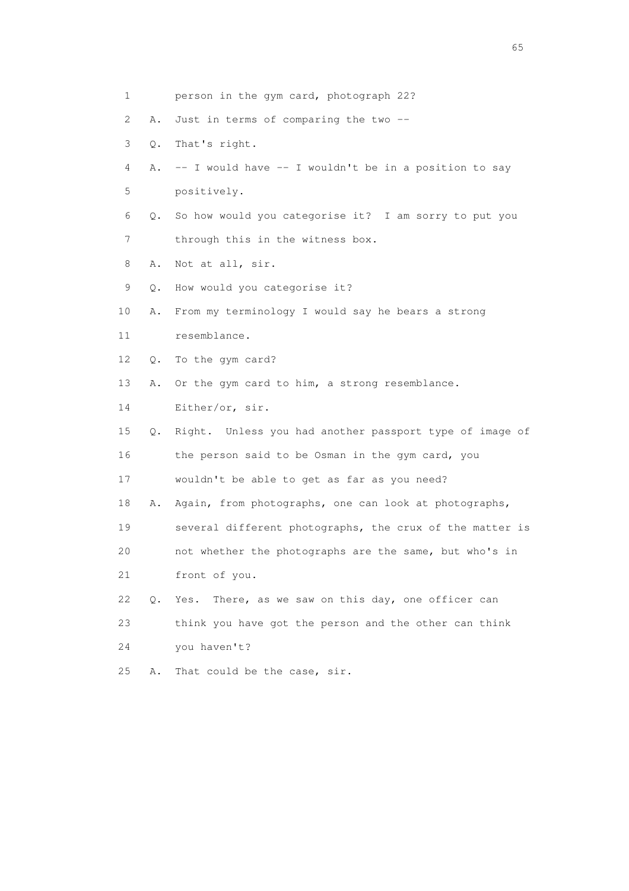| 1  |    | person in the gym card, photograph 22?                   |
|----|----|----------------------------------------------------------|
| 2  | Α. | Just in terms of comparing the two --                    |
| 3  | Q. | That's right.                                            |
| 4  | Α. | -- I would have -- I wouldn't be in a position to say    |
| 5  |    | positively.                                              |
| 6  | Q. | So how would you categorise it? I am sorry to put you    |
| 7  |    | through this in the witness box.                         |
| 8  | Α. | Not at all, sir.                                         |
| 9  | Q. | How would you categorise it?                             |
| 10 | Α. | From my terminology I would say he bears a strong        |
| 11 |    | resemblance.                                             |
| 12 | Q. | To the gym card?                                         |
| 13 | Α. | Or the gym card to him, a strong resemblance.            |
| 14 |    | Either/or, sir.                                          |
| 15 | Q. | Right. Unless you had another passport type of image of  |
| 16 |    | the person said to be Osman in the gym card, you         |
| 17 |    | wouldn't be able to get as far as you need?              |
| 18 | Α. | Again, from photographs, one can look at photographs,    |
| 19 |    | several different photographs, the crux of the matter is |
| 20 |    | not whether the photographs are the same, but who's in   |
| 21 |    | front of you.                                            |
| 22 | Q. | There, as we saw on this day, one officer can<br>Yes.    |
| 23 |    | think you have got the person and the other can think    |
| 24 |    | you haven't?                                             |
| 25 | Α. | That could be the case, sir.                             |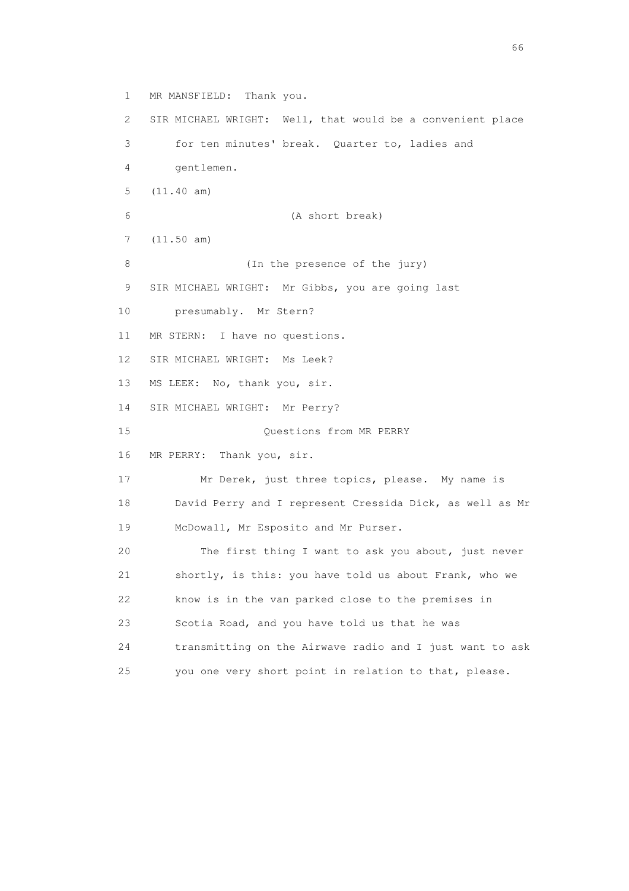1 MR MANSFIELD: Thank you. 2 SIR MICHAEL WRIGHT: Well, that would be a convenient place 3 for ten minutes' break. Quarter to, ladies and 4 gentlemen. 5 (11.40 am) 6 (A short break) 7 (11.50 am) 8 (In the presence of the jury) 9 SIR MICHAEL WRIGHT: Mr Gibbs, you are going last 10 presumably. Mr Stern? 11 MR STERN: I have no questions. 12 SIR MICHAEL WRIGHT: Ms Leek? 13 MS LEEK: No, thank you, sir. 14 SIR MICHAEL WRIGHT: Mr Perry? 15 Questions from MR PERRY 16 MR PERRY: Thank you, sir. 17 Mr Derek, just three topics, please. My name is 18 David Perry and I represent Cressida Dick, as well as Mr 19 McDowall, Mr Esposito and Mr Purser. 20 The first thing I want to ask you about, just never 21 shortly, is this: you have told us about Frank, who we 22 know is in the van parked close to the premises in 23 Scotia Road, and you have told us that he was 24 transmitting on the Airwave radio and I just want to ask 25 you one very short point in relation to that, please.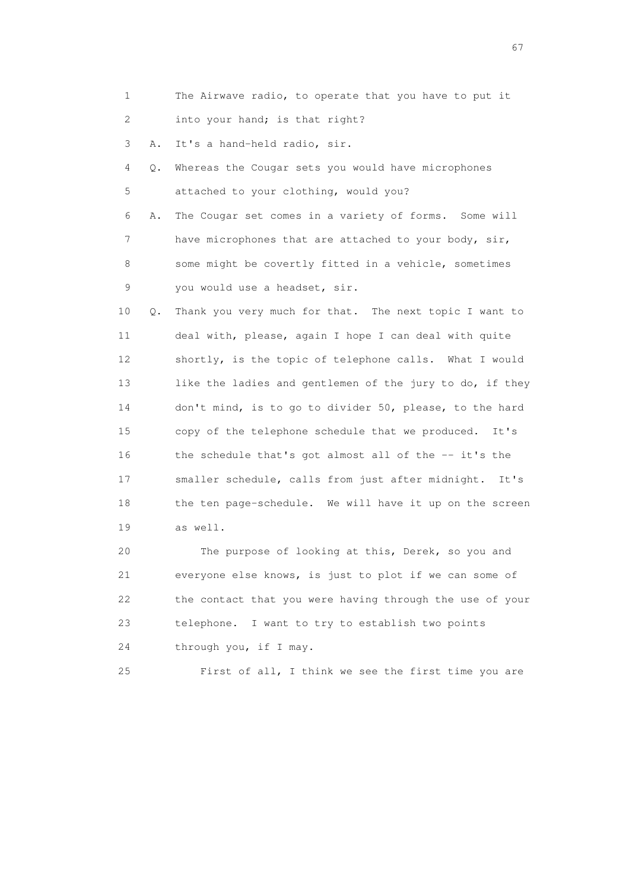1 The Airwave radio, to operate that you have to put it 2 into your hand; is that right?

3 A. It's a hand-held radio, sir.

 4 Q. Whereas the Cougar sets you would have microphones 5 attached to your clothing, would you?

 6 A. The Cougar set comes in a variety of forms. Some will 7 have microphones that are attached to your body, sir, 8 some might be covertly fitted in a vehicle, sometimes 9 you would use a headset, sir.

 10 Q. Thank you very much for that. The next topic I want to 11 deal with, please, again I hope I can deal with quite 12 shortly, is the topic of telephone calls. What I would 13 like the ladies and gentlemen of the jury to do, if they 14 don't mind, is to go to divider 50, please, to the hard 15 copy of the telephone schedule that we produced. It's 16 the schedule that's got almost all of the -- it's the 17 smaller schedule, calls from just after midnight. It's 18 the ten page-schedule. We will have it up on the screen 19 as well.

 20 The purpose of looking at this, Derek, so you and 21 everyone else knows, is just to plot if we can some of 22 the contact that you were having through the use of your 23 telephone. I want to try to establish two points 24 through you, if I may.

25 First of all, I think we see the first time you are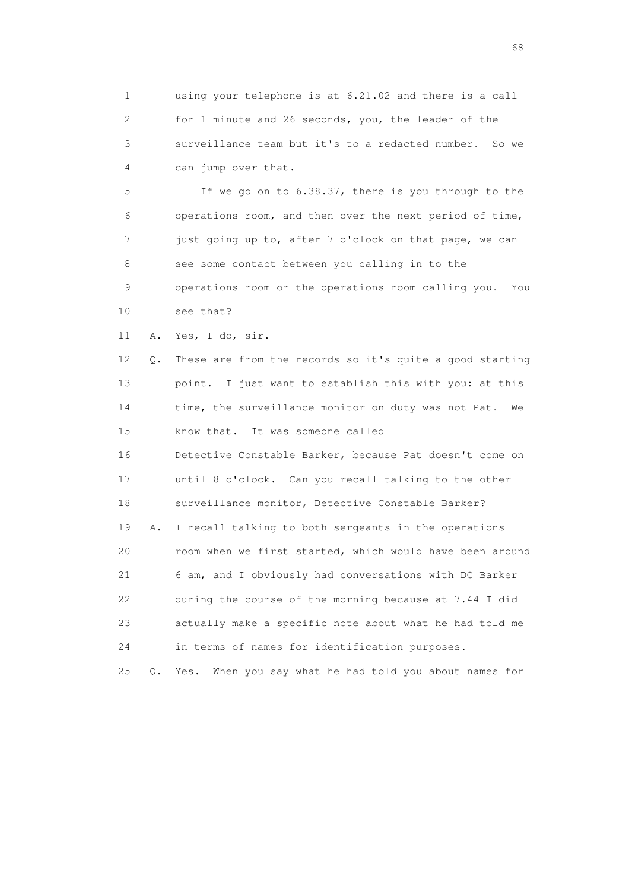1 using your telephone is at 6.21.02 and there is a call 2 for 1 minute and 26 seconds, you, the leader of the 3 surveillance team but it's to a redacted number. So we 4 can jump over that.

 5 If we go on to 6.38.37, there is you through to the 6 operations room, and then over the next period of time, 7 just going up to, after 7 o'clock on that page, we can 8 see some contact between you calling in to the 9 operations room or the operations room calling you. You 10 see that?

11 A. Yes, I do, sir.

 12 Q. These are from the records so it's quite a good starting 13 point. I just want to establish this with you: at this 14 time, the surveillance monitor on duty was not Pat. We 15 know that. It was someone called 16 Detective Constable Barker, because Pat doesn't come on 17 until 8 o'clock. Can you recall talking to the other 18 surveillance monitor, Detective Constable Barker? 19 A. I recall talking to both sergeants in the operations 20 room when we first started, which would have been around 21 6 am, and I obviously had conversations with DC Barker 22 during the course of the morning because at 7.44 I did 23 actually make a specific note about what he had told me 24 in terms of names for identification purposes.

25 Q. Yes. When you say what he had told you about names for

en de la construction de la construction de la construction de la construction de la construction de la construction de la construction de la construction de la construction de la construction de la construction de la cons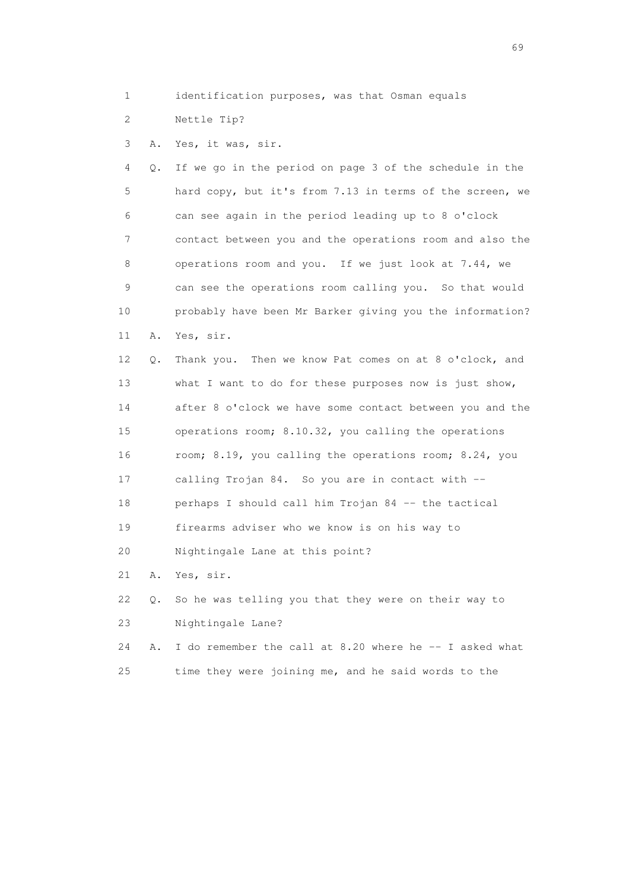- 1 identification purposes, was that Osman equals
- 2 Nettle Tip?
- 3 A. Yes, it was, sir.

 4 Q. If we go in the period on page 3 of the schedule in the 5 hard copy, but it's from 7.13 in terms of the screen, we 6 can see again in the period leading up to 8 o'clock 7 contact between you and the operations room and also the 8 operations room and you. If we just look at 7.44, we 9 can see the operations room calling you. So that would 10 probably have been Mr Barker giving you the information? 11 A. Yes, sir.

 12 Q. Thank you. Then we know Pat comes on at 8 o'clock, and 13 what I want to do for these purposes now is just show, 14 after 8 o'clock we have some contact between you and the 15 operations room; 8.10.32, you calling the operations 16 room; 8.19, you calling the operations room; 8.24, you 17 calling Trojan 84. So you are in contact with -- 18 perhaps I should call him Trojan 84 -- the tactical 19 firearms adviser who we know is on his way to 20 Nightingale Lane at this point? 21 A. Yes, sir.

 22 Q. So he was telling you that they were on their way to 23 Nightingale Lane?

 24 A. I do remember the call at 8.20 where he -- I asked what 25 time they were joining me, and he said words to the

entral de la construction de la construction de la construction de la construction de la construction de la co<br>1990 : la construction de la construction de la construction de la construction de la construction de la const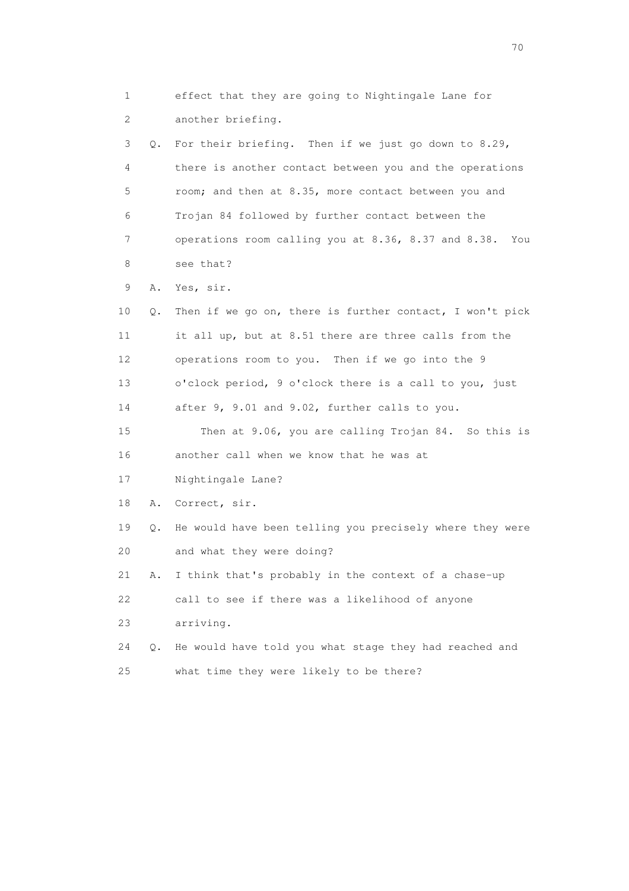1 effect that they are going to Nightingale Lane for 2 another briefing. 3 Q. For their briefing. Then if we just go down to 8.29, 4 there is another contact between you and the operations 5 room; and then at 8.35, more contact between you and 6 Trojan 84 followed by further contact between the 7 operations room calling you at 8.36, 8.37 and 8.38. You 8 see that? 9 A. Yes, sir. 10 Q. Then if we go on, there is further contact, I won't pick 11 it all up, but at 8.51 there are three calls from the 12 operations room to you. Then if we go into the 9 13 o'clock period, 9 o'clock there is a call to you, just 14 after 9, 9.01 and 9.02, further calls to you. 15 Then at 9.06, you are calling Trojan 84. So this is 16 another call when we know that he was at 17 Nightingale Lane? 18 A. Correct, sir. 19 Q. He would have been telling you precisely where they were 20 and what they were doing? 21 A. I think that's probably in the context of a chase-up 22 call to see if there was a likelihood of anyone 23 arriving. 24 Q. He would have told you what stage they had reached and 25 what time they were likely to be there?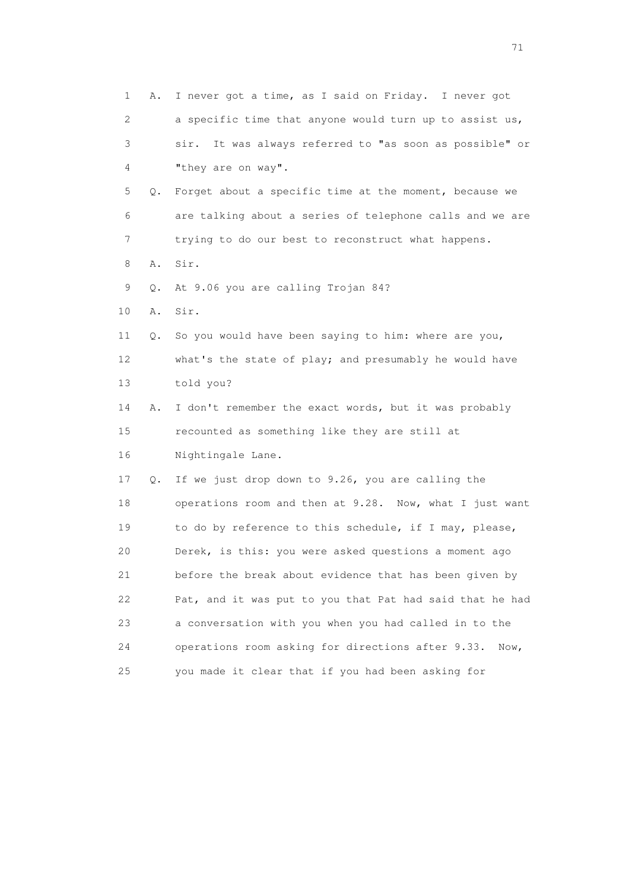| $\mathbf 1$ | Α. | I never got a time, as I said on Friday. I never got       |
|-------------|----|------------------------------------------------------------|
| 2           |    | a specific time that anyone would turn up to assist us,    |
| 3           |    | It was always referred to "as soon as possible" or<br>sir. |
| 4           |    | "they are on way".                                         |
| 5           | Q. | Forget about a specific time at the moment, because we     |
| 6           |    | are talking about a series of telephone calls and we are   |
| 7           |    | trying to do our best to reconstruct what happens.         |
| 8           | Α. | Sir.                                                       |
| 9           | О. | At 9.06 you are calling Trojan 84?                         |
| $10$        | Α. | Sir.                                                       |
| 11          | Q. | So you would have been saying to him: where are you,       |
| 12          |    | what's the state of play; and presumably he would have     |
| 13          |    | told you?                                                  |
| 14          | Α. | I don't remember the exact words, but it was probably      |
| 15          |    | recounted as something like they are still at              |
| 16          |    | Nightingale Lane.                                          |
| 17          | Q. | If we just drop down to 9.26, you are calling the          |
| 18          |    | operations room and then at 9.28. Now, what I just want    |
| 19          |    | to do by reference to this schedule, if I may, please,     |
| 20          |    | Derek, is this: you were asked questions a moment ago      |
| 21          |    | before the break about evidence that has been given by     |
| 22          |    | Pat, and it was put to you that Pat had said that he had   |
| 23          |    | a conversation with you when you had called in to the      |
| 24          |    | operations room asking for directions after 9.33.<br>Now,  |
| 25          |    | you made it clear that if you had been asking for          |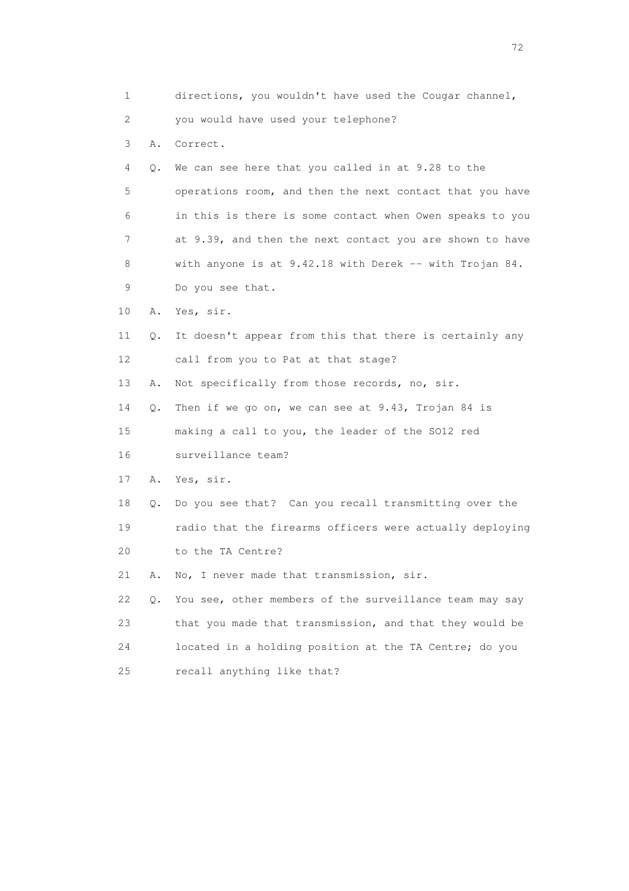| 1  |    | directions, you wouldn't have used the Cougar channel,    |
|----|----|-----------------------------------------------------------|
| 2  |    | you would have used your telephone?                       |
| 3  | Α. | Correct.                                                  |
| 4  | Q. | We can see here that you called in at 9.28 to the         |
| 5  |    | operations room, and then the next contact that you have  |
| 6  |    | in this is there is some contact when Owen speaks to you  |
| 7  |    | at 9.39, and then the next contact you are shown to have  |
| 8  |    | with anyone is at $9.42.18$ with Derek -- with Trojan 84. |
| 9  |    | Do you see that.                                          |
| 10 | Α. | Yes, sir.                                                 |
| 11 | Q. | It doesn't appear from this that there is certainly any   |
| 12 |    | call from you to Pat at that stage?                       |
| 13 | Α. | Not specifically from those records, no, sir.             |
| 14 | Q. | Then if we go on, we can see at 9.43, Trojan 84 is        |
| 15 |    | making a call to you, the leader of the SO12 red          |
| 16 |    | surveillance team?                                        |
| 17 | Α. | Yes, sir.                                                 |
| 18 | Q. | Do you see that? Can you recall transmitting over the     |
| 19 |    | radio that the firearms officers were actually deploying  |
| 20 |    | to the TA Centre?                                         |
| 21 | Α. | No, I never made that transmission, sir.                  |
| 22 | Q. | You see, other members of the surveillance team may say   |
| 23 |    | that you made that transmission, and that they would be   |
| 24 |    | located in a holding position at the TA Centre; do you    |
| 25 |    | recall anything like that?                                |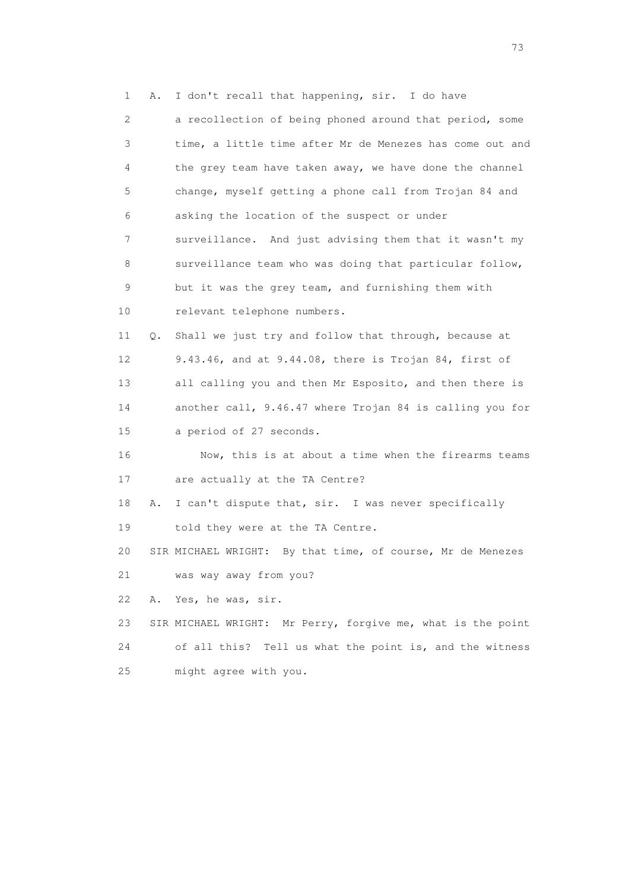1 A. I don't recall that happening, sir. I do have 2 a recollection of being phoned around that period, some 3 time, a little time after Mr de Menezes has come out and 4 the grey team have taken away, we have done the channel 5 change, myself getting a phone call from Trojan 84 and 6 asking the location of the suspect or under 7 surveillance. And just advising them that it wasn't my 8 surveillance team who was doing that particular follow, 9 but it was the grey team, and furnishing them with 10 relevant telephone numbers. 11 Q. Shall we just try and follow that through, because at 12 9.43.46, and at 9.44.08, there is Trojan 84, first of 13 all calling you and then Mr Esposito, and then there is 14 another call, 9.46.47 where Trojan 84 is calling you for 15 a period of 27 seconds. 16 Now, this is at about a time when the firearms teams 17 are actually at the TA Centre? 18 A. I can't dispute that, sir. I was never specifically 19 told they were at the TA Centre. 20 SIR MICHAEL WRIGHT: By that time, of course, Mr de Menezes 21 was way away from you? 22 A. Yes, he was, sir. 23 SIR MICHAEL WRIGHT: Mr Perry, forgive me, what is the point 24 of all this? Tell us what the point is, and the witness 25 might agree with you.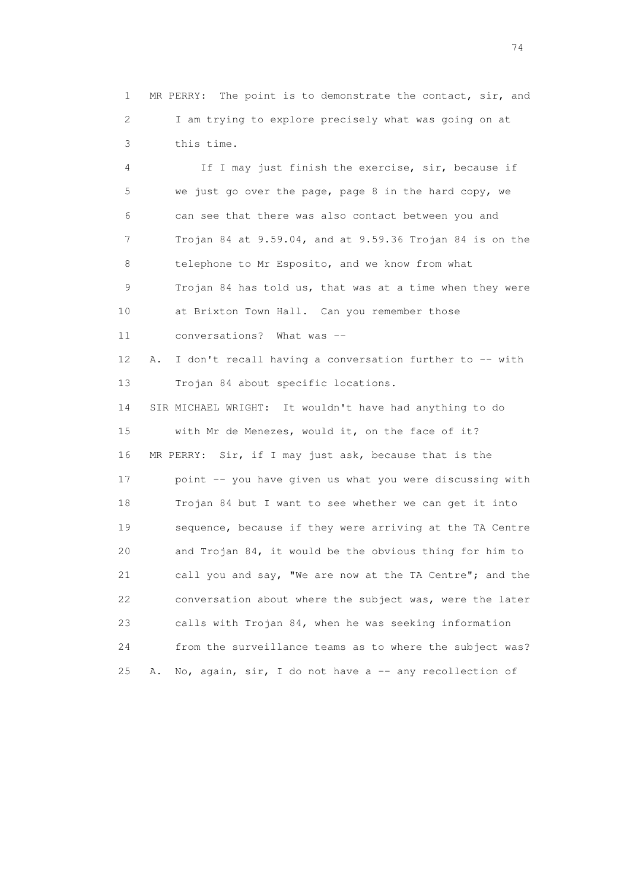1 MR PERRY: The point is to demonstrate the contact, sir, and 2 I am trying to explore precisely what was going on at 3 this time.

 4 If I may just finish the exercise, sir, because if 5 we just go over the page, page 8 in the hard copy, we 6 can see that there was also contact between you and 7 Trojan 84 at 9.59.04, and at 9.59.36 Trojan 84 is on the 8 telephone to Mr Esposito, and we know from what 9 Trojan 84 has told us, that was at a time when they were 10 at Brixton Town Hall. Can you remember those 11 conversations? What was -- 12 A. I don't recall having a conversation further to -- with 13 Trojan 84 about specific locations. 14 SIR MICHAEL WRIGHT: It wouldn't have had anything to do 15 with Mr de Menezes, would it, on the face of it? 16 MR PERRY: Sir, if I may just ask, because that is the 17 point -- you have given us what you were discussing with 18 Trojan 84 but I want to see whether we can get it into 19 sequence, because if they were arriving at the TA Centre 20 and Trojan 84, it would be the obvious thing for him to 21 call you and say, "We are now at the TA Centre"; and the 22 conversation about where the subject was, were the later 23 calls with Trojan 84, when he was seeking information 24 from the surveillance teams as to where the subject was? 25 A. No, again, sir, I do not have a  $-$  any recollection of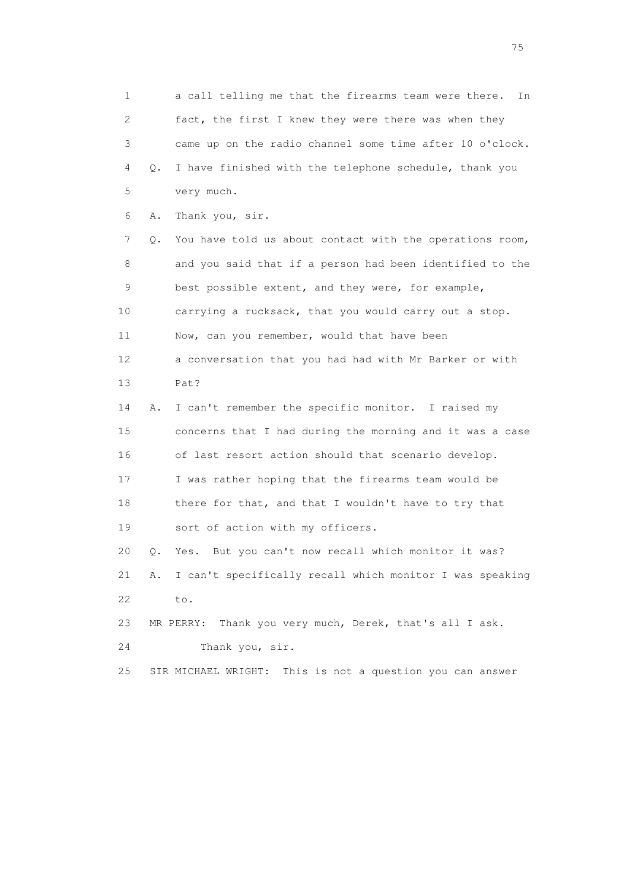1 a call telling me that the firearms team were there. In 2 fact, the first I knew they were there was when they 3 came up on the radio channel some time after 10 o'clock. 4 Q. I have finished with the telephone schedule, thank you 5 very much. 6 A. Thank you, sir. 7 Q. You have told us about contact with the operations room, 8 and you said that if a person had been identified to the 9 best possible extent, and they were, for example, 10 carrying a rucksack, that you would carry out a stop. 11 Now, can you remember, would that have been 12 a conversation that you had had with Mr Barker or with 13 Pat? 14 A. I can't remember the specific monitor. I raised my 15 concerns that I had during the morning and it was a case 16 of last resort action should that scenario develop. 17 I was rather hoping that the firearms team would be 18 there for that, and that I wouldn't have to try that 19 sort of action with my officers. 20 Q. Yes. But you can't now recall which monitor it was? 21 A. I can't specifically recall which monitor I was speaking 22 to. 23 MR PERRY: Thank you very much, Derek, that's all I ask. 24 Thank you, sir. 25 SIR MICHAEL WRIGHT: This is not a question you can answer

na matsay na katalog as na kasang na mga 175 may 2008. Ang isang isang nagsang nagsang nagsang nagsang nagsang<br>Tagapang nagsang nagsang nagsang nagsang nagsang nagsang nagsang nagsang nagsang nagsang nagsang nagsang nagsa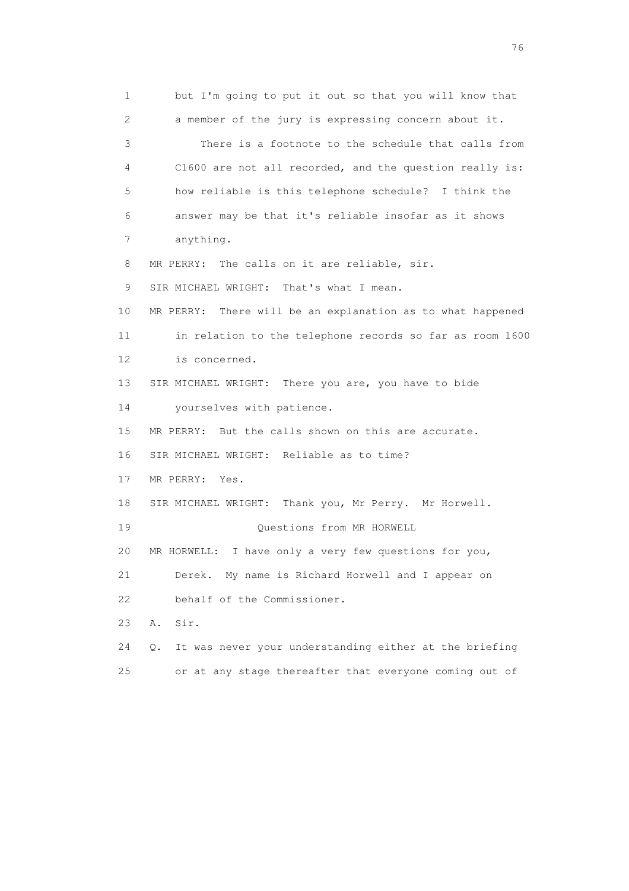1 but I'm going to put it out so that you will know that 2 a member of the jury is expressing concern about it. 3 There is a footnote to the schedule that calls from 4 C1600 are not all recorded, and the question really is: 5 how reliable is this telephone schedule? I think the 6 answer may be that it's reliable insofar as it shows 7 anything. 8 MR PERRY: The calls on it are reliable, sir. 9 SIR MICHAEL WRIGHT: That's what I mean. 10 MR PERRY: There will be an explanation as to what happened 11 in relation to the telephone records so far as room 1600 12 is concerned. 13 SIR MICHAEL WRIGHT: There you are, you have to bide 14 yourselves with patience. 15 MR PERRY: But the calls shown on this are accurate. 16 SIR MICHAEL WRIGHT: Reliable as to time? 17 MR PERRY: Yes. 18 SIR MICHAEL WRIGHT: Thank you, Mr Perry. Mr Horwell. 19 Questions from MR HORWELL 20 MR HORWELL: I have only a very few questions for you, 21 Derek. My name is Richard Horwell and I appear on 22 behalf of the Commissioner. 23 A. Sir. 24 Q. It was never your understanding either at the briefing 25 or at any stage thereafter that everyone coming out of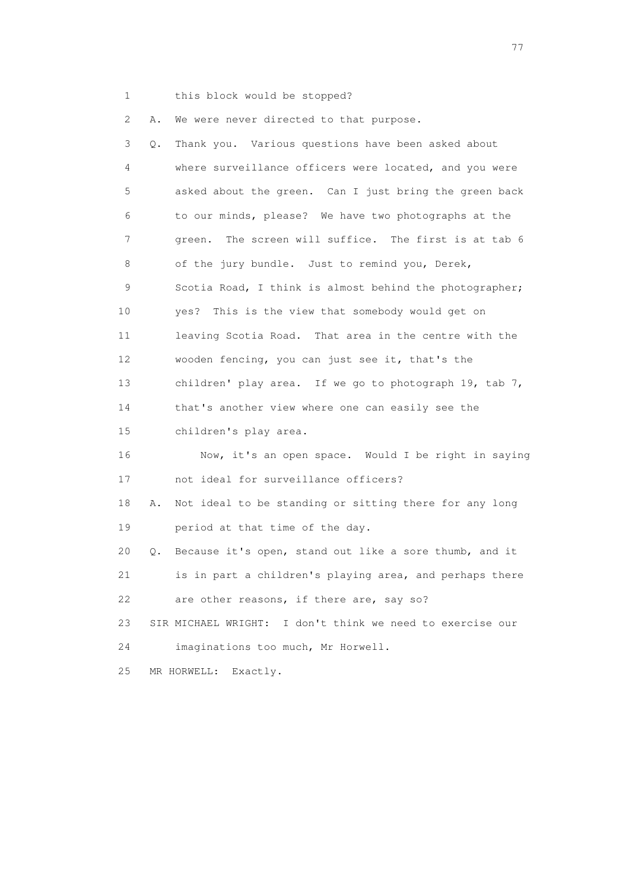1 this block would be stopped?

2 A. We were never directed to that purpose.

| 3  | Q.        | Thank you. Various questions have been asked about        |
|----|-----------|-----------------------------------------------------------|
| 4  |           | where surveillance officers were located, and you were    |
| 5  |           | asked about the green. Can I just bring the green back    |
| 6  |           | to our minds, please? We have two photographs at the      |
| 7  |           | The screen will suffice. The first is at tab 6<br>green.  |
| 8  |           | of the jury bundle. Just to remind you, Derek,            |
| 9  |           | Scotia Road, I think is almost behind the photographer;   |
| 10 |           | This is the view that somebody would get on<br>yes?       |
| 11 |           | leaving Scotia Road. That area in the centre with the     |
| 12 |           | wooden fencing, you can just see it, that's the           |
| 13 |           | children' play area. If we go to photograph 19, tab $7$ , |
| 14 |           | that's another view where one can easily see the          |
| 15 |           | children's play area.                                     |
| 16 |           | Now, it's an open space. Would I be right in saying       |
| 17 |           | not ideal for surveillance officers?                      |
| 18 | Α.        | Not ideal to be standing or sitting there for any long    |
| 19 |           | period at that time of the day.                           |
| 20 | $\circ$ . | Because it's open, stand out like a sore thumb, and it    |
| 21 |           | is in part a children's playing area, and perhaps there   |
| 22 |           | are other reasons, if there are, say so?                  |
| 23 |           | SIR MICHAEL WRIGHT: I don't think we need to exercise our |
| 24 |           | imaginations too much, Mr Horwell.                        |
| 25 |           | MR HORWELL:<br>Exactly.                                   |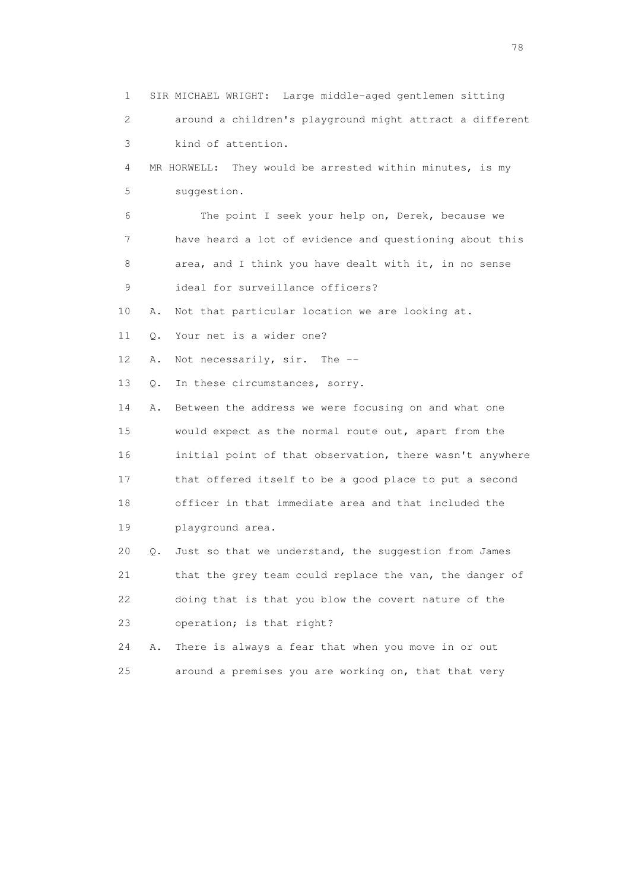1 SIR MICHAEL WRIGHT: Large middle-aged gentlemen sitting 2 around a children's playground might attract a different 3 kind of attention. 4 MR HORWELL: They would be arrested within minutes, is my 5 suggestion. 6 The point I seek your help on, Derek, because we 7 have heard a lot of evidence and questioning about this 8 area, and I think you have dealt with it, in no sense 9 ideal for surveillance officers? 10 A. Not that particular location we are looking at. 11 Q. Your net is a wider one? 12 A. Not necessarily, sir. The -- 13 Q. In these circumstances, sorry. 14 A. Between the address we were focusing on and what one 15 would expect as the normal route out, apart from the 16 initial point of that observation, there wasn't anywhere 17 that offered itself to be a good place to put a second 18 officer in that immediate area and that included the 19 playground area. 20 Q. Just so that we understand, the suggestion from James 21 that the grey team could replace the van, the danger of 22 doing that is that you blow the covert nature of the 23 operation; is that right? 24 A. There is always a fear that when you move in or out 25 around a premises you are working on, that that very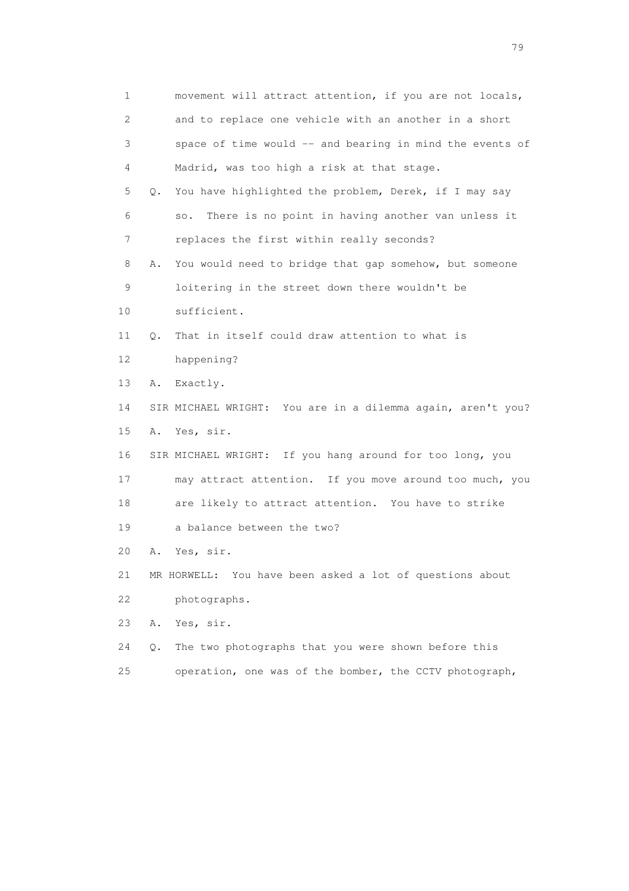| $\mathbf 1$ | movement will attract attention, if you are not locals,      |
|-------------|--------------------------------------------------------------|
| 2           | and to replace one vehicle with an another in a short        |
| 3           | space of time would -- and bearing in mind the events of     |
| 4           | Madrid, was too high a risk at that stage.                   |
| 5           | You have highlighted the problem, Derek, if I may say<br>Q.  |
| 6           | There is no point in having another van unless it<br>SO.     |
| 7           | replaces the first within really seconds?                    |
| 8           | You would need to bridge that gap somehow, but someone<br>Α. |
| 9           | loitering in the street down there wouldn't be               |
| 10          | sufficient.                                                  |
| 11          | That in itself could draw attention to what is<br>О.         |
| 12          | happening?                                                   |
| 13          | Exactly.<br>Α.                                               |
| 14          | SIR MICHAEL WRIGHT: You are in a dilemma again, aren't you?  |
| 15          | A. Yes, sir.                                                 |
| 16          | SIR MICHAEL WRIGHT: If you hang around for too long, you     |
| 17          | may attract attention. If you move around too much, you      |
| 18          | are likely to attract attention. You have to strike          |
| 19          | a balance between the two?                                   |
| 20          | Yes, sir.<br>Α.                                              |
| 21          | MR HORWELL: You have been asked a lot of questions about     |
| 22          | photographs.                                                 |
| 23          | Yes, sir.<br>Α.                                              |
| 24          | The two photographs that you were shown before this<br>Q.    |
|             |                                                              |

25 operation, one was of the bomber, the CCTV photograph,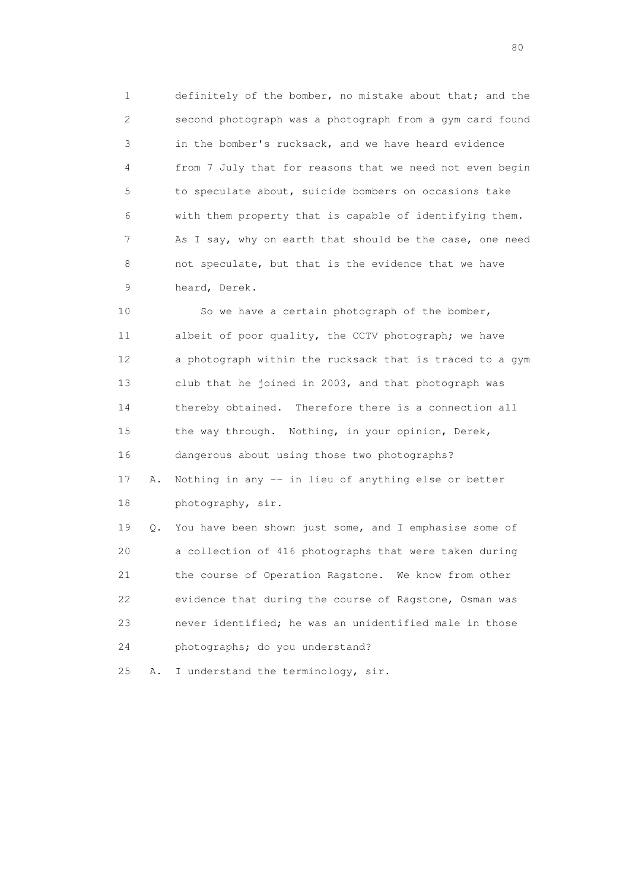1 definitely of the bomber, no mistake about that; and the 2 second photograph was a photograph from a gym card found 3 in the bomber's rucksack, and we have heard evidence 4 from 7 July that for reasons that we need not even begin 5 to speculate about, suicide bombers on occasions take 6 with them property that is capable of identifying them. 7 As I say, why on earth that should be the case, one need 8 not speculate, but that is the evidence that we have 9 heard, Derek.

 10 So we have a certain photograph of the bomber, 11 albeit of poor quality, the CCTV photograph; we have 12 a photograph within the rucksack that is traced to a gym 13 club that he joined in 2003, and that photograph was 14 thereby obtained. Therefore there is a connection all 15 the way through. Nothing, in your opinion, Derek, 16 dangerous about using those two photographs?

 17 A. Nothing in any -- in lieu of anything else or better 18 photography, sir.

 19 Q. You have been shown just some, and I emphasise some of 20 a collection of 416 photographs that were taken during 21 the course of Operation Ragstone. We know from other 22 evidence that during the course of Ragstone, Osman was 23 never identified; he was an unidentified male in those 24 photographs; do you understand?

25 A. I understand the terminology, sir.

entration of the state of the state of the state of the state of the state of the state of the state of the state of the state of the state of the state of the state of the state of the state of the state of the state of t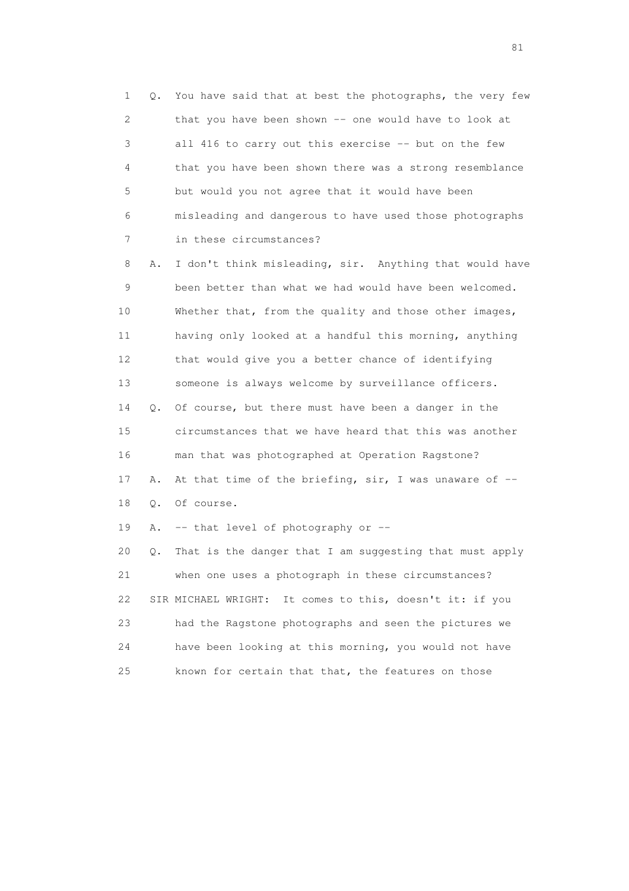1 Q. You have said that at best the photographs, the very few 2 that you have been shown -- one would have to look at 3 all 416 to carry out this exercise -- but on the few 4 that you have been shown there was a strong resemblance 5 but would you not agree that it would have been 6 misleading and dangerous to have used those photographs 7 in these circumstances?

 8 A. I don't think misleading, sir. Anything that would have 9 been better than what we had would have been welcomed. 10 Whether that, from the quality and those other images, 11 having only looked at a handful this morning, anything 12 that would give you a better chance of identifying 13 someone is always welcome by surveillance officers. 14 Q. Of course, but there must have been a danger in the 15 circumstances that we have heard that this was another 16 man that was photographed at Operation Ragstone? 17 A. At that time of the briefing, sir, I was unaware of -- 18 Q. Of course. 19 A. -- that level of photography or -- 20 Q. That is the danger that I am suggesting that must apply 21 when one uses a photograph in these circumstances? 22 SIR MICHAEL WRIGHT: It comes to this, doesn't it: if you 23 had the Ragstone photographs and seen the pictures we 24 have been looking at this morning, you would not have

25 known for certain that that, the features on those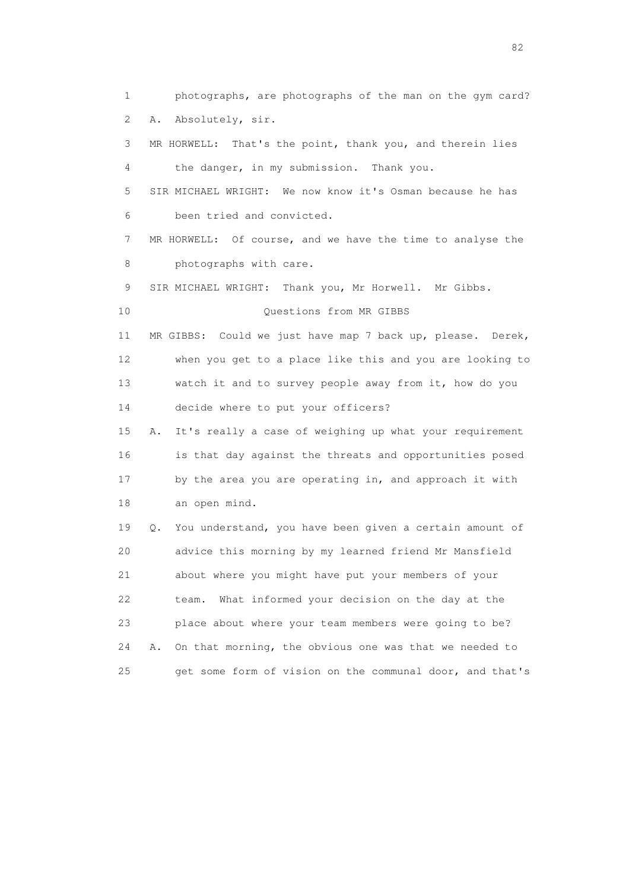1 photographs, are photographs of the man on the gym card? 2 A. Absolutely, sir. 3 MR HORWELL: That's the point, thank you, and therein lies 4 the danger, in my submission. Thank you. 5 SIR MICHAEL WRIGHT: We now know it's Osman because he has 6 been tried and convicted. 7 MR HORWELL: Of course, and we have the time to analyse the 8 **photographs** with care. 9 SIR MICHAEL WRIGHT: Thank you, Mr Horwell. Mr Gibbs. 10 Questions from MR GIBBS 11 MR GIBBS: Could we just have map 7 back up, please. Derek, 12 when you get to a place like this and you are looking to 13 watch it and to survey people away from it, how do you 14 decide where to put your officers? 15 A. It's really a case of weighing up what your requirement 16 is that day against the threats and opportunities posed 17 by the area you are operating in, and approach it with 18 an open mind. 19 Q. You understand, you have been given a certain amount of 20 advice this morning by my learned friend Mr Mansfield 21 about where you might have put your members of your 22 team. What informed your decision on the day at the 23 place about where your team members were going to be? 24 A. On that morning, the obvious one was that we needed to 25 get some form of vision on the communal door, and that's

experience of the state of the state of the state of the state of the state of the state of the state of the s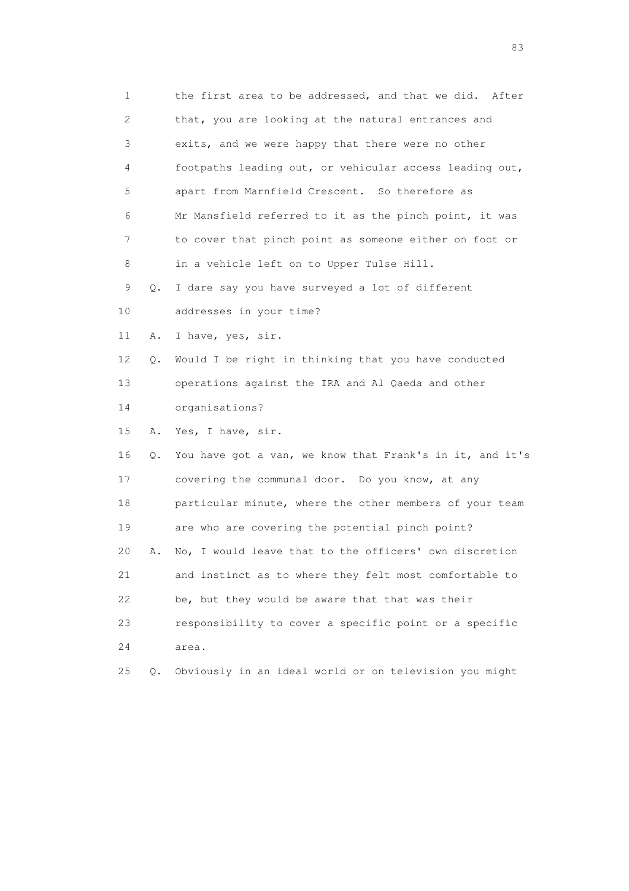| 1                         |    | the first area to be addressed, and that we did.<br>After |
|---------------------------|----|-----------------------------------------------------------|
| $\mathbf{2}^{\mathsf{I}}$ |    | that, you are looking at the natural entrances and        |
| 3                         |    | exits, and we were happy that there were no other         |
| 4                         |    | footpaths leading out, or vehicular access leading out,   |
| 5                         |    | apart from Marnfield Crescent. So therefore as            |
| 6                         |    | Mr Mansfield referred to it as the pinch point, it was    |
| 7                         |    | to cover that pinch point as someone either on foot or    |
| 8                         |    | in a vehicle left on to Upper Tulse Hill.                 |
| 9                         | Q. | I dare say you have surveyed a lot of different           |
| 10                        |    | addresses in your time?                                   |
| 11                        | Α. | I have, yes, sir.                                         |
| 12                        | Q. | Would I be right in thinking that you have conducted      |
| 13                        |    | operations against the IRA and Al Qaeda and other         |
| 14                        |    | organisations?                                            |
| 15                        | Α. | Yes, I have, sir.                                         |
| 16                        | Q. | You have got a van, we know that Frank's in it, and it's  |
| 17                        |    | covering the communal door. Do you know, at any           |
| 18                        |    | particular minute, where the other members of your team   |
| 19                        |    | are who are covering the potential pinch point?           |
| 20                        | Α. | No, I would leave that to the officers' own discretion    |
| 21                        |    | and instinct as to where they felt most comfortable to    |
| 22                        |    | be, but they would be aware that that was their           |
| 23                        |    | responsibility to cover a specific point or a specific    |
| 24                        |    | area.                                                     |
| 25                        | Q. | Obviously in an ideal world or on television you might    |

experience of the contract of the contract of the contract of the contract of the contract of the contract of the contract of the contract of the contract of the contract of the contract of the contract of the contract of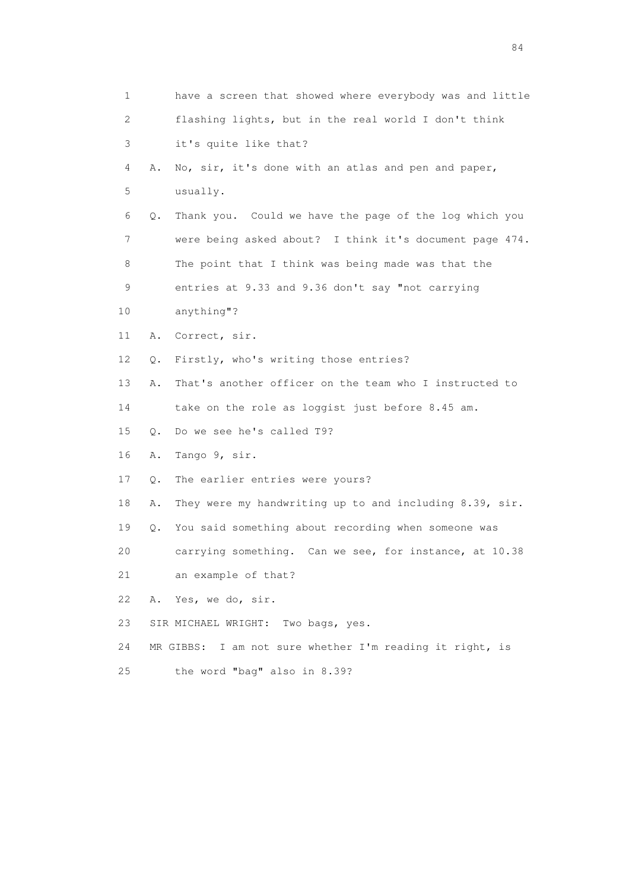| 1                         |    | have a screen that showed where everybody was and little |
|---------------------------|----|----------------------------------------------------------|
| $\mathbf{2}^{\mathsf{I}}$ |    | flashing lights, but in the real world I don't think     |
| 3                         |    | it's quite like that?                                    |
| 4                         | Α. | No, sir, it's done with an atlas and pen and paper,      |
| 5                         |    | usually.                                                 |
| 6                         | Q. | Thank you. Could we have the page of the log which you   |
| 7                         |    | were being asked about? I think it's document page 474.  |
| 8                         |    | The point that I think was being made was that the       |
| 9                         |    | entries at 9.33 and 9.36 don't say "not carrying         |
| 10                        |    | anything"?                                               |
| 11                        | Α. | Correct, sir.                                            |
| 12                        | Q. | Firstly, who's writing those entries?                    |
| 13                        | Α. | That's another officer on the team who I instructed to   |
| 14                        |    | take on the role as loggist just before 8.45 am.         |
| 15                        | Q. | Do we see he's called T9?                                |
| 16                        | Α. | Tango 9, sir.                                            |
| 17                        | Q. | The earlier entries were yours?                          |
| 18                        | Α. | They were my handwriting up to and including 8.39, sir.  |
| 19                        | Q. | You said something about recording when someone was      |
| 20                        |    | carrying something. Can we see, for instance, at 10.38   |
| 21                        |    | an example of that?                                      |
| 22                        | Α. | Yes, we do, sir.                                         |
| 23                        |    | SIR MICHAEL WRIGHT: Two bags, yes.                       |
| 24                        |    | MR GIBBS: I am not sure whether I'm reading it right, is |
| 25                        |    | the word "bag" also in 8.39?                             |
|                           |    |                                                          |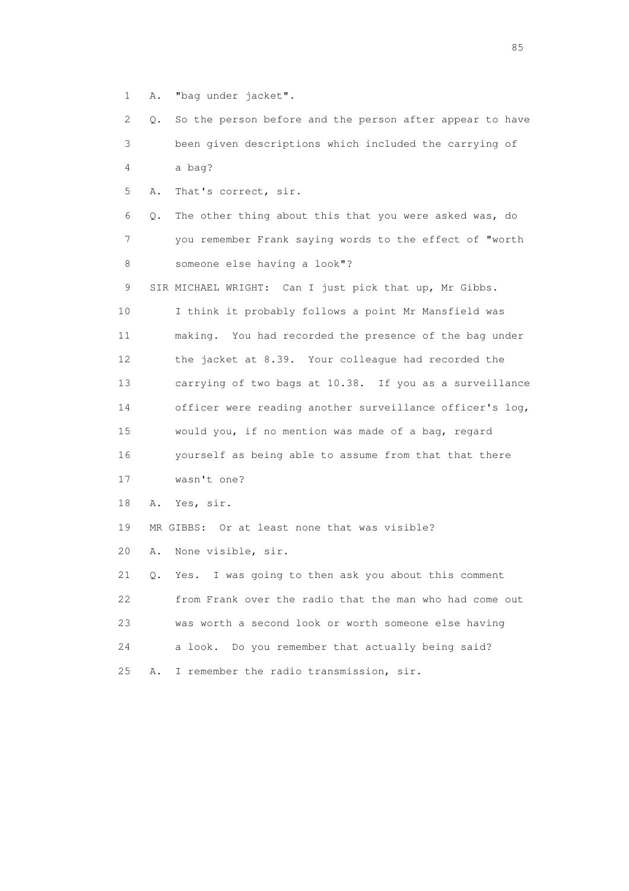1 A. "bag under jacket".

 2 Q. So the person before and the person after appear to have 3 been given descriptions which included the carrying of 4 a bag?

5 A. That's correct, sir.

 6 Q. The other thing about this that you were asked was, do 7 you remember Frank saying words to the effect of "worth 8 someone else having a look"?

9 SIR MICHAEL WRIGHT: Can I just pick that up, Mr Gibbs. 10 I think it probably follows a point Mr Mansfield was 11 making. You had recorded the presence of the bag under 12 the jacket at 8.39. Your colleague had recorded the 13 carrying of two bags at 10.38. If you as a surveillance 14 officer were reading another surveillance officer's log, 15 would you, if no mention was made of a bag, regard 16 yourself as being able to assume from that that there 17 wasn't one?

18 A. Yes, sir.

19 MR GIBBS: Or at least none that was visible?

20 A. None visible, sir.

 21 Q. Yes. I was going to then ask you about this comment 22 from Frank over the radio that the man who had come out 23 was worth a second look or worth someone else having 24 a look. Do you remember that actually being said? 25 A. I remember the radio transmission, sir.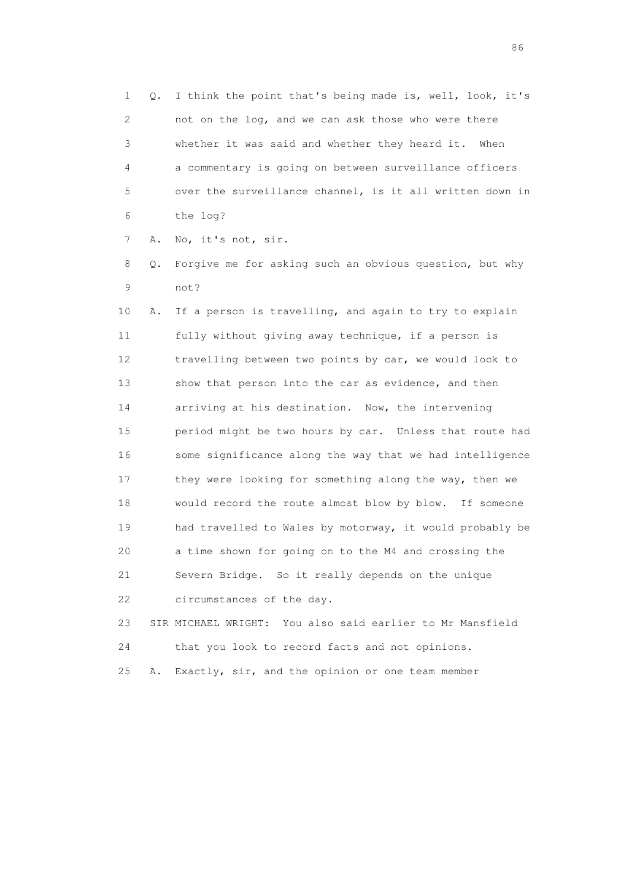1 Q. I think the point that's being made is, well, look, it's 2 not on the log, and we can ask those who were there 3 whether it was said and whether they heard it. When 4 a commentary is going on between surveillance officers 5 over the surveillance channel, is it all written down in 6 the log?

7 A. No, it's not, sir.

 8 Q. Forgive me for asking such an obvious question, but why 9 not?

 10 A. If a person is travelling, and again to try to explain 11 fully without giving away technique, if a person is 12 travelling between two points by car, we would look to 13 show that person into the car as evidence, and then 14 arriving at his destination. Now, the intervening 15 period might be two hours by car. Unless that route had 16 some significance along the way that we had intelligence 17 they were looking for something along the way, then we 18 would record the route almost blow by blow. If someone 19 had travelled to Wales by motorway, it would probably be 20 a time shown for going on to the M4 and crossing the 21 Severn Bridge. So it really depends on the unique 22 circumstances of the day.

 23 SIR MICHAEL WRIGHT: You also said earlier to Mr Mansfield 24 that you look to record facts and not opinions. 25 A. Exactly, sir, and the opinion or one team member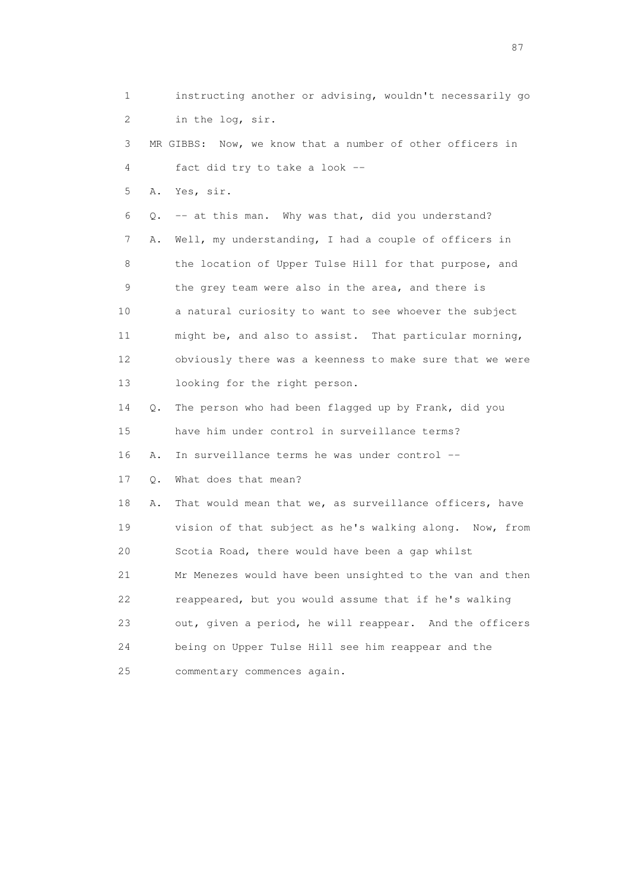1 instructing another or advising, wouldn't necessarily go 2 in the log, sir. 3 MR GIBBS: Now, we know that a number of other officers in 4 fact did try to take a look -- 5 A. Yes, sir. 6 Q. -- at this man. Why was that, did you understand? 7 A. Well, my understanding, I had a couple of officers in 8 the location of Upper Tulse Hill for that purpose, and 9 the grey team were also in the area, and there is 10 a natural curiosity to want to see whoever the subject 11 might be, and also to assist. That particular morning, 12 obviously there was a keenness to make sure that we were 13 looking for the right person. 14 Q. The person who had been flagged up by Frank, did you 15 have him under control in surveillance terms? 16 A. In surveillance terms he was under control -- 17 Q. What does that mean? 18 A. That would mean that we, as surveillance officers, have 19 vision of that subject as he's walking along. Now, from 20 Scotia Road, there would have been a gap whilst 21 Mr Menezes would have been unsighted to the van and then 22 reappeared, but you would assume that if he's walking 23 out, given a period, he will reappear. And the officers 24 being on Upper Tulse Hill see him reappear and the 25 commentary commences again.

experience of the state of the state of the state of the state of the state of the state of the state of the s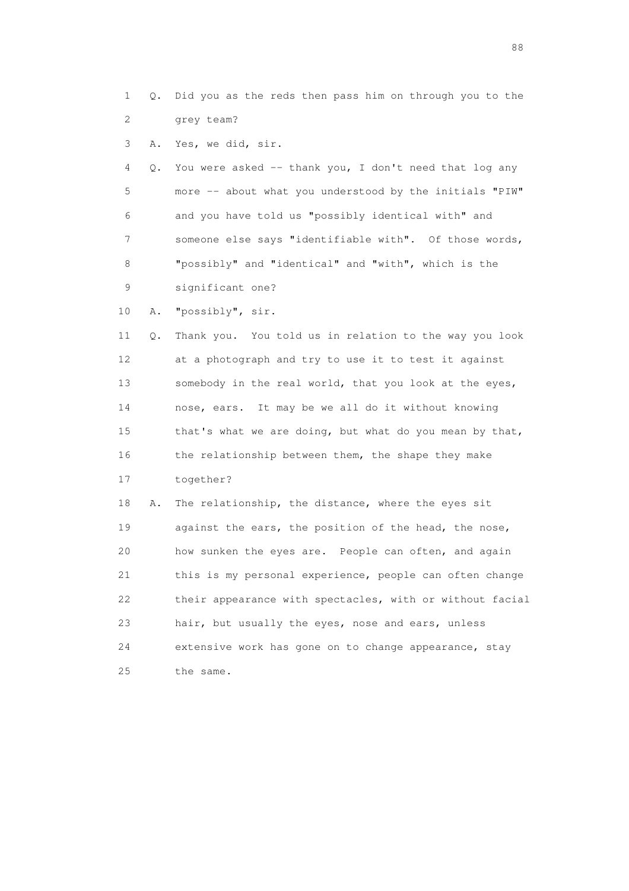- 1 Q. Did you as the reds then pass him on through you to the 2 grey team?
- 3 A. Yes, we did, sir.

 4 Q. You were asked -- thank you, I don't need that log any 5 more -- about what you understood by the initials "PIW" 6 and you have told us "possibly identical with" and 7 someone else says "identifiable with". Of those words, 8 "possibly" and "identical" and "with", which is the 9 significant one?

10 A. "possibly", sir.

 11 Q. Thank you. You told us in relation to the way you look 12 at a photograph and try to use it to test it against 13 somebody in the real world, that you look at the eyes, 14 nose, ears. It may be we all do it without knowing 15 that's what we are doing, but what do you mean by that, 16 the relationship between them, the shape they make 17 together?

 18 A. The relationship, the distance, where the eyes sit 19 against the ears, the position of the head, the nose, 20 how sunken the eyes are. People can often, and again 21 this is my personal experience, people can often change 22 their appearance with spectacles, with or without facial 23 hair, but usually the eyes, nose and ears, unless 24 extensive work has gone on to change appearance, stay 25 the same.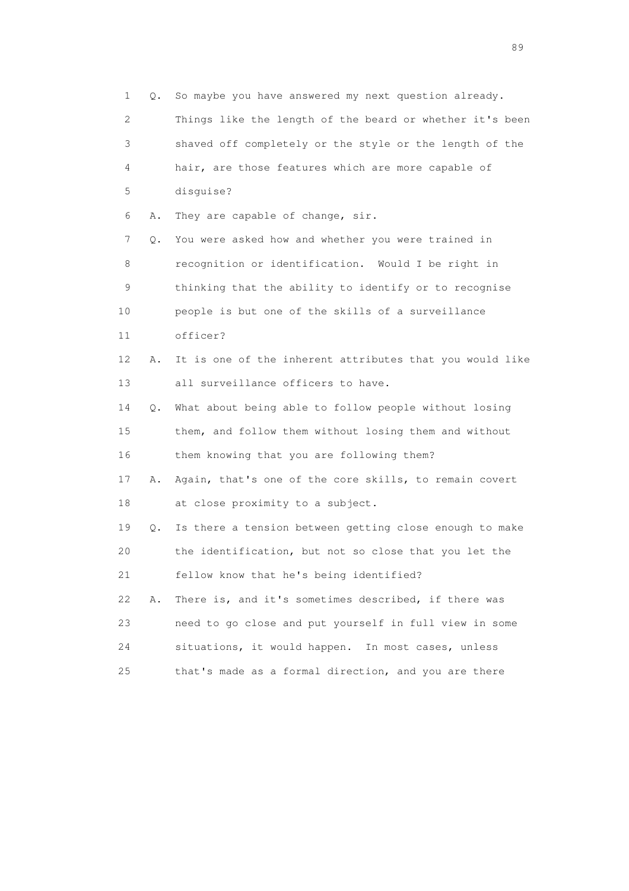1 Q. So maybe you have answered my next question already. 2 Things like the length of the beard or whether it's been 3 shaved off completely or the style or the length of the 4 hair, are those features which are more capable of 5 disguise? 6 A. They are capable of change, sir. 7 Q. You were asked how and whether you were trained in 8 recognition or identification. Would I be right in 9 thinking that the ability to identify or to recognise 10 people is but one of the skills of a surveillance 11 officer? 12 A. It is one of the inherent attributes that you would like 13 all surveillance officers to have. 14 Q. What about being able to follow people without losing 15 them, and follow them without losing them and without 16 them knowing that you are following them? 17 A. Again, that's one of the core skills, to remain covert 18 at close proximity to a subject. 19 Q. Is there a tension between getting close enough to make 20 the identification, but not so close that you let the 21 fellow know that he's being identified? 22 A. There is, and it's sometimes described, if there was 23 need to go close and put yourself in full view in some 24 situations, it would happen. In most cases, unless 25 that's made as a formal direction, and you are there

en andere de la provincia de la provincia de la provincia de la provincia de la provincia de la provincia de l<br>En 1910, en la provincia de la provincia de la provincia de la provincia de la provincia de la provincia de la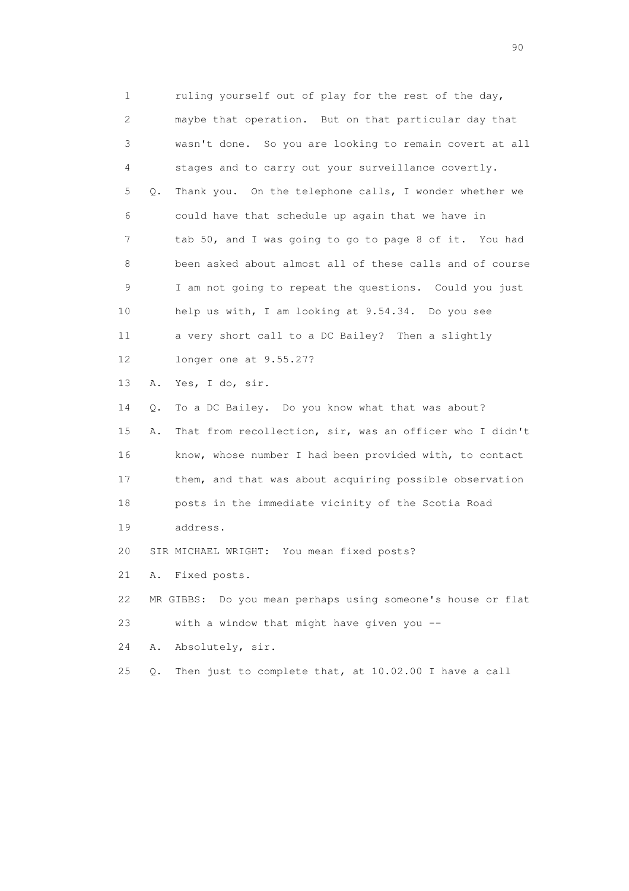1 ruling yourself out of play for the rest of the day, 2 maybe that operation. But on that particular day that 3 wasn't done. So you are looking to remain covert at all 4 stages and to carry out your surveillance covertly. 5 Q. Thank you. On the telephone calls, I wonder whether we 6 could have that schedule up again that we have in 7 tab 50, and I was going to go to page 8 of it. You had 8 been asked about almost all of these calls and of course 9 I am not going to repeat the questions. Could you just 10 help us with, I am looking at 9.54.34. Do you see 11 a very short call to a DC Bailey? Then a slightly 12 longer one at 9.55.27? 13 A. Yes, I do, sir. 14 Q. To a DC Bailey. Do you know what that was about? 15 A. That from recollection, sir, was an officer who I didn't 16 know, whose number I had been provided with, to contact 17 them, and that was about acquiring possible observation 18 posts in the immediate vicinity of the Scotia Road 19 address. 20 SIR MICHAEL WRIGHT: You mean fixed posts? 21 A. Fixed posts. 22 MR GIBBS: Do you mean perhaps using someone's house or flat 23 with a window that might have given you -- 24 A. Absolutely, sir.

25 Q. Then just to complete that, at 10.02.00 I have a call

entral de la construction de la construction de la construction de la construction de la construction de la co<br>1900 : le construction de la construction de la construction de la construction de la construction de la const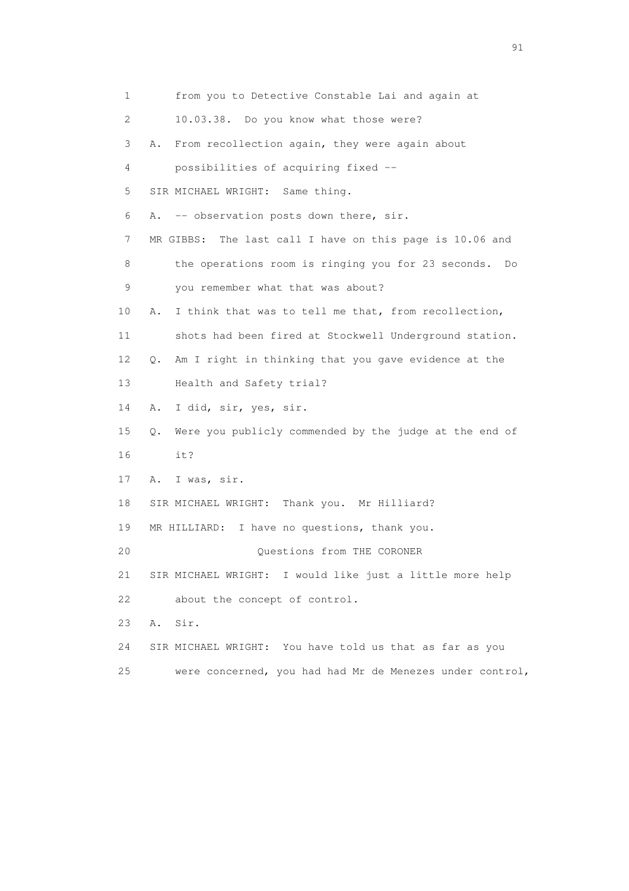1 from you to Detective Constable Lai and again at 2 10.03.38. Do you know what those were? 3 A. From recollection again, they were again about 4 possibilities of acquiring fixed -- 5 SIR MICHAEL WRIGHT: Same thing. 6 A. -- observation posts down there, sir. 7 MR GIBBS: The last call I have on this page is 10.06 and 8 the operations room is ringing you for 23 seconds. Do 9 you remember what that was about? 10 A. I think that was to tell me that, from recollection, 11 shots had been fired at Stockwell Underground station. 12 Q. Am I right in thinking that you gave evidence at the 13 Health and Safety trial? 14 A. I did, sir, yes, sir. 15 Q. Were you publicly commended by the judge at the end of 16 it? 17 A. I was, sir. 18 SIR MICHAEL WRIGHT: Thank you. Mr Hilliard? 19 MR HILLIARD: I have no questions, thank you. 20 Questions from THE CORONER 21 SIR MICHAEL WRIGHT: I would like just a little more help 22 about the concept of control. 23 A. Sir. 24 SIR MICHAEL WRIGHT: You have told us that as far as you 25 were concerned, you had had Mr de Menezes under control,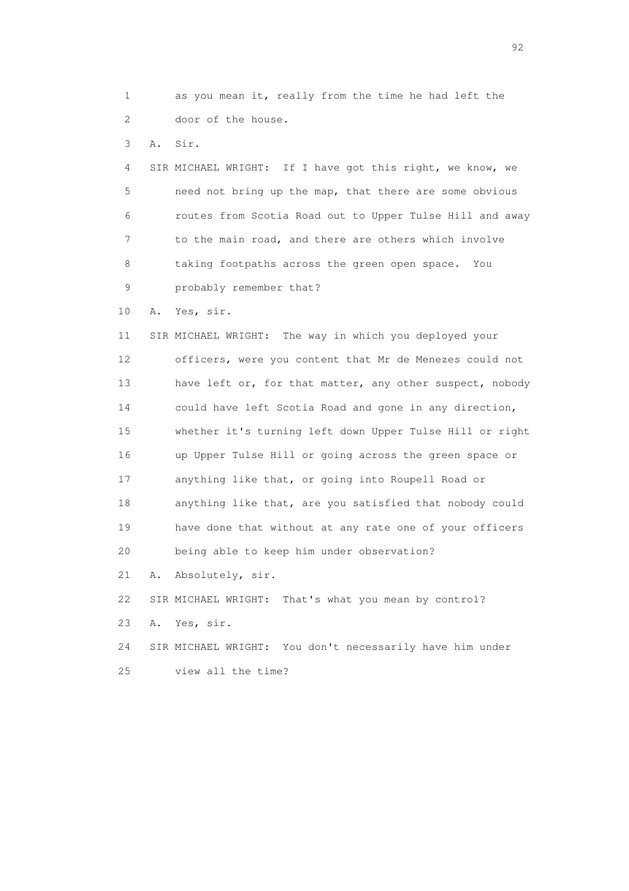1 as you mean it, really from the time he had left the 2 door of the house.

3 A. Sir.

 4 SIR MICHAEL WRIGHT: If I have got this right, we know, we 5 need not bring up the map, that there are some obvious 6 routes from Scotia Road out to Upper Tulse Hill and away 7 to the main road, and there are others which involve 8 taking footpaths across the green open space. You 9 probably remember that?

10 A. Yes, sir.

 11 SIR MICHAEL WRIGHT: The way in which you deployed your 12 officers, were you content that Mr de Menezes could not 13 have left or, for that matter, any other suspect, nobody 14 could have left Scotia Road and gone in any direction, 15 whether it's turning left down Upper Tulse Hill or right 16 up Upper Tulse Hill or going across the green space or 17 anything like that, or going into Roupell Road or 18 anything like that, are you satisfied that nobody could 19 have done that without at any rate one of your officers 20 being able to keep him under observation? 21 A. Absolutely, sir.

22 SIR MICHAEL WRIGHT: That's what you mean by control?

23 A. Yes, sir.

 24 SIR MICHAEL WRIGHT: You don't necessarily have him under 25 view all the time?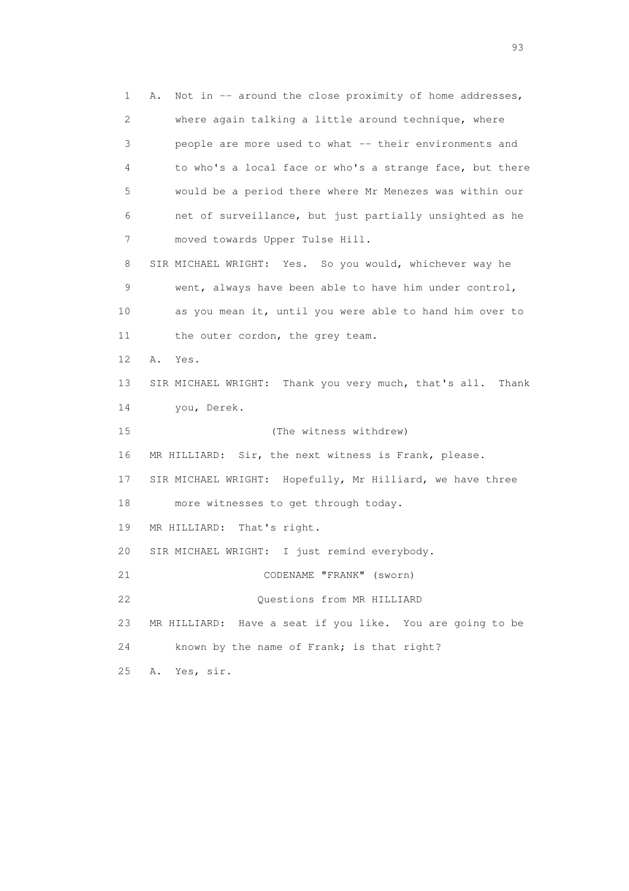1 A. Not in -- around the close proximity of home addresses, 2 where again talking a little around technique, where 3 people are more used to what -- their environments and 4 to who's a local face or who's a strange face, but there 5 would be a period there where Mr Menezes was within our 6 net of surveillance, but just partially unsighted as he 7 moved towards Upper Tulse Hill. 8 SIR MICHAEL WRIGHT: Yes. So you would, whichever way he 9 went, always have been able to have him under control, 10 as you mean it, until you were able to hand him over to 11 the outer cordon, the grey team. 12 A. Yes. 13 SIR MICHAEL WRIGHT: Thank you very much, that's all. Thank 14 you, Derek. 15 (The witness withdrew) 16 MR HILLIARD: Sir, the next witness is Frank, please. 17 SIR MICHAEL WRIGHT: Hopefully, Mr Hilliard, we have three 18 more witnesses to get through today. 19 MR HILLIARD: That's right. 20 SIR MICHAEL WRIGHT: I just remind everybody. 21 CODENAME "FRANK" (sworn) 22 Questions from MR HILLIARD 23 MR HILLIARD: Have a seat if you like. You are going to be 24 known by the name of Frank; is that right? 25 A. Yes, sir.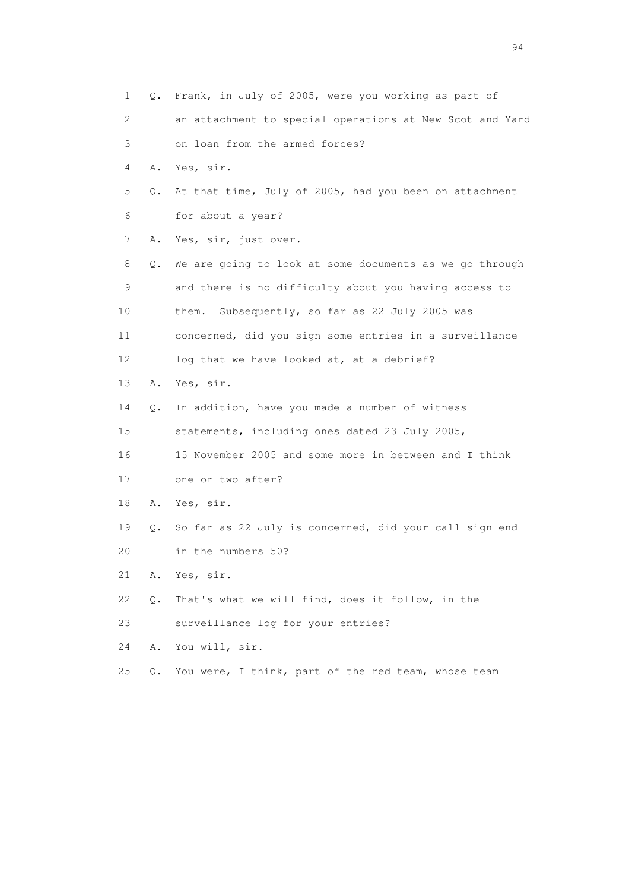| 1  |       | Q. Frank, in July of 2005, were you working as part of   |
|----|-------|----------------------------------------------------------|
| 2  |       | an attachment to special operations at New Scotland Yard |
| 3  |       | on loan from the armed forces?                           |
| 4  | Α.    | Yes, sir.                                                |
| 5  | О.    | At that time, July of 2005, had you been on attachment   |
| 6  |       | for about a year?                                        |
| 7  | Α.    | Yes, sir, just over.                                     |
| 8  | Q.    | We are going to look at some documents as we go through  |
| 9  |       | and there is no difficulty about you having access to    |
| 10 |       | Subsequently, so far as 22 July 2005 was<br>them.        |
| 11 |       | concerned, did you sign some entries in a surveillance   |
| 12 |       | log that we have looked at, at a debrief?                |
| 13 | Α.    | Yes, sir.                                                |
| 14 | О.    | In addition, have you made a number of witness           |
| 15 |       | statements, including ones dated 23 July 2005,           |
| 16 |       | 15 November 2005 and some more in between and I think    |
| 17 |       | one or two after?                                        |
| 18 | Α.    | Yes, sir.                                                |
| 19 | Q.    | So far as 22 July is concerned, did your call sign end   |
| 20 |       | in the numbers 50?                                       |
| 21 |       | A. Yes, sir.                                             |
| 22 | Q.    | That's what we will find, does it follow, in the         |
| 23 |       | surveillance log for your entries?                       |
| 24 | Α.    | You will, sir.                                           |
| 25 | $Q$ . | You were, I think, part of the red team, whose team      |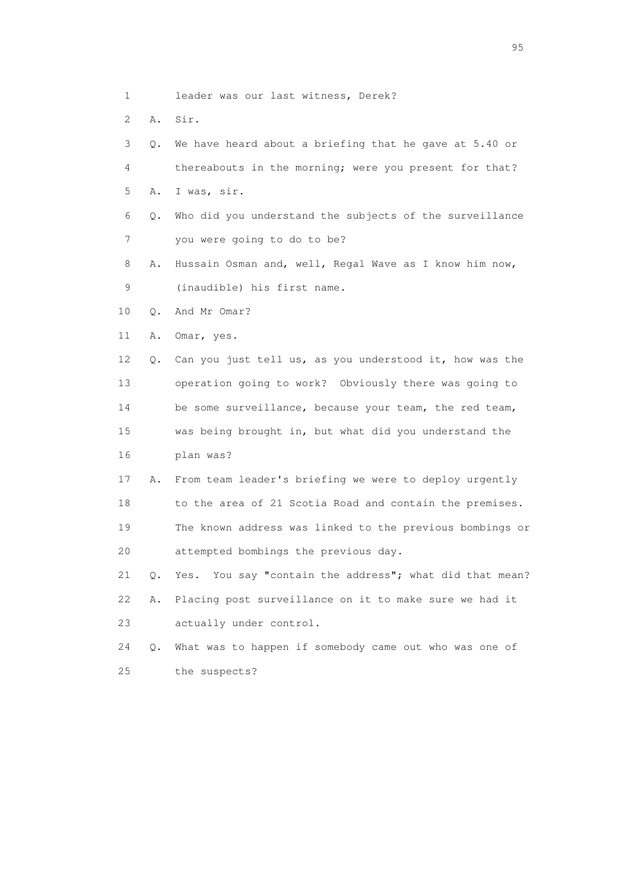- 1 leader was our last witness, Derek?
- 2 A. Sir.
- 3 Q. We have heard about a briefing that he gave at 5.40 or 4 thereabouts in the morning; were you present for that? 5 A. I was, sir.
- 6 Q. Who did you understand the subjects of the surveillance 7 you were going to do to be?
- 8 A. Hussain Osman and, well, Regal Wave as I know him now, 9 (inaudible) his first name.
- 10 Q. And Mr Omar?
- 11 A. Omar, yes.
- 12 Q. Can you just tell us, as you understood it, how was the 13 operation going to work? Obviously there was going to 14 be some surveillance, because your team, the red team, 15 was being brought in, but what did you understand the 16 plan was?
- 17 A. From team leader's briefing we were to deploy urgently 18 to the area of 21 Scotia Road and contain the premises. 19 The known address was linked to the previous bombings or 20 attempted bombings the previous day.
- 21 Q. Yes. You say "contain the address"; what did that mean? 22 A. Placing post surveillance on it to make sure we had it 23 actually under control.
- 24 Q. What was to happen if somebody came out who was one of 25 the suspects?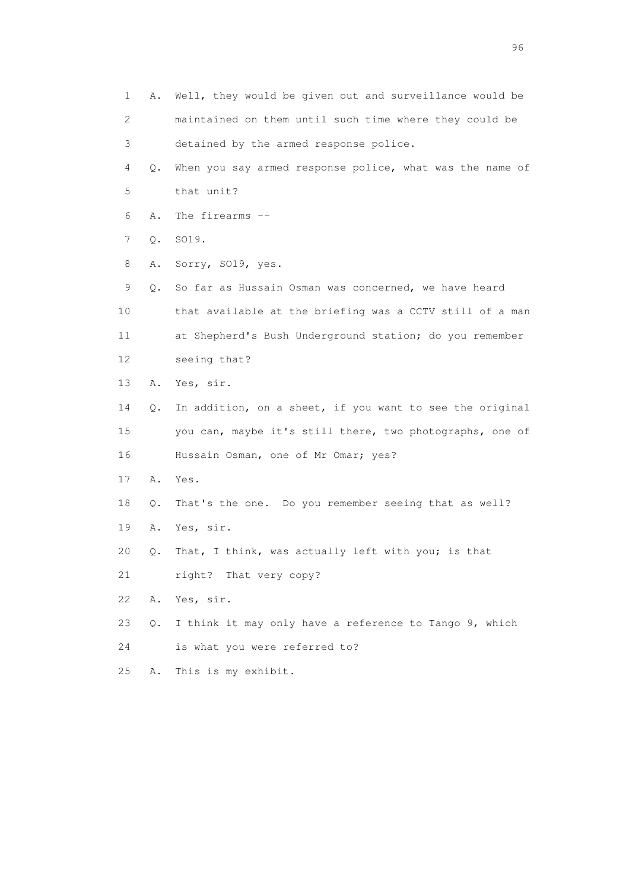| 1  | Α. | Well, they would be given out and surveillance would be  |
|----|----|----------------------------------------------------------|
| 2  |    | maintained on them until such time where they could be   |
| 3  |    | detained by the armed response police.                   |
| 4  | Q. | When you say armed response police, what was the name of |
| 5  |    | that unit?                                               |
| 6  | Α. | The firearms --                                          |
| 7  | Q. | SO19.                                                    |
| 8  | Α. | Sorry, SO19, yes.                                        |
| 9  | Q. | So far as Hussain Osman was concerned, we have heard     |
| 10 |    | that available at the briefing was a CCTV still of a man |
| 11 |    | at Shepherd's Bush Underground station; do you remember  |
| 12 |    | seeing that?                                             |
| 13 | Α. | Yes, sir.                                                |
| 14 | Q. | In addition, on a sheet, if you want to see the original |
| 15 |    | you can, maybe it's still there, two photographs, one of |
| 16 |    | Hussain Osman, one of Mr Omar; yes?                      |
| 17 | Α. | Yes.                                                     |
| 18 | Q. | That's the one. Do you remember seeing that as well?     |
| 19 | Α. | Yes, sir.                                                |
| 20 | Q. | That, I think, was actually left with you; is that       |
| 21 |    | right? That very copy?                                   |
| 22 | Α. | Yes, sir.                                                |
| 23 | Q. | I think it may only have a reference to Tango 9, which   |
| 24 |    | is what you were referred to?                            |
| 25 | Α. | This is my exhibit.                                      |
|    |    |                                                          |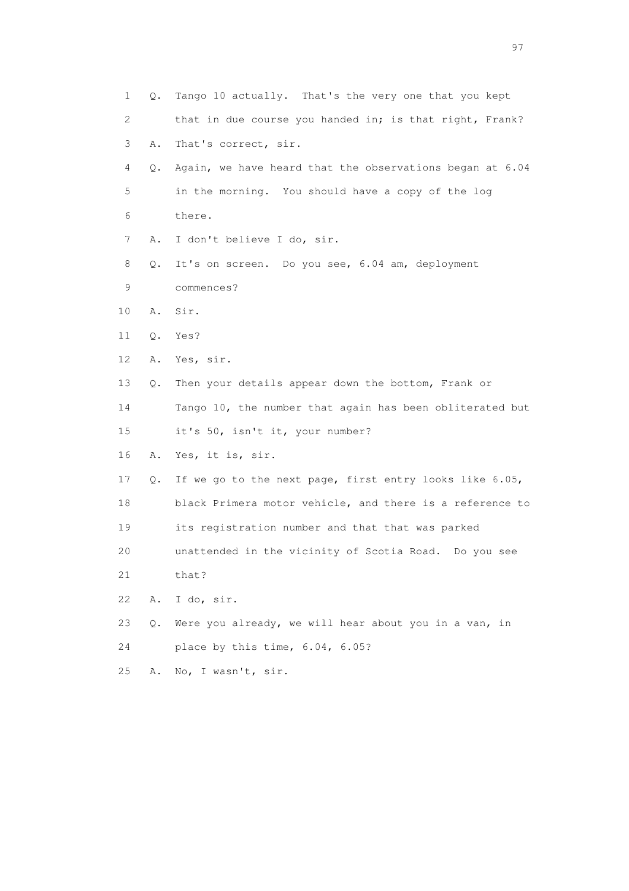1 Q. Tango 10 actually. That's the very one that you kept 2 that in due course you handed in; is that right, Frank? 3 A. That's correct, sir. 4 Q. Again, we have heard that the observations began at 6.04 5 in the morning. You should have a copy of the log 6 there. 7 A. I don't believe I do, sir. 8 Q. It's on screen. Do you see, 6.04 am, deployment 9 commences? 10 A. Sir. 11 Q. Yes? 12 A. Yes, sir. 13 Q. Then your details appear down the bottom, Frank or 14 Tango 10, the number that again has been obliterated but 15 it's 50, isn't it, your number? 16 A. Yes, it is, sir. 17 Q. If we go to the next page, first entry looks like 6.05, 18 black Primera motor vehicle, and there is a reference to 19 its registration number and that that was parked 20 unattended in the vicinity of Scotia Road. Do you see 21 that? 22 A. I do, sir. 23 Q. Were you already, we will hear about you in a van, in 24 place by this time, 6.04, 6.05? 25 A. No, I wasn't, sir.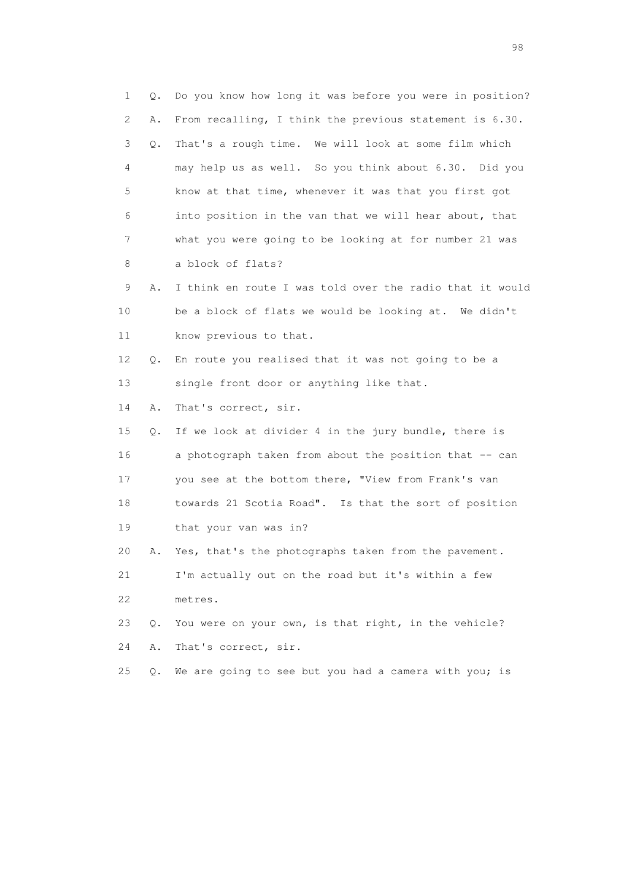1 Q. Do you know how long it was before you were in position? 2 A. From recalling, I think the previous statement is 6.30. 3 Q. That's a rough time. We will look at some film which 4 may help us as well. So you think about 6.30. Did you 5 know at that time, whenever it was that you first got 6 into position in the van that we will hear about, that 7 what you were going to be looking at for number 21 was 8 a block of flats? 9 A. I think en route I was told over the radio that it would 10 be a block of flats we would be looking at. We didn't 11 know previous to that. 12 Q. En route you realised that it was not going to be a 13 single front door or anything like that. 14 A. That's correct, sir. 15 Q. If we look at divider 4 in the jury bundle, there is 16 a photograph taken from about the position that -- can 17 you see at the bottom there, "View from Frank's van 18 towards 21 Scotia Road". Is that the sort of position 19 that your van was in? 20 A. Yes, that's the photographs taken from the pavement. 21 I'm actually out on the road but it's within a few 22 metres. 23 Q. You were on your own, is that right, in the vehicle? 24 A. That's correct, sir. 25 Q. We are going to see but you had a camera with you; is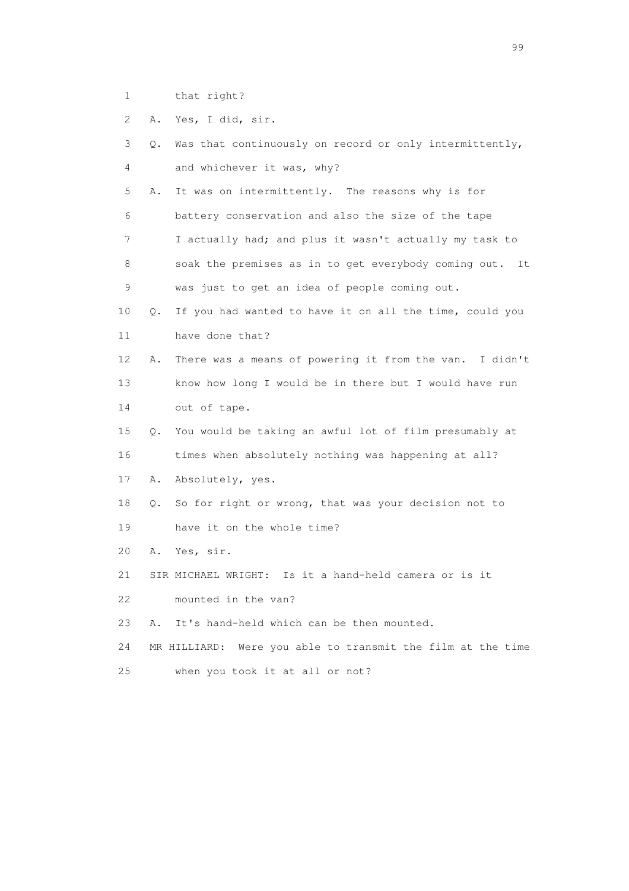- 1 that right?
- 2 A. Yes, I did, sir.

| 3  | $\circ$ . | Was that continuously on record or only intermittently,     |
|----|-----------|-------------------------------------------------------------|
| 4  |           | and whichever it was, why?                                  |
| 5  | Α.        | It was on intermittently. The reasons why is for            |
| 6  |           | battery conservation and also the size of the tape          |
| 7  |           | I actually had; and plus it wasn't actually my task to      |
| 8  |           | soak the premises as in to get everybody coming out. It     |
| 9  |           | was just to get an idea of people coming out.               |
| 10 | $\circ$ . | If you had wanted to have it on all the time, could you     |
| 11 |           | have done that?                                             |
| 12 | Α.        | There was a means of powering it from the van. I didn't     |
| 13 |           | know how long I would be in there but I would have run      |
| 14 |           | out of tape.                                                |
| 15 | $\circ$ . | You would be taking an awful lot of film presumably at      |
| 16 |           | times when absolutely nothing was happening at all?         |
| 17 | Α.        | Absolutely, yes.                                            |
| 18 | $\circ$ . | So for right or wrong, that was your decision not to        |
| 19 |           | have it on the whole time?                                  |
| 20 | Α.        | Yes, sir.                                                   |
| 21 |           | SIR MICHAEL WRIGHT: Is it a hand-held camera or is it       |
| 22 |           | mounted in the van?                                         |
| 23 | Α.        | It's hand-held which can be then mounted.                   |
| 24 |           | MR HILLIARD: Were you able to transmit the film at the time |
| 25 |           | when you took it at all or not?                             |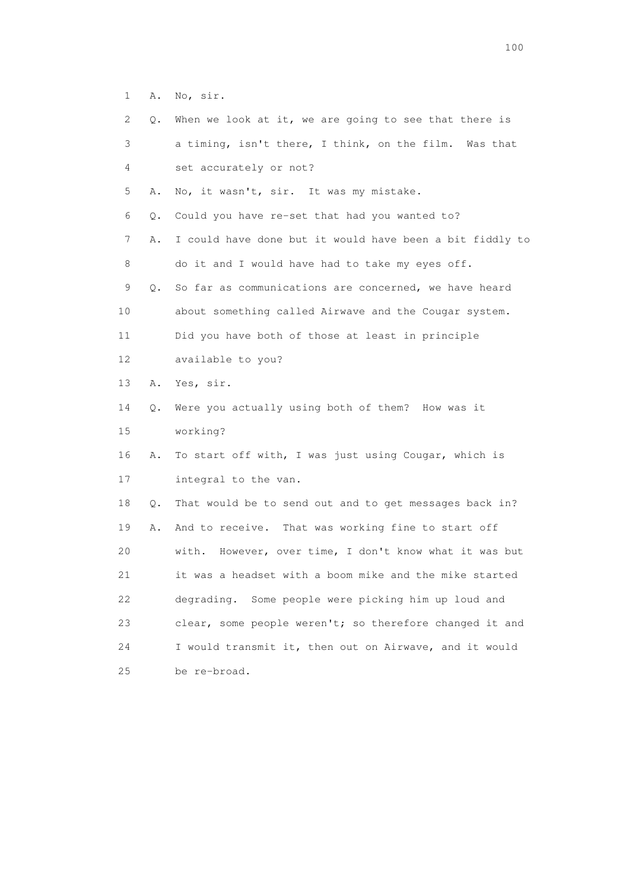1 A. No, sir.

| 2               | Q. | When we look at it, we are going to see that there is     |
|-----------------|----|-----------------------------------------------------------|
| 3               |    | a timing, isn't there, I think, on the film. Was that     |
| 4               |    | set accurately or not?                                    |
| 5               | Α. | No, it wasn't, sir. It was my mistake.                    |
| 6               | Q. | Could you have re-set that had you wanted to?             |
| 7               | Α. | I could have done but it would have been a bit fiddly to  |
| 8               |    | do it and I would have had to take my eyes off.           |
| 9               | Q. | So far as communications are concerned, we have heard     |
| 10              |    | about something called Airwave and the Cougar system.     |
| 11              |    | Did you have both of those at least in principle          |
| 12 <sup>°</sup> |    | available to you?                                         |
| 13              | Α. | Yes, sir.                                                 |
| 14              | Q. | Were you actually using both of them? How was it          |
| 15              |    | working?                                                  |
| 16              | Α. | To start off with, I was just using Cougar, which is      |
| 17              |    | integral to the van.                                      |
| 18              | Q. | That would be to send out and to get messages back in?    |
| 19              | Α. | And to receive. That was working fine to start off        |
| 20              |    | However, over time, I don't know what it was but<br>with. |
| 21              |    | it was a headset with a boom mike and the mike started    |
| 22              |    | degrading. Some people were picking him up loud and       |
| 23              |    | clear, some people weren't; so therefore changed it and   |
| 24              |    | I would transmit it, then out on Airwave, and it would    |
| 25              |    | be re-broad.                                              |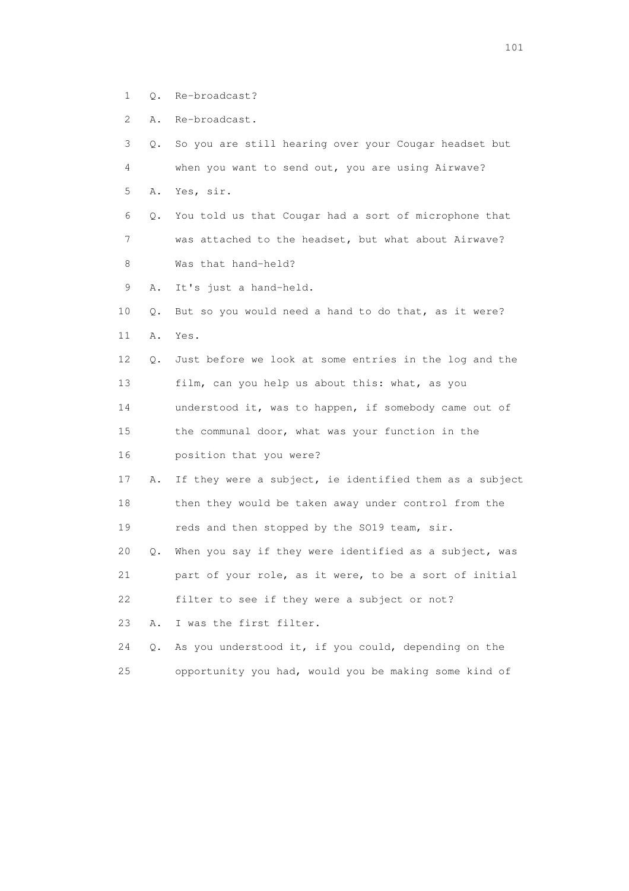- 1 Q. Re-broadcast?
- 2 A. Re-broadcast.

| 3  | О.        | So you are still hearing over your Cougar headset but   |
|----|-----------|---------------------------------------------------------|
| 4  |           | when you want to send out, you are using Airwave?       |
| 5  | Α.        | Yes, sir.                                               |
| 6  | О.        | You told us that Cougar had a sort of microphone that   |
| 7  |           | was attached to the headset, but what about Airwave?    |
| 8  |           | Was that hand-held?                                     |
| 9  | Α.        | It's just a hand-held.                                  |
| 10 | Q.        | But so you would need a hand to do that, as it were?    |
| 11 | Α.        | Yes.                                                    |
| 12 | $\circ$ . | Just before we look at some entries in the log and the  |
| 13 |           | film, can you help us about this: what, as you          |
| 14 |           | understood it, was to happen, if somebody came out of   |
| 15 |           | the communal door, what was your function in the        |
| 16 |           | position that you were?                                 |
| 17 | Α.        | If they were a subject, ie identified them as a subject |
| 18 |           | then they would be taken away under control from the    |
| 19 |           | reds and then stopped by the SO19 team, sir.            |
| 20 | Q.        | When you say if they were identified as a subject, was  |
| 21 |           | part of your role, as it were, to be a sort of initial  |
| 22 |           | filter to see if they were a subject or not?            |
| 23 | Α.        | I was the first filter.                                 |
| 24 | Q.        | As you understood it, if you could, depending on the    |
| 25 |           | opportunity you had, would you be making some kind of   |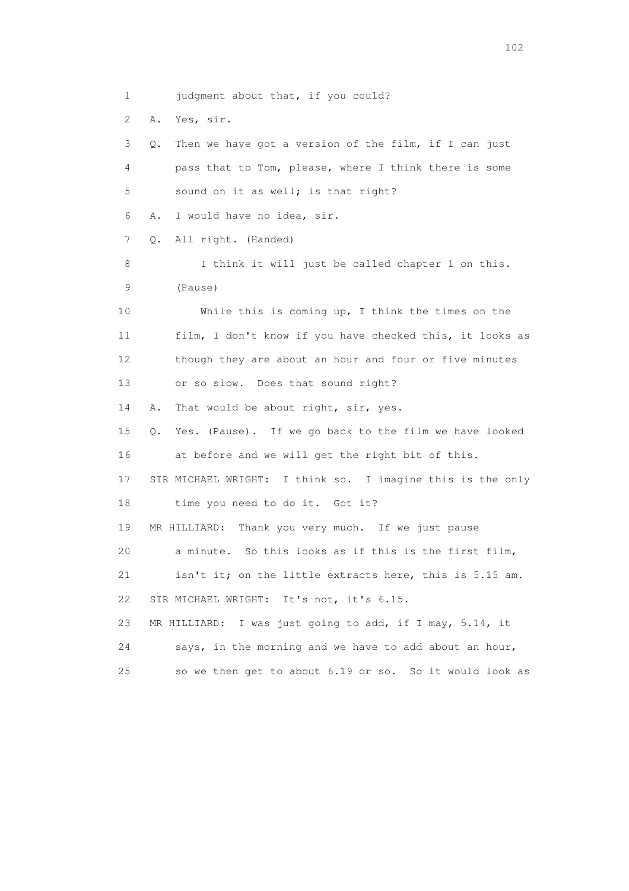1 judgment about that, if you could? 2 A. Yes, sir. 3 Q. Then we have got a version of the film, if I can just 4 pass that to Tom, please, where I think there is some 5 sound on it as well; is that right? 6 A. I would have no idea, sir. 7 Q. All right. (Handed) 8 I think it will just be called chapter 1 on this. 9 (Pause) 10 While this is coming up, I think the times on the 11 film, I don't know if you have checked this, it looks as 12 though they are about an hour and four or five minutes 13 or so slow. Does that sound right? 14 A. That would be about right, sir, yes. 15 Q. Yes. (Pause). If we go back to the film we have looked 16 at before and we will get the right bit of this. 17 SIR MICHAEL WRIGHT: I think so. I imagine this is the only 18 time you need to do it. Got it? 19 MR HILLIARD: Thank you very much. If we just pause 20 a minute. So this looks as if this is the first film, 21 isn't it; on the little extracts here, this is 5.15 am. 22 SIR MICHAEL WRIGHT: It's not, it's 6.15. 23 MR HILLIARD: I was just going to add, if I may, 5.14, it 24 says, in the morning and we have to add about an hour, 25 so we then get to about 6.19 or so. So it would look as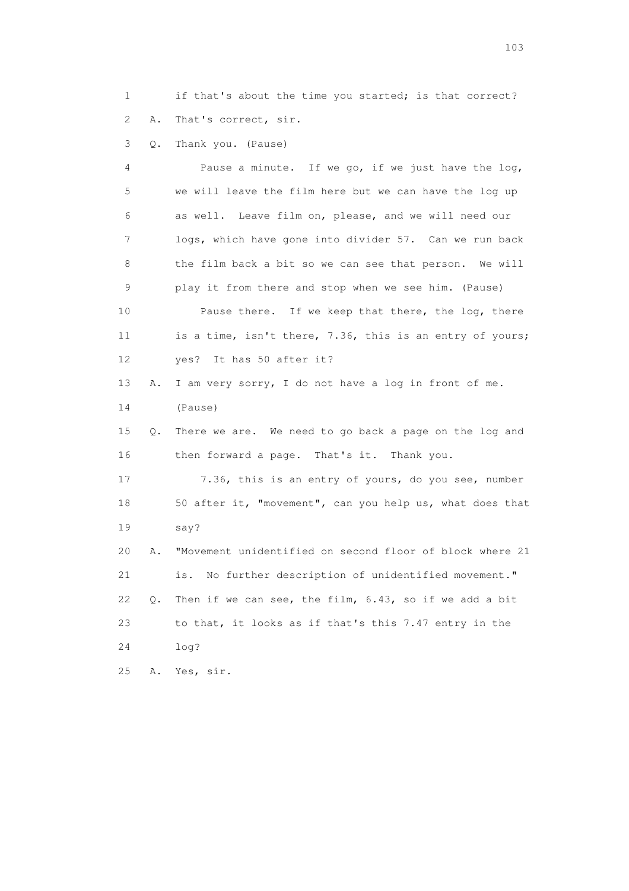1 if that's about the time you started; is that correct? 2 A. That's correct, sir.

3 Q. Thank you. (Pause)

 4 Pause a minute. If we go, if we just have the log, 5 we will leave the film here but we can have the log up 6 as well. Leave film on, please, and we will need our 7 logs, which have gone into divider 57. Can we run back 8 the film back a bit so we can see that person. We will 9 play it from there and stop when we see him. (Pause) 10 Pause there. If we keep that there, the log, there 11 is a time, isn't there, 7.36, this is an entry of yours; 12 yes? It has 50 after it? 13 A. I am very sorry, I do not have a log in front of me. 14 (Pause) 15 Q. There we are. We need to go back a page on the log and 16 then forward a page. That's it. Thank you. 17 7.36, this is an entry of yours, do you see, number 18 50 after it, "movement", can you help us, what does that 19 say? 20 A. "Movement unidentified on second floor of block where 21 21 is. No further description of unidentified movement." 22 Q. Then if we can see, the film, 6.43, so if we add a bit 23 to that, it looks as if that's this 7.47 entry in the 24 log? 25 A. Yes, sir.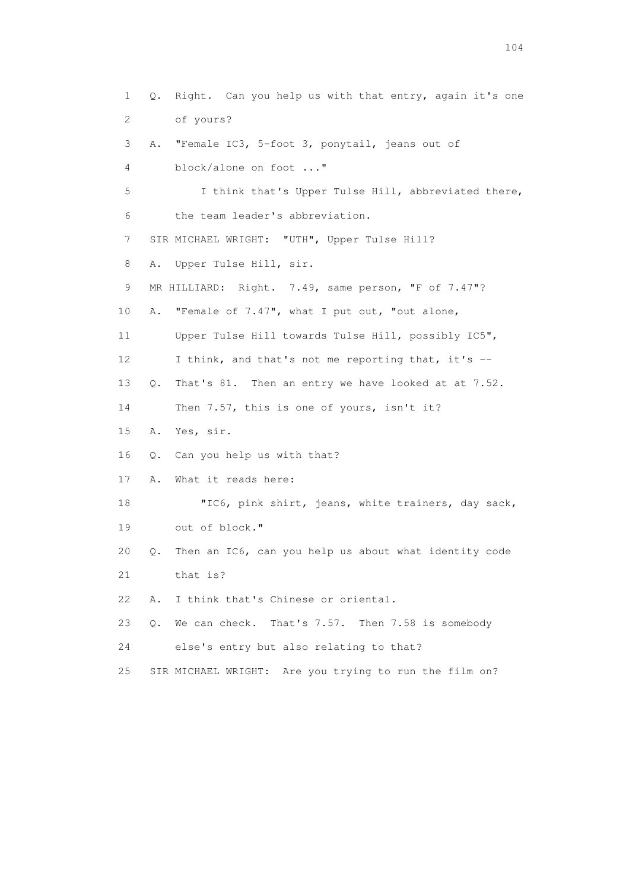1 Q. Right. Can you help us with that entry, again it's one 2 of yours? 3 A. "Female IC3, 5-foot 3, ponytail, jeans out of 4 block/alone on foot ..." 5 I think that's Upper Tulse Hill, abbreviated there, 6 the team leader's abbreviation. 7 SIR MICHAEL WRIGHT: "UTH", Upper Tulse Hill? 8 A. Upper Tulse Hill, sir. 9 MR HILLIARD: Right. 7.49, same person, "F of 7.47"? 10 A. "Female of 7.47", what I put out, "out alone, 11 Upper Tulse Hill towards Tulse Hill, possibly IC5", 12 I think, and that's not me reporting that, it's -- 13 Q. That's 81. Then an entry we have looked at at 7.52. 14 Then 7.57, this is one of yours, isn't it? 15 A. Yes, sir. 16 Q. Can you help us with that? 17 A. What it reads here: 18 "IC6, pink shirt, jeans, white trainers, day sack, 19 out of block." 20 Q. Then an IC6, can you help us about what identity code 21 that is? 22 A. I think that's Chinese or oriental. 23 Q. We can check. That's 7.57. Then 7.58 is somebody 24 else's entry but also relating to that? 25 SIR MICHAEL WRIGHT: Are you trying to run the film on?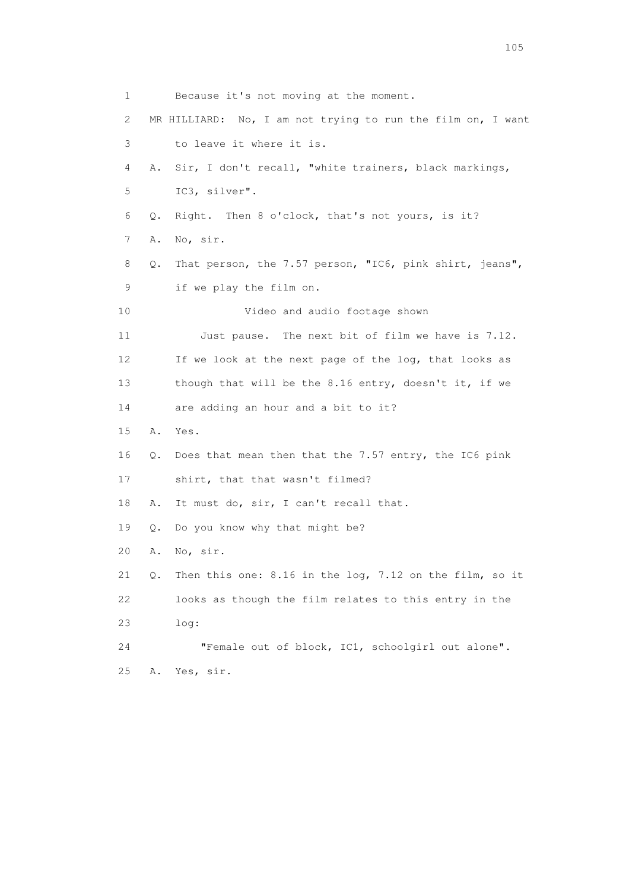1 Because it's not moving at the moment. 2 MR HILLIARD: No, I am not trying to run the film on, I want 3 to leave it where it is. 4 A. Sir, I don't recall, "white trainers, black markings, 5 IC3, silver". 6 Q. Right. Then 8 o'clock, that's not yours, is it? 7 A. No, sir. 8 Q. That person, the 7.57 person, "IC6, pink shirt, jeans", 9 if we play the film on. 10 Video and audio footage shown 11 Just pause. The next bit of film we have is 7.12. 12 If we look at the next page of the log, that looks as 13 though that will be the 8.16 entry, doesn't it, if we 14 are adding an hour and a bit to it? 15 A. Yes. 16 Q. Does that mean then that the 7.57 entry, the IC6 pink 17 shirt, that that wasn't filmed? 18 A. It must do, sir, I can't recall that. 19 Q. Do you know why that might be? 20 A. No, sir. 21 Q. Then this one: 8.16 in the log, 7.12 on the film, so it 22 looks as though the film relates to this entry in the 23 log: 24 "Female out of block, IC1, schoolgirl out alone". 25 A. Yes, sir.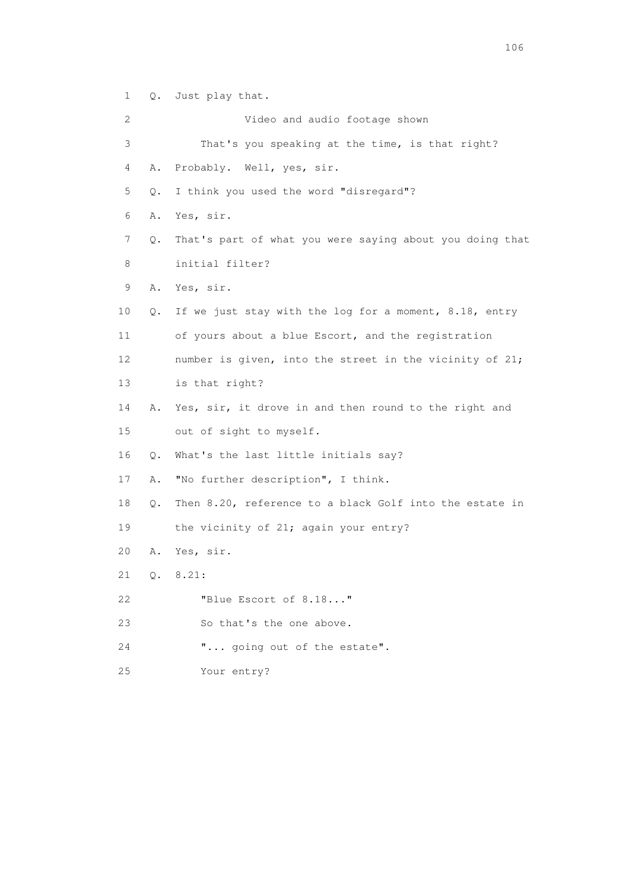1 Q. Just play that.

 2 Video and audio footage shown 3 That's you speaking at the time, is that right? 4 A. Probably. Well, yes, sir. 5 Q. I think you used the word "disregard"? 6 A. Yes, sir. 7 Q. That's part of what you were saying about you doing that 8 initial filter? 9 A. Yes, sir. 10 Q. If we just stay with the log for a moment, 8.18, entry 11 of yours about a blue Escort, and the registration 12 number is given, into the street in the vicinity of 21; 13 is that right? 14 A. Yes, sir, it drove in and then round to the right and 15 out of sight to myself. 16 Q. What's the last little initials say? 17 A. "No further description", I think. 18 Q. Then 8.20, reference to a black Golf into the estate in 19 the vicinity of 21; again your entry? 20 A. Yes, sir. 21 Q. 8.21: 22 "Blue Escort of 8.18..." 23 So that's the one above. 24 "... going out of the estate". 25 Your entry?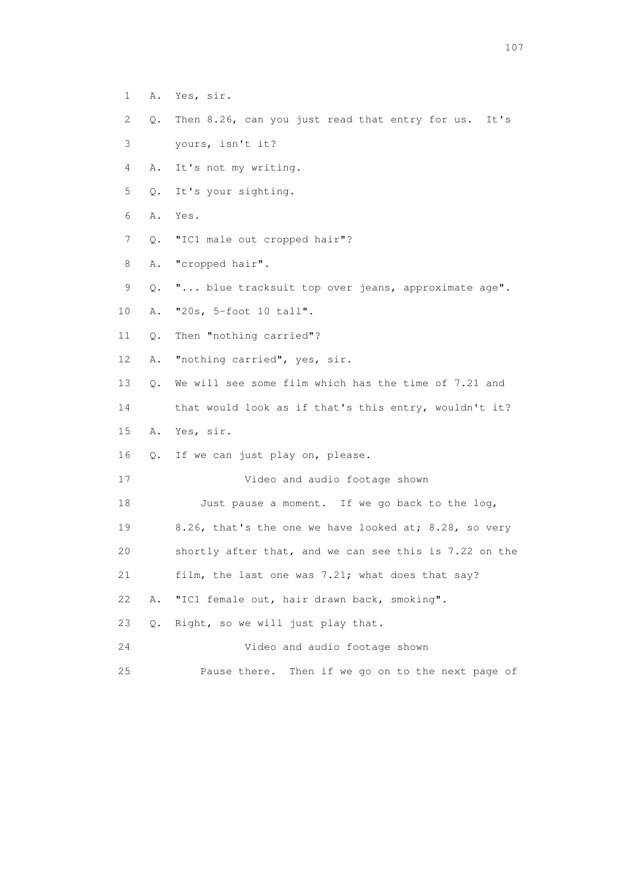- 1 A. Yes, sir.
- 2 Q. Then 8.26, can you just read that entry for us. It's
- 3 yours, isn't it?
- 4 A. It's not my writing.
- 5 Q. It's your sighting.
- 6 A. Yes.
- 7 Q. "IC1 male out cropped hair"?
- 8 A. "cropped hair".
- 9 Q. "... blue tracksuit top over jeans, approximate age".
- 10 A. "20s, 5-foot 10 tall".
- 11 Q. Then "nothing carried"?
- 12 A. "nothing carried", yes, sir.
- 13 Q. We will see some film which has the time of 7.21 and
- 14 that would look as if that's this entry, wouldn't it?
- 15 A. Yes, sir.
- 16 Q. If we can just play on, please.

17 Video and audio footage shown

18 Just pause a moment. If we go back to the log,

- 19 8.26, that's the one we have looked at; 8.28, so very
- 20 shortly after that, and we can see this is 7.22 on the
- 21 film, the last one was 7.21; what does that say?
- 22 A. "IC1 female out, hair drawn back, smoking".
- 23 Q. Right, so we will just play that.
- 24 Video and audio footage shown
- 25 Pause there. Then if we go on to the next page of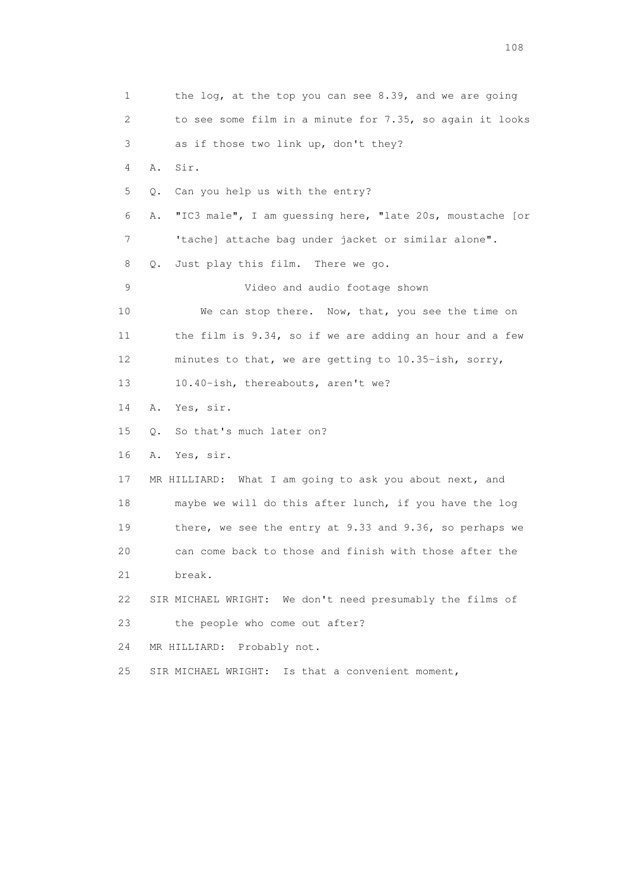1 the log, at the top you can see 8.39, and we are going 2 to see some film in a minute for 7.35, so again it looks 3 as if those two link up, don't they? 4 A. Sir. 5 Q. Can you help us with the entry? 6 A. "IC3 male", I am guessing here, "late 20s, moustache [or 7 'tache] attache bag under jacket or similar alone". 8 Q. Just play this film. There we go. 9 Video and audio footage shown 10 We can stop there. Now, that, you see the time on 11 the film is 9.34, so if we are adding an hour and a few 12 minutes to that, we are getting to 10.35-ish, sorry, 13 10.40-ish, thereabouts, aren't we? 14 A. Yes, sir. 15 Q. So that's much later on? 16 A. Yes, sir. 17 MR HILLIARD: What I am going to ask you about next, and 18 maybe we will do this after lunch, if you have the log 19 there, we see the entry at 9.33 and 9.36, so perhaps we 20 can come back to those and finish with those after the 21 break. 22 SIR MICHAEL WRIGHT: We don't need presumably the films of 23 the people who come out after? 24 MR HILLIARD: Probably not. 25 SIR MICHAEL WRIGHT: Is that a convenient moment,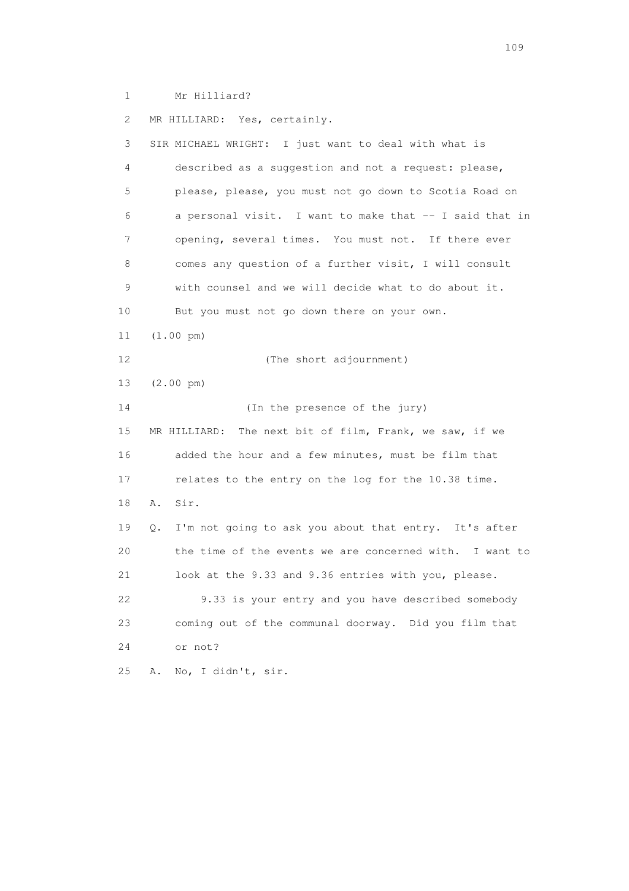1 Mr Hilliard?

 2 MR HILLIARD: Yes, certainly. 3 SIR MICHAEL WRIGHT: I just want to deal with what is 4 described as a suggestion and not a request: please, 5 please, please, you must not go down to Scotia Road on 6 a personal visit. I want to make that -- I said that in 7 opening, several times. You must not. If there ever 8 comes any question of a further visit, I will consult 9 with counsel and we will decide what to do about it. 10 But you must not go down there on your own. 11 (1.00 pm) 12 (The short adjournment) 13 (2.00 pm) 14 (In the presence of the jury) 15 MR HILLIARD: The next bit of film, Frank, we saw, if we 16 added the hour and a few minutes, must be film that 17 relates to the entry on the log for the 10.38 time. 18 A. Sir. 19 Q. I'm not going to ask you about that entry. It's after 20 the time of the events we are concerned with. I want to 21 look at the 9.33 and 9.36 entries with you, please. 22 9.33 is your entry and you have described somebody 23 coming out of the communal doorway. Did you film that 24 or not? 25 A. No, I didn't, sir.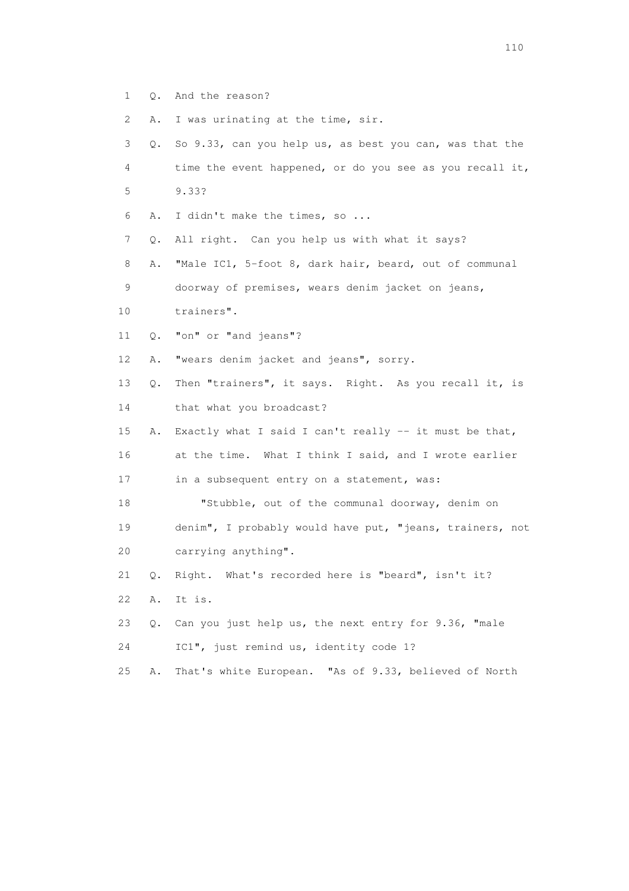- 1 Q. And the reason?
- 2 A. I was urinating at the time, sir.
- 3 Q. So 9.33, can you help us, as best you can, was that the 4 time the event happened, or do you see as you recall it, 5 9.33?
- 6 A. I didn't make the times, so ...
- 7 Q. All right. Can you help us with what it says?
- 8 A. "Male IC1, 5-foot 8, dark hair, beard, out of communal 9 doorway of premises, wears denim jacket on jeans,
- 10 trainers".
- 11 Q. "on" or "and jeans"?
- 12 A. "wears denim jacket and jeans", sorry.
- 13 Q. Then "trainers", it says. Right. As you recall it, is
- 14 that what you broadcast?
- 15 A. Exactly what I said I can't really -- it must be that, 16 at the time. What I think I said, and I wrote earlier
- 17 in a subsequent entry on a statement, was:
- 18 "Stubble, out of the communal doorway, denim on 19 denim", I probably would have put, "jeans, trainers, not 20 carrying anything".
- 21 Q. Right. What's recorded here is "beard", isn't it?
- 22 A. It is.
- 23 Q. Can you just help us, the next entry for 9.36, "male
- 24 IC1", just remind us, identity code 1?
- 25 A. That's white European. "As of 9.33, believed of North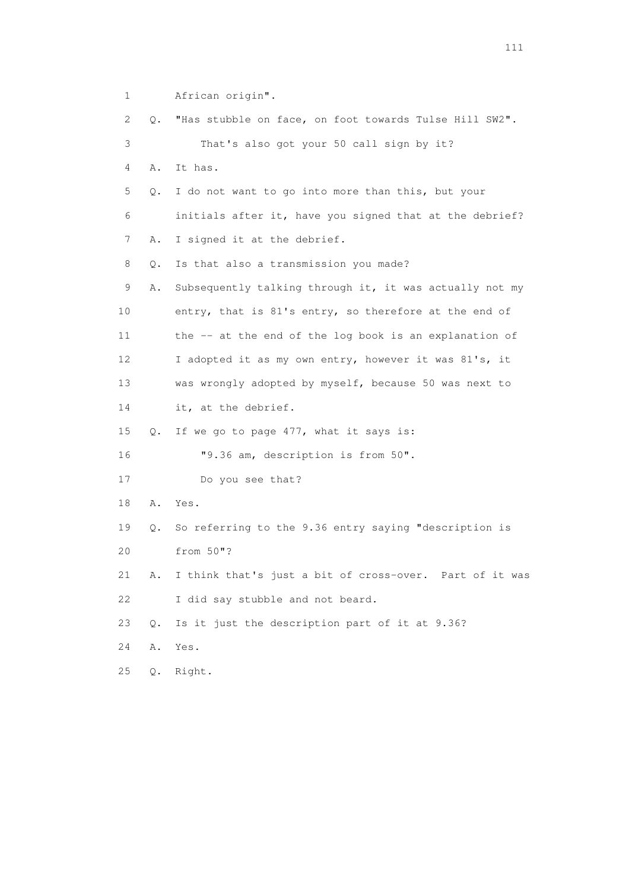2 Q. "Has stubble on face, on foot towards Tulse Hill SW2". 3 That's also got your 50 call sign by it? 4 A. It has. 5 Q. I do not want to go into more than this, but your 6 initials after it, have you signed that at the debrief? 7 A. I signed it at the debrief. 8 Q. Is that also a transmission you made? 9 A. Subsequently talking through it, it was actually not my 10 entry, that is 81's entry, so therefore at the end of 11 the -- at the end of the log book is an explanation of 12 I adopted it as my own entry, however it was 81's, it 13 was wrongly adopted by myself, because 50 was next to 14 it, at the debrief. 15 Q. If we go to page 477, what it says is: 16 "9.36 am, description is from 50". 17 Do you see that? 18 A. Yes. 19 Q. So referring to the 9.36 entry saying "description is 20 from 50"? 21 A. I think that's just a bit of cross-over. Part of it was 22 I did say stubble and not beard. 23 Q. Is it just the description part of it at 9.36? 24 A. Yes. 25 Q. Right.

1 African origin".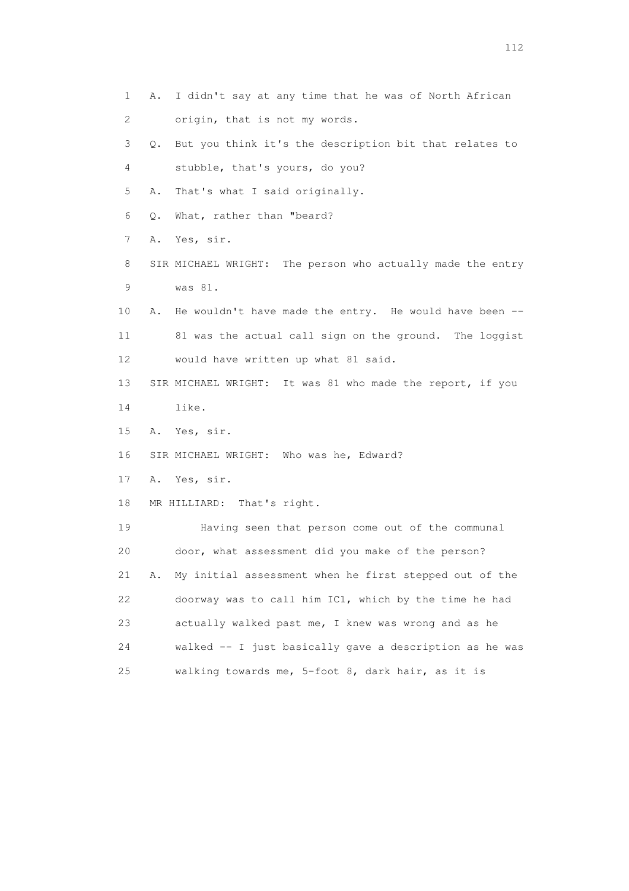1 A. I didn't say at any time that he was of North African 2 origin, that is not my words. 3 Q. But you think it's the description bit that relates to 4 stubble, that's yours, do you? 5 A. That's what I said originally. 6 Q. What, rather than "beard? 7 A. Yes, sir. 8 SIR MICHAEL WRIGHT: The person who actually made the entry 9 was 81. 10 A. He wouldn't have made the entry. He would have been -- 11 81 was the actual call sign on the ground. The loggist 12 would have written up what 81 said. 13 SIR MICHAEL WRIGHT: It was 81 who made the report, if you 14 like. 15 A. Yes, sir. 16 SIR MICHAEL WRIGHT: Who was he, Edward? 17 A. Yes, sir. 18 MR HILLIARD: That's right. 19 Having seen that person come out of the communal 20 door, what assessment did you make of the person? 21 A. My initial assessment when he first stepped out of the 22 doorway was to call him IC1, which by the time he had 23 actually walked past me, I knew was wrong and as he 24 walked -- I just basically gave a description as he was 25 walking towards me, 5-foot 8, dark hair, as it is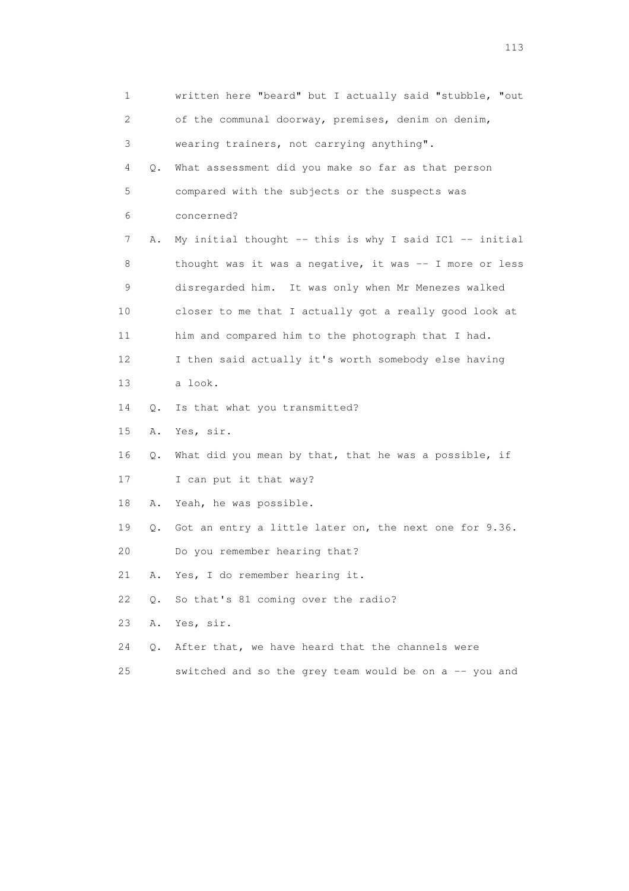| $\mathbf 1$ |           | written here "beard" but I actually said "stubble, "out     |
|-------------|-----------|-------------------------------------------------------------|
| 2           |           | of the communal doorway, premises, denim on denim,          |
| 3           |           | wearing trainers, not carrying anything".                   |
| 4           | Q.        | What assessment did you make so far as that person          |
| 5           |           | compared with the subjects or the suspects was              |
| 6           |           | concerned?                                                  |
| 7           | Α.        | My initial thought $--$ this is why I said IC1 $--$ initial |
| 8           |           | thought was it was a negative, it was -- I more or less     |
| 9           |           | disregarded him. It was only when Mr Menezes walked         |
| 10          |           | closer to me that I actually got a really good look at      |
| 11          |           | him and compared him to the photograph that I had.          |
| 12          |           | I then said actually it's worth somebody else having        |
| 13          |           | a look.                                                     |
| 14          | Q.        | Is that what you transmitted?                               |
| 15          | Α.        | Yes, sir.                                                   |
| 16          | Q.        | What did you mean by that, that he was a possible, if       |
| 17          |           | I can put it that way?                                      |
| 18          | Α.        | Yeah, he was possible.                                      |
| 19          | $\circ$ . | Got an entry a little later on, the next one for 9.36.      |
| 20          |           | Do you remember hearing that?                               |
| 21          | Α.        | Yes, I do remember hearing it.                              |
| 22          | Q.        | So that's 81 coming over the radio?                         |
| 23          | Α.        | Yes, sir.                                                   |
| 24          | $\circ$ . | After that, we have heard that the channels were            |
| 25          |           | switched and so the grey team would be on a -- you and      |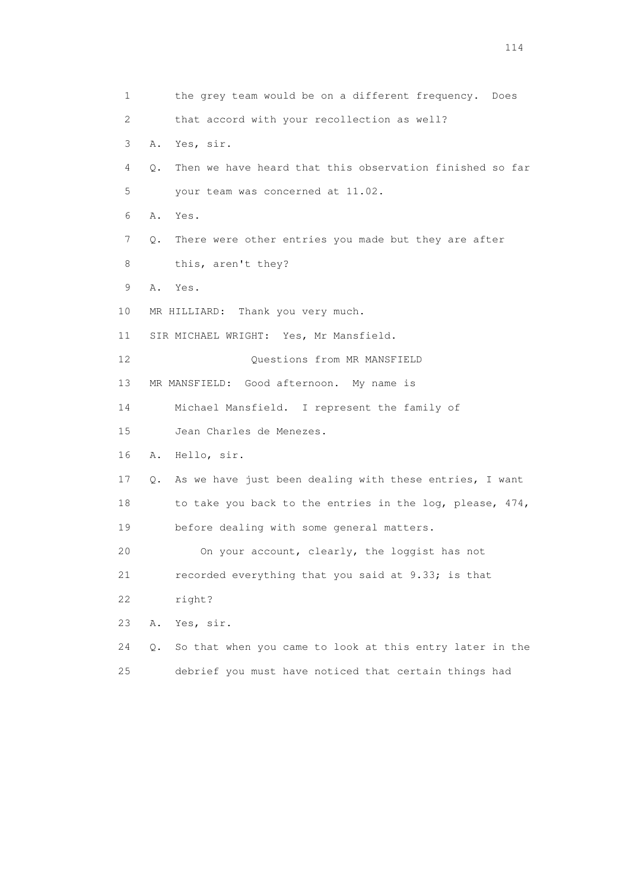1 the grey team would be on a different frequency. Does 2 that accord with your recollection as well? 3 A. Yes, sir. 4 Q. Then we have heard that this observation finished so far 5 your team was concerned at 11.02. 6 A. Yes. 7 Q. There were other entries you made but they are after 8 this, aren't they? 9 A. Yes. 10 MR HILLIARD: Thank you very much. 11 SIR MICHAEL WRIGHT: Yes, Mr Mansfield. 12 Ouestions from MR MANSFIELD 13 MR MANSFIELD: Good afternoon. My name is 14 Michael Mansfield. I represent the family of 15 Jean Charles de Menezes. 16 A. Hello, sir. 17 Q. As we have just been dealing with these entries, I want 18 to take you back to the entries in the log, please, 474, 19 before dealing with some general matters. 20 On your account, clearly, the loggist has not 21 recorded everything that you said at 9.33; is that 22 right? 23 A. Yes, sir. 24 Q. So that when you came to look at this entry later in the 25 debrief you must have noticed that certain things had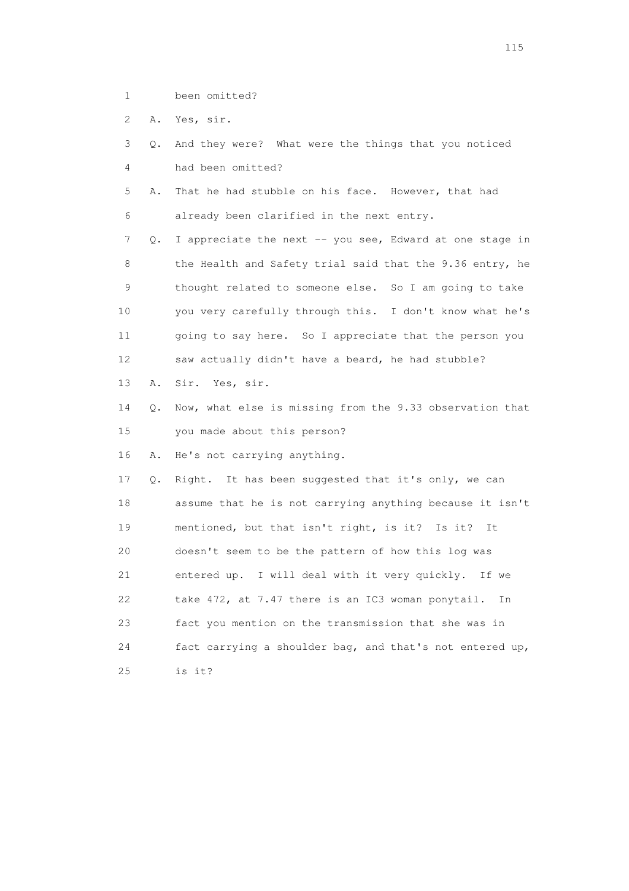1 been omitted?

2 A. Yes, sir.

 3 Q. And they were? What were the things that you noticed 4 had been omitted?

 5 A. That he had stubble on his face. However, that had 6 already been clarified in the next entry.

 7 Q. I appreciate the next -- you see, Edward at one stage in 8 the Health and Safety trial said that the 9.36 entry, he 9 thought related to someone else. So I am going to take 10 you very carefully through this. I don't know what he's 11 going to say here. So I appreciate that the person you 12 saw actually didn't have a beard, he had stubble?

13 A. Sir. Yes, sir.

 14 Q. Now, what else is missing from the 9.33 observation that 15 you made about this person?

16 A. He's not carrying anything.

 17 Q. Right. It has been suggested that it's only, we can 18 assume that he is not carrying anything because it isn't 19 mentioned, but that isn't right, is it? Is it? It 20 doesn't seem to be the pattern of how this log was 21 entered up. I will deal with it very quickly. If we 22 take 472, at 7.47 there is an IC3 woman ponytail. In 23 fact you mention on the transmission that she was in 24 fact carrying a shoulder bag, and that's not entered up, 25 is it?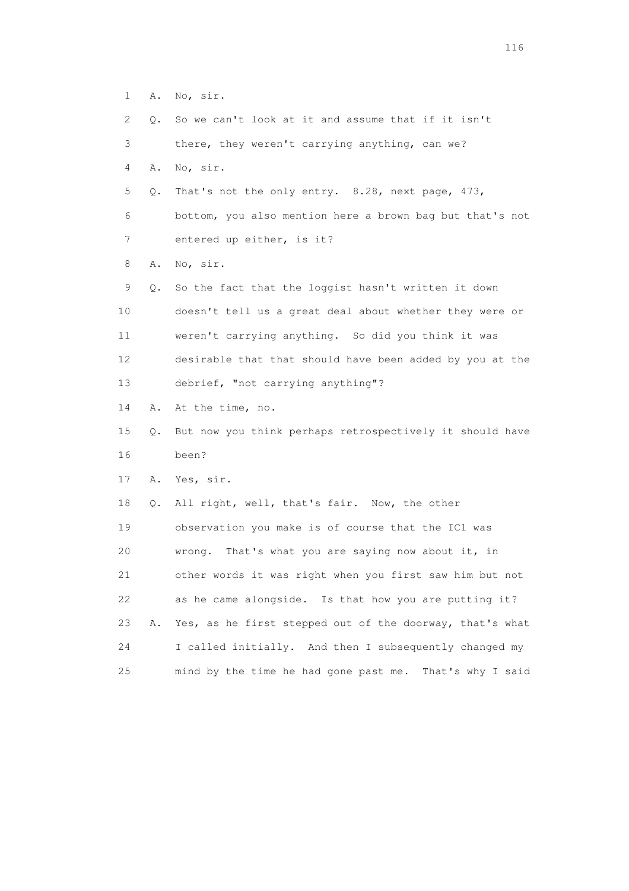| $\mathbf 1$ | Α. | No, sir.                                                 |
|-------------|----|----------------------------------------------------------|
| 2           | Q. | So we can't look at it and assume that if it isn't       |
| 3           |    | there, they weren't carrying anything, can we?           |
| 4           | Α. | No, sir.                                                 |
| 5           | Q. | That's not the only entry. 8.28, next page, 473,         |
| 6           |    | bottom, you also mention here a brown bag but that's not |
| 7           |    | entered up either, is it?                                |
| 8           | Α. | No, sir.                                                 |
| 9           | Q. | So the fact that the loggist hasn't written it down      |
| 10          |    | doesn't tell us a great deal about whether they were or  |
| 11          |    | weren't carrying anything. So did you think it was       |
| 12          |    | desirable that that should have been added by you at the |
| 13          |    | debrief, "not carrying anything"?                        |
| 14          | Α. | At the time, no.                                         |
| 15          | Q. | But now you think perhaps retrospectively it should have |
| 16          |    | been?                                                    |
| 17          | Α. | Yes, sir.                                                |
| 18          | Q. | All right, well, that's fair. Now, the other             |
| 19          |    | observation you make is of course that the IC1 was       |
| 20          |    | That's what you are saying now about it, in<br>wrong.    |
| 21          |    | other words it was right when you first saw him but not  |
| 22          |    | as he came alongside. Is that how you are putting it?    |
| 23          | Α. | Yes, as he first stepped out of the doorway, that's what |
| 24          |    | I called initially. And then I subsequently changed my   |

25 mind by the time he had gone past me. That's why I said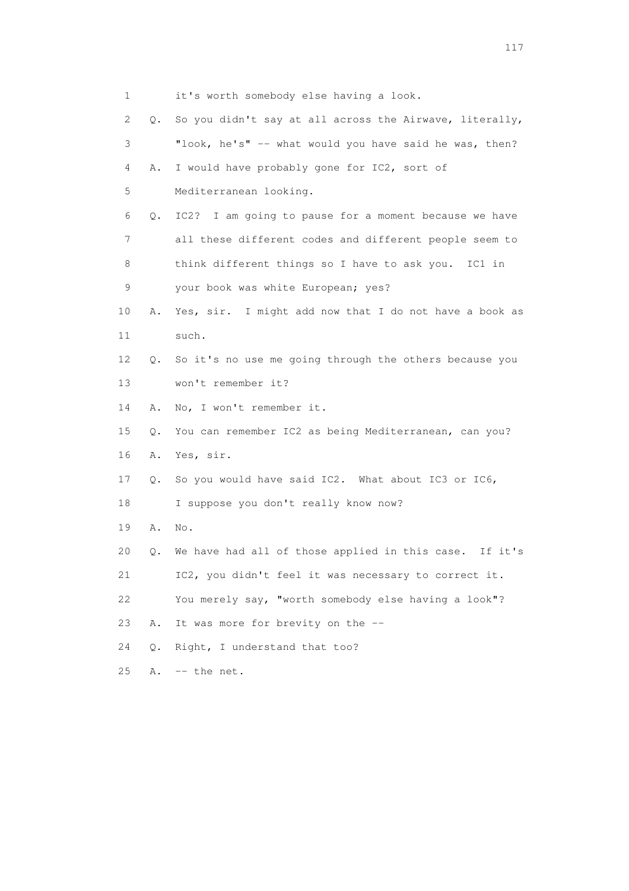| $\mathbf{1}$ |           | it's worth somebody else having a look.                   |
|--------------|-----------|-----------------------------------------------------------|
| 2            | Q.        | So you didn't say at all across the Airwave, literally,   |
| 3            |           | "look, he's" -- what would you have said he was, then?    |
| 4            | Α.        | I would have probably gone for IC2, sort of               |
| 5            |           | Mediterranean looking.                                    |
| 6            | Q.        | IC2? I am going to pause for a moment because we have     |
| 7            |           | all these different codes and different people seem to    |
| 8            |           | think different things so I have to ask you. IC1 in       |
| 9            |           | your book was white European; yes?                        |
| 10           | Α.        | Yes, sir. I might add now that I do not have a book as    |
| 11           |           | such.                                                     |
| 12           | Q.        | So it's no use me going through the others because you    |
| 13           |           | won't remember it?                                        |
| 14           | Α.        | No, I won't remember it.                                  |
| 15           | $\circ$ . | You can remember IC2 as being Mediterranean, can you?     |
| 16           | Α.        | Yes, sir.                                                 |
| 17           | Q.        | So you would have said IC2. What about IC3 or IC6,        |
| 18           |           | I suppose you don't really know now?                      |
| 19           | Α.        | No.                                                       |
| 20           | Q.        | We have had all of those applied in this case.<br>If it's |
| 21           |           | IC2, you didn't feel it was necessary to correct it.      |
| 22           |           | You merely say, "worth somebody else having a look"?      |
| 23           | Α.        | It was more for brevity on the --                         |
| 24           | $\circ$ . | Right, I understand that too?                             |
| 25           | Α.        | -- the net.                                               |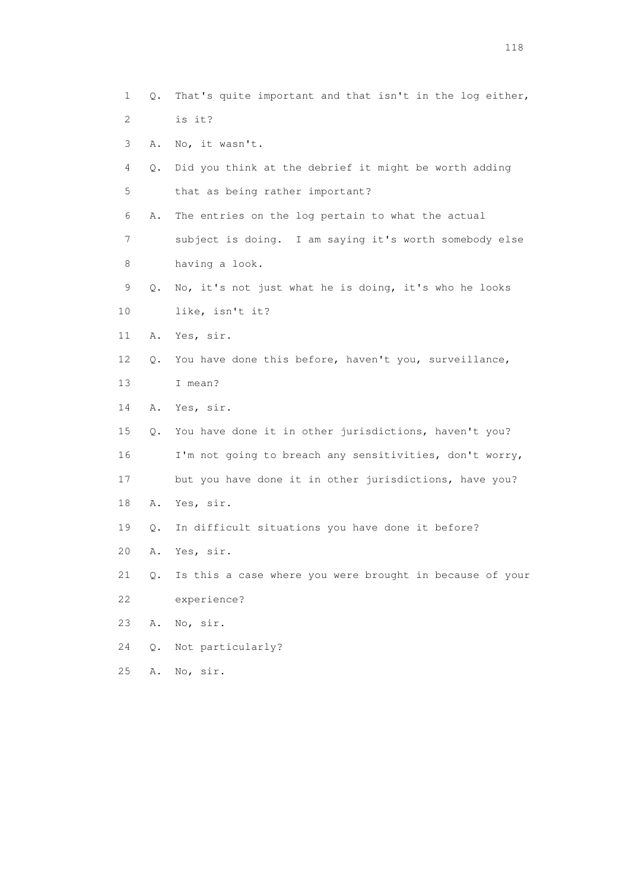- 1 Q. That's quite important and that isn't in the log either, 2 is it? 3 A. No, it wasn't. 4 Q. Did you think at the debrief it might be worth adding 5 that as being rather important? 6 A. The entries on the log pertain to what the actual 7 subject is doing. I am saying it's worth somebody else 8 having a look. 9 Q. No, it's not just what he is doing, it's who he looks 10 like, isn't it? 11 A. Yes, sir. 12 Q. You have done this before, haven't you, surveillance, 13 I mean? 14 A. Yes, sir. 15 Q. You have done it in other jurisdictions, haven't you? 16 I'm not going to breach any sensitivities, don't worry, 17 but you have done it in other jurisdictions, have you? 18 A. Yes, sir. 19 Q. In difficult situations you have done it before? 20 A. Yes, sir. 21 Q. Is this a case where you were brought in because of your 22 experience? 23 A. No, sir. 24 Q. Not particularly? 25 A. No, sir.
- 118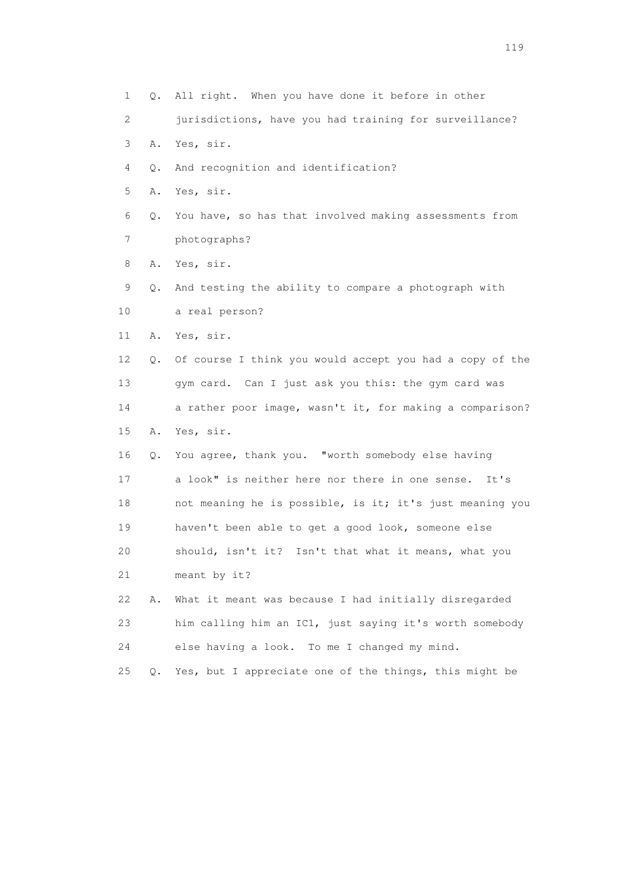1 Q. All right. When you have done it before in other 2 jurisdictions, have you had training for surveillance? 3 A. Yes, sir. 4 Q. And recognition and identification? 5 A. Yes, sir. 6 Q. You have, so has that involved making assessments from 7 photographs? 8 A. Yes, sir. 9 Q. And testing the ability to compare a photograph with 10 a real person? 11 A. Yes, sir. 12 Q. Of course I think you would accept you had a copy of the 13 gym card. Can I just ask you this: the gym card was 14 a rather poor image, wasn't it, for making a comparison? 15 A. Yes, sir. 16 Q. You agree, thank you. "worth somebody else having 17 a look" is neither here nor there in one sense. It's 18 not meaning he is possible, is it; it's just meaning you 19 haven't been able to get a good look, someone else 20 should, isn't it? Isn't that what it means, what you 21 meant by it? 22 A. What it meant was because I had initially disregarded 23 him calling him an IC1, just saying it's worth somebody 24 else having a look. To me I changed my mind. 25 Q. Yes, but I appreciate one of the things, this might be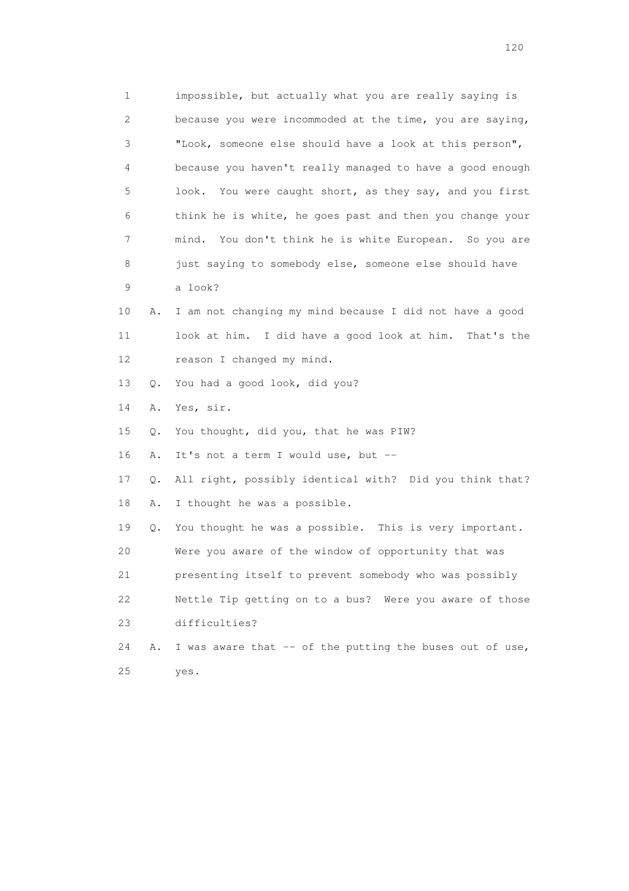1 impossible, but actually what you are really saying is 2 because you were incommoded at the time, you are saying, 3 "Look, someone else should have a look at this person", 4 because you haven't really managed to have a good enough 5 look. You were caught short, as they say, and you first 6 think he is white, he goes past and then you change your 7 mind. You don't think he is white European. So you are 8 just saying to somebody else, someone else should have 9 a look? 10 A. I am not changing my mind because I did not have a good 11 look at him. I did have a good look at him. That's the 12 reason I changed my mind. 13 Q. You had a good look, did you? 14 A. Yes, sir. 15 Q. You thought, did you, that he was PIW? 16 A. It's not a term I would use, but -- 17 Q. All right, possibly identical with? Did you think that? 18 A. I thought he was a possible. 19 Q. You thought he was a possible. This is very important. 20 Were you aware of the window of opportunity that was 21 presenting itself to prevent somebody who was possibly 22 Nettle Tip getting on to a bus? Were you aware of those 23 difficulties? 24 A. I was aware that -- of the putting the buses out of use, 25 yes.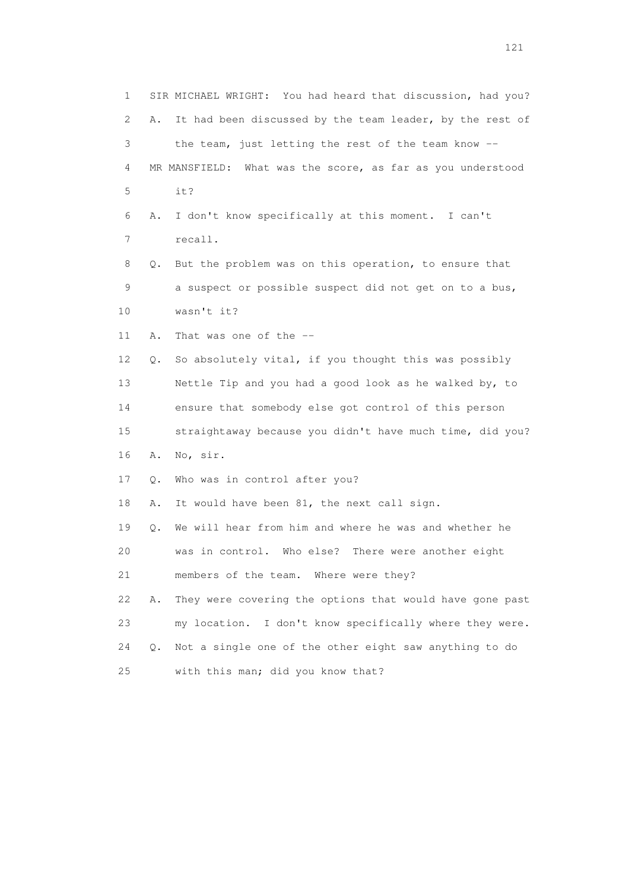1 SIR MICHAEL WRIGHT: You had heard that discussion, had you? 2 A. It had been discussed by the team leader, by the rest of 3 the team, just letting the rest of the team know -- 4 MR MANSFIELD: What was the score, as far as you understood 5 it? 6 A. I don't know specifically at this moment. I can't 7 recall. 8 Q. But the problem was on this operation, to ensure that 9 a suspect or possible suspect did not get on to a bus, 10 wasn't it? 11 A. That was one of the -- 12 Q. So absolutely vital, if you thought this was possibly 13 Nettle Tip and you had a good look as he walked by, to 14 ensure that somebody else got control of this person 15 straightaway because you didn't have much time, did you? 16 A. No, sir. 17 Q. Who was in control after you? 18 A. It would have been 81, the next call sign. 19 Q. We will hear from him and where he was and whether he 20 was in control. Who else? There were another eight 21 members of the team. Where were they? 22 A. They were covering the options that would have gone past 23 my location. I don't know specifically where they were. 24 Q. Not a single one of the other eight saw anything to do 25 with this man; did you know that?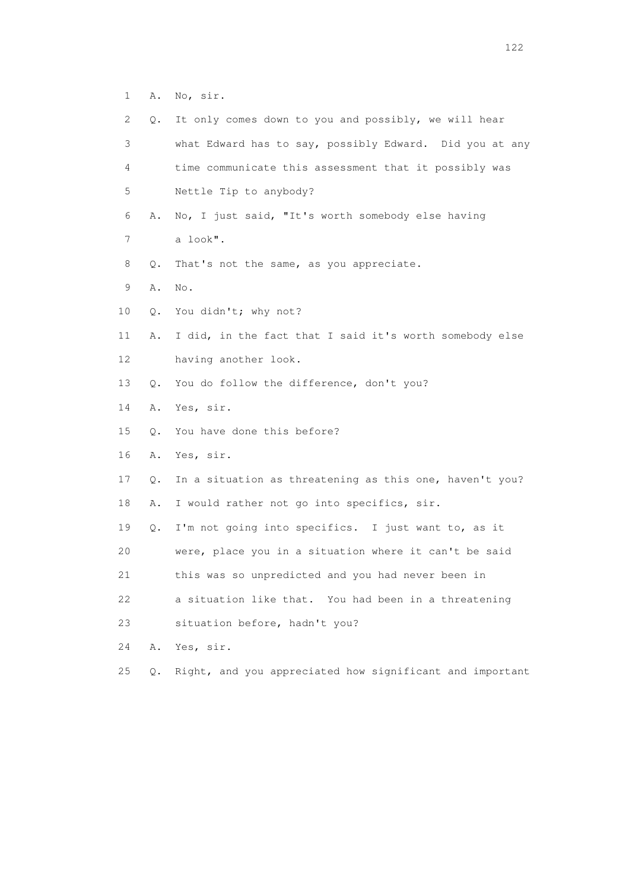1 A. No, sir.

| 2  | Q. | It only comes down to you and possibly, we will hear     |
|----|----|----------------------------------------------------------|
| 3  |    | what Edward has to say, possibly Edward. Did you at any  |
| 4  |    | time communicate this assessment that it possibly was    |
| 5  |    | Nettle Tip to anybody?                                   |
| 6  | Α. | No, I just said, "It's worth somebody else having        |
| 7  |    | a look".                                                 |
| 8  | Q. | That's not the same, as you appreciate.                  |
| 9  | Α. | No.                                                      |
| 10 | Q. | You didn't; why not?                                     |
| 11 | Α. | I did, in the fact that I said it's worth somebody else  |
| 12 |    | having another look.                                     |
| 13 | Q. | You do follow the difference, don't you?                 |
| 14 | Α. | Yes, sir.                                                |
| 15 | Q. | You have done this before?                               |
| 16 | Α. | Yes, sir.                                                |
| 17 | Q. | In a situation as threatening as this one, haven't you?  |
| 18 | Α. | I would rather not go into specifics, sir.               |
| 19 | Q. | I'm not going into specifics. I just want to, as it      |
| 20 |    | were, place you in a situation where it can't be said    |
| 21 |    | this was so unpredicted and you had never been in        |
| 22 |    | a situation like that. You had been in a threatening     |
| 23 |    | situation before, hadn't you?                            |
| 24 | Α. | Yes, sir.                                                |
| 25 | Q. | Right, and you appreciated how significant and important |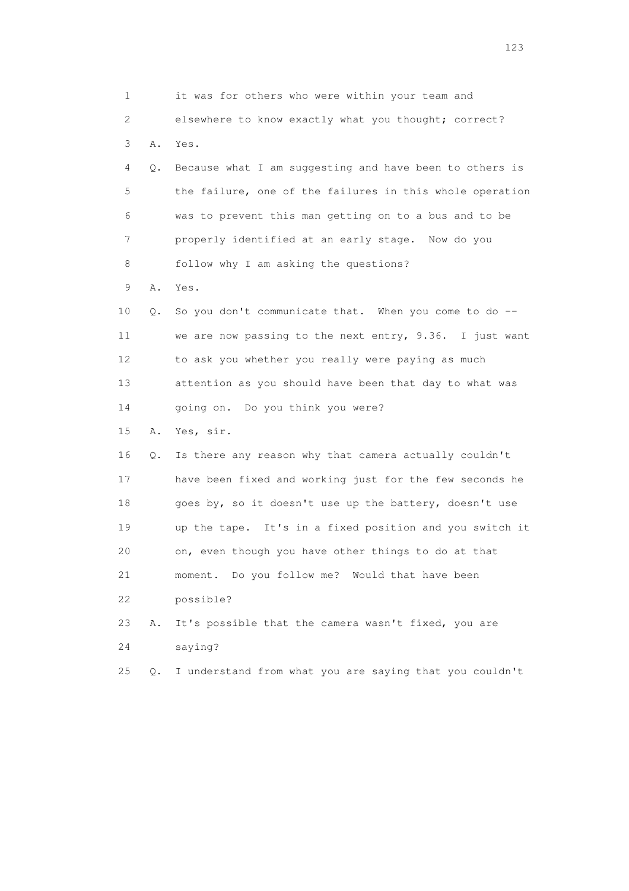| 1  |    | it was for others who were within your team and          |
|----|----|----------------------------------------------------------|
| 2  |    | elsewhere to know exactly what you thought; correct?     |
| 3  | Α. | Yes.                                                     |
| 4  | Q. | Because what I am suggesting and have been to others is  |
| 5  |    | the failure, one of the failures in this whole operation |
| 6  |    | was to prevent this man getting on to a bus and to be    |
| 7  |    | properly identified at an early stage. Now do you        |
| 8  |    | follow why I am asking the questions?                    |
| 9  | Α. | Yes.                                                     |
| 10 | Q. | So you don't communicate that. When you come to do --    |
| 11 |    | we are now passing to the next entry, 9.36. I just want  |
| 12 |    | to ask you whether you really were paying as much        |
| 13 |    | attention as you should have been that day to what was   |
| 14 |    | going on. Do you think you were?                         |
| 15 | Α. | Yes, sir.                                                |
| 16 | Q. | Is there any reason why that camera actually couldn't    |
| 17 |    | have been fixed and working just for the few seconds he  |
| 18 |    | goes by, so it doesn't use up the battery, doesn't use   |
| 19 |    | up the tape. It's in a fixed position and you switch it  |
| 20 |    | on, even though you have other things to do at that      |
| 21 |    | moment. Do you follow me? Would that have been           |
| 22 |    | possible?                                                |
| 23 | Α. | It's possible that the camera wasn't fixed, you are      |
| 24 |    | saying?                                                  |
| 25 | Q. | I understand from what you are saying that you couldn't  |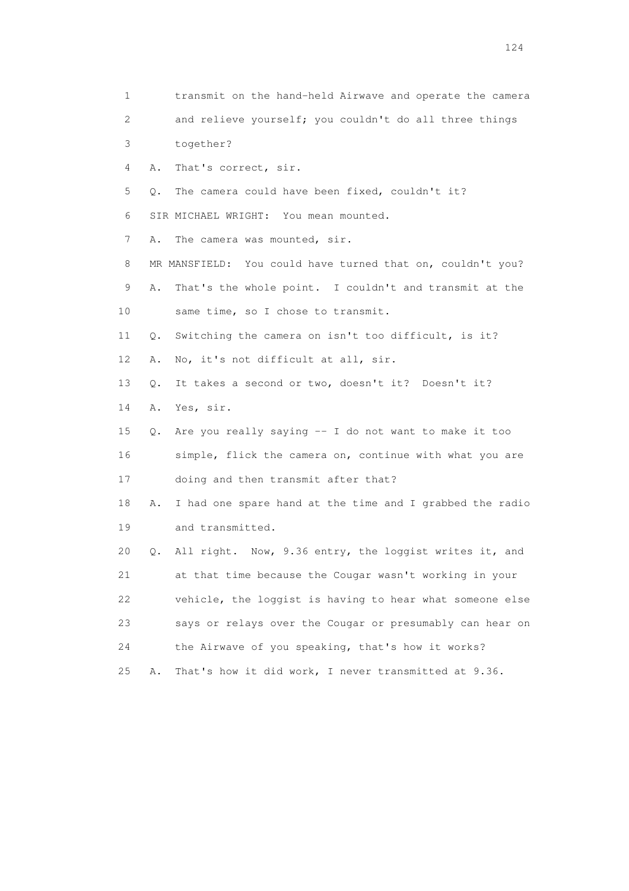1 transmit on the hand-held Airwave and operate the camera 2 and relieve yourself; you couldn't do all three things 3 together? 4 A. That's correct, sir. 5 Q. The camera could have been fixed, couldn't it? 6 SIR MICHAEL WRIGHT: You mean mounted. 7 A. The camera was mounted, sir. 8 MR MANSFIELD: You could have turned that on, couldn't you? 9 A. That's the whole point. I couldn't and transmit at the 10 same time, so I chose to transmit. 11 Q. Switching the camera on isn't too difficult, is it? 12 A. No, it's not difficult at all, sir. 13 Q. It takes a second or two, doesn't it? Doesn't it? 14 A. Yes, sir. 15 Q. Are you really saying -- I do not want to make it too 16 simple, flick the camera on, continue with what you are 17 doing and then transmit after that? 18 A. I had one spare hand at the time and I grabbed the radio 19 and transmitted. 20 Q. All right. Now, 9.36 entry, the loggist writes it, and 21 at that time because the Cougar wasn't working in your 22 vehicle, the loggist is having to hear what someone else 23 says or relays over the Cougar or presumably can hear on 24 the Airwave of you speaking, that's how it works? 25 A. That's how it did work, I never transmitted at 9.36.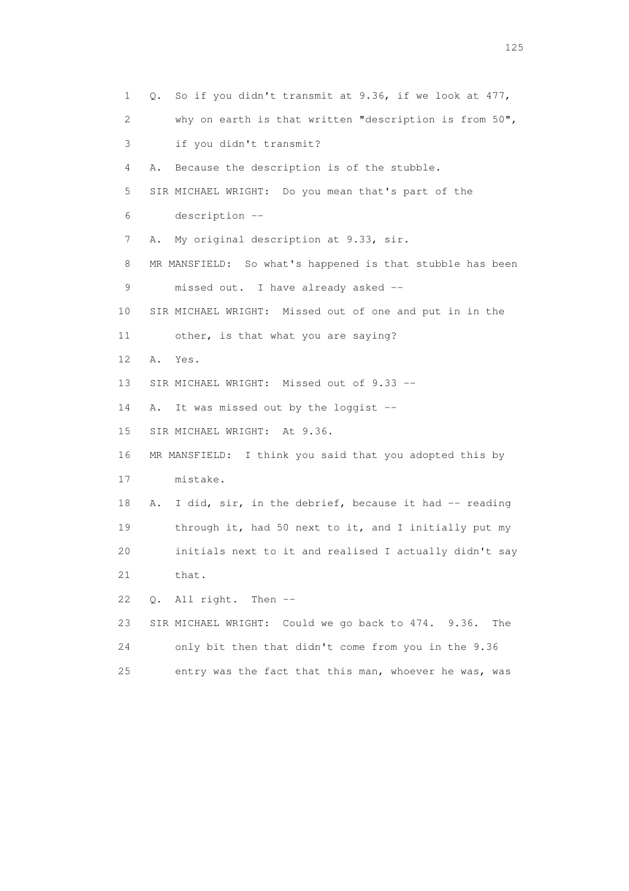1 Q. So if you didn't transmit at 9.36, if we look at 477, 2 why on earth is that written "description is from 50", 3 if you didn't transmit? 4 A. Because the description is of the stubble. 5 SIR MICHAEL WRIGHT: Do you mean that's part of the 6 description -- 7 A. My original description at 9.33, sir. 8 MR MANSFIELD: So what's happened is that stubble has been 9 missed out. I have already asked -- 10 SIR MICHAEL WRIGHT: Missed out of one and put in in the 11 other, is that what you are saying? 12 A. Yes. 13 SIR MICHAEL WRIGHT: Missed out of 9.33 -- 14 A. It was missed out by the loggist -- 15 SIR MICHAEL WRIGHT: At 9.36. 16 MR MANSFIELD: I think you said that you adopted this by 17 mistake. 18 A. I did, sir, in the debrief, because it had -- reading 19 through it, had 50 next to it, and I initially put my 20 initials next to it and realised I actually didn't say 21 that. 22 Q. All right. Then -- 23 SIR MICHAEL WRIGHT: Could we go back to 474. 9.36. The 24 only bit then that didn't come from you in the 9.36 25 entry was the fact that this man, whoever he was, was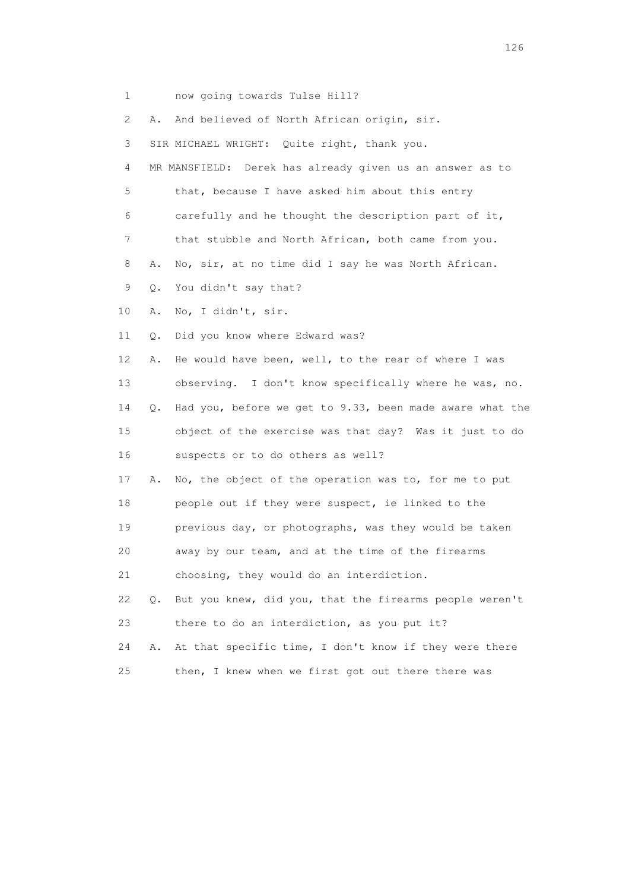1 now going towards Tulse Hill? 2 A. And believed of North African origin, sir. 3 SIR MICHAEL WRIGHT: Quite right, thank you. 4 MR MANSFIELD: Derek has already given us an answer as to 5 that, because I have asked him about this entry 6 carefully and he thought the description part of it, 7 that stubble and North African, both came from you. 8 A. No, sir, at no time did I say he was North African. 9 Q. You didn't say that? 10 A. No, I didn't, sir. 11 Q. Did you know where Edward was? 12 A. He would have been, well, to the rear of where I was 13 observing. I don't know specifically where he was, no. 14 Q. Had you, before we get to 9.33, been made aware what the 15 object of the exercise was that day? Was it just to do 16 suspects or to do others as well? 17 A. No, the object of the operation was to, for me to put 18 people out if they were suspect, ie linked to the 19 previous day, or photographs, was they would be taken 20 away by our team, and at the time of the firearms 21 choosing, they would do an interdiction. 22 Q. But you knew, did you, that the firearms people weren't 23 there to do an interdiction, as you put it? 24 A. At that specific time, I don't know if they were there 25 then, I knew when we first got out there there was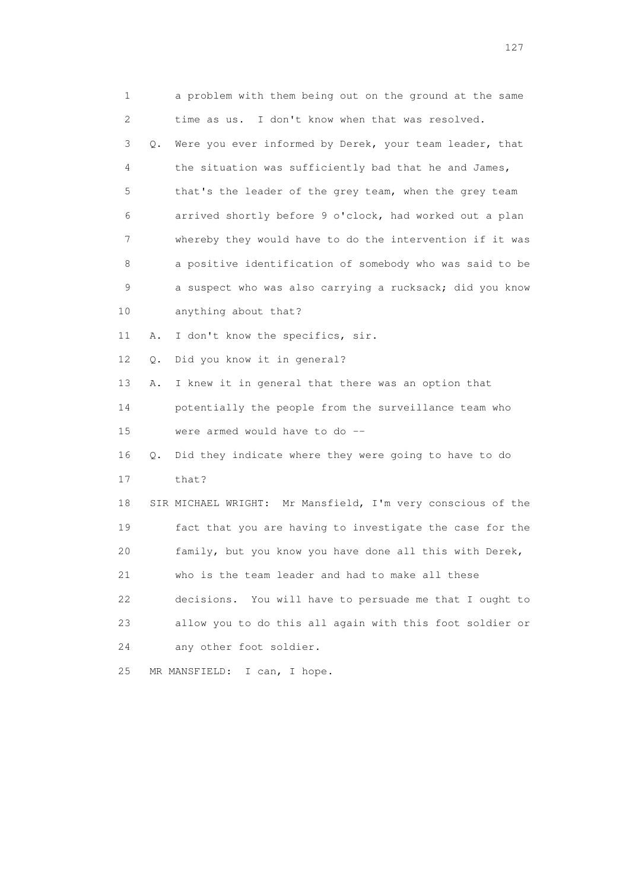| 1  |    | a problem with them being out on the ground at the same     |
|----|----|-------------------------------------------------------------|
| 2  |    | time as us. I don't know when that was resolved.            |
| 3  | Q. | Were you ever informed by Derek, your team leader, that     |
| 4  |    | the situation was sufficiently bad that he and James,       |
| 5  |    | that's the leader of the grey team, when the grey team      |
| 6  |    | arrived shortly before 9 o'clock, had worked out a plan     |
| 7  |    | whereby they would have to do the intervention if it was    |
| 8  |    | a positive identification of somebody who was said to be    |
| 9  |    | a suspect who was also carrying a rucksack; did you know    |
| 10 |    | anything about that?                                        |
| 11 | Α. | I don't know the specifics, sir.                            |
| 12 | О. | Did you know it in general?                                 |
| 13 | Α. | I knew it in general that there was an option that          |
| 14 |    | potentially the people from the surveillance team who       |
| 15 |    | were armed would have to do --                              |
| 16 | Q. | Did they indicate where they were going to have to do       |
| 17 |    | that?                                                       |
| 18 |    | SIR MICHAEL WRIGHT: Mr Mansfield, I'm very conscious of the |
| 19 |    | fact that you are having to investigate the case for the    |
| 20 |    | family, but you know you have done all this with Derek,     |
| 21 |    | who is the team leader and had to make all these            |
| 22 |    | decisions. You will have to persuade me that I ought to     |
| 23 |    | allow you to do this all again with this foot soldier or    |
| 24 |    | any other foot soldier.                                     |
| 25 |    | MR MANSFIELD:<br>I can, I hope.                             |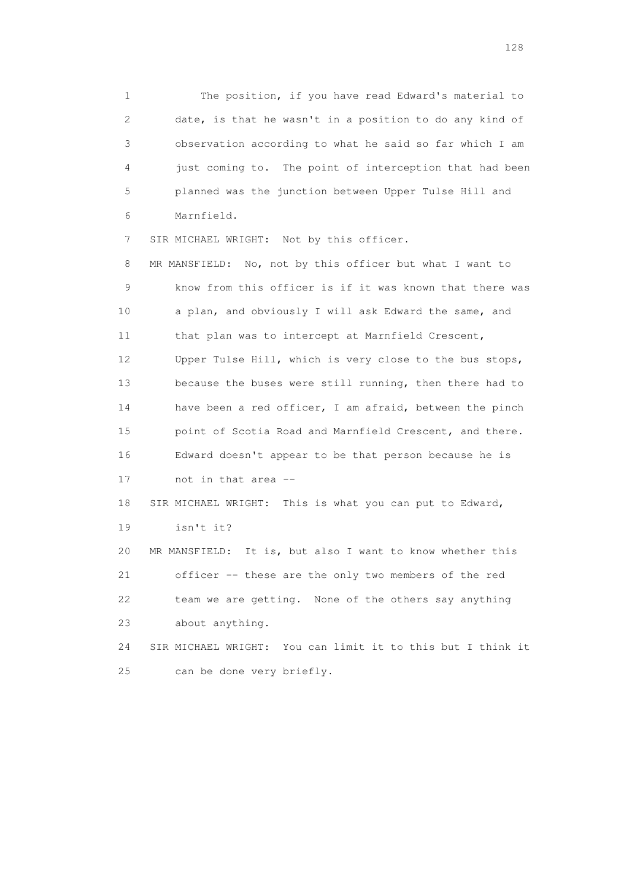1 The position, if you have read Edward's material to 2 date, is that he wasn't in a position to do any kind of 3 observation according to what he said so far which I am 4 just coming to. The point of interception that had been 5 planned was the junction between Upper Tulse Hill and 6 Marnfield.

7 SIR MICHAEL WRIGHT: Not by this officer.

 8 MR MANSFIELD: No, not by this officer but what I want to 9 know from this officer is if it was known that there was 10 a plan, and obviously I will ask Edward the same, and 11 that plan was to intercept at Marnfield Crescent, 12 Upper Tulse Hill, which is very close to the bus stops, 13 because the buses were still running, then there had to 14 have been a red officer, I am afraid, between the pinch 15 point of Scotia Road and Marnfield Crescent, and there. 16 Edward doesn't appear to be that person because he is 17 not in that area -- 18 SIR MICHAEL WRIGHT: This is what you can put to Edward, 19 isn't it? 20 MR MANSFIELD: It is, but also I want to know whether this 21 officer -- these are the only two members of the red 22 team we are getting. None of the others say anything 23 about anything. 24 SIR MICHAEL WRIGHT: You can limit it to this but I think it

25 can be done very briefly.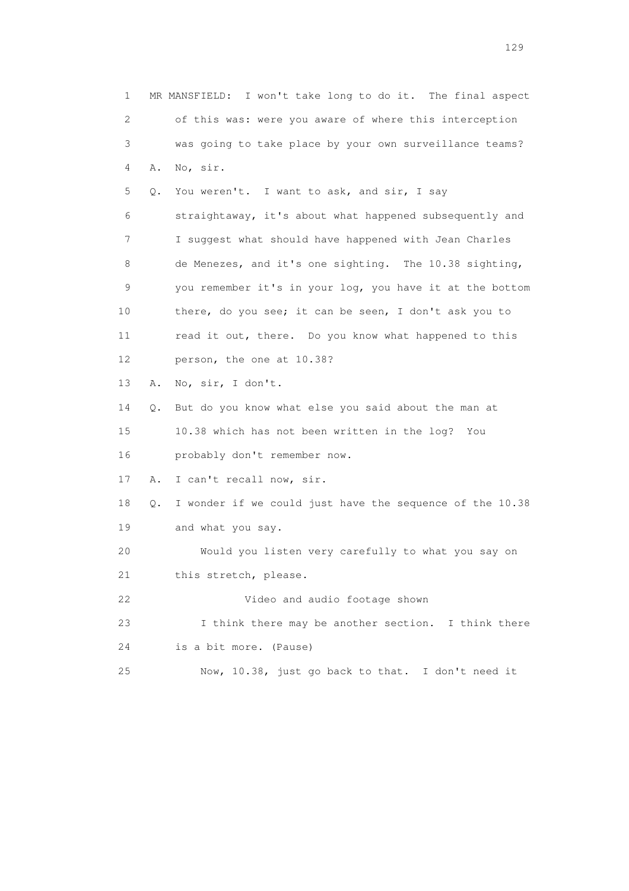1 MR MANSFIELD: I won't take long to do it. The final aspect 2 of this was: were you aware of where this interception 3 was going to take place by your own surveillance teams? 4 A. No, sir. 5 Q. You weren't. I want to ask, and sir, I say 6 straightaway, it's about what happened subsequently and 7 I suggest what should have happened with Jean Charles 8 de Menezes, and it's one sighting. The 10.38 sighting, 9 you remember it's in your log, you have it at the bottom 10 there, do you see; it can be seen, I don't ask you to 11 read it out, there. Do you know what happened to this 12 person, the one at 10.38? 13 A. No, sir, I don't. 14 Q. But do you know what else you said about the man at 15 10.38 which has not been written in the log? You 16 probably don't remember now. 17 A. I can't recall now, sir. 18 Q. I wonder if we could just have the sequence of the 10.38 19 and what you say. 20 Would you listen very carefully to what you say on 21 this stretch, please. 22 Video and audio footage shown 23 I think there may be another section. I think there 24 is a bit more. (Pause) 25 Now, 10.38, just go back to that. I don't need it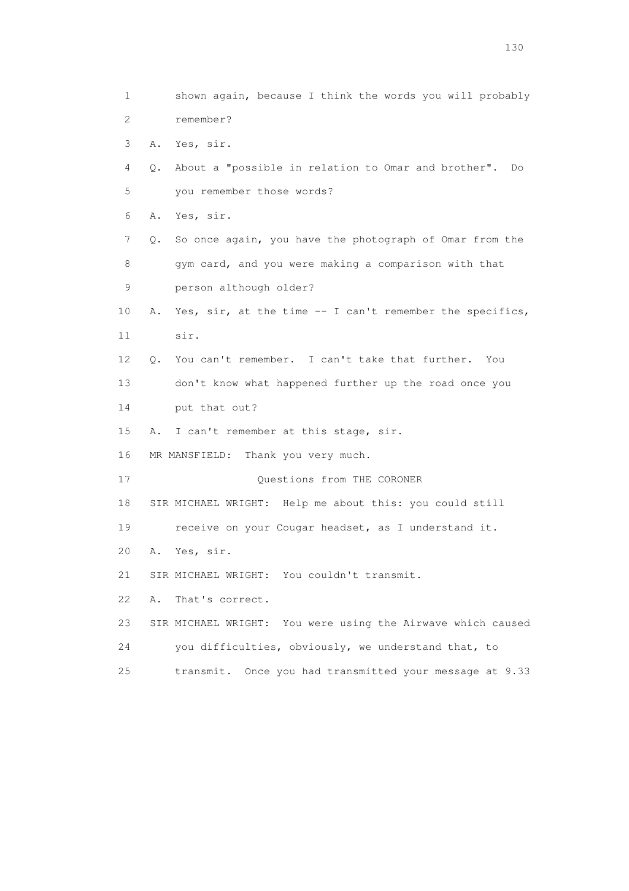1 shown again, because I think the words you will probably 2 remember? 3 A. Yes, sir. 4 Q. About a "possible in relation to Omar and brother". Do 5 you remember those words? 6 A. Yes, sir. 7 Q. So once again, you have the photograph of Omar from the 8 gym card, and you were making a comparison with that 9 person although older? 10 A. Yes, sir, at the time -- I can't remember the specifics, 11 sir. 12 Q. You can't remember. I can't take that further. You 13 don't know what happened further up the road once you 14 put that out? 15 A. I can't remember at this stage, sir. 16 MR MANSFIELD: Thank you very much. 17 Questions from THE CORONER 18 SIR MICHAEL WRIGHT: Help me about this: you could still 19 receive on your Cougar headset, as I understand it. 20 A. Yes, sir. 21 SIR MICHAEL WRIGHT: You couldn't transmit. 22 A. That's correct. 23 SIR MICHAEL WRIGHT: You were using the Airwave which caused 24 you difficulties, obviously, we understand that, to 25 transmit. Once you had transmitted your message at 9.33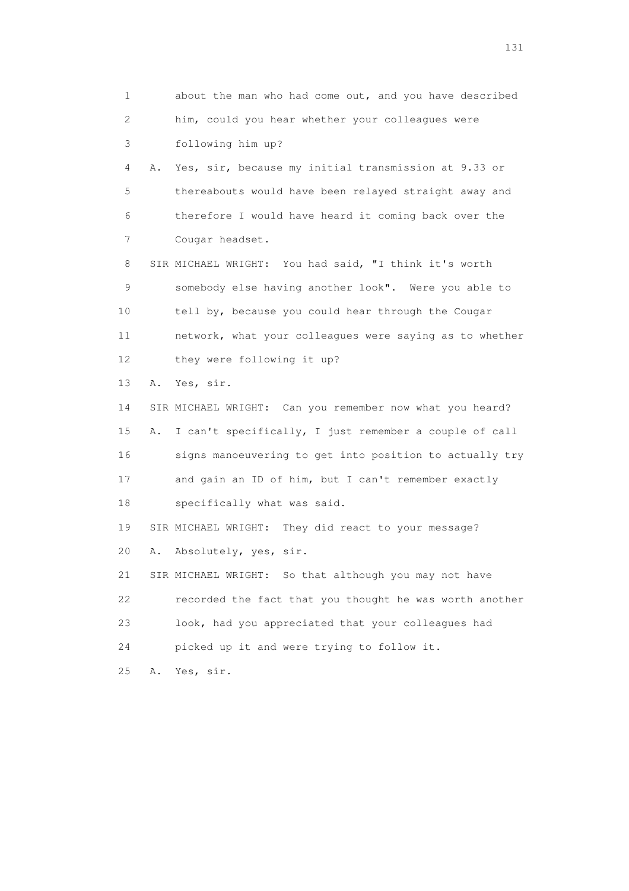1 about the man who had come out, and you have described 2 him, could you hear whether your colleagues were 3 following him up? 4 A. Yes, sir, because my initial transmission at 9.33 or 5 thereabouts would have been relayed straight away and 6 therefore I would have heard it coming back over the 7 Cougar headset. 8 SIR MICHAEL WRIGHT: You had said, "I think it's worth 9 somebody else having another look". Were you able to 10 tell by, because you could hear through the Cougar 11 network, what your colleagues were saying as to whether 12 they were following it up? 13 A. Yes, sir. 14 SIR MICHAEL WRIGHT: Can you remember now what you heard? 15 A. I can't specifically, I just remember a couple of call 16 signs manoeuvering to get into position to actually try 17 and gain an ID of him, but I can't remember exactly 18 specifically what was said. 19 SIR MICHAEL WRIGHT: They did react to your message? 20 A. Absolutely, yes, sir. 21 SIR MICHAEL WRIGHT: So that although you may not have 22 recorded the fact that you thought he was worth another 23 look, had you appreciated that your colleagues had 24 picked up it and were trying to follow it. 25 A. Yes, sir.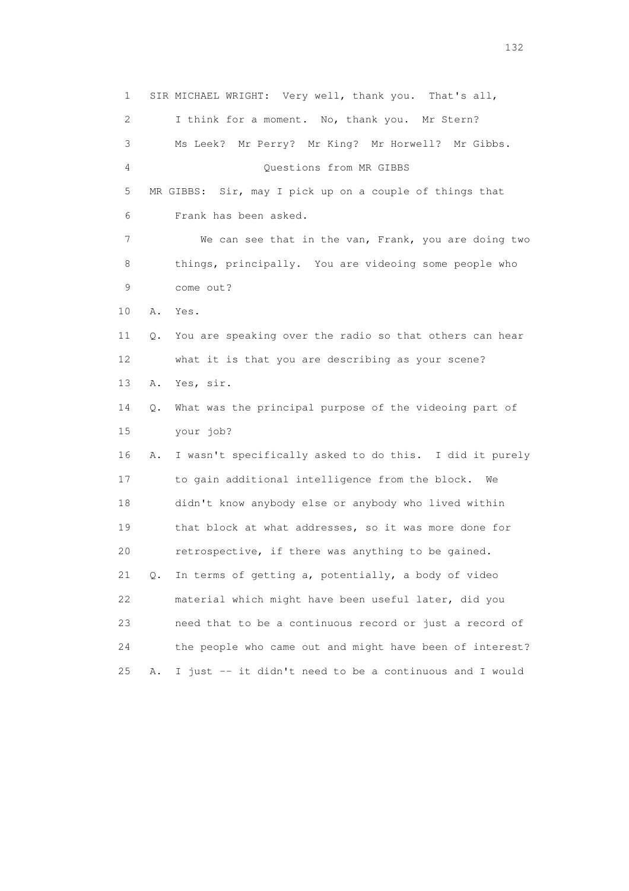1 SIR MICHAEL WRIGHT: Very well, thank you. That's all, 2 I think for a moment. No, thank you. Mr Stern? 3 Ms Leek? Mr Perry? Mr King? Mr Horwell? Mr Gibbs. 4 Questions from MR GIBBS 5 MR GIBBS: Sir, may I pick up on a couple of things that 6 Frank has been asked. 7 We can see that in the van, Frank, you are doing two 8 things, principally. You are videoing some people who 9 come out? 10 A. Yes. 11 Q. You are speaking over the radio so that others can hear 12 what it is that you are describing as your scene? 13 A. Yes, sir. 14 Q. What was the principal purpose of the videoing part of 15 your job? 16 A. I wasn't specifically asked to do this. I did it purely 17 to gain additional intelligence from the block. We 18 didn't know anybody else or anybody who lived within 19 that block at what addresses, so it was more done for 20 retrospective, if there was anything to be gained. 21 Q. In terms of getting a, potentially, a body of video 22 material which might have been useful later, did you 23 need that to be a continuous record or just a record of 24 the people who came out and might have been of interest? 25 A. I just -- it didn't need to be a continuous and I would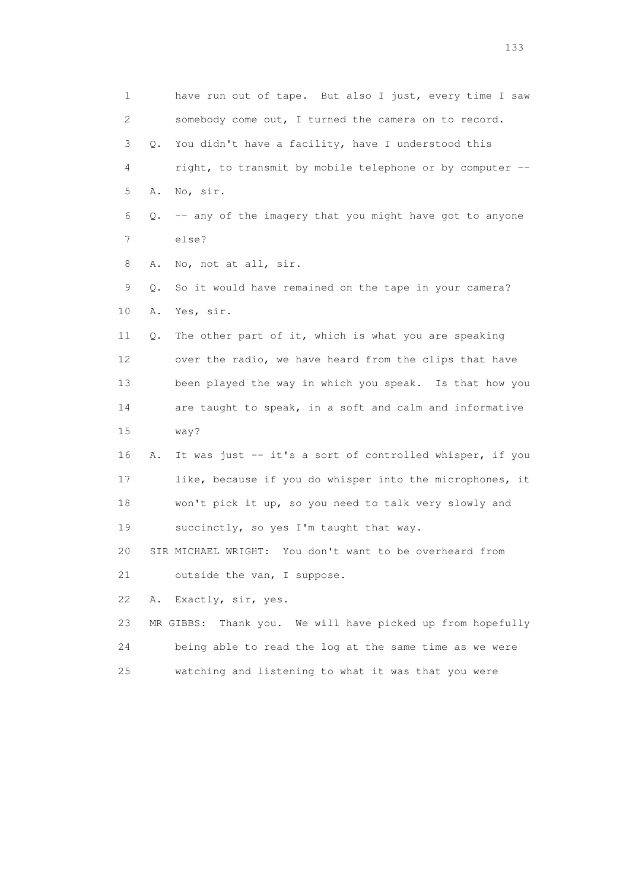1 have run out of tape. But also I just, every time I saw 2 somebody come out, I turned the camera on to record. 3 Q. You didn't have a facility, have I understood this 4 right, to transmit by mobile telephone or by computer -- 5 A. No, sir.  $6$  Q. -- any of the imagery that you might have got to anyone 7 else? 8 A. No, not at all, sir. 9 Q. So it would have remained on the tape in your camera? 10 A. Yes, sir. 11 Q. The other part of it, which is what you are speaking 12 over the radio, we have heard from the clips that have 13 been played the way in which you speak. Is that how you 14 are taught to speak, in a soft and calm and informative 15 way? 16 A. It was just -- it's a sort of controlled whisper, if you 17 like, because if you do whisper into the microphones, it 18 won't pick it up, so you need to talk very slowly and 19 succinctly, so yes I'm taught that way. 20 SIR MICHAEL WRIGHT: You don't want to be overheard from 21 outside the van, I suppose. 22 A. Exactly, sir, yes. 23 MR GIBBS: Thank you. We will have picked up from hopefully 24 being able to read the log at the same time as we were 25 watching and listening to what it was that you were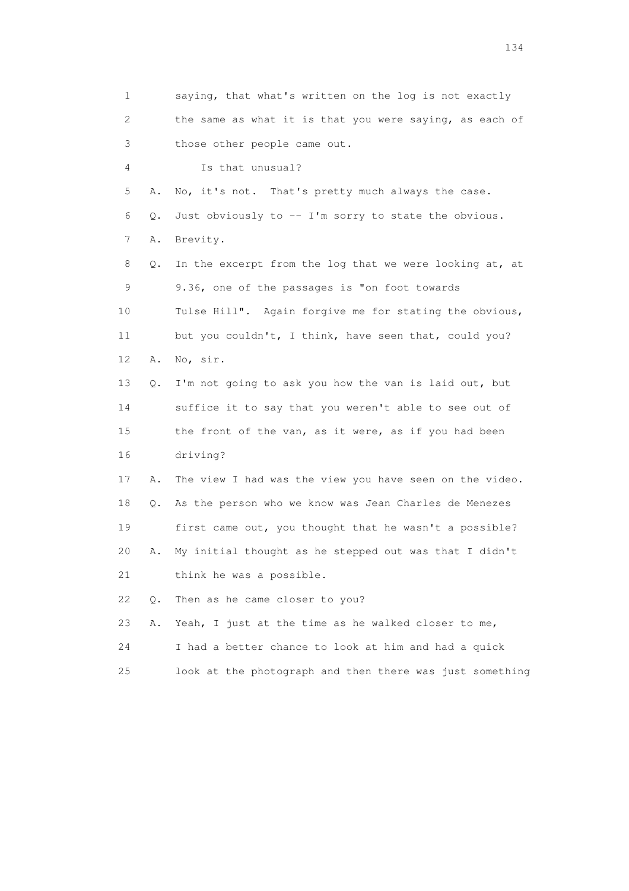1 saying, that what's written on the log is not exactly 2 the same as what it is that you were saying, as each of 3 those other people came out. 4 Is that unusual? 5 A. No, it's not. That's pretty much always the case. 6 Q. Just obviously to -- I'm sorry to state the obvious. 7 A. Brevity. 8 Q. In the excerpt from the log that we were looking at, at 9 9.36, one of the passages is "on foot towards 10 Tulse Hill". Again forgive me for stating the obvious, 11 but you couldn't, I think, have seen that, could you? 12 A. No, sir. 13 Q. I'm not going to ask you how the van is laid out, but 14 suffice it to say that you weren't able to see out of 15 the front of the van, as it were, as if you had been 16 driving? 17 A. The view I had was the view you have seen on the video. 18 Q. As the person who we know was Jean Charles de Menezes 19 first came out, you thought that he wasn't a possible? 20 A. My initial thought as he stepped out was that I didn't 21 think he was a possible. 22 Q. Then as he came closer to you? 23 A. Yeah, I just at the time as he walked closer to me, 24 I had a better chance to look at him and had a quick 25 look at the photograph and then there was just something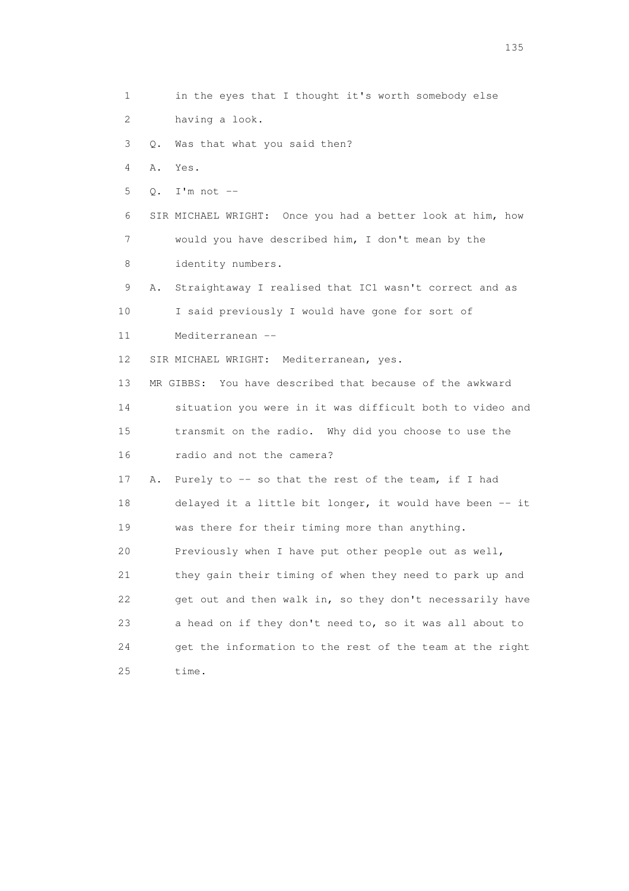1 in the eyes that I thought it's worth somebody else 2 having a look. 3 Q. Was that what you said then? 4 A. Yes. 5 Q. I'm not -- 6 SIR MICHAEL WRIGHT: Once you had a better look at him, how 7 would you have described him, I don't mean by the 8 identity numbers. 9 A. Straightaway I realised that IC1 wasn't correct and as 10 I said previously I would have gone for sort of 11 Mediterranean -- 12 SIR MICHAEL WRIGHT: Mediterranean, yes. 13 MR GIBBS: You have described that because of the awkward 14 situation you were in it was difficult both to video and 15 transmit on the radio. Why did you choose to use the 16 radio and not the camera? 17 A. Purely to -- so that the rest of the team, if I had 18 delayed it a little bit longer, it would have been -- it 19 was there for their timing more than anything. 20 Previously when I have put other people out as well, 21 they gain their timing of when they need to park up and 22 get out and then walk in, so they don't necessarily have 23 a head on if they don't need to, so it was all about to 24 get the information to the rest of the team at the right 25 time.

n 135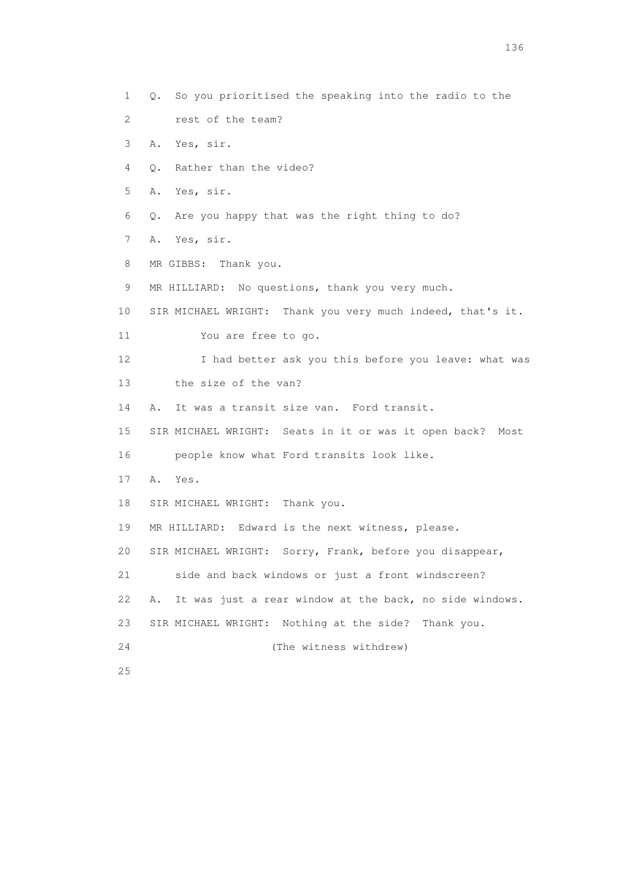3 A. Yes, sir. 4 Q. Rather than the video? 5 A. Yes, sir. 6 Q. Are you happy that was the right thing to do? 7 A. Yes, sir. 8 MR GIBBS: Thank you. 9 MR HILLIARD: No questions, thank you very much. 10 SIR MICHAEL WRIGHT: Thank you very much indeed, that's it. 11 You are free to go. 12 I had better ask you this before you leave: what was 13 the size of the van? 14 A. It was a transit size van. Ford transit. 15 SIR MICHAEL WRIGHT: Seats in it or was it open back? Most 16 people know what Ford transits look like. 17 A. Yes. 18 SIR MICHAEL WRIGHT: Thank you. 19 MR HILLIARD: Edward is the next witness, please. 20 SIR MICHAEL WRIGHT: Sorry, Frank, before you disappear, 21 side and back windows or just a front windscreen? 22 A. It was just a rear window at the back, no side windows. 23 SIR MICHAEL WRIGHT: Nothing at the side? Thank you. 24 (The witness withdrew) 25

1 Q. So you prioritised the speaking into the radio to the

2 rest of the team?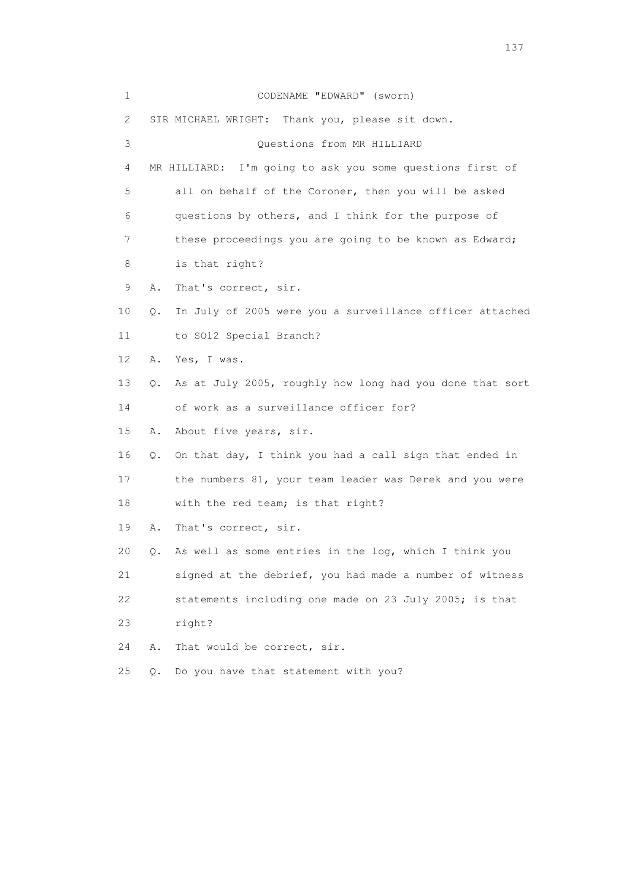| $\mathbf 1$ |       | CODENAME "EDWARD" (sworn)                                    |
|-------------|-------|--------------------------------------------------------------|
| 2           |       | SIR MICHAEL WRIGHT: Thank you, please sit down.              |
| 3           |       | Questions from MR HILLIARD                                   |
| 4           |       | I'm going to ask you some questions first of<br>MR HILLIARD: |
| 5           |       | all on behalf of the Coroner, then you will be asked         |
| 6           |       | questions by others, and I think for the purpose of          |
| 7           |       | these proceedings you are going to be known as Edward;       |
| 8           |       | is that right?                                               |
| 9           | Α.    | That's correct, sir.                                         |
| 10          | Q.    | In July of 2005 were you a surveillance officer attached     |
| 11          |       | to SO12 Special Branch?                                      |
| 12          | Α.    | Yes, I was.                                                  |
| 13          | Q.    | As at July 2005, roughly how long had you done that sort     |
| 14          |       | of work as a surveillance officer for?                       |
| 15          | Α.    | About five years, sir.                                       |
| 16          |       | Q. On that day, I think you had a call sign that ended in    |
| 17          |       | the numbers 81, your team leader was Derek and you were      |
| 18          |       | with the red team; is that right?                            |
| 19          | Α.    | That's correct, sir.                                         |
| 20          | Q.    | As well as some entries in the log, which I think you        |
| 21          |       | signed at the debrief, you had made a number of witness      |
| 22          |       | statements including one made on 23 July 2005; is that       |
| 23          |       | right?                                                       |
| 24          | Α.    | That would be correct, sir.                                  |
| 25          | $Q$ . | Do you have that statement with you?                         |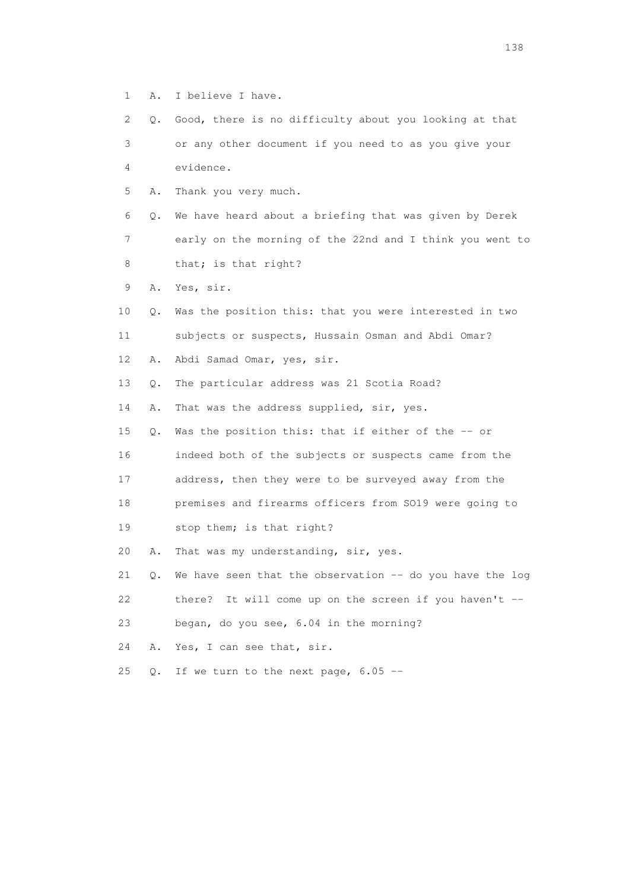- 1 A. I believe I have.
- 2 Q. Good, there is no difficulty about you looking at that 3 or any other document if you need to as you give your 4 evidence.
- 5 A. Thank you very much.

 6 Q. We have heard about a briefing that was given by Derek 7 early on the morning of the 22nd and I think you went to 8 that; is that right?

- 9 A. Yes, sir.
- 10 Q. Was the position this: that you were interested in two 11 subjects or suspects, Hussain Osman and Abdi Omar?
- 12 A. Abdi Samad Omar, yes, sir.
- 13 Q. The particular address was 21 Scotia Road?
- 14 A. That was the address supplied, sir, yes.
- 15 Q. Was the position this: that if either of the -- or
- 16 indeed both of the subjects or suspects came from the
- 17 address, then they were to be surveyed away from the
- 18 premises and firearms officers from SO19 were going to
- 19 stop them; is that right?
- 20 A. That was my understanding, sir, yes.
- 21  $\,$  Q. We have seen that the observation -- do you have the log 22 there? It will come up on the screen if you haven't --
- 23 began, do you see, 6.04 in the morning?
- 24 A. Yes, I can see that, sir.
- 25  $Q.$  If we turn to the next page, 6.05 --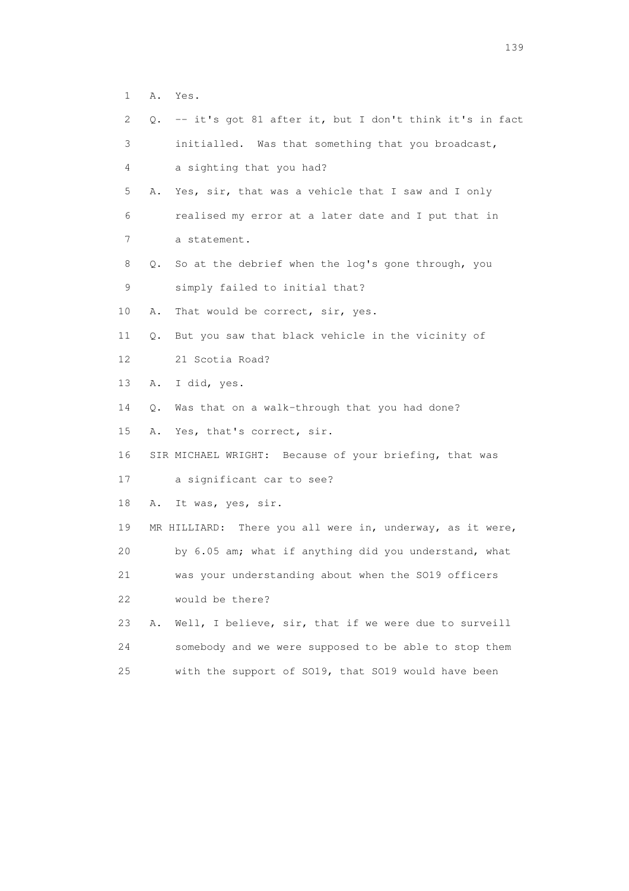| $\mathbf 1$ | Α. | Yes.                                                      |
|-------------|----|-----------------------------------------------------------|
| 2           | 0. | -- it's got 81 after it, but I don't think it's in fact   |
| 3           |    | initialled. Was that something that you broadcast,        |
| 4           |    | a sighting that you had?                                  |
| 5           | Α. | Yes, sir, that was a vehicle that I saw and I only        |
| 6           |    | realised my error at a later date and I put that in       |
| 7           |    | a statement.                                              |
| 8           | 0. | So at the debrief when the log's gone through, you        |
| 9           |    | simply failed to initial that?                            |
| 10          | Α. | That would be correct, sir, yes.                          |
| 11          | Q. | But you saw that black vehicle in the vicinity of         |
| 12          |    | 21 Scotia Road?                                           |
| 13          | Α. | I did, yes.                                               |
| 14          | Q. | Was that on a walk-through that you had done?             |
| 15          | Α. | Yes, that's correct, sir.                                 |
| 16          |    | SIR MICHAEL WRIGHT: Because of your briefing, that was    |
| 17          |    | a significant car to see?                                 |
| 18          | Α. | It was, yes, sir.                                         |
| 19          |    | MR HILLIARD: There you all were in, underway, as it were, |
| 20          |    | by 6.05 am; what if anything did you understand, what     |
| 21          |    | was your understanding about when the SO19 officers       |
| 22          |    | would be there?                                           |
| 23          | Α. | Well, I believe, sir, that if we were due to surveill     |
| 24          |    | somebody and we were supposed to be able to stop them     |
| 25          |    | with the support of SO19, that SO19 would have been       |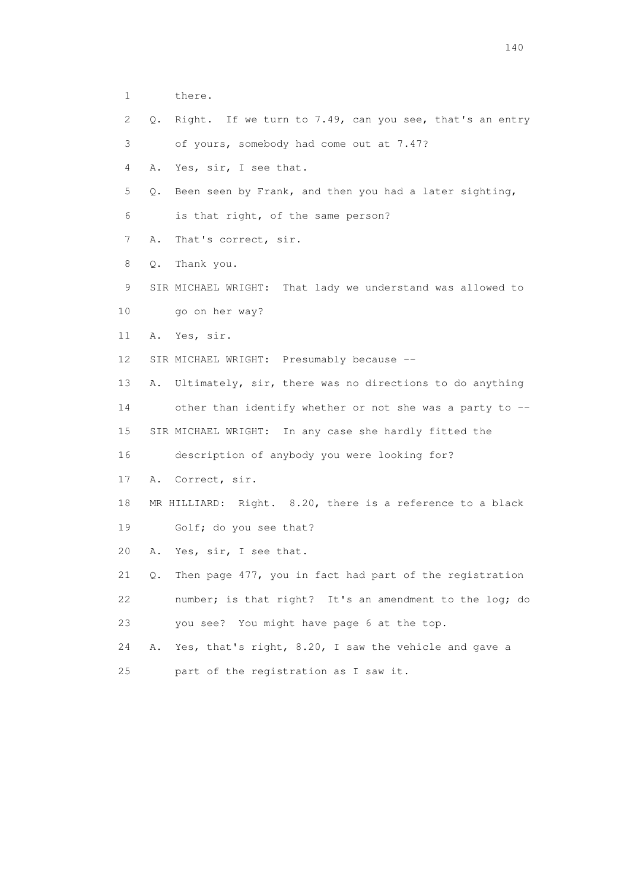- 1 there.
- 2 Q. Right. If we turn to 7.49, can you see, that's an entry
- 3 of yours, somebody had come out at 7.47?
- 4 A. Yes, sir, I see that.
- 5 Q. Been seen by Frank, and then you had a later sighting,
- 6 is that right, of the same person?
- 7 A. That's correct, sir.
- 8 Q. Thank you.
- 9 SIR MICHAEL WRIGHT: That lady we understand was allowed to
- 10 go on her way?
- 11 A. Yes, sir.
- 12 SIR MICHAEL WRIGHT: Presumably because --
- 13 A. Ultimately, sir, there was no directions to do anything
- 14 other than identify whether or not she was a party to --
- 15 SIR MICHAEL WRIGHT: In any case she hardly fitted the
- 16 description of anybody you were looking for?
- 17 A. Correct, sir.
- 18 MR HILLIARD: Right. 8.20, there is a reference to a black 19 Golf; do you see that?
- 20 A. Yes, sir, I see that.
- 21 Q. Then page 477, you in fact had part of the registration 22 number; is that right? It's an amendment to the log; do
- 23 you see? You might have page 6 at the top.
- 24 A. Yes, that's right, 8.20, I saw the vehicle and gave a
- 25 part of the registration as I saw it.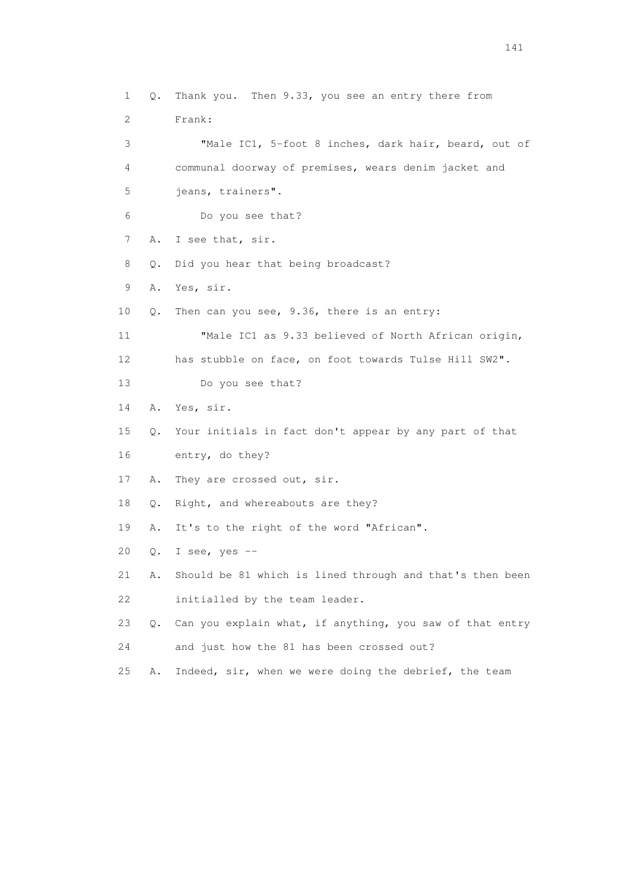1 Q. Thank you. Then 9.33, you see an entry there from 2 Frank: 3 "Male IC1, 5-foot 8 inches, dark hair, beard, out of 4 communal doorway of premises, wears denim jacket and 5 jeans, trainers". 6 Do you see that? 7 A. I see that, sir. 8 Q. Did you hear that being broadcast? 9 A. Yes, sir. 10 Q. Then can you see, 9.36, there is an entry: 11 "Male IC1 as 9.33 believed of North African origin, 12 has stubble on face, on foot towards Tulse Hill SW2". 13 Do you see that? 14 A. Yes, sir. 15 Q. Your initials in fact don't appear by any part of that 16 entry, do they? 17 A. They are crossed out, sir. 18 Q. Right, and whereabouts are they? 19 A. It's to the right of the word "African". 20 Q. I see, yes -- 21 A. Should be 81 which is lined through and that's then been 22 initialled by the team leader. 23 Q. Can you explain what, if anything, you saw of that entry 24 and just how the 81 has been crossed out? 25 A. Indeed, sir, when we were doing the debrief, the team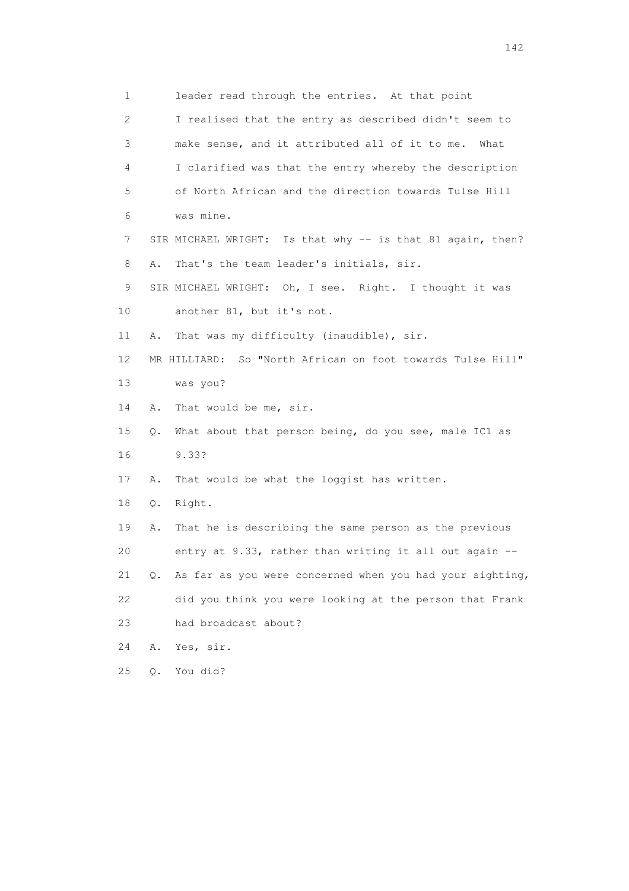1 leader read through the entries. At that point 2 I realised that the entry as described didn't seem to 3 make sense, and it attributed all of it to me. What 4 I clarified was that the entry whereby the description 5 of North African and the direction towards Tulse Hill 6 was mine. 7 SIR MICHAEL WRIGHT: Is that why -- is that 81 again, then? 8 A. That's the team leader's initials, sir. 9 SIR MICHAEL WRIGHT: Oh, I see. Right. I thought it was 10 another 81, but it's not. 11 A. That was my difficulty (inaudible), sir. 12 MR HILLIARD: So "North African on foot towards Tulse Hill" 13 was you? 14 A. That would be me, sir. 15 Q. What about that person being, do you see, male IC1 as 16 9.33? 17 A. That would be what the loggist has written. 18 Q. Right. 19 A. That he is describing the same person as the previous 20 entry at 9.33, rather than writing it all out again -- 21 Q. As far as you were concerned when you had your sighting, 22 did you think you were looking at the person that Frank 23 had broadcast about? 24 A. Yes, sir. 25 Q. You did?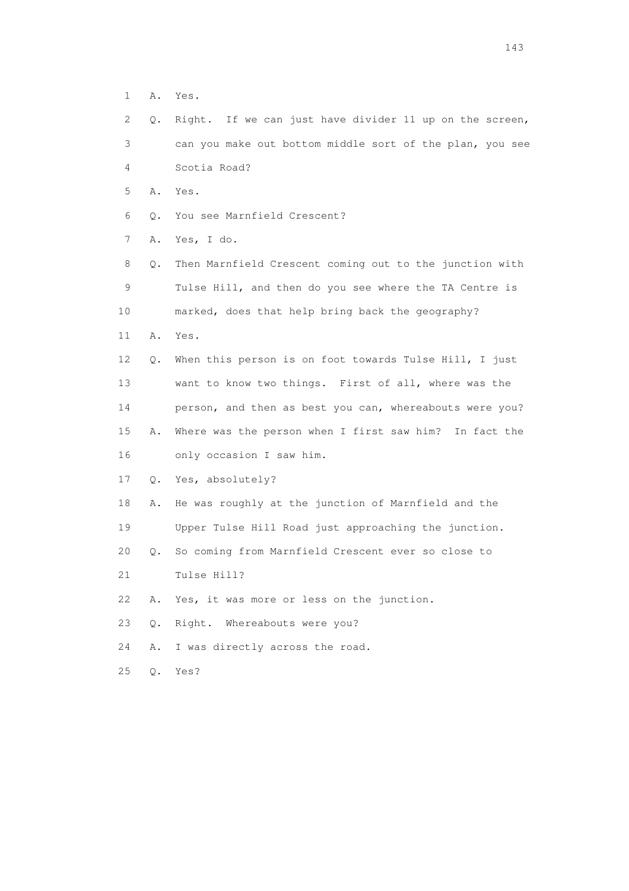1 A. Yes.

|  |                |  |  | 2 Q. Right. If we can just have divider 11 up on the screen, |  |  |  |
|--|----------------|--|--|--------------------------------------------------------------|--|--|--|
|  |                |  |  | can you make out bottom middle sort of the plan, you see     |  |  |  |
|  | 4 Scotia Road? |  |  |                                                              |  |  |  |

- 5 A. Yes.
- 6 Q. You see Marnfield Crescent?

7 A. Yes, I do.

 8 Q. Then Marnfield Crescent coming out to the junction with 9 Tulse Hill, and then do you see where the TA Centre is 10 marked, does that help bring back the geography? 11 A. Yes. 12 Q. When this person is on foot towards Tulse Hill, I just 13 want to know two things. First of all, where was the

 14 person, and then as best you can, whereabouts were you? 15 A. Where was the person when I first saw him? In fact the 16 only occasion I saw him.

17 Q. Yes, absolutely?

 18 A. He was roughly at the junction of Marnfield and the 19 Upper Tulse Hill Road just approaching the junction.

20 Q. So coming from Marnfield Crescent ever so close to

21 Tulse Hill?

22 A. Yes, it was more or less on the junction.

23 Q. Right. Whereabouts were you?

24 A. I was directly across the road.

25 Q. Yes?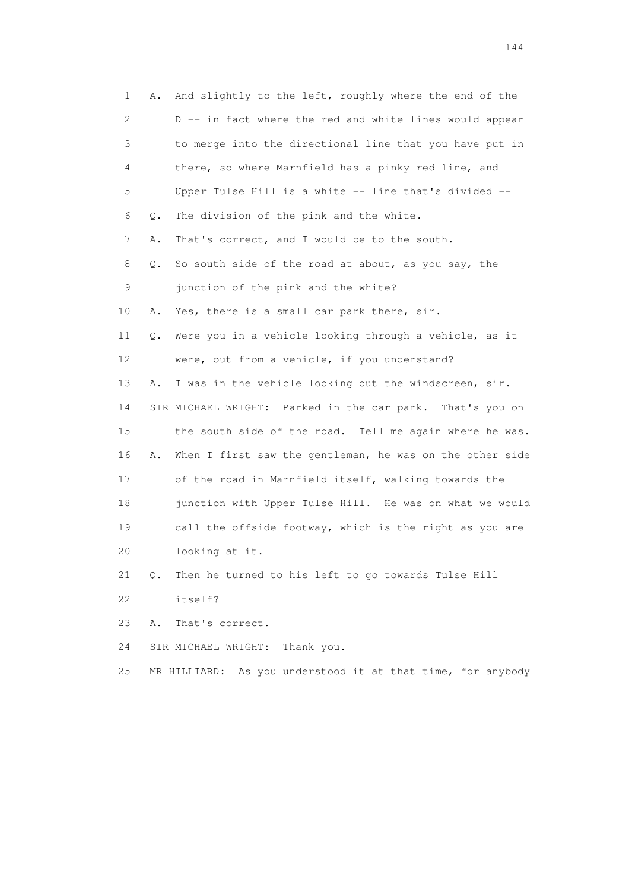| 1  | Α. | And slightly to the left, roughly where the end of the    |
|----|----|-----------------------------------------------------------|
| 2  |    | D -- in fact where the red and white lines would appear   |
| 3  |    | to merge into the directional line that you have put in   |
| 4  |    | there, so where Marnfield has a pinky red line, and       |
| 5  |    | Upper Tulse Hill is a white -- line that's divided --     |
| 6  | Q. | The division of the pink and the white.                   |
| 7  | Α. | That's correct, and I would be to the south.              |
| 8  | Q. | So south side of the road at about, as you say, the       |
| 9  |    | junction of the pink and the white?                       |
| 10 | Α. | Yes, there is a small car park there, sir.                |
| 11 | Q. | Were you in a vehicle looking through a vehicle, as it    |
| 12 |    | were, out from a vehicle, if you understand?              |
| 13 | Α. | I was in the vehicle looking out the windscreen, sir.     |
| 14 |    | SIR MICHAEL WRIGHT: Parked in the car park. That's you on |
| 15 |    | the south side of the road. Tell me again where he was.   |
| 16 | Α. | When I first saw the gentleman, he was on the other side  |
| 17 |    | of the road in Marnfield itself, walking towards the      |
| 18 |    | junction with Upper Tulse Hill. He was on what we would   |
| 19 |    | call the offside footway, which is the right as you are   |
| 20 |    | looking at it.                                            |
| 21 | Q. | Then he turned to his left to go towards Tulse Hill       |
| 22 |    | itself?                                                   |
| 23 | Α. | That's correct.                                           |
| 24 |    | Thank you.<br>SIR MICHAEL WRIGHT:                         |

25 MR HILLIARD: As you understood it at that time, for anybody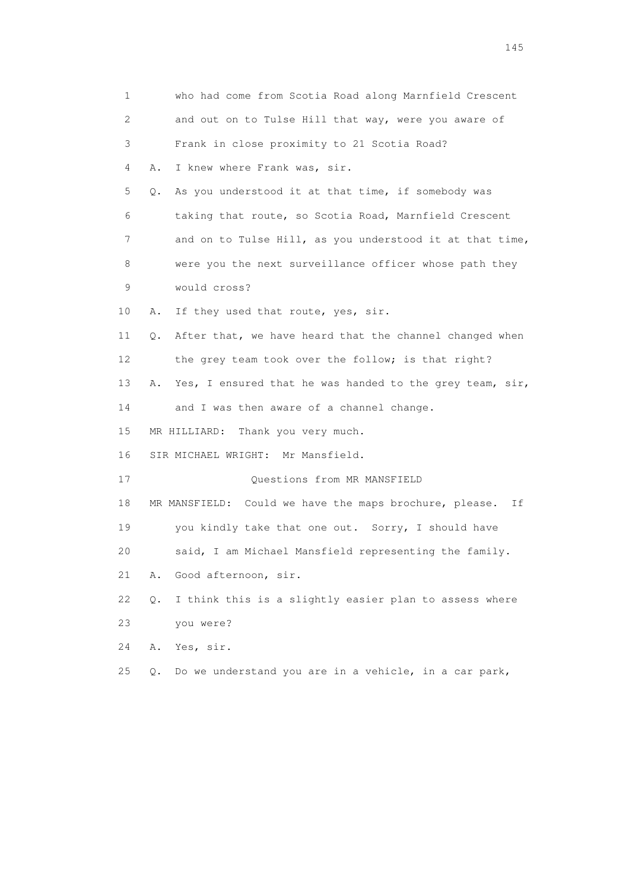| 1  | who had come from Scotia Road along Marnfield Crescent         |
|----|----------------------------------------------------------------|
| 2  | and out on to Tulse Hill that way, were you aware of           |
| 3  | Frank in close proximity to 21 Scotia Road?                    |
| 4  | I knew where Frank was, sir.<br>Α.                             |
| 5  | As you understood it at that time, if somebody was<br>Q.       |
| 6  | taking that route, so Scotia Road, Marnfield Crescent          |
| 7  | and on to Tulse Hill, as you understood it at that time,       |
| 8  | were you the next surveillance officer whose path they         |
| 9  | would cross?                                                   |
| 10 | If they used that route, yes, sir.<br>Α.                       |
| 11 | After that, we have heard that the channel changed when<br>Q.  |
| 12 | the grey team took over the follow; is that right?             |
| 13 | Yes, I ensured that he was handed to the grey team, sir,<br>Α. |
| 14 | and I was then aware of a channel change.                      |
| 15 | MR HILLIARD: Thank you very much.                              |
| 16 | SIR MICHAEL WRIGHT: Mr Mansfield.                              |
| 17 | Questions from MR MANSFIELD                                    |
| 18 | MR MANSFIELD: Could we have the maps brochure, please.<br>Ιf   |
| 19 | you kindly take that one out. Sorry, I should have             |
| 20 | said, I am Michael Mansfield representing the family.          |
| 21 | Good afternoon, sir.<br>Α.                                     |
| 22 | I think this is a slightly easier plan to assess where<br>Q.   |
| 23 | you were?                                                      |
| 24 | Yes, sir.<br>Α.                                                |
| 25 | Do we understand you are in a vehicle, in a car park,<br>О.    |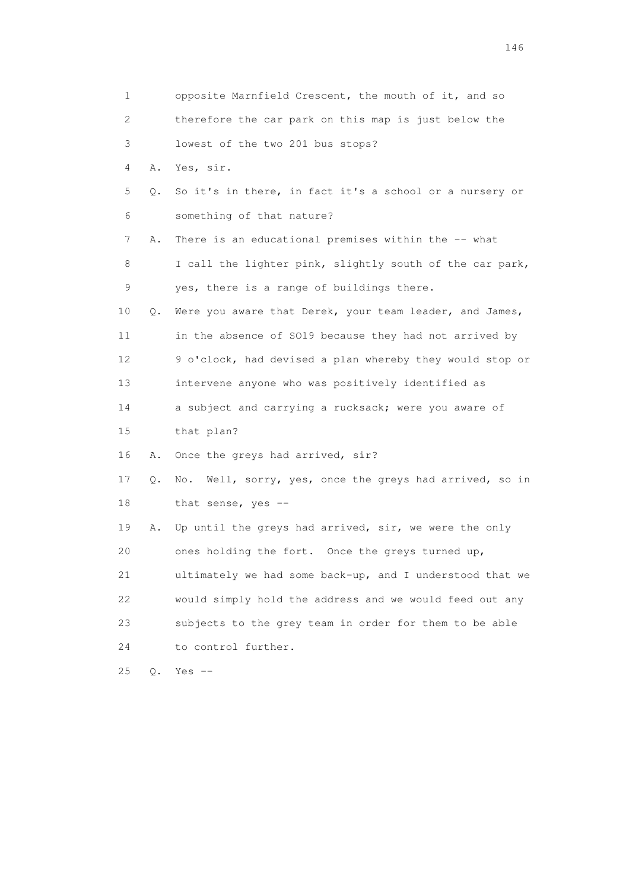| 1  |    | opposite Marnfield Crescent, the mouth of it, and so       |
|----|----|------------------------------------------------------------|
| 2  |    | therefore the car park on this map is just below the       |
| 3  |    | lowest of the two 201 bus stops?                           |
| 4  | Α. | Yes, sir.                                                  |
| 5  | О. | So it's in there, in fact it's a school or a nursery or    |
| 6  |    | something of that nature?                                  |
| 7  | Α. | There is an educational premises within the -- what        |
| 8  |    | I call the lighter pink, slightly south of the car park,   |
| 9  |    | yes, there is a range of buildings there.                  |
| 10 | Q. | Were you aware that Derek, your team leader, and James,    |
| 11 |    | in the absence of SO19 because they had not arrived by     |
| 12 |    | 9 o'clock, had devised a plan whereby they would stop or   |
| 13 |    | intervene anyone who was positively identified as          |
| 14 |    | a subject and carrying a rucksack; were you aware of       |
| 15 |    | that plan?                                                 |
| 16 | Α. | Once the greys had arrived, sir?                           |
| 17 | Q. | Well, sorry, yes, once the greys had arrived, so in<br>No. |
| 18 |    | that sense, yes --                                         |
| 19 | Α. | Up until the greys had arrived, sir, we were the only      |
| 20 |    | ones holding the fort. Once the greys turned up,           |
| 21 |    | ultimately we had some back-up, and I understood that we   |
| 22 |    | would simply hold the address and we would feed out any    |
| 23 |    | subjects to the grey team in order for them to be able     |
| 24 |    | to control further.                                        |
| 25 | Q. | Yes $--$                                                   |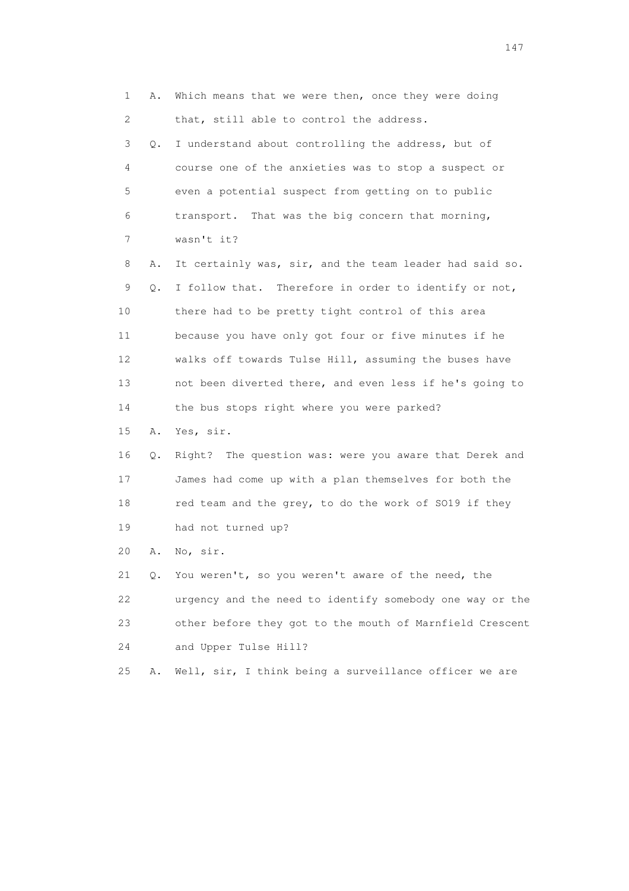1 A. Which means that we were then, once they were doing 2 that, still able to control the address. 3 Q. I understand about controlling the address, but of 4 course one of the anxieties was to stop a suspect or 5 even a potential suspect from getting on to public 6 transport. That was the big concern that morning, 7 wasn't it? 8 A. It certainly was, sir, and the team leader had said so. 9 Q. I follow that. Therefore in order to identify or not, 10 there had to be pretty tight control of this area 11 because you have only got four or five minutes if he 12 walks off towards Tulse Hill, assuming the buses have 13 not been diverted there, and even less if he's going to 14 the bus stops right where you were parked? 15 A. Yes, sir. 16 Q. Right? The question was: were you aware that Derek and 17 James had come up with a plan themselves for both the 18 red team and the grey, to do the work of SO19 if they 19 had not turned up? 20 A. No, sir. 21 Q. You weren't, so you weren't aware of the need, the 22 urgency and the need to identify somebody one way or the 23 other before they got to the mouth of Marnfield Crescent 24 and Upper Tulse Hill? 25 A. Well, sir, I think being a surveillance officer we are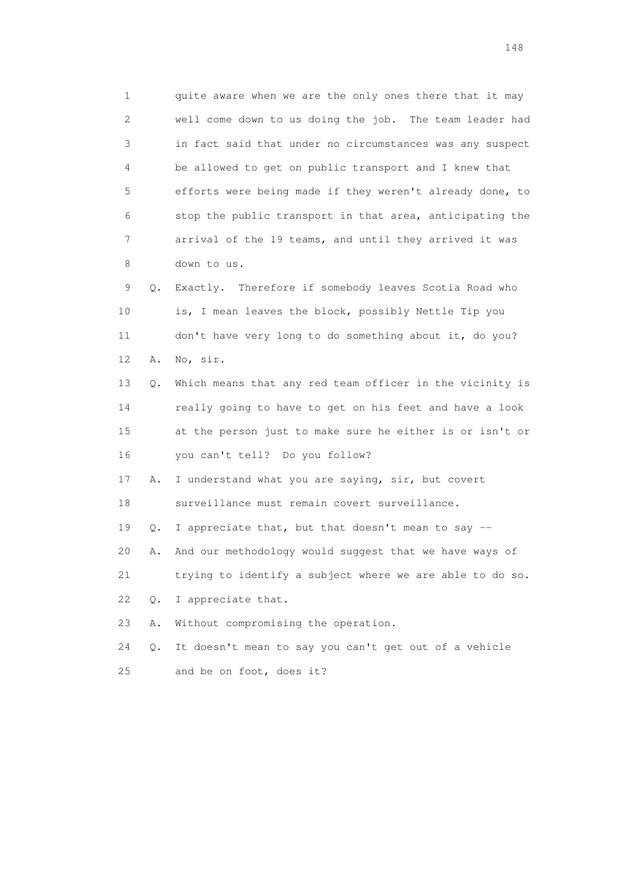1 quite aware when we are the only ones there that it may 2 well come down to us doing the job. The team leader had 3 in fact said that under no circumstances was any suspect 4 be allowed to get on public transport and I knew that 5 efforts were being made if they weren't already done, to 6 stop the public transport in that area, anticipating the 7 arrival of the 19 teams, and until they arrived it was 8 down to us.

 9 Q. Exactly. Therefore if somebody leaves Scotia Road who 10 is, I mean leaves the block, possibly Nettle Tip you 11 don't have very long to do something about it, do you? 12 A. No, sir.

 13 Q. Which means that any red team officer in the vicinity is 14 really going to have to get on his feet and have a look 15 at the person just to make sure he either is or isn't or 16 you can't tell? Do you follow?

 17 A. I understand what you are saying, sir, but covert 18 surveillance must remain covert surveillance.

19 Q. I appreciate that, but that doesn't mean to say --

20 A. And our methodology would suggest that we have ways of

21 trying to identify a subject where we are able to do so.

22 Q. I appreciate that.

23 A. Without compromising the operation.

 24 Q. It doesn't mean to say you can't get out of a vehicle 25 and be on foot, does it?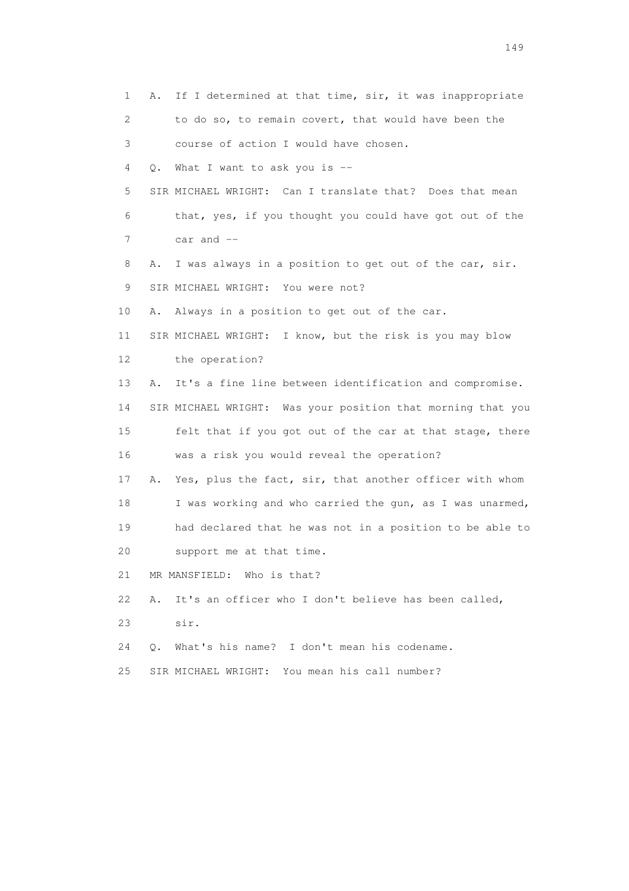1 A. If I determined at that time, sir, it was inappropriate 2 to do so, to remain covert, that would have been the 3 course of action I would have chosen. 4 Q. What I want to ask you is -- 5 SIR MICHAEL WRIGHT: Can I translate that? Does that mean 6 that, yes, if you thought you could have got out of the  $7 \text{ car and } -$  8 A. I was always in a position to get out of the car, sir. 9 SIR MICHAEL WRIGHT: You were not? 10 A. Always in a position to get out of the car. 11 SIR MICHAEL WRIGHT: I know, but the risk is you may blow 12 the operation? 13 A. It's a fine line between identification and compromise. 14 SIR MICHAEL WRIGHT: Was your position that morning that you 15 felt that if you got out of the car at that stage, there 16 was a risk you would reveal the operation? 17 A. Yes, plus the fact, sir, that another officer with whom 18 I was working and who carried the gun, as I was unarmed, 19 had declared that he was not in a position to be able to 20 support me at that time. 21 MR MANSFIELD: Who is that? 22 A. It's an officer who I don't believe has been called, 23 sir. 24 Q. What's his name? I don't mean his codename. 25 SIR MICHAEL WRIGHT: You mean his call number?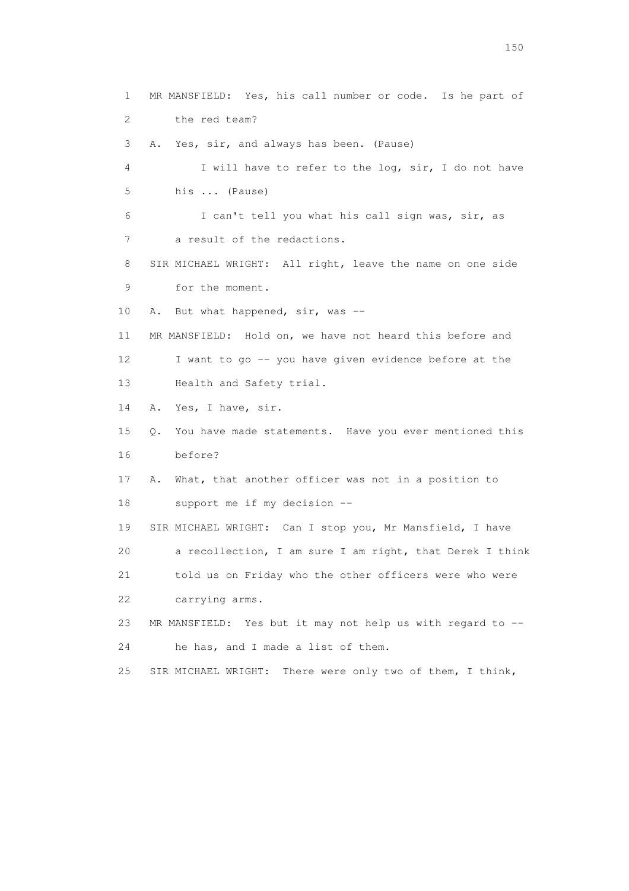1 MR MANSFIELD: Yes, his call number or code. Is he part of 2 the red team? 3 A. Yes, sir, and always has been. (Pause) 4 I will have to refer to the log, sir, I do not have 5 his ... (Pause) 6 I can't tell you what his call sign was, sir, as 7 a result of the redactions. 8 SIR MICHAEL WRIGHT: All right, leave the name on one side 9 for the moment. 10 A. But what happened, sir, was -- 11 MR MANSFIELD: Hold on, we have not heard this before and 12 I want to go -- you have given evidence before at the 13 Health and Safety trial. 14 A. Yes, I have, sir. 15 Q. You have made statements. Have you ever mentioned this 16 before? 17 A. What, that another officer was not in a position to 18 support me if my decision -- 19 SIR MICHAEL WRIGHT: Can I stop you, Mr Mansfield, I have 20 a recollection, I am sure I am right, that Derek I think 21 told us on Friday who the other officers were who were 22 carrying arms. 23 MR MANSFIELD: Yes but it may not help us with regard to -- 24 he has, and I made a list of them. 25 SIR MICHAEL WRIGHT: There were only two of them, I think,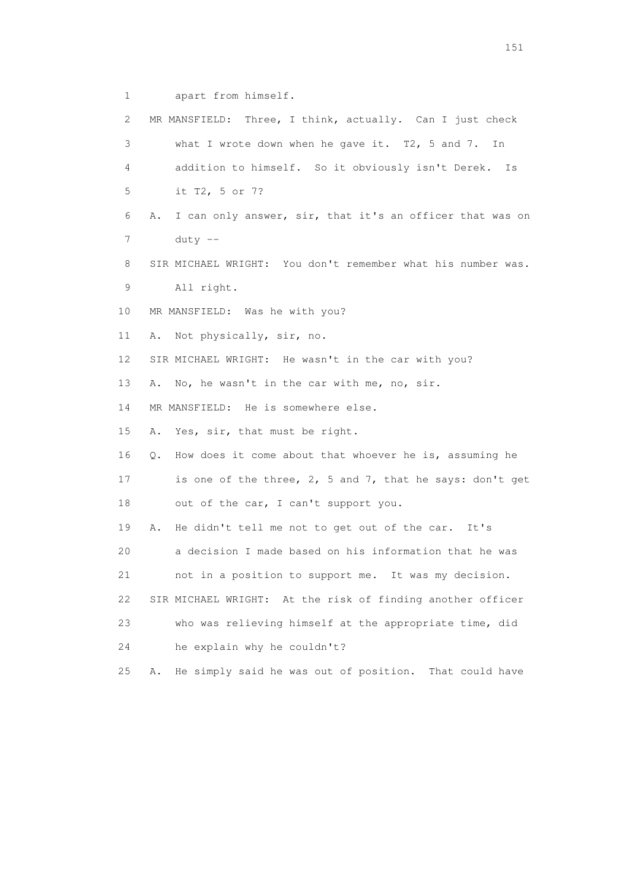1 apart from himself.

| 2  | MR MANSFIELD: Three, I think, actually. Can I just check        |
|----|-----------------------------------------------------------------|
| 3  | what I wrote down when he gave it. $T2$ , 5 and 7.<br>In        |
| 4  | addition to himself. So it obviously isn't Derek.<br>Is         |
| 5  | it T2, 5 or 7?                                                  |
| 6  | I can only answer, sir, that it's an officer that was on<br>Α.  |
| 7  | duty $--$                                                       |
| 8  | SIR MICHAEL WRIGHT: You don't remember what his number was.     |
| 9  | All right.                                                      |
| 10 | MR MANSFIELD: Was he with you?                                  |
| 11 | Not physically, sir, no.<br>Α.                                  |
| 12 | SIR MICHAEL WRIGHT: He wasn't in the car with you?              |
| 13 | No, he wasn't in the car with me, no, sir.<br>Α.                |
| 14 | MR MANSFIELD: He is somewhere else.                             |
| 15 | Yes, sir, that must be right.<br>Α.                             |
| 16 | How does it come about that whoever he is, assuming he<br>Q.    |
| 17 | is one of the three, 2, 5 and 7, that he says: don't get        |
| 18 | out of the car, I can't support you.                            |
| 19 | He didn't tell me not to get out of the car.<br>Α.<br>It's      |
| 20 | a decision I made based on his information that he was          |
| 21 | not in a position to support me. It was my decision.            |
| 22 | SIR MICHAEL WRIGHT: At the risk of finding another officer      |
| 23 | who was relieving himself at the appropriate time, did          |
| 24 | he explain why he couldn't?                                     |
| 25 | He simply said he was out of position.<br>That could have<br>Α. |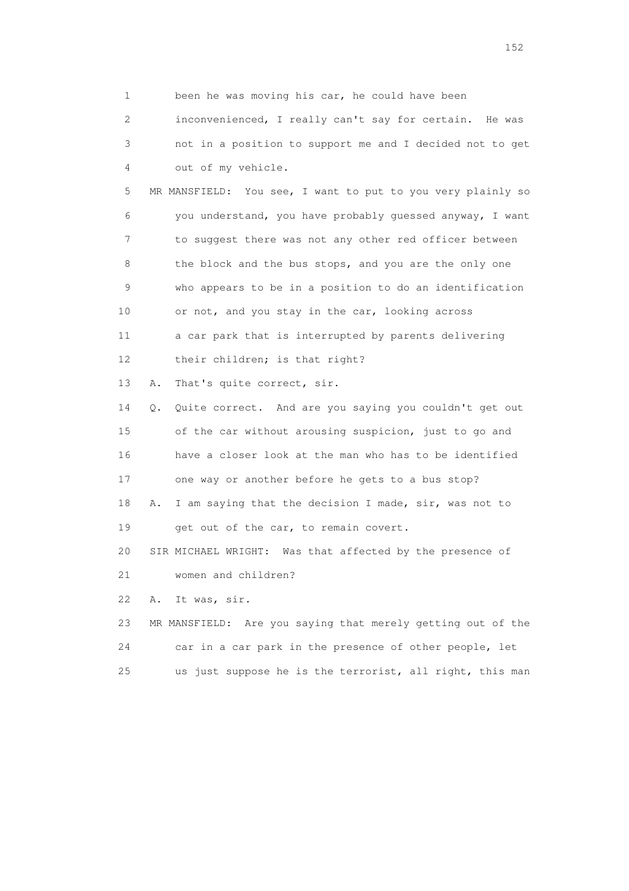1 been he was moving his car, he could have been 2 inconvenienced, I really can't say for certain. He was 3 not in a position to support me and I decided not to get 4 out of my vehicle. 5 MR MANSFIELD: You see, I want to put to you very plainly so 6 you understand, you have probably guessed anyway, I want 7 to suggest there was not any other red officer between 8 the block and the bus stops, and you are the only one 9 who appears to be in a position to do an identification 10 or not, and you stay in the car, looking across 11 a car park that is interrupted by parents delivering 12 their children; is that right? 13 A. That's quite correct, sir. 14 Q. Quite correct. And are you saying you couldn't get out 15 of the car without arousing suspicion, just to go and 16 have a closer look at the man who has to be identified 17 one way or another before he gets to a bus stop? 18 A. I am saying that the decision I made, sir, was not to 19 get out of the car, to remain covert. 20 SIR MICHAEL WRIGHT: Was that affected by the presence of 21 women and children?

22 A. It was, sir.

 23 MR MANSFIELD: Are you saying that merely getting out of the 24 car in a car park in the presence of other people, let 25 us just suppose he is the terrorist, all right, this man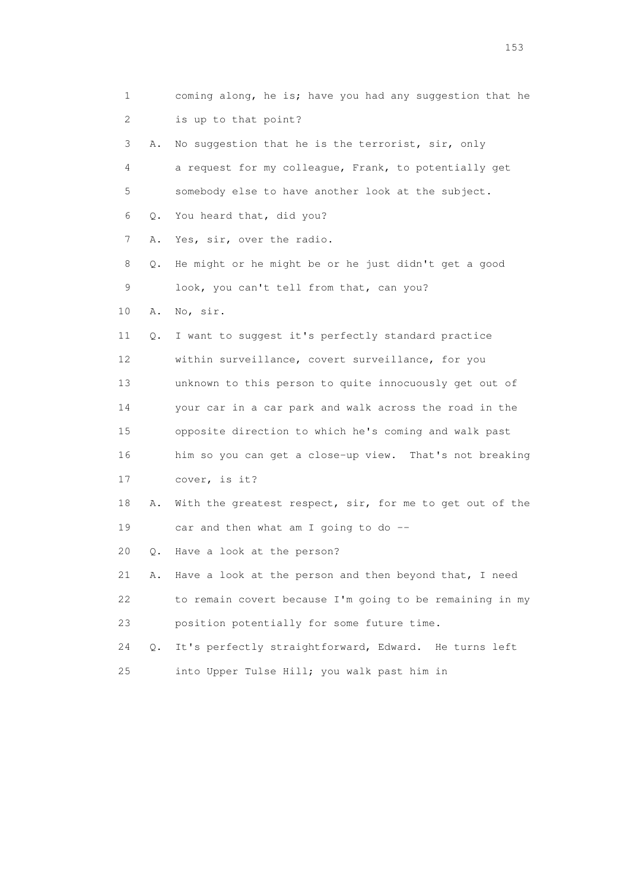| 1               |       | coming along, he is; have you had any suggestion that he |
|-----------------|-------|----------------------------------------------------------|
| 2               |       | is up to that point?                                     |
| 3               | Α.    | No suggestion that he is the terrorist, sir, only        |
| 4               |       | a request for my colleague, Frank, to potentially get    |
| 5               |       | somebody else to have another look at the subject.       |
| 6               | Q.    | You heard that, did you?                                 |
| 7               | Α.    | Yes, sir, over the radio.                                |
| 8               | Q.    | He might or he might be or he just didn't get a good     |
| 9               |       | look, you can't tell from that, can you?                 |
| 10              | Α.    | No, sir.                                                 |
| 11              | Q.    | I want to suggest it's perfectly standard practice       |
| 12 <sup>°</sup> |       | within surveillance, covert surveillance, for you        |
| 13              |       | unknown to this person to quite innocuously get out of   |
| 14              |       | your car in a car park and walk across the road in the   |
| 15              |       | opposite direction to which he's coming and walk past    |
| 16              |       | him so you can get a close-up view. That's not breaking  |
| 17              |       | cover, is it?                                            |
| 18              | Α.    | With the greatest respect, sir, for me to get out of the |
| 19              |       | car and then what am I going to do $-$                   |
| 20              | Q.    | Have a look at the person?                               |
| 21              | Α.    | Have a look at the person and then beyond that, I need   |
| 22              |       | to remain covert because I'm going to be remaining in my |
| 23              |       | position potentially for some future time.               |
| 24              | $Q$ . | It's perfectly straightforward, Edward. He turns left    |
| 25              |       | into Upper Tulse Hill; you walk past him in              |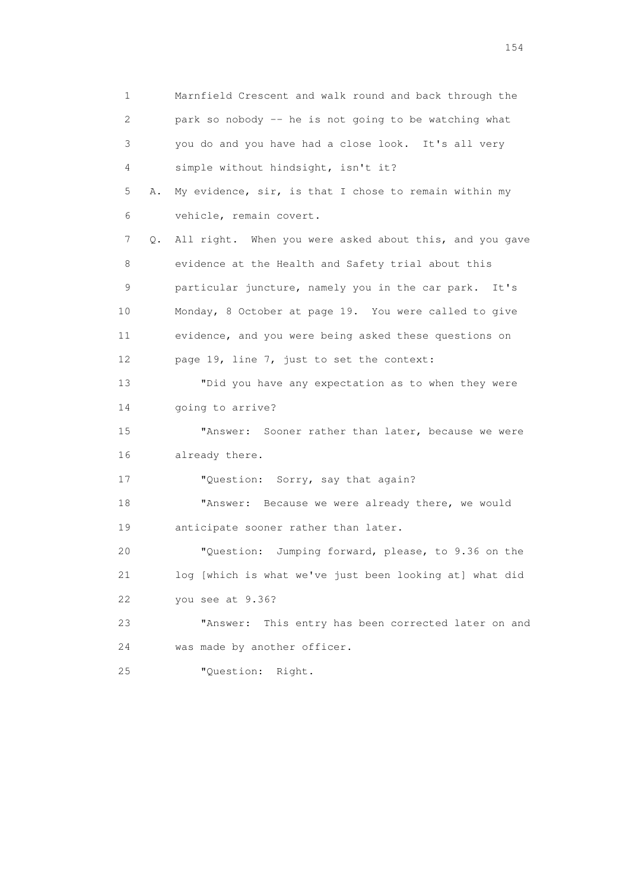1 Marnfield Crescent and walk round and back through the 2 park so nobody -- he is not going to be watching what 3 you do and you have had a close look. It's all very 4 simple without hindsight, isn't it? 5 A. My evidence, sir, is that I chose to remain within my 6 vehicle, remain covert. 7 Q. All right. When you were asked about this, and you gave 8 evidence at the Health and Safety trial about this 9 particular juncture, namely you in the car park. It's 10 Monday, 8 October at page 19. You were called to give 11 evidence, and you were being asked these questions on 12 page 19, line 7, just to set the context: 13 "Did you have any expectation as to when they were 14 going to arrive? 15 "Answer: Sooner rather than later, because we were 16 already there. 17 "Question: Sorry, say that again? 18 "Answer: Because we were already there, we would 19 anticipate sooner rather than later. 20 "Question: Jumping forward, please, to 9.36 on the 21 log [which is what we've just been looking at] what did 22 you see at 9.36? 23 "Answer: This entry has been corrected later on and 24 was made by another officer. 25 "Question: Right.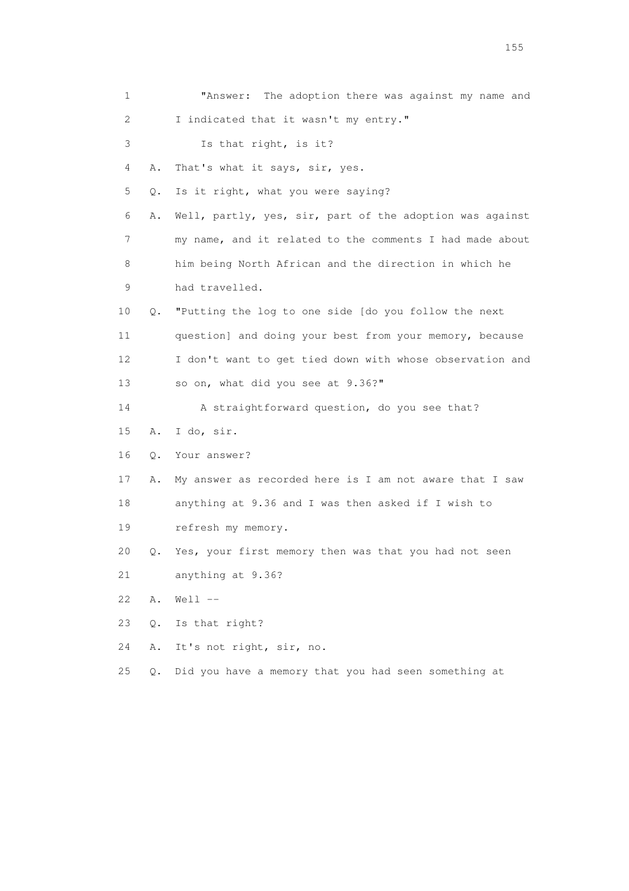| 1  |       | The adoption there was against my name and<br>"Answer:   |
|----|-------|----------------------------------------------------------|
| 2  |       | I indicated that it wasn't my entry."                    |
| 3  |       | Is that right, is it?                                    |
| 4  | Α.    | That's what it says, sir, yes.                           |
| 5  | Q.    | Is it right, what you were saying?                       |
| 6  | Α.    | Well, partly, yes, sir, part of the adoption was against |
| 7  |       | my name, and it related to the comments I had made about |
| 8  |       | him being North African and the direction in which he    |
| 9  |       | had travelled.                                           |
| 10 | Q.    | "Putting the log to one side [do you follow the next     |
| 11 |       | question] and doing your best from your memory, because  |
| 12 |       | I don't want to get tied down with whose observation and |
| 13 |       | so on, what did you see at 9.36?"                        |
| 14 |       | A straightforward question, do you see that?             |
| 15 | Α.    | I do, sir.                                               |
| 16 | 0.    | Your answer?                                             |
| 17 | Α.    | My answer as recorded here is I am not aware that I saw  |
| 18 |       | anything at 9.36 and I was then asked if I wish to       |
| 19 |       | refresh my memory.                                       |
| 20 | Q.    | Yes, your first memory then was that you had not seen    |
| 21 |       | anything at 9.36?                                        |
| 22 | Α.    | $Well1$ $--$                                             |
| 23 | Q.    | Is that right?                                           |
| 24 | Α.    | It's not right, sir, no.                                 |
| 25 | $Q$ . | Did you have a memory that you had seen something at     |

n 155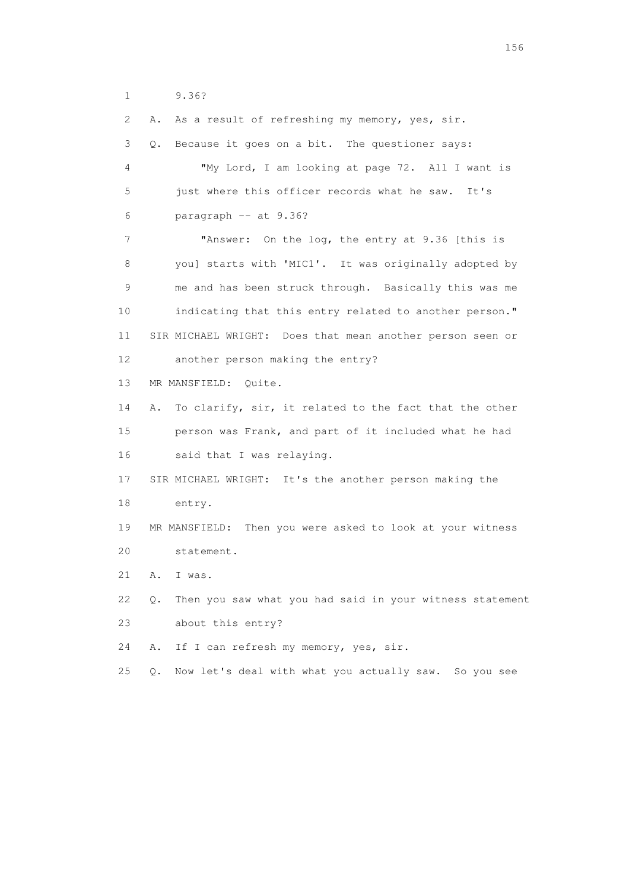1 9.36?

 2 A. As a result of refreshing my memory, yes, sir. 3 Q. Because it goes on a bit. The questioner says: 4 "My Lord, I am looking at page 72. All I want is 5 just where this officer records what he saw. It's 6 paragraph -- at 9.36? 7 **"Answer:** On the log, the entry at 9.36 [this is 8 you] starts with 'MIC1'. It was originally adopted by 9 me and has been struck through. Basically this was me 10 indicating that this entry related to another person." 11 SIR MICHAEL WRIGHT: Does that mean another person seen or 12 another person making the entry? 13 MR MANSFIELD: Quite. 14 A. To clarify, sir, it related to the fact that the other 15 person was Frank, and part of it included what he had 16 said that I was relaying. 17 SIR MICHAEL WRIGHT: It's the another person making the 18 entry. 19 MR MANSFIELD: Then you were asked to look at your witness 20 statement. 21 A. I was. 22 Q. Then you saw what you had said in your witness statement 23 about this entry? 24 A. If I can refresh my memory, yes, sir. 25 Q. Now let's deal with what you actually saw. So you see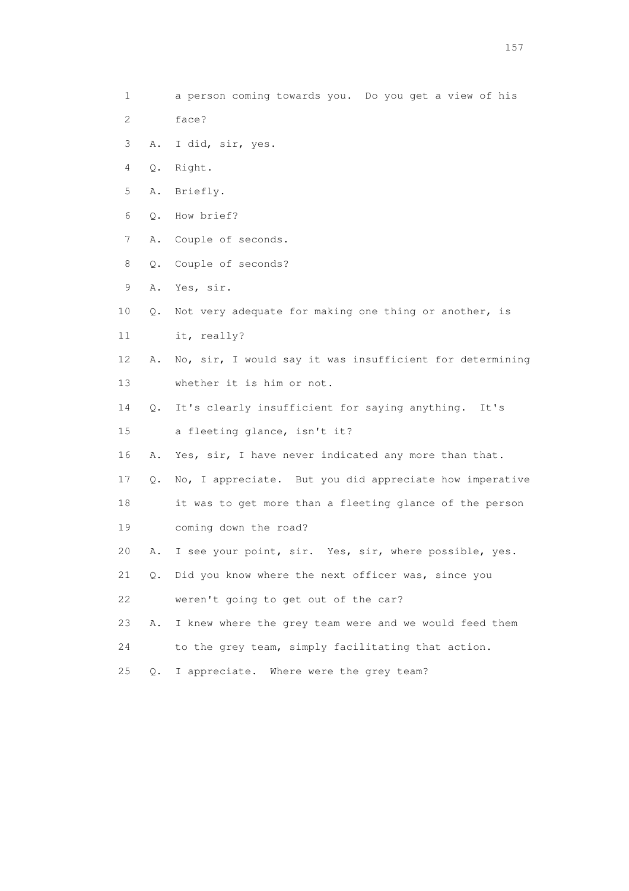- 1 a person coming towards you. Do you get a view of his
- 2 face?
- 3 A. I did, sir, yes.
- 4 Q. Right.
- 5 A. Briefly.
- 6 Q. How brief?
- 7 A. Couple of seconds.
- 8 Q. Couple of seconds?
- 9 A. Yes, sir.
- 10 Q. Not very adequate for making one thing or another, is
- 11 it, really?
- 12 A. No, sir, I would say it was insufficient for determining 13 whether it is him or not.
- 14 Q. It's clearly insufficient for saying anything. It's
- 15 a fleeting glance, isn't it?
- 16 A. Yes, sir, I have never indicated any more than that.
- 17 Q. No, I appreciate. But you did appreciate how imperative
- 18 it was to get more than a fleeting glance of the person 19 coming down the road?
- 20 A. I see your point, sir. Yes, sir, where possible, yes.
- 21 Q. Did you know where the next officer was, since you
- 22 weren't going to get out of the car?
- 23 A. I knew where the grey team were and we would feed them
- 24 to the grey team, simply facilitating that action.
- 25 Q. I appreciate. Where were the grey team?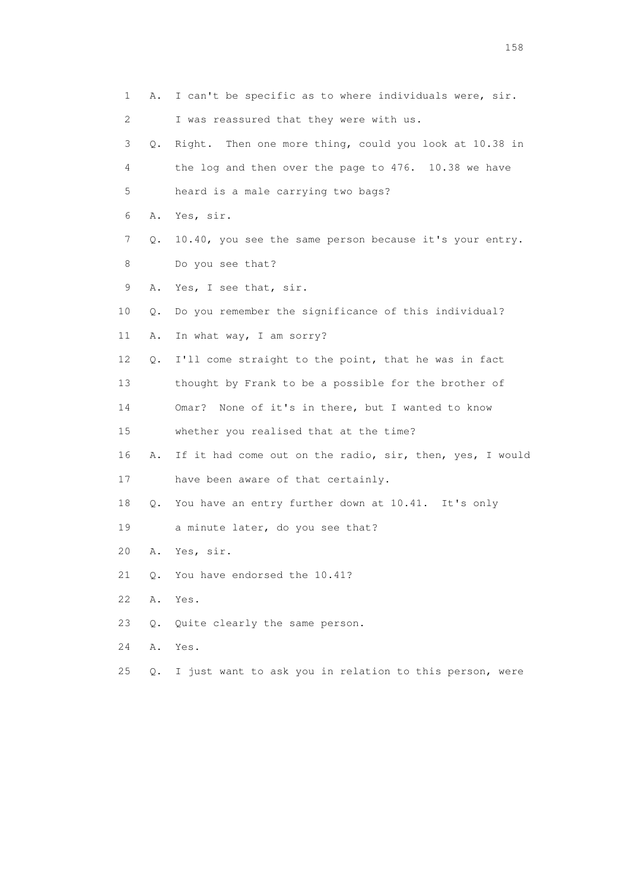| 1  | Α.    | I can't be specific as to where individuals were, sir.   |
|----|-------|----------------------------------------------------------|
| 2  |       | I was reassured that they were with us.                  |
| 3  | Q.    | Right. Then one more thing, could you look at 10.38 in   |
| 4  |       | the log and then over the page to 476. 10.38 we have     |
| 5  |       | heard is a male carrying two bags?                       |
| 6  | Α.    | Yes, sir.                                                |
| 7  | Q.    | 10.40, you see the same person because it's your entry.  |
| 8  |       | Do you see that?                                         |
| 9  | Α.    | Yes, I see that, sir.                                    |
| 10 | Q.    | Do you remember the significance of this individual?     |
| 11 | Α.    | In what way, I am sorry?                                 |
| 12 | Q.    | I'll come straight to the point, that he was in fact     |
| 13 |       | thought by Frank to be a possible for the brother of     |
| 14 |       | None of it's in there, but I wanted to know<br>Omar?     |
| 15 |       | whether you realised that at the time?                   |
| 16 | Α.    | If it had come out on the radio, sir, then, yes, I would |
| 17 |       | have been aware of that certainly.                       |
| 18 | Q.    | You have an entry further down at 10.41. It's only       |
| 19 |       | a minute later, do you see that?                         |
| 20 | Α.    | Yes, sir.                                                |
| 21 | О.    | You have endorsed the 10.41?                             |
| 22 | Α.    | Yes.                                                     |
| 23 | $Q$ . | Quite clearly the same person.                           |
| 24 | Α.    | Yes.                                                     |
| 25 | Q.    | I just want to ask you in relation to this person, were  |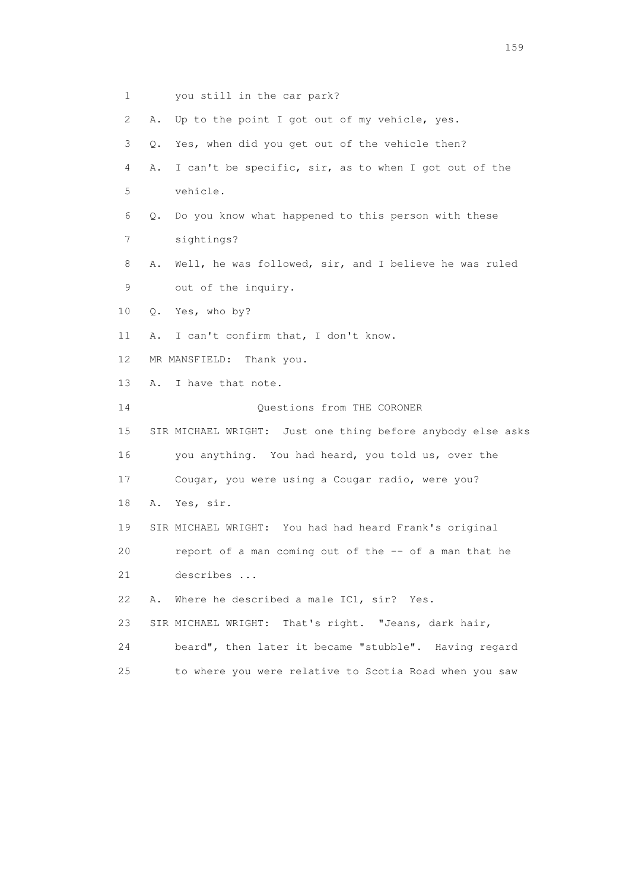1 you still in the car park? 2 A. Up to the point I got out of my vehicle, yes. 3 Q. Yes, when did you get out of the vehicle then? 4 A. I can't be specific, sir, as to when I got out of the 5 vehicle. 6 Q. Do you know what happened to this person with these 7 sightings? 8 A. Well, he was followed, sir, and I believe he was ruled 9 out of the inquiry. 10 Q. Yes, who by? 11 A. I can't confirm that, I don't know. 12 MR MANSFIELD: Thank you. 13 A. I have that note. 14 Questions from THE CORONER 15 SIR MICHAEL WRIGHT: Just one thing before anybody else asks 16 you anything. You had heard, you told us, over the 17 Cougar, you were using a Cougar radio, were you? 18 A. Yes, sir. 19 SIR MICHAEL WRIGHT: You had had heard Frank's original 20 report of a man coming out of the -- of a man that he 21 describes ... 22 A. Where he described a male IC1, sir? Yes. 23 SIR MICHAEL WRIGHT: That's right. "Jeans, dark hair, 24 beard", then later it became "stubble". Having regard 25 to where you were relative to Scotia Road when you saw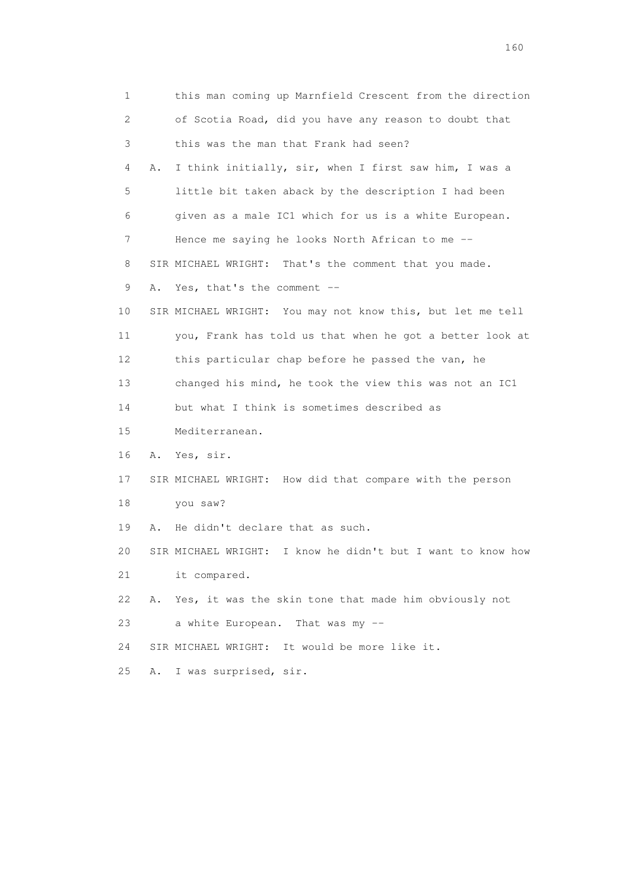1 this man coming up Marnfield Crescent from the direction 2 of Scotia Road, did you have any reason to doubt that 3 this was the man that Frank had seen? 4 A. I think initially, sir, when I first saw him, I was a 5 little bit taken aback by the description I had been 6 given as a male IC1 which for us is a white European. 7 Hence me saying he looks North African to me -- 8 SIR MICHAEL WRIGHT: That's the comment that you made. 9 A. Yes, that's the comment -- 10 SIR MICHAEL WRIGHT: You may not know this, but let me tell 11 you, Frank has told us that when he got a better look at 12 this particular chap before he passed the van, he 13 changed his mind, he took the view this was not an IC1 14 but what I think is sometimes described as 15 Mediterranean. 16 A. Yes, sir. 17 SIR MICHAEL WRIGHT: How did that compare with the person 18 you saw? 19 A. He didn't declare that as such. 20 SIR MICHAEL WRIGHT: I know he didn't but I want to know how 21 it compared. 22 A. Yes, it was the skin tone that made him obviously not 23 a white European. That was my -- 24 SIR MICHAEL WRIGHT: It would be more like it. 25 A. I was surprised, sir.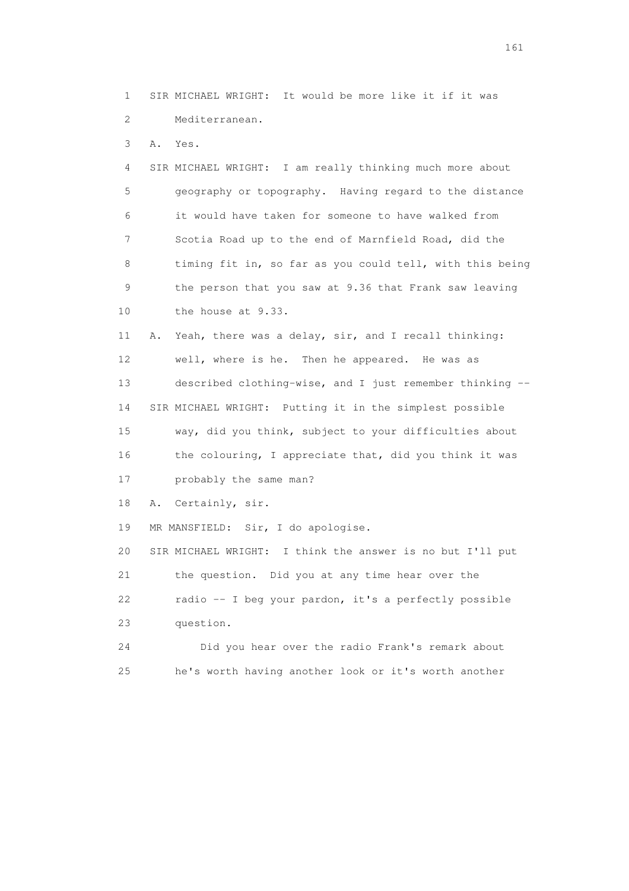1 SIR MICHAEL WRIGHT: It would be more like it if it was 2 Mediterranean.

3 A. Yes.

 4 SIR MICHAEL WRIGHT: I am really thinking much more about 5 geography or topography. Having regard to the distance 6 it would have taken for someone to have walked from 7 Scotia Road up to the end of Marnfield Road, did the 8 timing fit in, so far as you could tell, with this being 9 the person that you saw at 9.36 that Frank saw leaving 10 the house at 9.33.

 11 A. Yeah, there was a delay, sir, and I recall thinking: 12 well, where is he. Then he appeared. He was as 13 described clothing-wise, and I just remember thinking -- 14 SIR MICHAEL WRIGHT: Putting it in the simplest possible 15 way, did you think, subject to your difficulties about 16 the colouring, I appreciate that, did you think it was 17 probably the same man?

18 A. Certainly, sir.

19 MR MANSFIELD: Sir, I do apologise.

 20 SIR MICHAEL WRIGHT: I think the answer is no but I'll put 21 the question. Did you at any time hear over the 22 radio -- I beg your pardon, it's a perfectly possible 23 question. 24 Did you hear over the radio Frank's remark about

25 he's worth having another look or it's worth another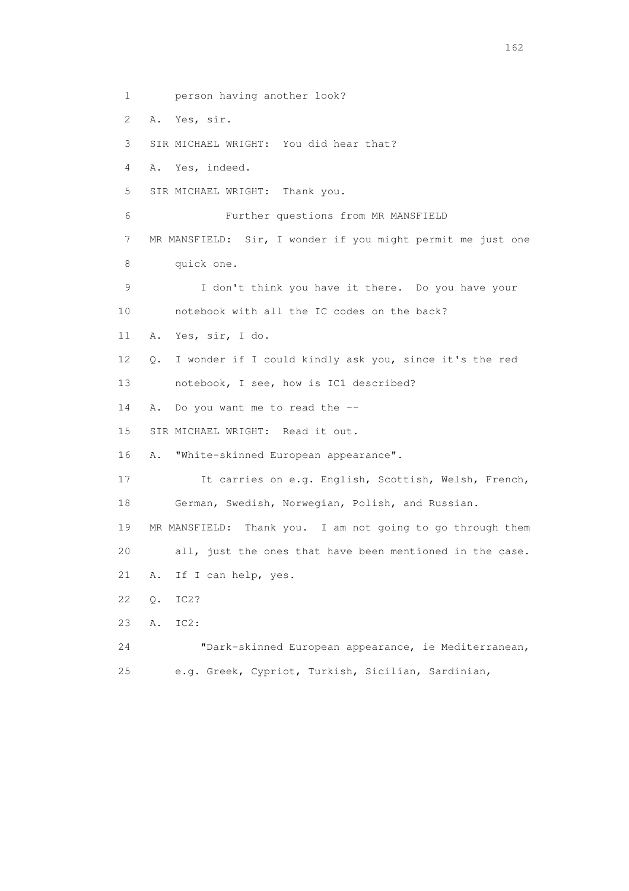1 person having another look? 2 A. Yes, sir. 3 SIR MICHAEL WRIGHT: You did hear that? 4 A. Yes, indeed. 5 SIR MICHAEL WRIGHT: Thank you. 6 Further questions from MR MANSFIELD 7 MR MANSFIELD: Sir, I wonder if you might permit me just one 8 quick one. 9 I don't think you have it there. Do you have your 10 notebook with all the IC codes on the back? 11 A. Yes, sir, I do. 12 Q. I wonder if I could kindly ask you, since it's the red 13 notebook, I see, how is IC1 described? 14 A. Do you want me to read the -- 15 SIR MICHAEL WRIGHT: Read it out. 16 A. "White-skinned European appearance". 17 It carries on e.g. English, Scottish, Welsh, French, 18 German, Swedish, Norwegian, Polish, and Russian. 19 MR MANSFIELD: Thank you. I am not going to go through them 20 all, just the ones that have been mentioned in the case. 21 A. If I can help, yes. 22 Q. IC2? 23 A. IC2: 24 "Dark-skinned European appearance, ie Mediterranean, 25 e.g. Greek, Cypriot, Turkish, Sicilian, Sardinian,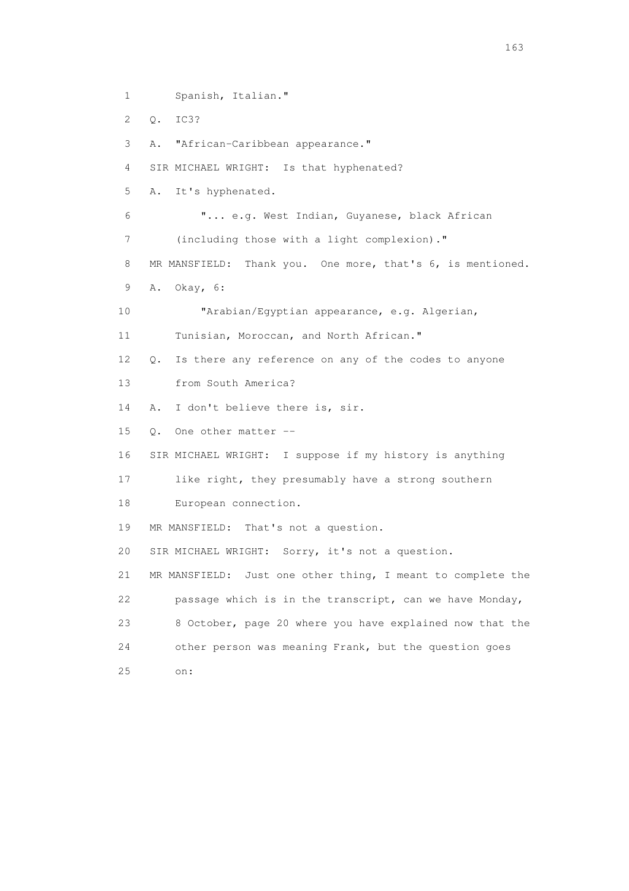1 Spanish, Italian."

2 Q. IC3?

3 A. "African-Caribbean appearance."

4 SIR MICHAEL WRIGHT: Is that hyphenated?

5 A. It's hyphenated.

 6 "... e.g. West Indian, Guyanese, black African 7 (including those with a light complexion)."

8 MR MANSFIELD: Thank you. One more, that's 6, is mentioned.

9 A. Okay, 6:

10 "Arabian/Egyptian appearance, e.g. Algerian,

11 Tunisian, Moroccan, and North African."

12 Q. Is there any reference on any of the codes to anyone

13 from South America?

14 A. I don't believe there is, sir.

15 Q. One other matter --

16 SIR MICHAEL WRIGHT: I suppose if my history is anything

17 like right, they presumably have a strong southern

18 European connection.

19 MR MANSFIELD: That's not a question.

20 SIR MICHAEL WRIGHT: Sorry, it's not a question.

 21 MR MANSFIELD: Just one other thing, I meant to complete the 22 passage which is in the transcript, can we have Monday, 23 8 October, page 20 where you have explained now that the 24 other person was meaning Frank, but the question goes 25 on: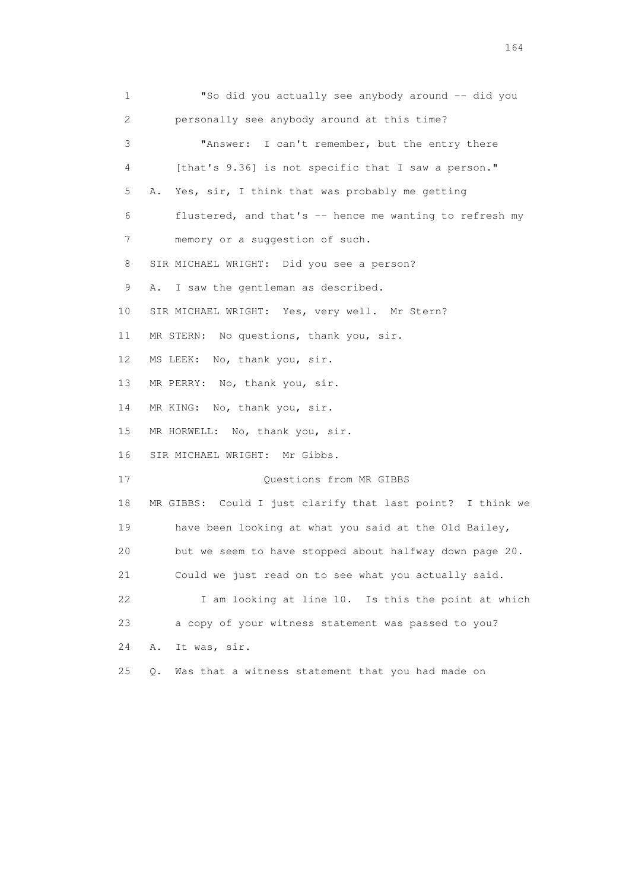1 "So did you actually see anybody around -- did you 2 personally see anybody around at this time? 3 "Answer: I can't remember, but the entry there 4 [that's 9.36] is not specific that I saw a person." 5 A. Yes, sir, I think that was probably me getting 6 flustered, and that's -- hence me wanting to refresh my 7 memory or a suggestion of such. 8 SIR MICHAEL WRIGHT: Did you see a person? 9 A. I saw the gentleman as described. 10 SIR MICHAEL WRIGHT: Yes, very well. Mr Stern? 11 MR STERN: No questions, thank you, sir. 12 MS LEEK: No, thank you, sir. 13 MR PERRY: No, thank you, sir. 14 MR KING: No, thank you, sir. 15 MR HORWELL: No, thank you, sir. 16 SIR MICHAEL WRIGHT: Mr Gibbs. 17 Ouestions from MR GIBBS 18 MR GIBBS: Could I just clarify that last point? I think we 19 have been looking at what you said at the Old Bailey, 20 but we seem to have stopped about halfway down page 20. 21 Could we just read on to see what you actually said. 22 I am looking at line 10. Is this the point at which 23 a copy of your witness statement was passed to you? 24 A. It was, sir. 25 Q. Was that a witness statement that you had made on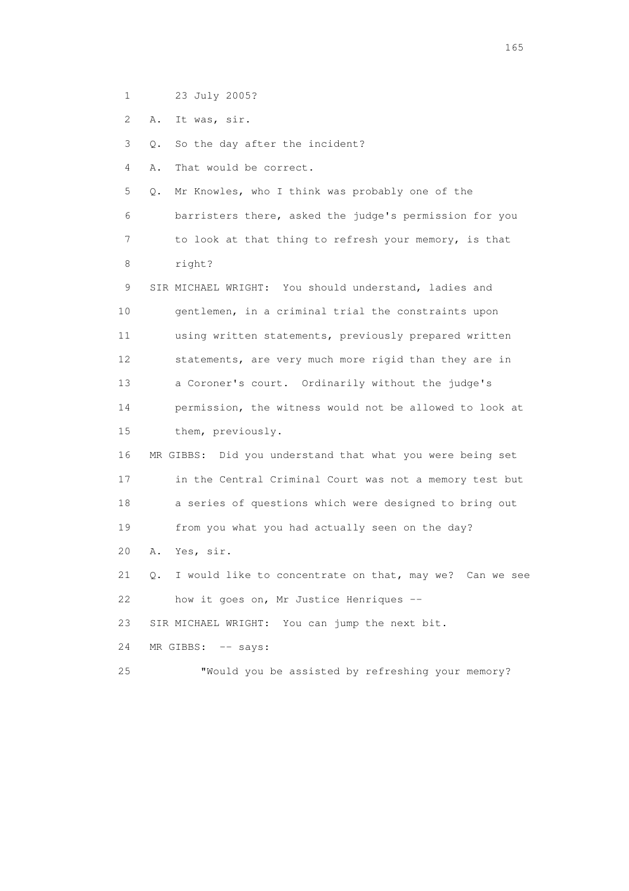- 1 23 July 2005?
- 2 A. It was, sir.

3 Q. So the day after the incident?

4 A. That would be correct.

- 5 Q. Mr Knowles, who I think was probably one of the 6 barristers there, asked the judge's permission for you 7 to look at that thing to refresh your memory, is that 8 right? 9 SIR MICHAEL WRIGHT: You should understand, ladies and
- 10 gentlemen, in a criminal trial the constraints upon 11 using written statements, previously prepared written 12 statements, are very much more rigid than they are in 13 a Coroner's court. Ordinarily without the judge's 14 permission, the witness would not be allowed to look at 15 them, previously.
- 16 MR GIBBS: Did you understand that what you were being set 17 in the Central Criminal Court was not a memory test but 18 a series of questions which were designed to bring out 19 from you what you had actually seen on the day?
- 20 A. Yes, sir.
- 21 Q. I would like to concentrate on that, may we? Can we see 22 how it goes on, Mr Justice Henriques --

23 SIR MICHAEL WRIGHT: You can jump the next bit.

- 24 MR GIBBS: -- says:
- 25 "Would you be assisted by refreshing your memory?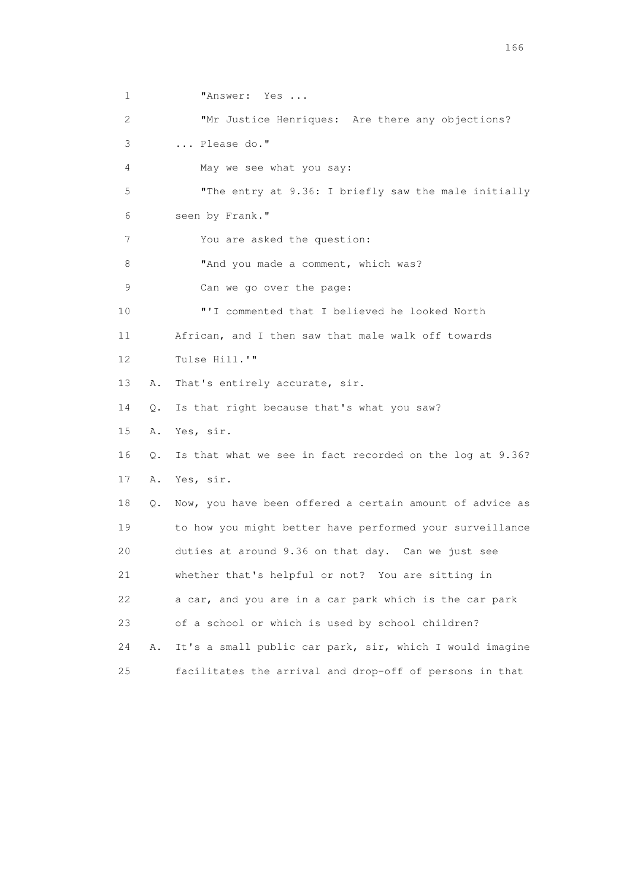1 **"Answer: Yes ...** 2 "Mr Justice Henriques: Are there any objections? 3 ... Please do." 4 May we see what you say: 5 "The entry at 9.36: I briefly saw the male initially 6 seen by Frank." 7 You are asked the question: 8 "And you made a comment, which was? 9 Can we go over the page: 10 "'I commented that I believed he looked North 11 African, and I then saw that male walk off towards 12 Tulse Hill.'" 13 A. That's entirely accurate, sir. 14 Q. Is that right because that's what you saw? 15 A. Yes, sir. 16 Q. Is that what we see in fact recorded on the log at 9.36? 17 A. Yes, sir. 18 Q. Now, you have been offered a certain amount of advice as 19 to how you might better have performed your surveillance 20 duties at around 9.36 on that day. Can we just see 21 whether that's helpful or not? You are sitting in 22 a car, and you are in a car park which is the car park 23 of a school or which is used by school children? 24 A. It's a small public car park, sir, which I would imagine 25 facilitates the arrival and drop-off of persons in that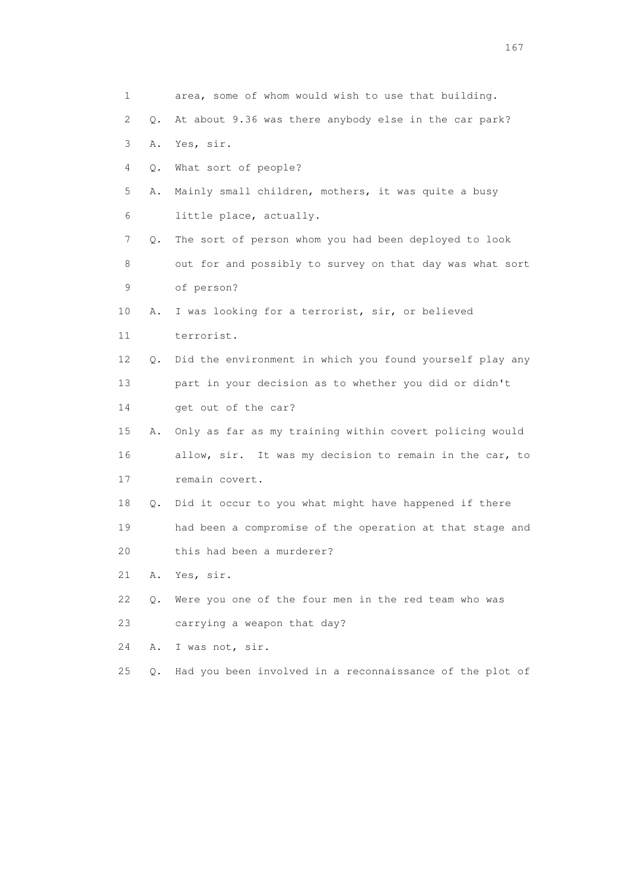| 1                         |           | area, some of whom would wish to use that building.      |
|---------------------------|-----------|----------------------------------------------------------|
| $\mathbf{2}^{\mathsf{I}}$ | $\circ$ . | At about 9.36 was there anybody else in the car park?    |
| 3                         | Α.        | Yes, sir.                                                |
| 4                         | Q.        | What sort of people?                                     |
| 5                         | Α.        | Mainly small children, mothers, it was quite a busy      |
| 6                         |           | little place, actually.                                  |
| 7                         | Q.        | The sort of person whom you had been deployed to look    |
| 8                         |           | out for and possibly to survey on that day was what sort |
| 9                         |           | of person?                                               |
| 10                        | Α.        | I was looking for a terrorist, sir, or believed          |
| 11                        |           | terrorist.                                               |
| 12                        | $\circ$ . | Did the environment in which you found yourself play any |
| 13                        |           | part in your decision as to whether you did or didn't    |
| 14                        |           | get out of the car?                                      |
| 15                        | Α.        | Only as far as my training within covert policing would  |
| 16                        |           | allow, sir. It was my decision to remain in the car, to  |
| 17                        |           | remain covert.                                           |
| 18                        | Q.        | Did it occur to you what might have happened if there    |
| 19                        |           | had been a compromise of the operation at that stage and |
| 20                        |           | this had been a murderer?                                |
| 21                        | Α.        | Yes, sir.                                                |
| 22                        | Q.        | Were you one of the four men in the red team who was     |
| 23                        |           | carrying a weapon that day?                              |
| 24                        | Α.        | I was not, sir.                                          |
| 25                        | О.        | Had you been involved in a reconnaissance of the plot of |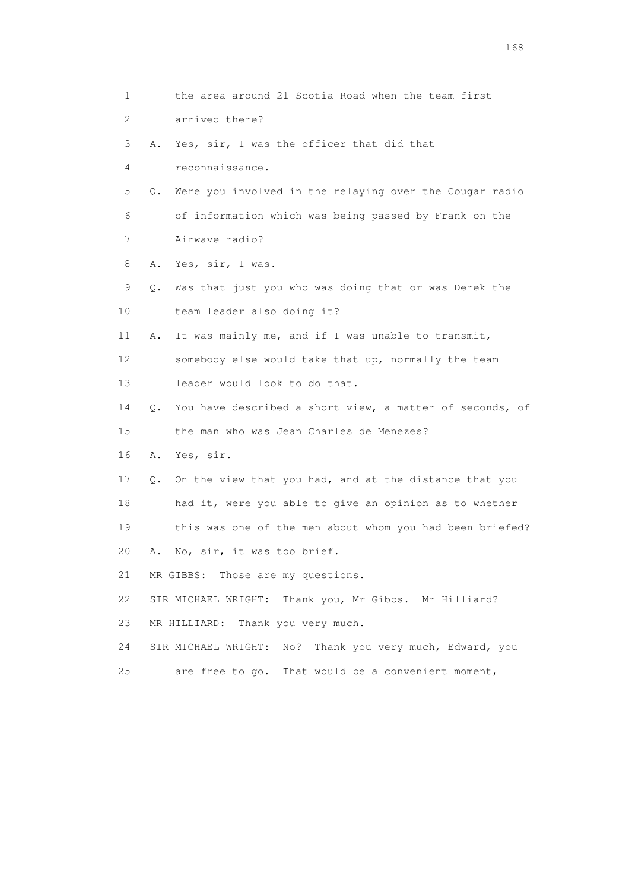1 the area around 21 Scotia Road when the team first 2 arrived there? 3 A. Yes, sir, I was the officer that did that 4 reconnaissance. 5 Q. Were you involved in the relaying over the Cougar radio 6 of information which was being passed by Frank on the 7 Airwave radio? 8 A. Yes, sir, I was. 9 Q. Was that just you who was doing that or was Derek the 10 team leader also doing it? 11 A. It was mainly me, and if I was unable to transmit, 12 somebody else would take that up, normally the team 13 leader would look to do that. 14 Q. You have described a short view, a matter of seconds, of 15 the man who was Jean Charles de Menezes? 16 A. Yes, sir. 17 Q. On the view that you had, and at the distance that you 18 had it, were you able to give an opinion as to whether 19 this was one of the men about whom you had been briefed? 20 A. No, sir, it was too brief. 21 MR GIBBS: Those are my questions. 22 SIR MICHAEL WRIGHT: Thank you, Mr Gibbs. Mr Hilliard? 23 MR HILLIARD: Thank you very much. 24 SIR MICHAEL WRIGHT: No? Thank you very much, Edward, you 25 are free to go. That would be a convenient moment,

<u>168</u> **168**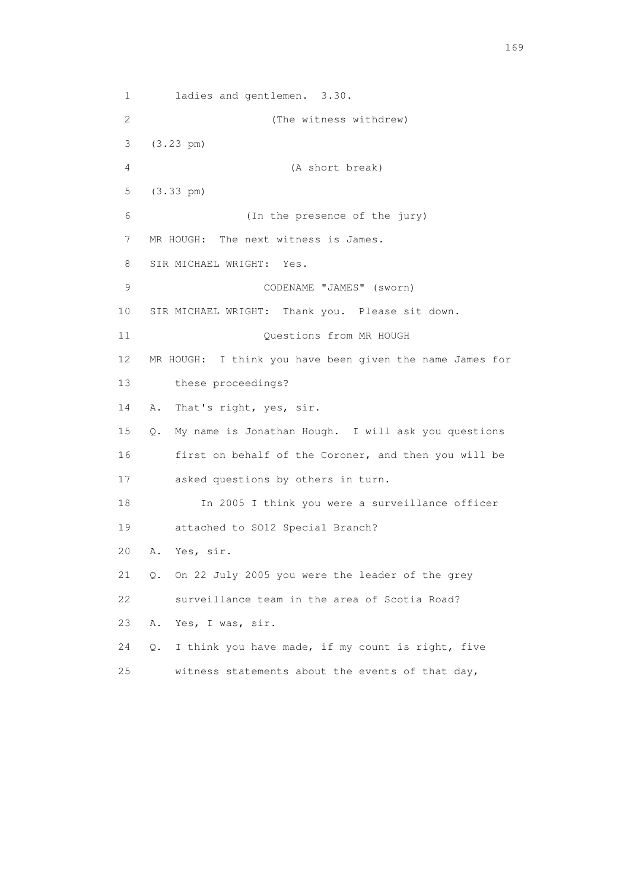1 ladies and gentlemen. 3.30. 2 (The witness withdrew) 3 (3.23 pm) 4 (A short break) 5 (3.33 pm) 6 (In the presence of the jury) 7 MR HOUGH: The next witness is James. 8 SIR MICHAEL WRIGHT: Yes. 9 CODENAME "JAMES" (sworn) 10 SIR MICHAEL WRIGHT: Thank you. Please sit down. 11 Ouestions from MR HOUGH 12 MR HOUGH: I think you have been given the name James for 13 these proceedings? 14 A. That's right, yes, sir. 15 Q. My name is Jonathan Hough. I will ask you questions 16 first on behalf of the Coroner, and then you will be 17 asked questions by others in turn. 18 In 2005 I think you were a surveillance officer 19 attached to SO12 Special Branch? 20 A. Yes, sir. 21 Q. On 22 July 2005 you were the leader of the grey 22 surveillance team in the area of Scotia Road? 23 A. Yes, I was, sir. 24 Q. I think you have made, if my count is right, five 25 witness statements about the events of that day,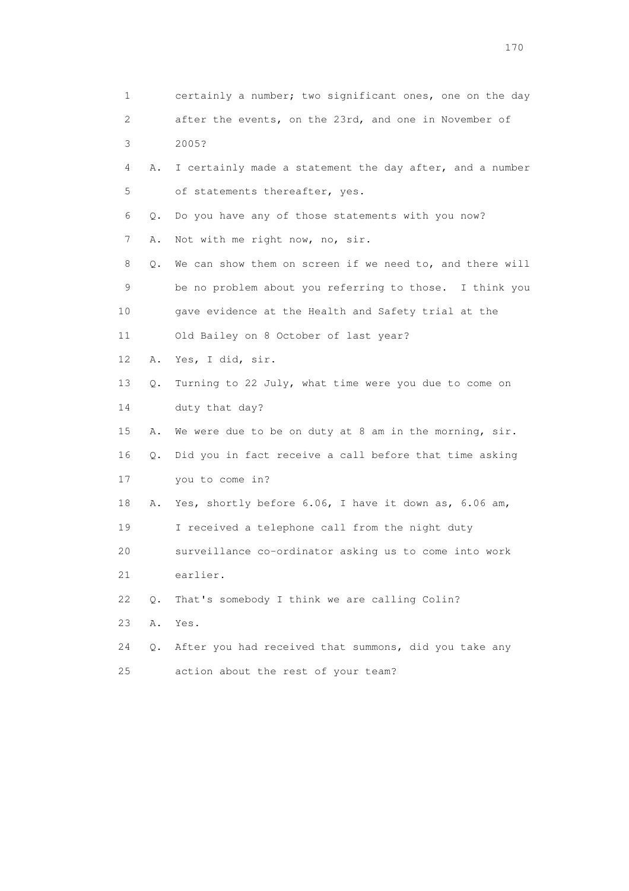| 1        | certainly a number; two significant ones, one on the day       |
|----------|----------------------------------------------------------------|
| 2        | after the events, on the 23rd, and one in November of          |
| 3        | 2005?                                                          |
| 4        | I certainly made a statement the day after, and a number<br>Α. |
| 5        | of statements thereafter, yes.                                 |
| 6        | Do you have any of those statements with you now?<br>Q.        |
| 7<br>Α.  | Not with me right now, no, sir.                                |
| 8        | We can show them on screen if we need to, and there will<br>Q. |
| 9        | be no problem about you referring to those. I think you        |
| 10       | gave evidence at the Health and Safety trial at the            |
| 11       | Old Bailey on 8 October of last year?                          |
| 12       | Yes, I did, sir.<br>Α.                                         |
| 13       | Turning to 22 July, what time were you due to come on<br>Q.    |
| 14       | duty that day?                                                 |
| 15<br>Α. | We were due to be on duty at 8 am in the morning, sir.         |
| 16       | Did you in fact receive a call before that time asking<br>Q.   |
| 17       | you to come in?                                                |
| 18       | Yes, shortly before 6.06, I have it down as, 6.06 am,<br>Α.    |
| 19       | I received a telephone call from the night duty                |
| 20       | surveillance co-ordinator asking us to come into work          |
| 21       | earlier.                                                       |
| 22<br>0. | That's somebody I think we are calling Colin?                  |
| 23<br>Α. | Yes.                                                           |
| 24       | After you had received that summons, did you take any<br>Q.    |
| 25       | action about the rest of your team?                            |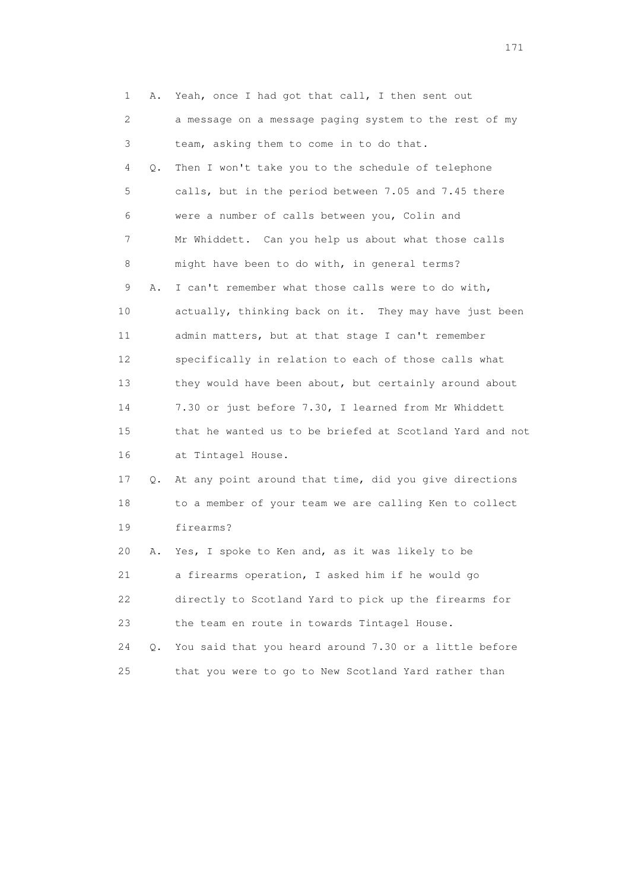| 1  | Α.        | Yeah, once I had got that call, I then sent out          |
|----|-----------|----------------------------------------------------------|
| 2  |           | a message on a message paging system to the rest of my   |
| 3  |           | team, asking them to come in to do that.                 |
| 4  | Q.        | Then I won't take you to the schedule of telephone       |
| 5  |           | calls, but in the period between 7.05 and 7.45 there     |
| 6  |           | were a number of calls between you, Colin and            |
| 7  |           | Mr Whiddett. Can you help us about what those calls      |
| 8  |           | might have been to do with, in general terms?            |
| 9  | Α.        | I can't remember what those calls were to do with,       |
| 10 |           | actually, thinking back on it. They may have just been   |
| 11 |           | admin matters, but at that stage I can't remember        |
| 12 |           | specifically in relation to each of those calls what     |
| 13 |           | they would have been about, but certainly around about   |
| 14 |           | 7.30 or just before 7.30, I learned from Mr Whiddett     |
| 15 |           | that he wanted us to be briefed at Scotland Yard and not |
| 16 |           | at Tintagel House.                                       |
| 17 | Q.        | At any point around that time, did you give directions   |
| 18 |           | to a member of your team we are calling Ken to collect   |
| 19 |           | firearms?                                                |
| 20 | Α.        | Yes, I spoke to Ken and, as it was likely to be          |
| 21 |           | a firearms operation, I asked him if he would go         |
| 22 |           | directly to Scotland Yard to pick up the firearms for    |
| 23 |           | the team en route in towards Tintagel House.             |
| 24 | $\circ$ . | You said that you heard around 7.30 or a little before   |
| 25 |           | that you were to go to New Scotland Yard rather than     |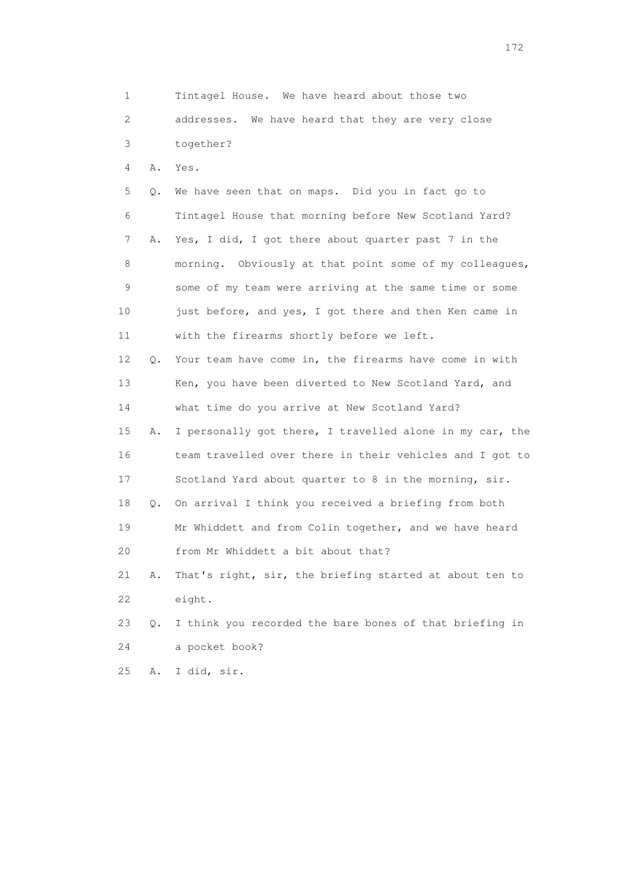1 Tintagel House. We have heard about those two 2 addresses. We have heard that they are very close 3 together? 4 A. Yes. 5 Q. We have seen that on maps. Did you in fact go to 6 Tintagel House that morning before New Scotland Yard? 7 A. Yes, I did, I got there about quarter past 7 in the 8 morning. Obviously at that point some of my colleagues, 9 some of my team were arriving at the same time or some 10 just before, and yes, I got there and then Ken came in 11 with the firearms shortly before we left. 12 Q. Your team have come in, the firearms have come in with 13 Ken, you have been diverted to New Scotland Yard, and 14 what time do you arrive at New Scotland Yard? 15 A. I personally got there, I travelled alone in my car, the 16 team travelled over there in their vehicles and I got to 17 Scotland Yard about quarter to 8 in the morning, sir. 18 Q. On arrival I think you received a briefing from both 19 Mr Whiddett and from Colin together, and we have heard 20 from Mr Whiddett a bit about that? 21 A. That's right, sir, the briefing started at about ten to 22 eight. 23 Q. I think you recorded the bare bones of that briefing in 24 a pocket book? 25 A. I did, sir.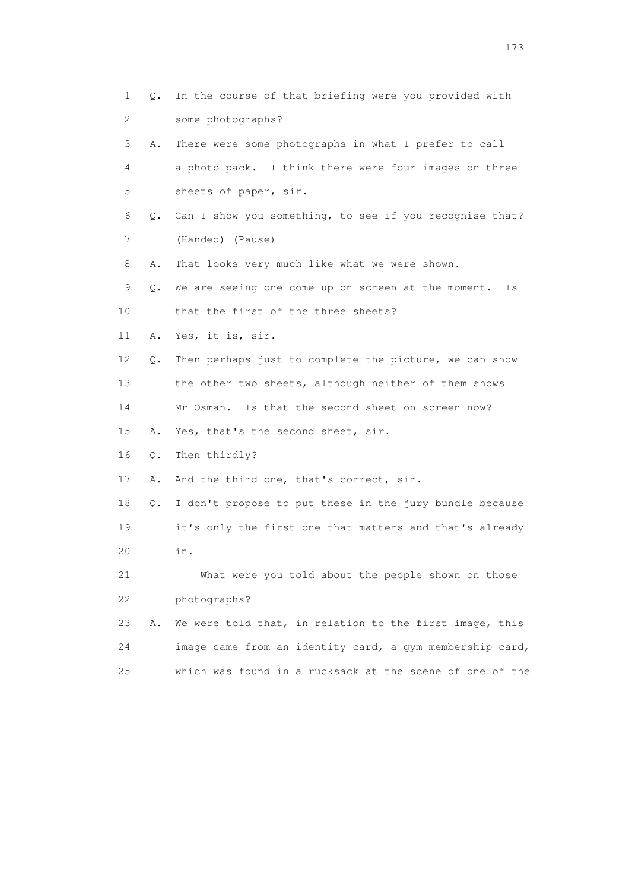1 Q. In the course of that briefing were you provided with 2 some photographs? 3 A. There were some photographs in what I prefer to call 4 a photo pack. I think there were four images on three 5 sheets of paper, sir. 6 Q. Can I show you something, to see if you recognise that? 7 (Handed) (Pause) 8 A. That looks very much like what we were shown. 9 Q. We are seeing one come up on screen at the moment. Is 10 that the first of the three sheets? 11 A. Yes, it is, sir. 12 Q. Then perhaps just to complete the picture, we can show 13 the other two sheets, although neither of them shows 14 Mr Osman. Is that the second sheet on screen now? 15 A. Yes, that's the second sheet, sir. 16 Q. Then thirdly? 17 A. And the third one, that's correct, sir. 18 Q. I don't propose to put these in the jury bundle because 19 it's only the first one that matters and that's already 20 in. 21 What were you told about the people shown on those 22 photographs? 23 A. We were told that, in relation to the first image, this 24 image came from an identity card, a gym membership card, 25 which was found in a rucksack at the scene of one of the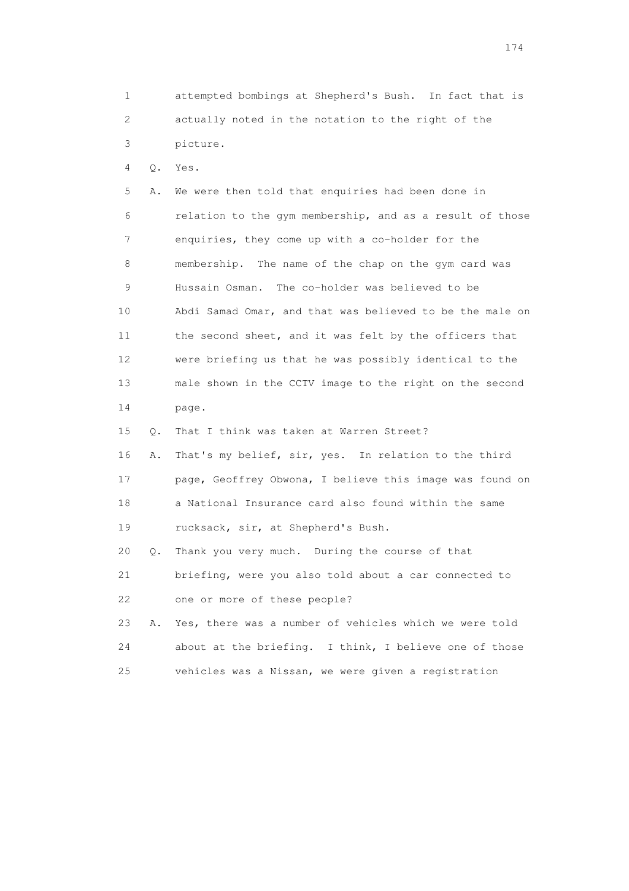1 attempted bombings at Shepherd's Bush. In fact that is 2 actually noted in the notation to the right of the 3 picture.

4 Q. Yes.

 5 A. We were then told that enquiries had been done in 6 relation to the gym membership, and as a result of those 7 enquiries, they come up with a co-holder for the 8 membership. The name of the chap on the gym card was 9 Hussain Osman. The co-holder was believed to be 10 Abdi Samad Omar, and that was believed to be the male on 11 the second sheet, and it was felt by the officers that 12 were briefing us that he was possibly identical to the 13 male shown in the CCTV image to the right on the second 14 page. 15 Q. That I think was taken at Warren Street?

 16 A. That's my belief, sir, yes. In relation to the third 17 page, Geoffrey Obwona, I believe this image was found on 18 a National Insurance card also found within the same 19 rucksack, sir, at Shepherd's Bush.

 20 Q. Thank you very much. During the course of that 21 briefing, were you also told about a car connected to 22 one or more of these people?

 23 A. Yes, there was a number of vehicles which we were told 24 about at the briefing. I think, I believe one of those 25 vehicles was a Nissan, we were given a registration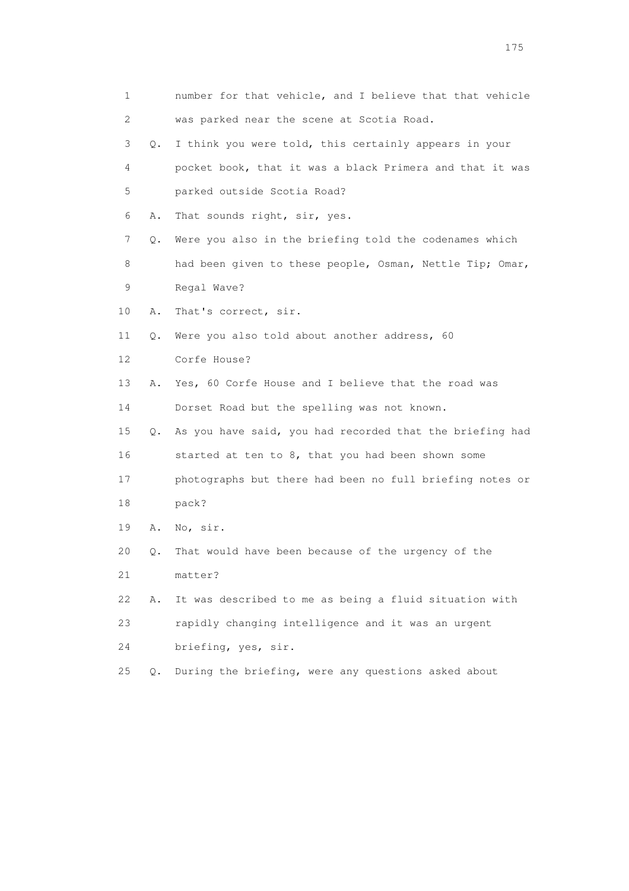|    | 1         | number for that vehicle, and I believe that that vehicle |
|----|-----------|----------------------------------------------------------|
|    | 2         | was parked near the scene at Scotia Road.                |
|    | 3<br>Q.   | I think you were told, this certainly appears in your    |
|    | 4         | pocket book, that it was a black Primera and that it was |
|    | 5         | parked outside Scotia Road?                              |
|    | 6<br>Α.   | That sounds right, sir, yes.                             |
|    | 7<br>Q.   | Were you also in the briefing told the codenames which   |
|    | 8         | had been given to these people, Osman, Nettle Tip; Omar, |
|    | 9         | Regal Wave?                                              |
| 10 | Α.        | That's correct, sir.                                     |
| 11 | Q.        | Were you also told about another address, 60             |
| 12 |           | Corfe House?                                             |
| 13 | Α.        | Yes, 60 Corfe House and I believe that the road was      |
| 14 |           | Dorset Road but the spelling was not known.              |
| 15 | $\circ$ . | As you have said, you had recorded that the briefing had |
| 16 |           | started at ten to 8, that you had been shown some        |
| 17 |           | photographs but there had been no full briefing notes or |
| 18 |           | pack?                                                    |
|    | 19<br>Α.  | No, sir.                                                 |
| 20 | Q.        | That would have been because of the urgency of the       |
| 21 |           | matter?                                                  |
| 22 | Α.        | It was described to me as being a fluid situation with   |
| 23 |           | rapidly changing intelligence and it was an urgent       |
| 24 |           | briefing, yes, sir.                                      |
| 25 | Q.        | During the briefing, were any questions asked about      |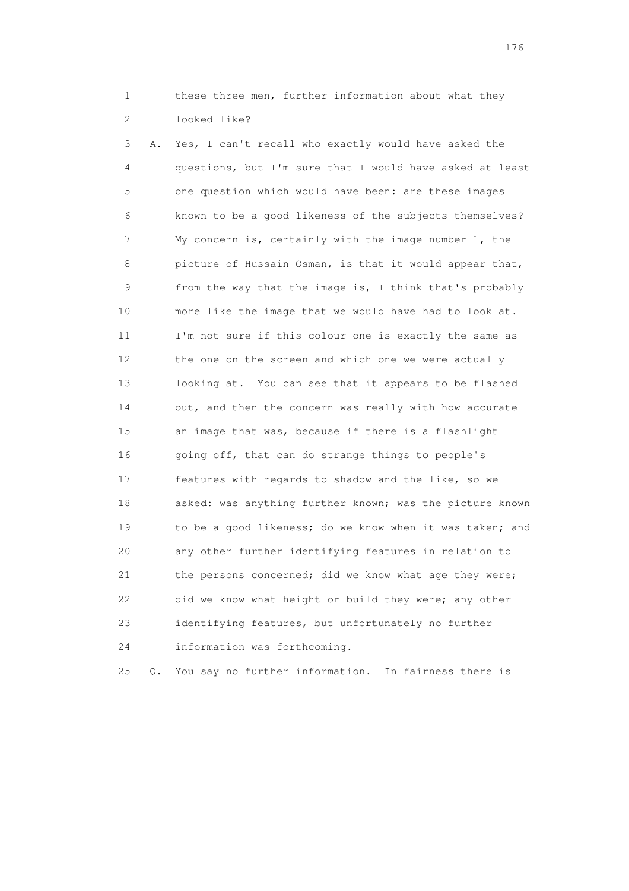1 these three men, further information about what they 2 looked like?

 3 A. Yes, I can't recall who exactly would have asked the 4 questions, but I'm sure that I would have asked at least 5 one question which would have been: are these images 6 known to be a good likeness of the subjects themselves? 7 My concern is, certainly with the image number 1, the 8 picture of Hussain Osman, is that it would appear that, 9 from the way that the image is, I think that's probably 10 more like the image that we would have had to look at. 11 I'm not sure if this colour one is exactly the same as 12 the one on the screen and which one we were actually 13 looking at. You can see that it appears to be flashed 14 out, and then the concern was really with how accurate 15 an image that was, because if there is a flashlight 16 going off, that can do strange things to people's 17 features with regards to shadow and the like, so we 18 asked: was anything further known; was the picture known 19 to be a good likeness; do we know when it was taken; and 20 any other further identifying features in relation to 21 the persons concerned; did we know what age they were; 22 did we know what height or build they were; any other 23 identifying features, but unfortunately no further 24 information was forthcoming.

25 Q. You say no further information. In fairness there is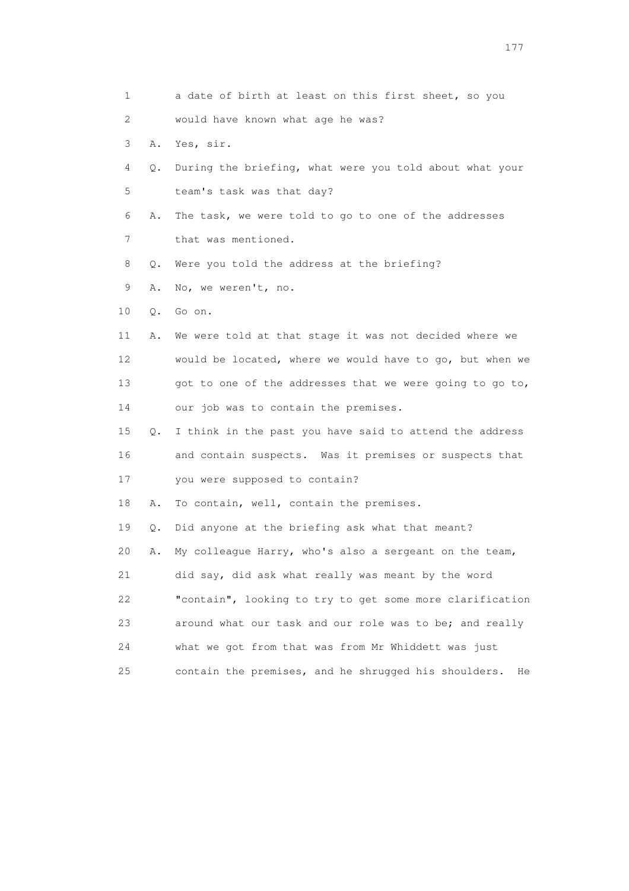| 1  |    | a date of birth at least on this first sheet, so you       |
|----|----|------------------------------------------------------------|
| 2. |    | would have known what age he was?                          |
| 3  | Α. | Yes, sir.                                                  |
| 4  | Q. | During the briefing, what were you told about what your    |
| 5  |    | team's task was that day?                                  |
| 6  | Α. | The task, we were told to go to one of the addresses       |
| 7  |    | that was mentioned.                                        |
| 8  | Q. | Were you told the address at the briefing?                 |
| 9  | Α. | No, we weren't, no.                                        |
| 10 | Q. | Go on.                                                     |
| 11 | Α. | We were told at that stage it was not decided where we     |
| 12 |    | would be located, where we would have to go, but when we   |
| 13 |    | got to one of the addresses that we were going to go to,   |
| 14 |    | our job was to contain the premises.                       |
| 15 | Q. | I think in the past you have said to attend the address    |
| 16 |    | and contain suspects. Was it premises or suspects that     |
| 17 |    | you were supposed to contain?                              |
| 18 | Α. | To contain, well, contain the premises.                    |
| 19 | Q. | Did anyone at the briefing ask what that meant?            |
| 20 | Α. | My colleague Harry, who's also a sergeant on the team,     |
| 21 |    | did say, did ask what really was meant by the word         |
| 22 |    | "contain", looking to try to get some more clarification   |
| 23 |    | around what our task and our role was to be; and really    |
| 24 |    | what we got from that was from Mr Whiddett was just        |
| 25 |    | contain the premises, and he shrugged his shoulders.<br>He |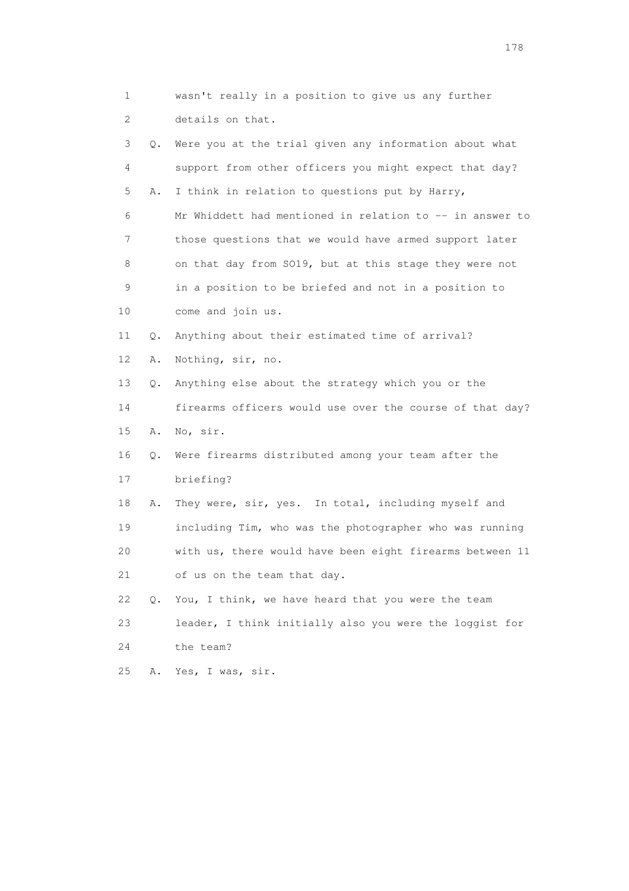|                 | 1             | wasn't really in a position to give us any further       |
|-----------------|---------------|----------------------------------------------------------|
|                 | 2             | details on that.                                         |
|                 | 3<br>Q.       | Were you at the trial given any information about what   |
|                 | 4             | support from other officers you might expect that day?   |
|                 | 5<br>Α.       | I think in relation to questions put by Harry,           |
|                 | 6             | Mr Whiddett had mentioned in relation to -- in answer to |
|                 | 7             | those questions that we would have armed support later   |
|                 | 8             | on that day from SO19, but at this stage they were not   |
|                 | 9             | in a position to be briefed and not in a position to     |
| 10              |               | come and join us.                                        |
| 11              | Q.            | Anything about their estimated time of arrival?          |
| 12 <sup>°</sup> | Α.            | Nothing, sir, no.                                        |
| 13              | Q.            | Anything else about the strategy which you or the        |
| 14              |               | firearms officers would use over the course of that day? |
| 15              | Α.            | No, sir.                                                 |
| 16              | Q.            | Were firearms distributed among your team after the      |
| 17              |               | briefing?                                                |
| 18              | Α.            | They were, sir, yes. In total, including myself and      |
| 19              |               | including Tim, who was the photographer who was running  |
| 20              |               | with us, there would have been eight firearms between 11 |
| 21              |               | of us on the team that day.                              |
| 22              | $Q_{\bullet}$ | You, I think, we have heard that you were the team       |
| 23              |               | leader, I think initially also you were the loggist for  |
| 24              |               | the team?                                                |
| 25              | Α.            | Yes, I was, sir.                                         |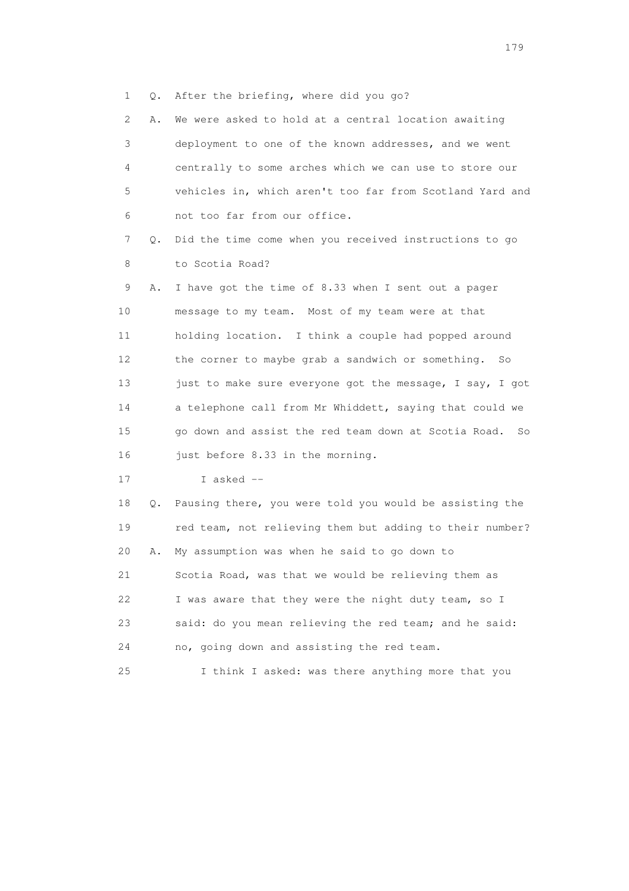1 Q. After the briefing, where did you go?

 2 A. We were asked to hold at a central location awaiting 3 deployment to one of the known addresses, and we went 4 centrally to some arches which we can use to store our 5 vehicles in, which aren't too far from Scotland Yard and 6 not too far from our office. 7 Q. Did the time come when you received instructions to go 8 to Scotia Road? 9 A. I have got the time of 8.33 when I sent out a pager 10 message to my team. Most of my team were at that 11 holding location. I think a couple had popped around 12 the corner to maybe grab a sandwich or something. So 13 just to make sure everyone got the message, I say, I got 14 a telephone call from Mr Whiddett, saying that could we 15 go down and assist the red team down at Scotia Road. So 16 just before 8.33 in the morning. 17 I asked -- 18 Q. Pausing there, you were told you would be assisting the 19 red team, not relieving them but adding to their number? 20 A. My assumption was when he said to go down to 21 Scotia Road, was that we would be relieving them as 22 I was aware that they were the night duty team, so I 23 said: do you mean relieving the red team; and he said: 24 no, going down and assisting the red team.

25 I think I asked: was there anything more that you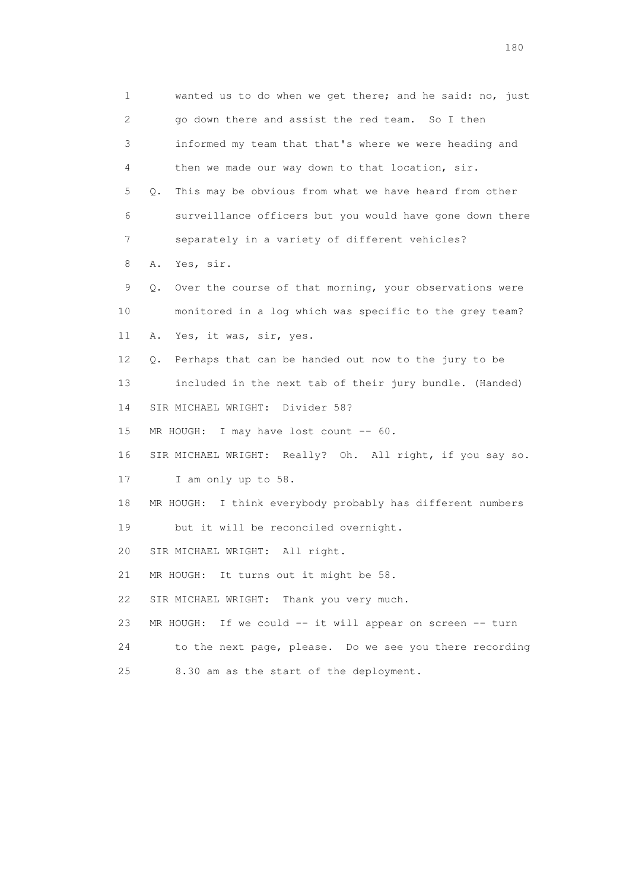1 wanted us to do when we get there; and he said: no, just 2 go down there and assist the red team. So I then 3 informed my team that that's where we were heading and 4 then we made our way down to that location, sir. 5 Q. This may be obvious from what we have heard from other 6 surveillance officers but you would have gone down there 7 separately in a variety of different vehicles? 8 A. Yes, sir. 9 Q. Over the course of that morning, your observations were 10 monitored in a log which was specific to the grey team? 11 A. Yes, it was, sir, yes. 12 Q. Perhaps that can be handed out now to the jury to be 13 included in the next tab of their jury bundle. (Handed) 14 SIR MICHAEL WRIGHT: Divider 58? 15 MR HOUGH: I may have lost count -- 60. 16 SIR MICHAEL WRIGHT: Really? Oh. All right, if you say so. 17 I am only up to 58. 18 MR HOUGH: I think everybody probably has different numbers 19 but it will be reconciled overnight. 20 SIR MICHAEL WRIGHT: All right. 21 MR HOUGH: It turns out it might be 58. 22 SIR MICHAEL WRIGHT: Thank you very much. 23 MR HOUGH: If we could -- it will appear on screen -- turn 24 to the next page, please. Do we see you there recording 25 8.30 am as the start of the deployment.

180 and 180 and 180 and 180 and 180 and 180 and 180 and 180 and 180 and 180 and 180 and 180 and 180 and 180 and 180 and 180 and 180 and 180 and 180 and 180 and 180 and 180 and 180 and 180 and 180 and 180 and 180 and 180 an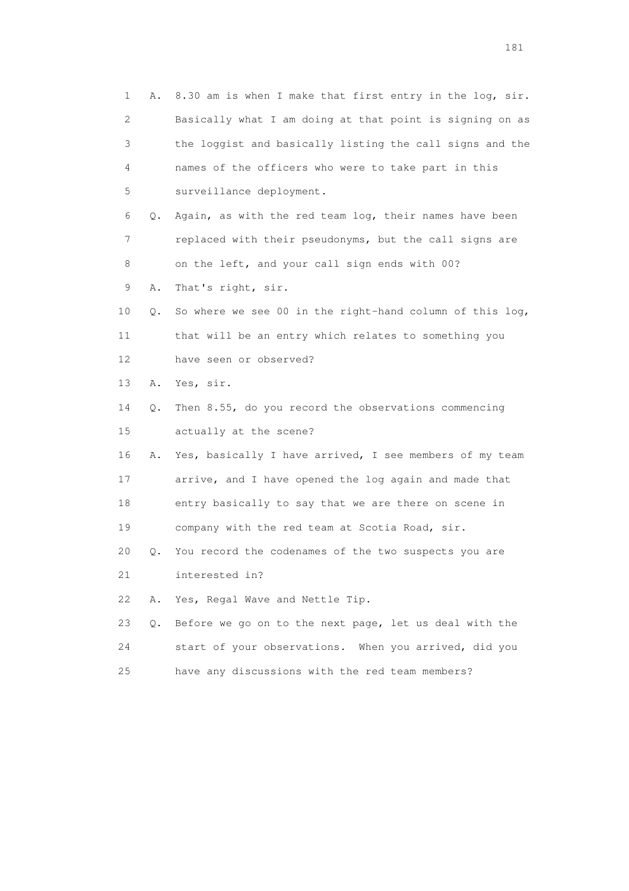1 A. 8.30 am is when I make that first entry in the log, sir. 2 Basically what I am doing at that point is signing on as 3 the loggist and basically listing the call signs and the 4 names of the officers who were to take part in this 5 surveillance deployment. 6 Q. Again, as with the red team log, their names have been 7 replaced with their pseudonyms, but the call signs are 8 on the left, and your call sign ends with 00? 9 A. That's right, sir. 10 Q. So where we see 00 in the right-hand column of this log, 11 that will be an entry which relates to something you 12 have seen or observed? 13 A. Yes, sir. 14 Q. Then 8.55, do you record the observations commencing 15 actually at the scene? 16 A. Yes, basically I have arrived, I see members of my team 17 arrive, and I have opened the log again and made that 18 entry basically to say that we are there on scene in 19 company with the red team at Scotia Road, sir. 20 Q. You record the codenames of the two suspects you are 21 interested in? 22 A. Yes, Regal Wave and Nettle Tip. 23 Q. Before we go on to the next page, let us deal with the 24 start of your observations. When you arrived, did you 25 have any discussions with the red team members?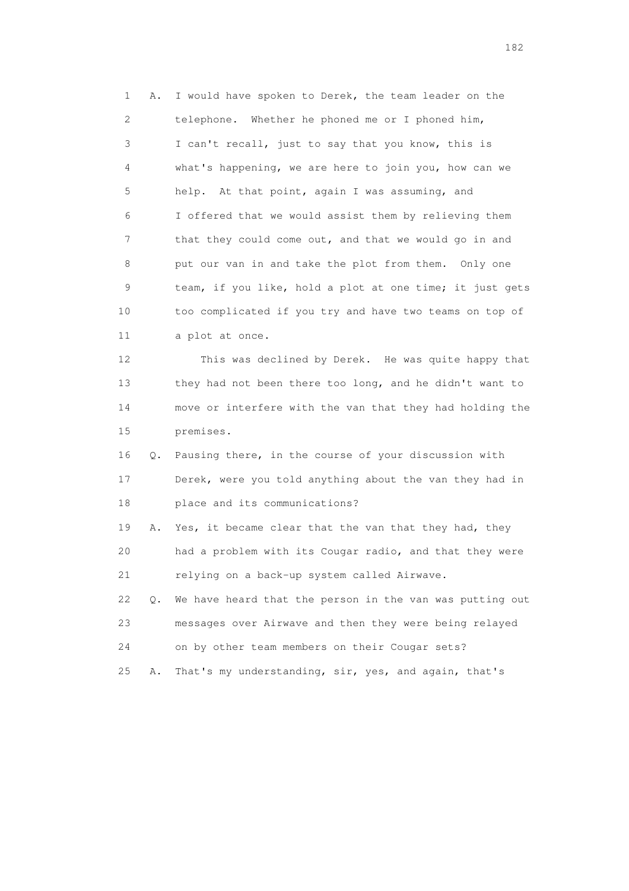1 A. I would have spoken to Derek, the team leader on the 2 telephone. Whether he phoned me or I phoned him, 3 I can't recall, just to say that you know, this is 4 what's happening, we are here to join you, how can we 5 help. At that point, again I was assuming, and 6 I offered that we would assist them by relieving them 7 that they could come out, and that we would go in and 8 put our van in and take the plot from them. Only one 9 team, if you like, hold a plot at one time; it just gets 10 too complicated if you try and have two teams on top of 11 a plot at once. 12 This was declined by Derek. He was quite happy that 13 they had not been there too long, and he didn't want to

 14 move or interfere with the van that they had holding the 15 premises.

 16 Q. Pausing there, in the course of your discussion with 17 Derek, were you told anything about the van they had in 18 place and its communications?

 19 A. Yes, it became clear that the van that they had, they 20 had a problem with its Cougar radio, and that they were 21 relying on a back-up system called Airwave.

 22 Q. We have heard that the person in the van was putting out 23 messages over Airwave and then they were being relayed 24 on by other team members on their Cougar sets?

25 A. That's my understanding, sir, yes, and again, that's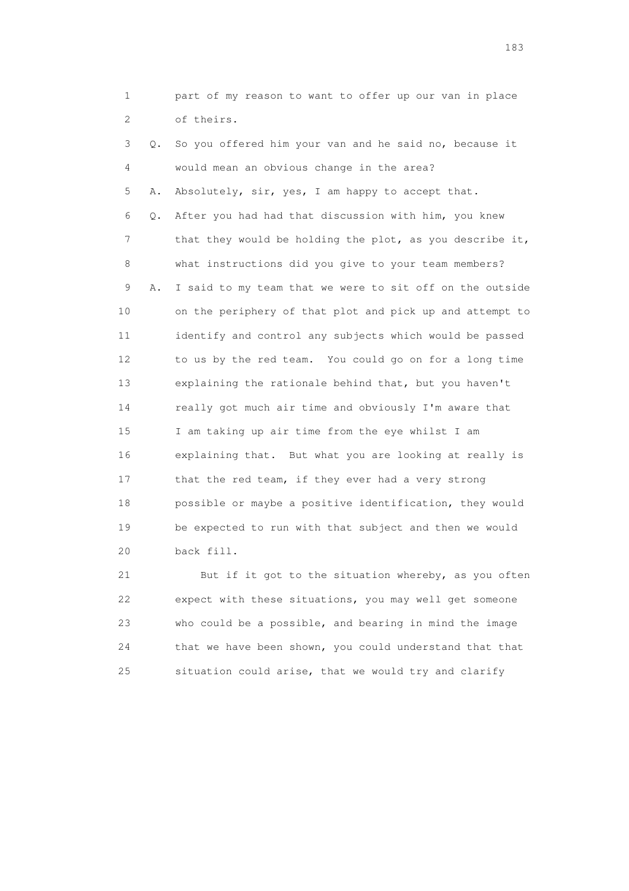1 part of my reason to want to offer up our van in place 2 of theirs. 3 Q. So you offered him your van and he said no, because it 4 would mean an obvious change in the area? 5 A. Absolutely, sir, yes, I am happy to accept that. 6 Q. After you had had that discussion with him, you knew 7 that they would be holding the plot, as you describe it, 8 what instructions did you give to your team members? 9 A. I said to my team that we were to sit off on the outside 10 on the periphery of that plot and pick up and attempt to 11 identify and control any subjects which would be passed 12 to us by the red team. You could go on for a long time 13 explaining the rationale behind that, but you haven't 14 really got much air time and obviously I'm aware that 15 I am taking up air time from the eye whilst I am 16 explaining that. But what you are looking at really is 17 that the red team, if they ever had a very strong 18 possible or maybe a positive identification, they would 19 be expected to run with that subject and then we would 20 back fill.

 21 But if it got to the situation whereby, as you often 22 expect with these situations, you may well get someone 23 who could be a possible, and bearing in mind the image 24 that we have been shown, you could understand that that 25 situation could arise, that we would try and clarify

183 and the contract of the contract of the contract of the contract of the contract of the contract of the contract of the contract of the contract of the contract of the contract of the contract of the contract of the co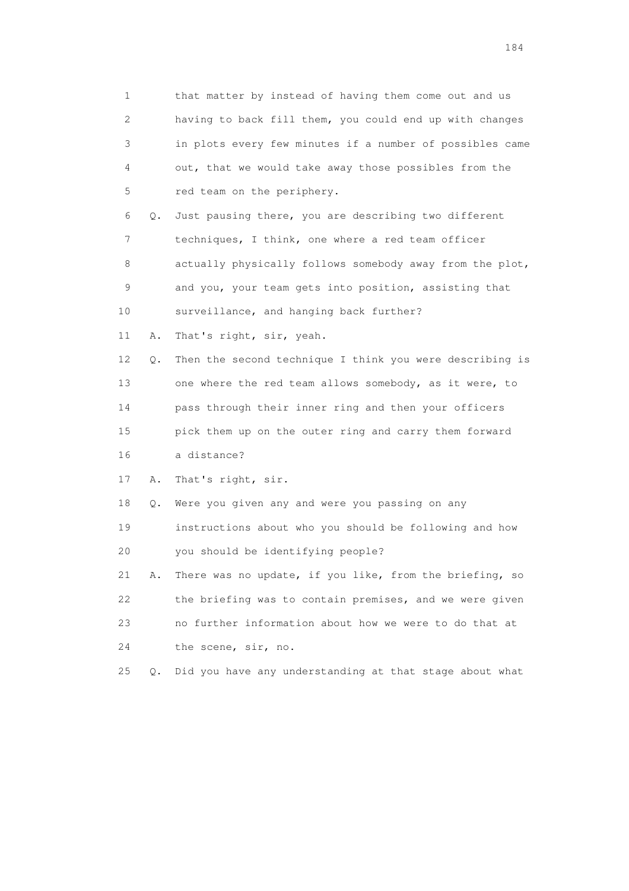1 that matter by instead of having them come out and us 2 having to back fill them, you could end up with changes 3 in plots every few minutes if a number of possibles came 4 out, that we would take away those possibles from the 5 red team on the periphery. 6 Q. Just pausing there, you are describing two different 7 techniques, I think, one where a red team officer 8 actually physically follows somebody away from the plot, 9 and you, your team gets into position, assisting that 10 surveillance, and hanging back further? 11 A. That's right, sir, yeah. 12 Q. Then the second technique I think you were describing is 13 one where the red team allows somebody, as it were, to 14 pass through their inner ring and then your officers 15 pick them up on the outer ring and carry them forward 16 a distance? 17 A. That's right, sir. 18 Q. Were you given any and were you passing on any 19 instructions about who you should be following and how 20 you should be identifying people? 21 A. There was no update, if you like, from the briefing, so 22 the briefing was to contain premises, and we were given 23 no further information about how we were to do that at 24 the scene, sir, no. 25 Q. Did you have any understanding at that stage about what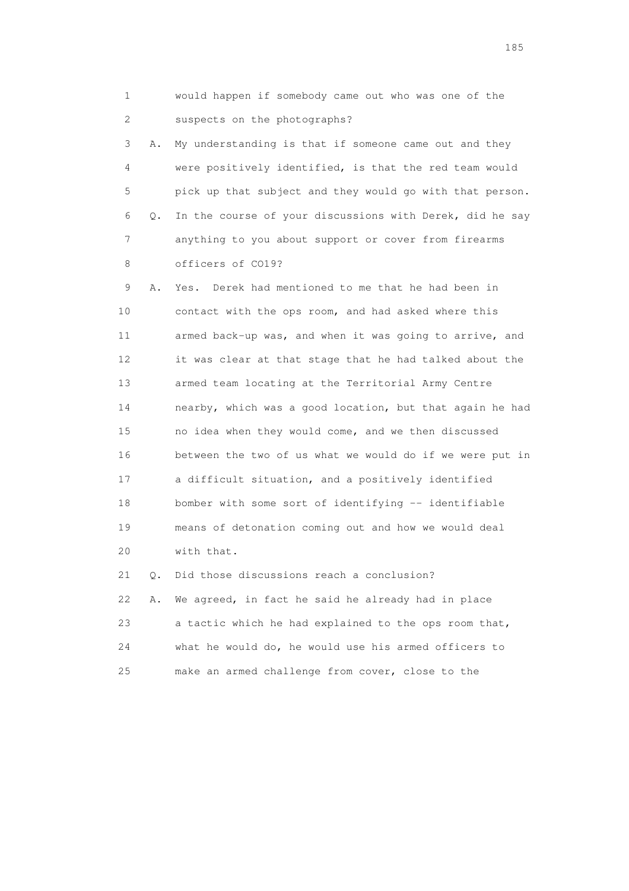1 would happen if somebody came out who was one of the 2 suspects on the photographs?

 3 A. My understanding is that if someone came out and they 4 were positively identified, is that the red team would 5 pick up that subject and they would go with that person. 6 Q. In the course of your discussions with Derek, did he say 7 anything to you about support or cover from firearms 8 officers of CO19?

 9 A. Yes. Derek had mentioned to me that he had been in 10 contact with the ops room, and had asked where this 11 armed back-up was, and when it was going to arrive, and 12 it was clear at that stage that he had talked about the 13 armed team locating at the Territorial Army Centre 14 nearby, which was a good location, but that again he had 15 no idea when they would come, and we then discussed 16 between the two of us what we would do if we were put in 17 a difficult situation, and a positively identified 18 bomber with some sort of identifying -- identifiable 19 means of detonation coming out and how we would deal 20 with that.

 21 Q. Did those discussions reach a conclusion? 22 A. We agreed, in fact he said he already had in place 23 a tactic which he had explained to the ops room that, 24 what he would do, he would use his armed officers to 25 make an armed challenge from cover, close to the

<u>185</u>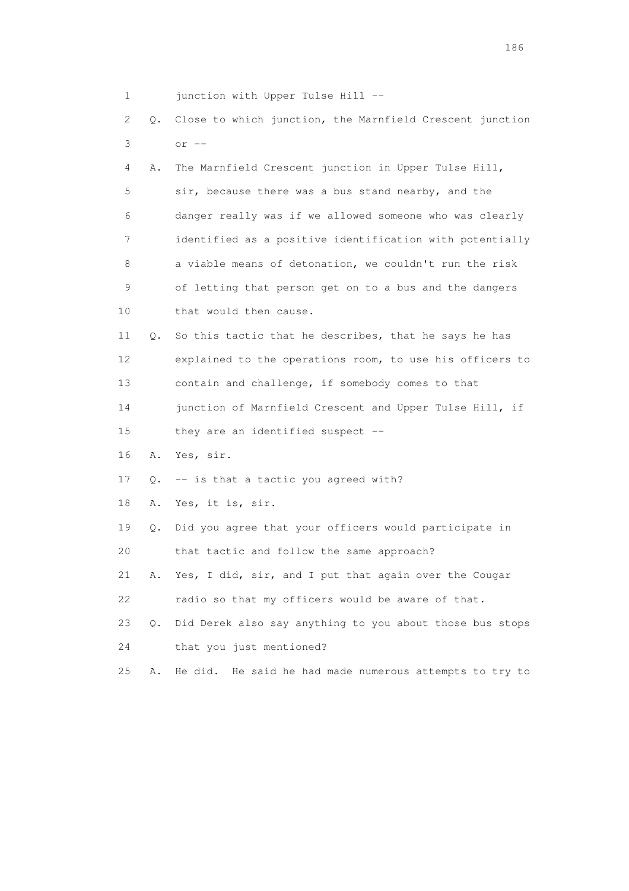| 1  |           | junction with Upper Tulse Hill --                          |
|----|-----------|------------------------------------------------------------|
| 2  | Q.        | Close to which junction, the Marnfield Crescent junction   |
| 3  |           | $or$ $--$                                                  |
| 4  | Α.        | The Marnfield Crescent junction in Upper Tulse Hill,       |
| 5  |           | sir, because there was a bus stand nearby, and the         |
| 6  |           | danger really was if we allowed someone who was clearly    |
| 7  |           | identified as a positive identification with potentially   |
| 8  |           | a viable means of detonation, we couldn't run the risk     |
| 9  |           | of letting that person get on to a bus and the dangers     |
| 10 |           | that would then cause.                                     |
| 11 | Q.        | So this tactic that he describes, that he says he has      |
| 12 |           | explained to the operations room, to use his officers to   |
| 13 |           | contain and challenge, if somebody comes to that           |
| 14 |           | junction of Marnfield Crescent and Upper Tulse Hill, if    |
| 15 |           | they are an identified suspect --                          |
| 16 | Α.        | Yes, sir.                                                  |
| 17 | Q.        | -- is that a tactic you agreed with?                       |
| 18 | Α.        | Yes, it is, sir.                                           |
| 19 | Q.        | Did you agree that your officers would participate in      |
| 20 |           | that tactic and follow the same approach?                  |
| 21 | Α.        | Yes, I did, sir, and I put that again over the Cougar      |
| 22 |           | radio so that my officers would be aware of that.          |
| 23 | $\circ$ . | Did Derek also say anything to you about those bus stops   |
| 24 |           | that you just mentioned?                                   |
| 25 | Α.        | He did.<br>He said he had made numerous attempts to try to |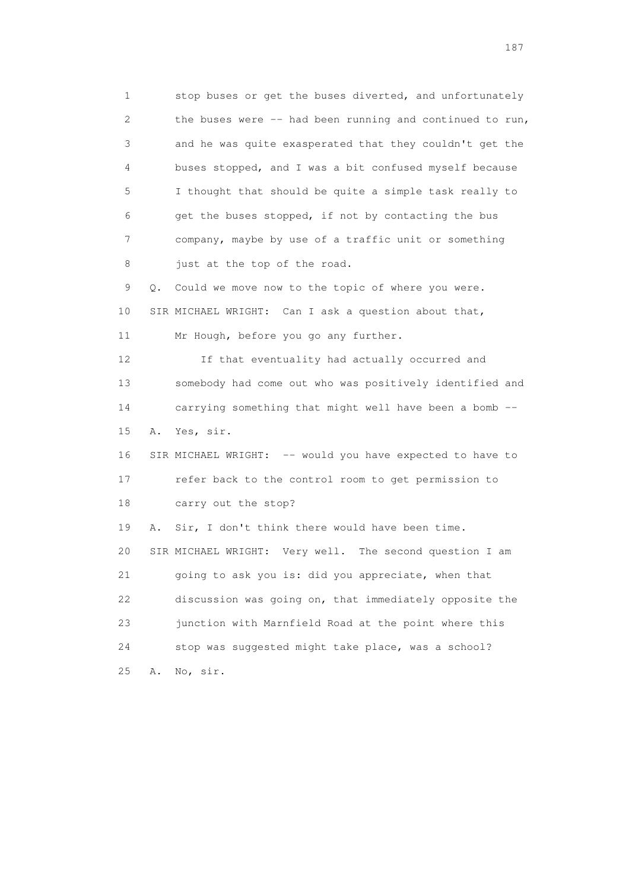1 stop buses or get the buses diverted, and unfortunately 2 the buses were -- had been running and continued to run, 3 and he was quite exasperated that they couldn't get the 4 buses stopped, and I was a bit confused myself because 5 I thought that should be quite a simple task really to 6 get the buses stopped, if not by contacting the bus 7 company, maybe by use of a traffic unit or something 8 just at the top of the road. 9 Q. Could we move now to the topic of where you were. 10 SIR MICHAEL WRIGHT: Can I ask a question about that, 11 Mr Hough, before you go any further. 12 If that eventuality had actually occurred and 13 somebody had come out who was positively identified and 14 carrying something that might well have been a bomb -- 15 A. Yes, sir. 16 SIR MICHAEL WRIGHT: -- would you have expected to have to 17 refer back to the control room to get permission to 18 carry out the stop? 19 A. Sir, I don't think there would have been time. 20 SIR MICHAEL WRIGHT: Very well. The second question I am 21 going to ask you is: did you appreciate, when that 22 discussion was going on, that immediately opposite the 23 junction with Marnfield Road at the point where this 24 stop was suggested might take place, was a school? 25 A. No, sir.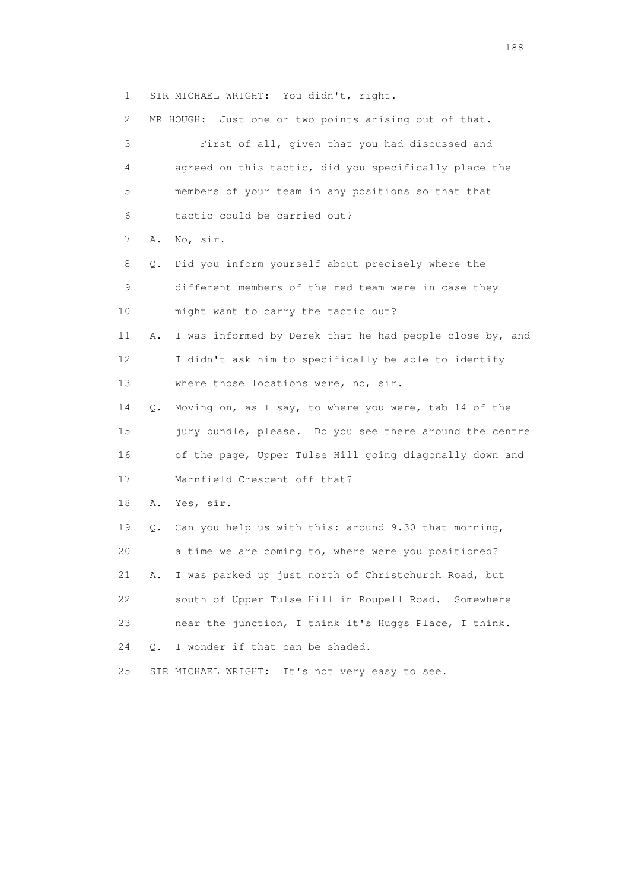1 SIR MICHAEL WRIGHT: You didn't, right.

| 2. |    | Just one or two points arising out of that.<br>MR HOUGH: |
|----|----|----------------------------------------------------------|
| 3  |    | First of all, given that you had discussed and           |
| 4  |    | agreed on this tactic, did you specifically place the    |
| 5  |    | members of your team in any positions so that that       |
| 6  |    | tactic could be carried out?                             |
| 7  | Α. | No, sir.                                                 |
| 8  | Q. | Did you inform yourself about precisely where the        |
| 9  |    | different members of the red team were in case they      |
| 10 |    | might want to carry the tactic out?                      |
| 11 | Α. | I was informed by Derek that he had people close by, and |
| 12 |    | I didn't ask him to specifically be able to identify     |
| 13 |    | where those locations were, no, sir.                     |
| 14 | Q. | Moving on, as I say, to where you were, tab 14 of the    |
| 15 |    | jury bundle, please. Do you see there around the centre  |
| 16 |    | of the page, Upper Tulse Hill going diagonally down and  |
| 17 |    | Marnfield Crescent off that?                             |
| 18 | Α. | Yes, sir.                                                |
| 19 | Q. | Can you help us with this: around 9.30 that morning,     |
| 20 |    | a time we are coming to, where were you positioned?      |
| 21 | Α. | I was parked up just north of Christchurch Road, but     |
| 22 |    | south of Upper Tulse Hill in Roupell Road. Somewhere     |
| 23 |    | near the junction, I think it's Huggs Place, I think.    |
| 24 | О. | I wonder if that can be shaded.                          |
| 25 |    | SIR MICHAEL WRIGHT: It's not very easy to see.           |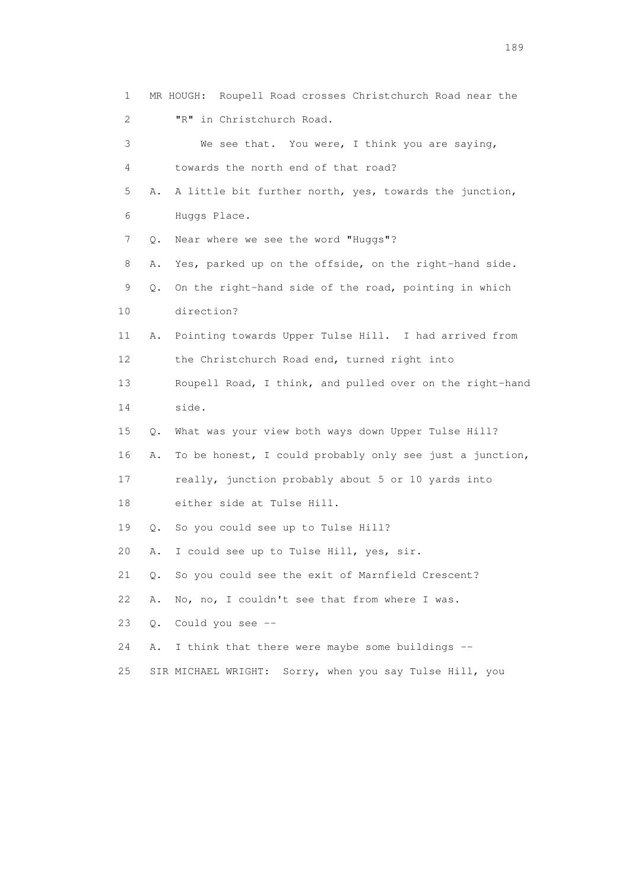1 MR HOUGH: Roupell Road crosses Christchurch Road near the 2 "R" in Christchurch Road. 3 We see that. You were, I think you are saying, 4 towards the north end of that road? 5 A. A little bit further north, yes, towards the junction, 6 Huggs Place. 7 Q. Near where we see the word "Huggs"? 8 A. Yes, parked up on the offside, on the right-hand side. 9 Q. On the right-hand side of the road, pointing in which 10 direction? 11 A. Pointing towards Upper Tulse Hill. I had arrived from 12 the Christchurch Road end, turned right into 13 Roupell Road, I think, and pulled over on the right-hand 14 side. 15 Q. What was your view both ways down Upper Tulse Hill? 16 A. To be honest, I could probably only see just a junction, 17 really, junction probably about 5 or 10 yards into 18 either side at Tulse Hill. 19 Q. So you could see up to Tulse Hill? 20 A. I could see up to Tulse Hill, yes, sir. 21 Q. So you could see the exit of Marnfield Crescent? 22 A. No, no, I couldn't see that from where I was. 23 Q. Could you see -- 24 A. I think that there were maybe some buildings -- 25 SIR MICHAEL WRIGHT: Sorry, when you say Tulse Hill, you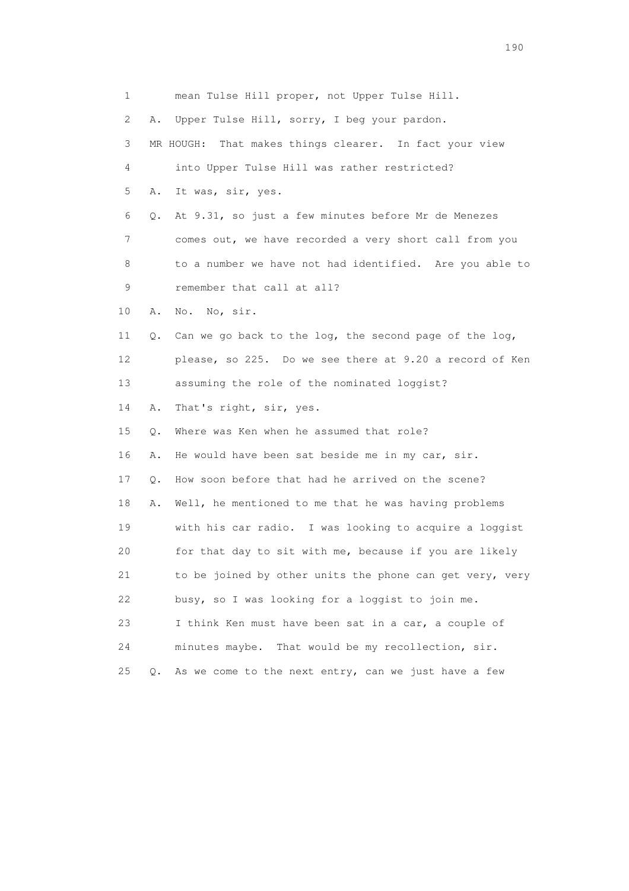1 mean Tulse Hill proper, not Upper Tulse Hill. 2 A. Upper Tulse Hill, sorry, I beg your pardon. 3 MR HOUGH: That makes things clearer. In fact your view 4 into Upper Tulse Hill was rather restricted? 5 A. It was, sir, yes. 6 Q. At 9.31, so just a few minutes before Mr de Menezes 7 comes out, we have recorded a very short call from you 8 to a number we have not had identified. Are you able to 9 remember that call at all? 10 A. No. No, sir. 11 Q. Can we go back to the log, the second page of the log, 12 please, so 225. Do we see there at 9.20 a record of Ken 13 assuming the role of the nominated loggist? 14 A. That's right, sir, yes. 15 Q. Where was Ken when he assumed that role? 16 A. He would have been sat beside me in my car, sir. 17 Q. How soon before that had he arrived on the scene? 18 A. Well, he mentioned to me that he was having problems 19 with his car radio. I was looking to acquire a loggist 20 for that day to sit with me, because if you are likely 21 to be joined by other units the phone can get very, very 22 busy, so I was looking for a loggist to join me. 23 I think Ken must have been sat in a car, a couple of 24 minutes maybe. That would be my recollection, sir. 25 Q. As we come to the next entry, can we just have a few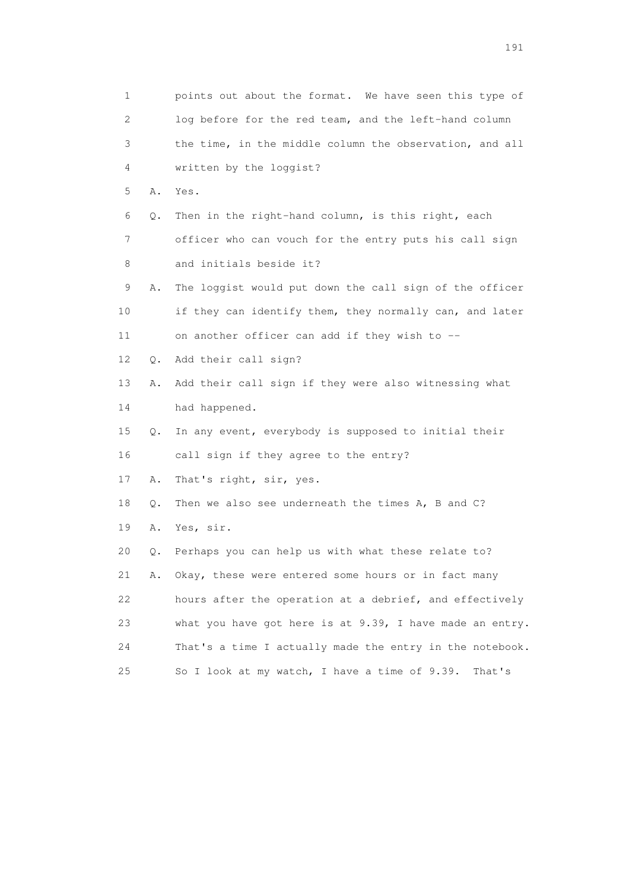1 points out about the format. We have seen this type of 2 log before for the red team, and the left-hand column 3 the time, in the middle column the observation, and all 4 written by the loggist? 5 A. Yes. 6 Q. Then in the right-hand column, is this right, each 7 officer who can vouch for the entry puts his call sign 8 and initials beside it? 9 A. The loggist would put down the call sign of the officer 10 if they can identify them, they normally can, and later 11 on another officer can add if they wish to -- 12 Q. Add their call sign? 13 A. Add their call sign if they were also witnessing what 14 had happened. 15 Q. In any event, everybody is supposed to initial their 16 call sign if they agree to the entry? 17 A. That's right, sir, yes. 18 Q. Then we also see underneath the times A, B and C? 19 A. Yes, sir. 20 Q. Perhaps you can help us with what these relate to? 21 A. Okay, these were entered some hours or in fact many 22 hours after the operation at a debrief, and effectively 23 what you have got here is at 9.39, I have made an entry. 24 That's a time I actually made the entry in the notebook. 25 So I look at my watch, I have a time of 9.39. That's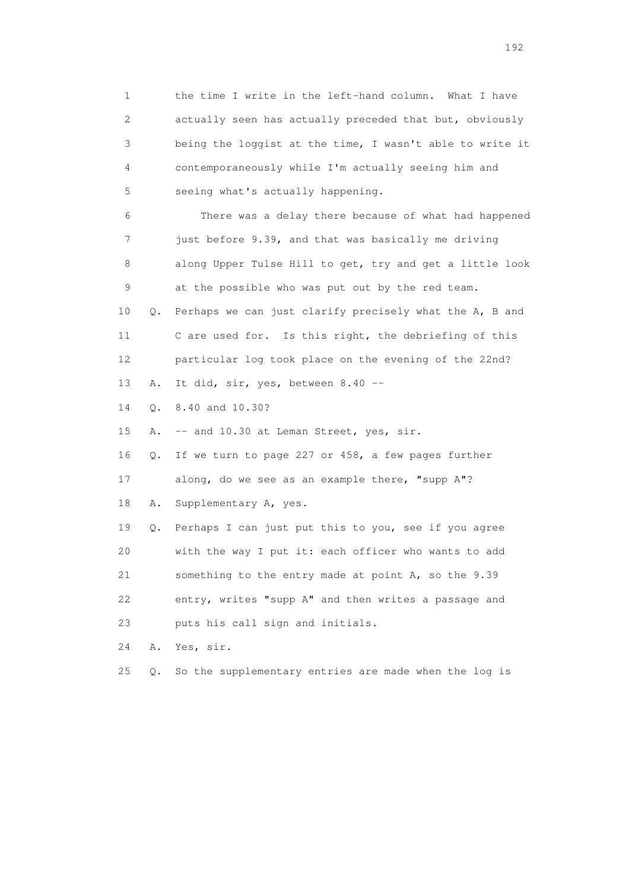1 the time I write in the left-hand column. What I have 2 actually seen has actually preceded that but, obviously 3 being the loggist at the time, I wasn't able to write it 4 contemporaneously while I'm actually seeing him and 5 seeing what's actually happening. 6 There was a delay there because of what had happened 7 just before 9.39, and that was basically me driving 8 along Upper Tulse Hill to get, try and get a little look 9 at the possible who was put out by the red team. 10 Q. Perhaps we can just clarify precisely what the A, B and 11 C are used for. Is this right, the debriefing of this 12 particular log took place on the evening of the 22nd? 13 A. It did, sir, yes, between 8.40 -- 14 Q. 8.40 and 10.30? 15 A. -- and 10.30 at Leman Street, yes, sir. 16 Q. If we turn to page 227 or 458, a few pages further 17 along, do we see as an example there, "supp A"? 18 A. Supplementary A, yes. 19 Q. Perhaps I can just put this to you, see if you agree 20 with the way I put it: each officer who wants to add 21 something to the entry made at point A, so the 9.39 22 entry, writes "supp A" and then writes a passage and 23 puts his call sign and initials. 24 A. Yes, sir. 25 Q. So the supplementary entries are made when the log is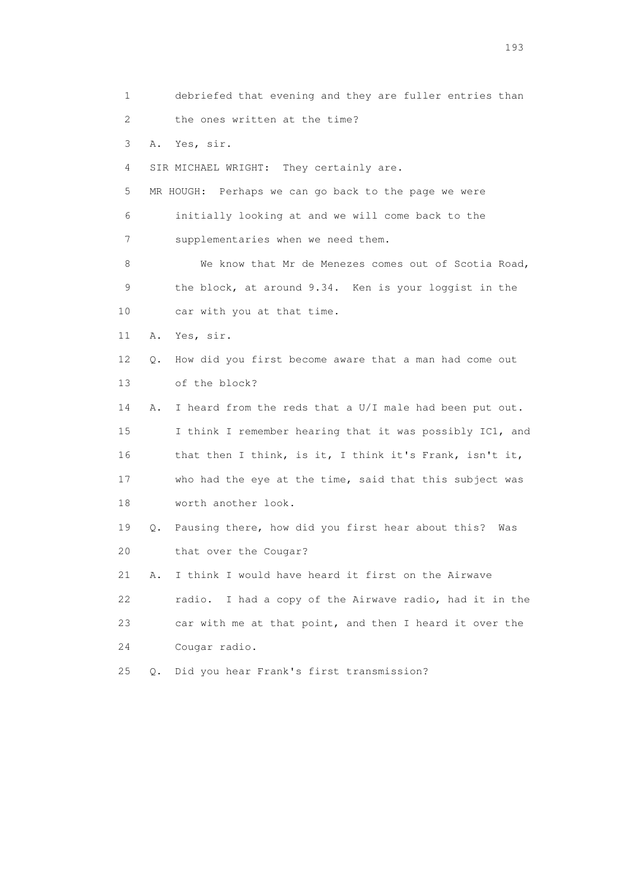1 debriefed that evening and they are fuller entries than 2 the ones written at the time? 3 A. Yes, sir. 4 SIR MICHAEL WRIGHT: They certainly are. 5 MR HOUGH: Perhaps we can go back to the page we were 6 initially looking at and we will come back to the 7 supplementaries when we need them. 8 We know that Mr de Menezes comes out of Scotia Road, 9 the block, at around 9.34. Ken is your loggist in the 10 car with you at that time. 11 A. Yes, sir. 12 Q. How did you first become aware that a man had come out 13 of the block? 14 A. I heard from the reds that a U/I male had been put out. 15 I think I remember hearing that it was possibly IC1, and 16 that then I think, is it, I think it's Frank, isn't it, 17 who had the eye at the time, said that this subject was 18 worth another look. 19 Q. Pausing there, how did you first hear about this? Was 20 that over the Cougar? 21 A. I think I would have heard it first on the Airwave 22 radio. I had a copy of the Airwave radio, had it in the 23 car with me at that point, and then I heard it over the 24 Cougar radio. 25 Q. Did you hear Frank's first transmission?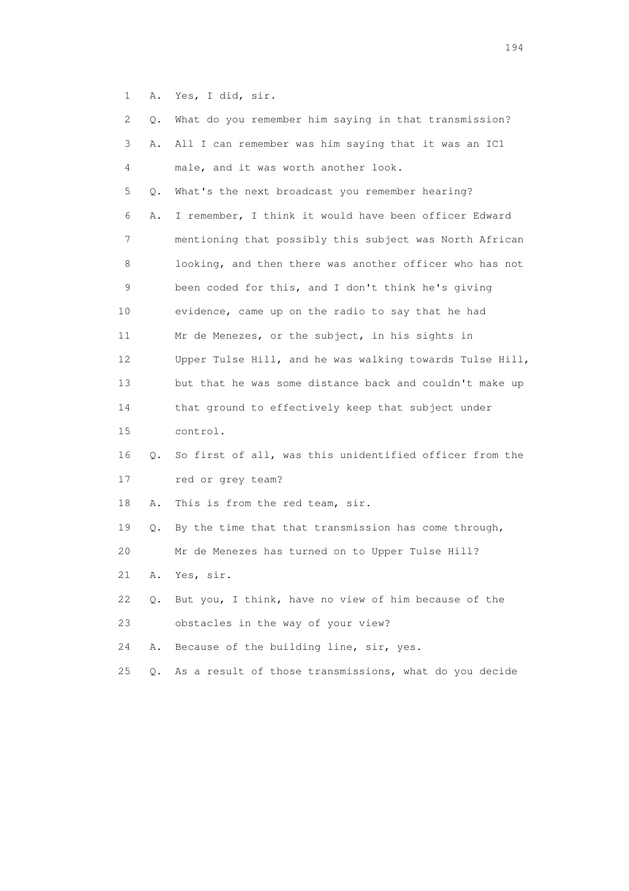1 A. Yes, I did, sir.

| 2  | Q. | What do you remember him saying in that transmission?    |
|----|----|----------------------------------------------------------|
| 3  | Α. | All I can remember was him saying that it was an IC1     |
| 4  |    | male, and it was worth another look.                     |
| 5  | Q. | What's the next broadcast you remember hearing?          |
| 6  | Α. | I remember, I think it would have been officer Edward    |
| 7  |    | mentioning that possibly this subject was North African  |
| 8  |    | looking, and then there was another officer who has not  |
| 9  |    | been coded for this, and I don't think he's giving       |
| 10 |    | evidence, came up on the radio to say that he had        |
| 11 |    | Mr de Menezes, or the subject, in his sights in          |
| 12 |    | Upper Tulse Hill, and he was walking towards Tulse Hill, |
| 13 |    | but that he was some distance back and couldn't make up  |
| 14 |    | that ground to effectively keep that subject under       |
| 15 |    | control.                                                 |
| 16 | Q. | So first of all, was this unidentified officer from the  |
| 17 |    | red or grey team?                                        |
| 18 | Α. | This is from the red team, sir.                          |
| 19 | Q. | By the time that that transmission has come through,     |
| 20 |    | Mr de Menezes has turned on to Upper Tulse Hill?         |
| 21 | Α. | Yes, sir.                                                |
| 22 | Q. | But you, I think, have no view of him because of the     |
| 23 |    | obstacles in the way of your view?                       |
| 24 | Α. | Because of the building line, sir, yes.                  |
| 25 | Q. | As a result of those transmissions, what do you decide   |
|    |    |                                                          |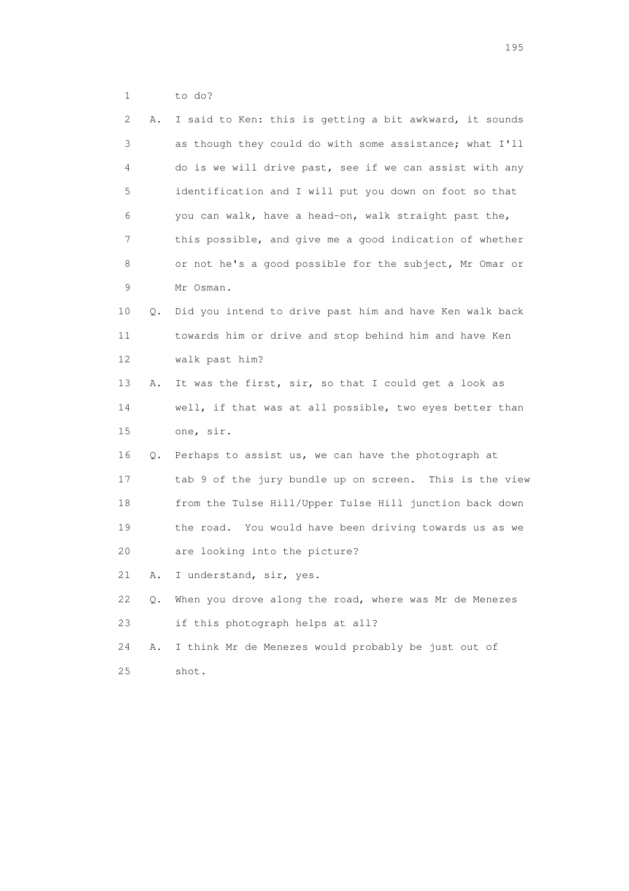1 to do?

| 2  | Α. | I said to Ken: this is getting a bit awkward, it sounds |
|----|----|---------------------------------------------------------|
| 3  |    | as though they could do with some assistance; what I'll |
| 4  |    | do is we will drive past, see if we can assist with any |
| 5  |    | identification and I will put you down on foot so that  |
| 6  |    | you can walk, have a head-on, walk straight past the,   |
| 7  |    | this possible, and give me a good indication of whether |
| 8  |    | or not he's a good possible for the subject, Mr Omar or |
| 9  |    | Mr Osman.                                               |
| 10 | Q. | Did you intend to drive past him and have Ken walk back |
| 11 |    | towards him or drive and stop behind him and have Ken   |
| 12 |    | walk past him?                                          |
| 13 | Α. | It was the first, sir, so that I could get a look as    |
| 14 |    | well, if that was at all possible, two eyes better than |
| 15 |    | one, sir.                                               |
| 16 |    | Q. Perhaps to assist us, we can have the photograph at  |
| 17 |    | tab 9 of the jury bundle up on screen. This is the view |
| 18 |    | from the Tulse Hill/Upper Tulse Hill junction back down |
| 19 |    | the road. You would have been driving towards us as we  |
| 20 |    | are looking into the picture?                           |
| 21 | Α. | I understand, sir, yes.                                 |
| 22 | Q. | When you drove along the road, where was Mr de Menezes  |
| 23 |    | if this photograph helps at all?                        |
| 24 | Α. | I think Mr de Menezes would probably be just out of     |
| 25 |    | shot.                                                   |
|    |    |                                                         |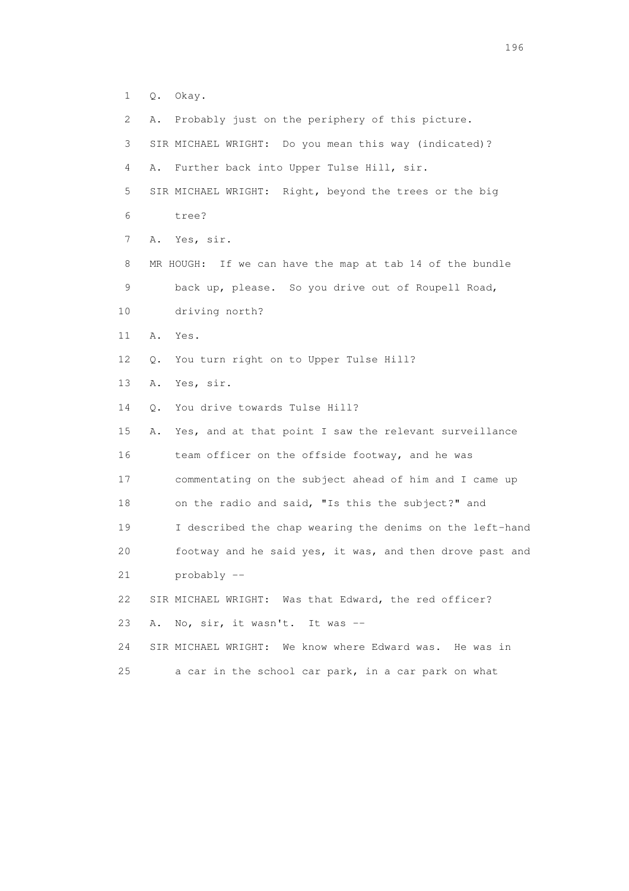- 1 Q. Okay.
- 2 A. Probably just on the periphery of this picture.

| 3  | SIR MICHAEL WRIGHT: Do you mean this way (indicated)?        |
|----|--------------------------------------------------------------|
| 4  | Further back into Upper Tulse Hill, sir.<br>Α.               |
| 5  | SIR MICHAEL WRIGHT: Right, beyond the trees or the big       |
| 6  | tree?                                                        |
| 7  | Yes, sir.<br>Α.                                              |
| 8  | MR HOUGH: If we can have the map at tab 14 of the bundle     |
| 9  | back up, please. So you drive out of Roupell Road,           |
| 10 | driving north?                                               |
| 11 | Yes.<br>Α.                                                   |
| 12 | You turn right on to Upper Tulse Hill?<br>Q.                 |
| 13 | Yes, sir.<br>Α.                                              |
| 14 | You drive towards Tulse Hill?<br>$\circ$ .                   |
| 15 | Yes, and at that point I saw the relevant surveillance<br>Α. |
| 16 | team officer on the offside footway, and he was              |
| 17 | commentating on the subject ahead of him and I came up       |
| 18 | on the radio and said, "Is this the subject?" and            |
| 19 | I described the chap wearing the denims on the left-hand     |
| 20 | footway and he said yes, it was, and then drove past and     |
| 21 | probably --                                                  |
| 22 | SIR MICHAEL WRIGHT: Was that Edward, the red officer?        |
| 23 | No, sir, it wasn't. It was --<br>Α.                          |
| 24 | SIR MICHAEL WRIGHT: We know where Edward was. He was in      |
| 25 | a car in the school car park, in a car park on what          |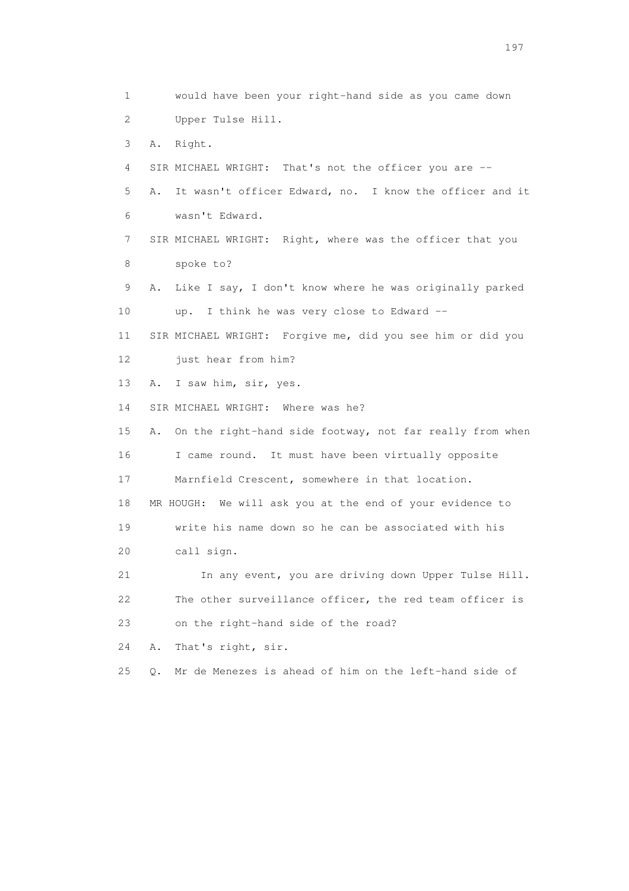1 would have been your right-hand side as you came down 2 Upper Tulse Hill. 3 A. Right. 4 SIR MICHAEL WRIGHT: That's not the officer you are -- 5 A. It wasn't officer Edward, no. I know the officer and it 6 wasn't Edward. 7 SIR MICHAEL WRIGHT: Right, where was the officer that you 8 spoke to? 9 A. Like I say, I don't know where he was originally parked 10 up. I think he was very close to Edward -- 11 SIR MICHAEL WRIGHT: Forgive me, did you see him or did you 12 just hear from him? 13 A. I saw him, sir, yes. 14 SIR MICHAEL WRIGHT: Where was he? 15 A. On the right-hand side footway, not far really from when 16 I came round. It must have been virtually opposite 17 Marnfield Crescent, somewhere in that location. 18 MR HOUGH: We will ask you at the end of your evidence to 19 write his name down so he can be associated with his 20 call sign. 21 In any event, you are driving down Upper Tulse Hill. 22 The other surveillance officer, the red team officer is 23 on the right-hand side of the road? 24 A. That's right, sir. 25 Q. Mr de Menezes is ahead of him on the left-hand side of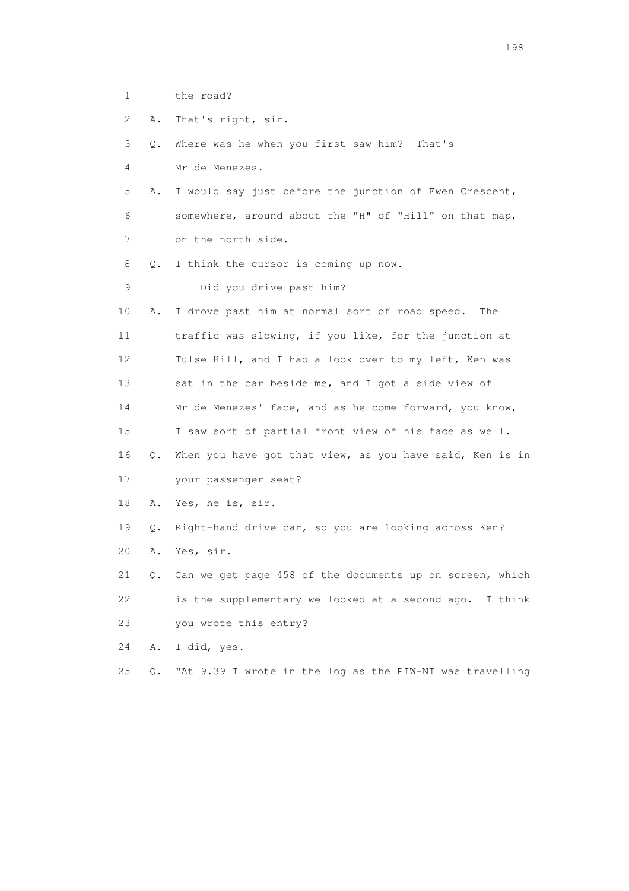1 the road?

2 A. That's right, sir.

3 Q. Where was he when you first saw him? That's

4 Mr de Menezes.

 5 A. I would say just before the junction of Ewen Crescent, 6 somewhere, around about the "H" of "Hill" on that map, 7 on the north side.

8 Q. I think the cursor is coming up now.

9 Did you drive past him?

 10 A. I drove past him at normal sort of road speed. The 11 traffic was slowing, if you like, for the junction at 12 Tulse Hill, and I had a look over to my left, Ken was 13 sat in the car beside me, and I got a side view of 14 Mr de Menezes' face, and as he come forward, you know, 15 I saw sort of partial front view of his face as well. 16 Q. When you have got that view, as you have said, Ken is in 17 your passenger seat?

18 A. Yes, he is, sir.

 19 Q. Right-hand drive car, so you are looking across Ken? 20 A. Yes, sir.

 21 Q. Can we get page 458 of the documents up on screen, which 22 is the supplementary we looked at a second ago. I think 23 you wrote this entry?

24 A. I did, yes.

25 Q. "At 9.39 I wrote in the log as the PIW-NT was travelling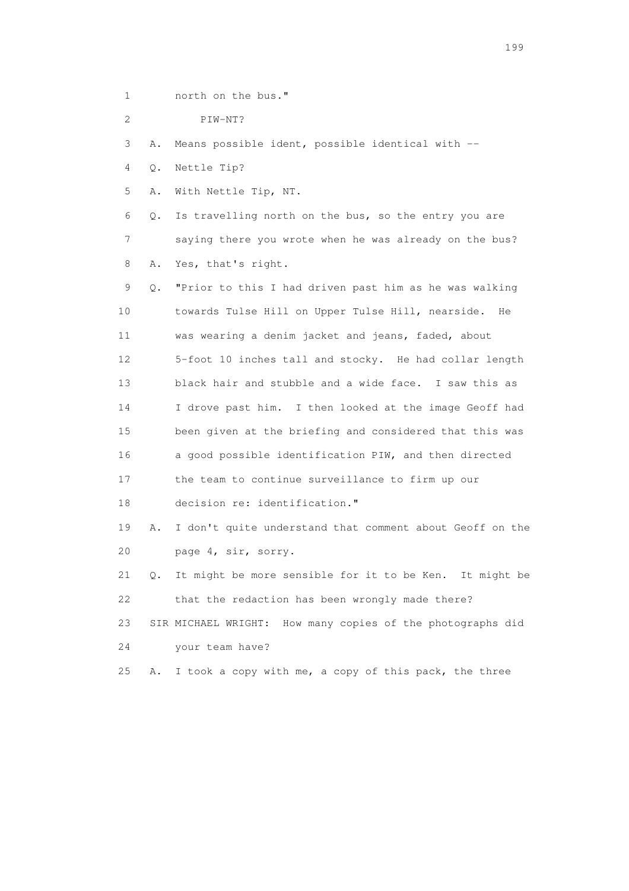1 north on the bus."

2 PIW-NT?

3 A. Means possible ident, possible identical with --

4 Q. Nettle Tip?

5 A. With Nettle Tip, NT.

 6 Q. Is travelling north on the bus, so the entry you are 7 saying there you wrote when he was already on the bus? 8 A. Yes, that's right.

 9 Q. "Prior to this I had driven past him as he was walking 10 towards Tulse Hill on Upper Tulse Hill, nearside. He 11 was wearing a denim jacket and jeans, faded, about 12 5-foot 10 inches tall and stocky. He had collar length 13 black hair and stubble and a wide face. I saw this as 14 I drove past him. I then looked at the image Geoff had 15 been given at the briefing and considered that this was 16 a good possible identification PIW, and then directed 17 the team to continue surveillance to firm up our 18 decision re: identification." 19 A. I don't quite understand that comment about Geoff on the

20 page 4, sir, sorry.

 21 Q. It might be more sensible for it to be Ken. It might be 22 that the redaction has been wrongly made there?

 23 SIR MICHAEL WRIGHT: How many copies of the photographs did 24 your team have?

25 A. I took a copy with me, a copy of this pack, the three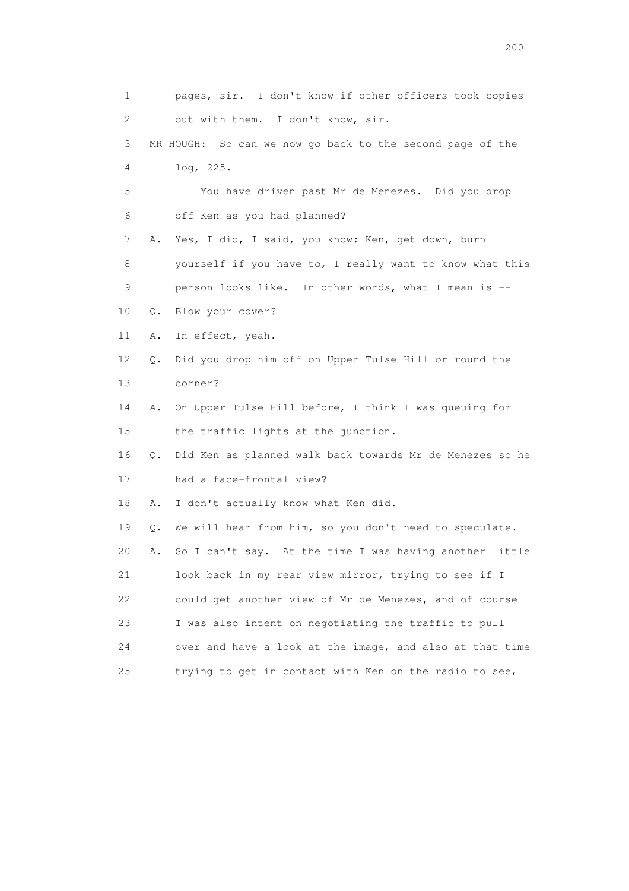1 pages, sir. I don't know if other officers took copies 2 out with them. I don't know, sir. 3 MR HOUGH: So can we now go back to the second page of the 4 log, 225. 5 You have driven past Mr de Menezes. Did you drop 6 off Ken as you had planned? 7 A. Yes, I did, I said, you know: Ken, get down, burn 8 yourself if you have to, I really want to know what this 9 person looks like. In other words, what I mean is -- 10 Q. Blow your cover? 11 A. In effect, yeah. 12 Q. Did you drop him off on Upper Tulse Hill or round the 13 corner? 14 A. On Upper Tulse Hill before, I think I was queuing for 15 the traffic lights at the junction. 16 Q. Did Ken as planned walk back towards Mr de Menezes so he 17 had a face-frontal view? 18 A. I don't actually know what Ken did. 19 Q. We will hear from him, so you don't need to speculate. 20 A. So I can't say. At the time I was having another little 21 look back in my rear view mirror, trying to see if I 22 could get another view of Mr de Menezes, and of course 23 I was also intent on negotiating the traffic to pull 24 over and have a look at the image, and also at that time 25 trying to get in contact with Ken on the radio to see,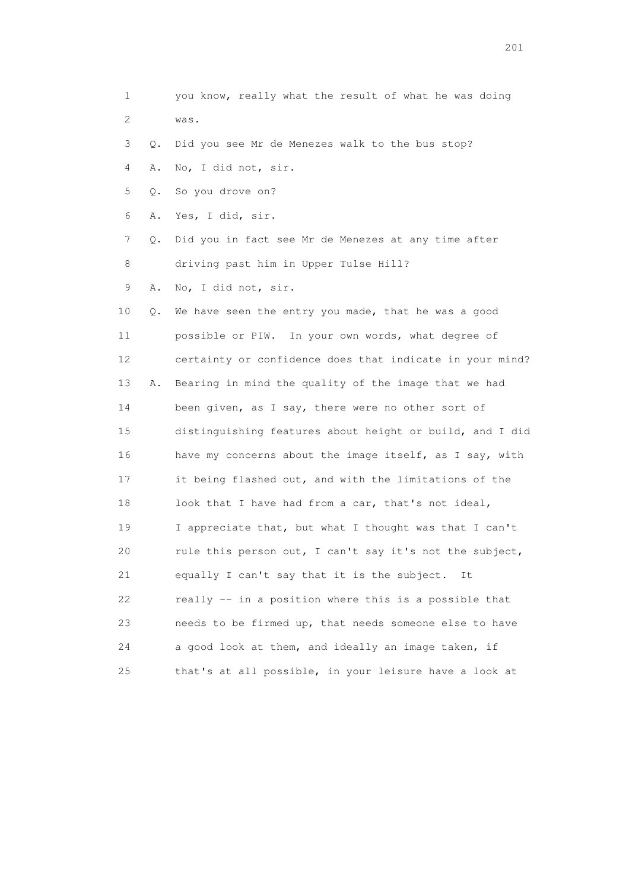1 you know, really what the result of what he was doing 2 was. 3 Q. Did you see Mr de Menezes walk to the bus stop? 4 A. No, I did not, sir. 5 Q. So you drove on? 6 A. Yes, I did, sir. 7 Q. Did you in fact see Mr de Menezes at any time after 8 driving past him in Upper Tulse Hill?

9 A. No, I did not, sir.

 10 Q. We have seen the entry you made, that he was a good 11 possible or PIW. In your own words, what degree of 12 certainty or confidence does that indicate in your mind? 13 A. Bearing in mind the quality of the image that we had 14 been given, as I say, there were no other sort of 15 distinguishing features about height or build, and I did 16 have my concerns about the image itself, as I say, with 17 it being flashed out, and with the limitations of the 18 look that I have had from a car, that's not ideal, 19 I appreciate that, but what I thought was that I can't 20 rule this person out, I can't say it's not the subject, 21 equally I can't say that it is the subject. It 22 really -- in a position where this is a possible that 23 needs to be firmed up, that needs someone else to have 24 a good look at them, and ideally an image taken, if 25 that's at all possible, in your leisure have a look at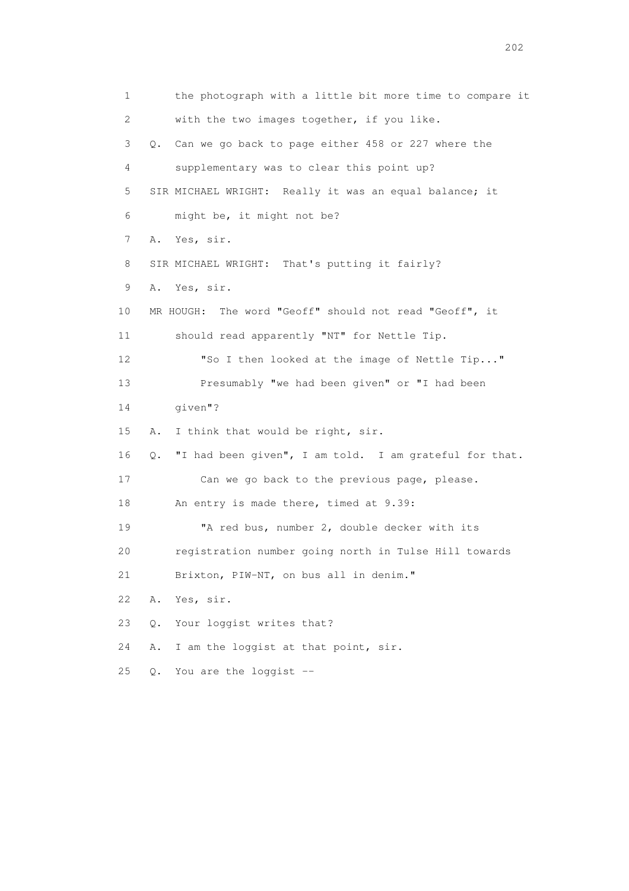1 the photograph with a little bit more time to compare it 2 with the two images together, if you like. 3 Q. Can we go back to page either 458 or 227 where the 4 supplementary was to clear this point up? 5 SIR MICHAEL WRIGHT: Really it was an equal balance; it 6 might be, it might not be? 7 A. Yes, sir. 8 SIR MICHAEL WRIGHT: That's putting it fairly? 9 A. Yes, sir. 10 MR HOUGH: The word "Geoff" should not read "Geoff", it 11 should read apparently "NT" for Nettle Tip. 12 "So I then looked at the image of Nettle Tip..." 13 Presumably "we had been given" or "I had been 14 given"? 15 A. I think that would be right, sir. 16 Q. "I had been given", I am told. I am grateful for that. 17 Can we go back to the previous page, please. 18 An entry is made there, timed at 9.39: 19 "A red bus, number 2, double decker with its 20 registration number going north in Tulse Hill towards 21 Brixton, PIW-NT, on bus all in denim." 22 A. Yes, sir. 23 Q. Your loggist writes that? 24 A. I am the loggist at that point, sir. 25 Q. You are the loggist --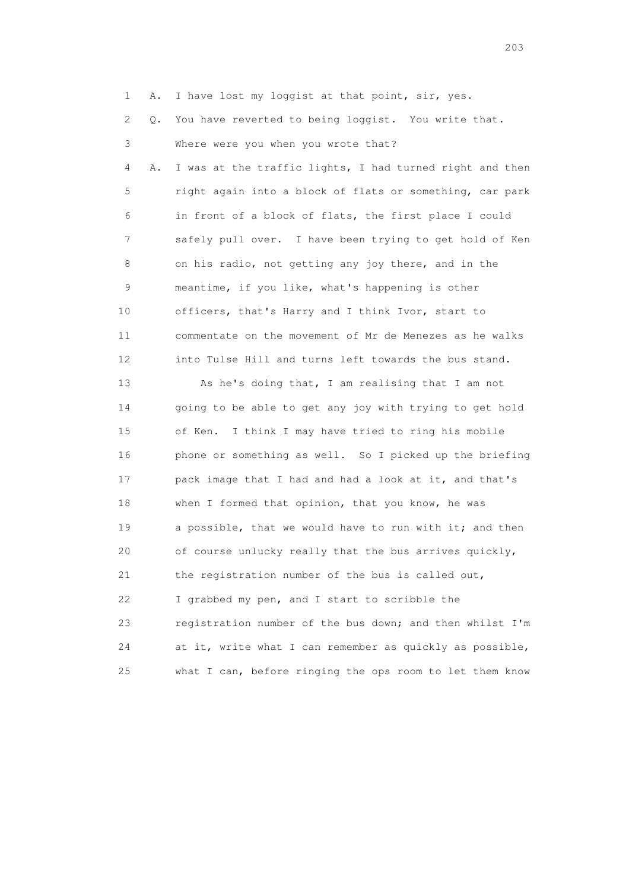1 A. I have lost my loggist at that point, sir, yes.

2 Q. You have reverted to being loggist. You write that.

 3 Where were you when you wrote that? 4 A. I was at the traffic lights, I had turned right and then 5 right again into a block of flats or something, car park 6 in front of a block of flats, the first place I could 7 safely pull over. I have been trying to get hold of Ken 8 on his radio, not getting any joy there, and in the 9 meantime, if you like, what's happening is other 10 officers, that's Harry and I think Ivor, start to 11 commentate on the movement of Mr de Menezes as he walks 12 into Tulse Hill and turns left towards the bus stand.

 13 As he's doing that, I am realising that I am not 14 going to be able to get any joy with trying to get hold 15 of Ken. I think I may have tried to ring his mobile 16 phone or something as well. So I picked up the briefing 17 pack image that I had and had a look at it, and that's 18 when I formed that opinion, that you know, he was 19 a possible, that we would have to run with it; and then 20 of course unlucky really that the bus arrives quickly, 21 the registration number of the bus is called out, 22 I grabbed my pen, and I start to scribble the 23 registration number of the bus down; and then whilst I'm 24 at it, write what I can remember as quickly as possible, 25 what I can, before ringing the ops room to let them know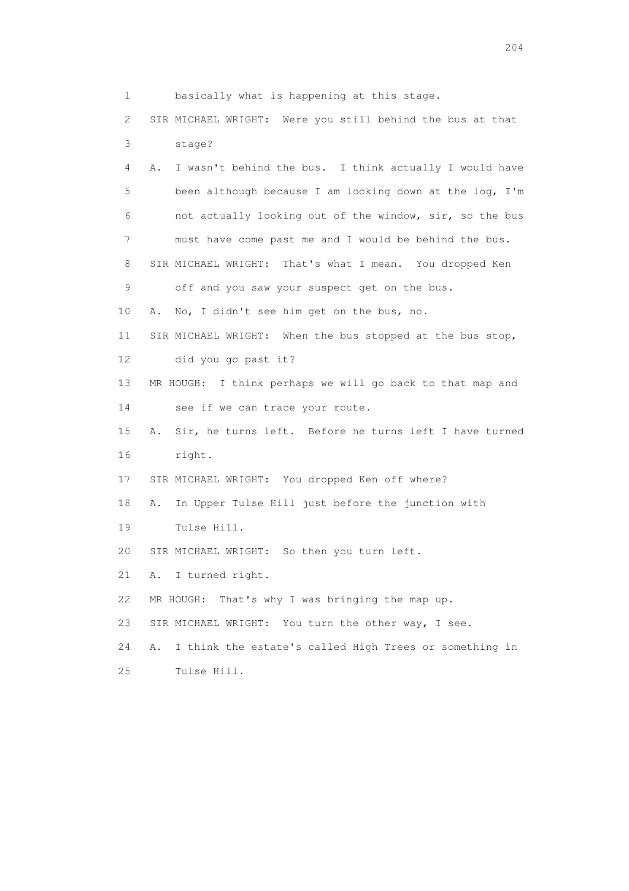1 basically what is happening at this stage. 2 SIR MICHAEL WRIGHT: Were you still behind the bus at that 3 stage? 4 A. I wasn't behind the bus. I think actually I would have 5 been although because I am looking down at the log, I'm 6 not actually looking out of the window, sir, so the bus 7 must have come past me and I would be behind the bus. 8 SIR MICHAEL WRIGHT: That's what I mean. You dropped Ken 9 off and you saw your suspect get on the bus. 10 A. No, I didn't see him get on the bus, no. 11 SIR MICHAEL WRIGHT: When the bus stopped at the bus stop, 12 did you go past it? 13 MR HOUGH: I think perhaps we will go back to that map and 14 see if we can trace your route. 15 A. Sir, he turns left. Before he turns left I have turned 16 right. 17 SIR MICHAEL WRIGHT: You dropped Ken off where? 18 A. In Upper Tulse Hill just before the junction with 19 Tulse Hill. 20 SIR MICHAEL WRIGHT: So then you turn left. 21 A. I turned right. 22 MR HOUGH: That's why I was bringing the map up. 23 SIR MICHAEL WRIGHT: You turn the other way, I see. 24 A. I think the estate's called High Trees or something in 25 Tulse Hill.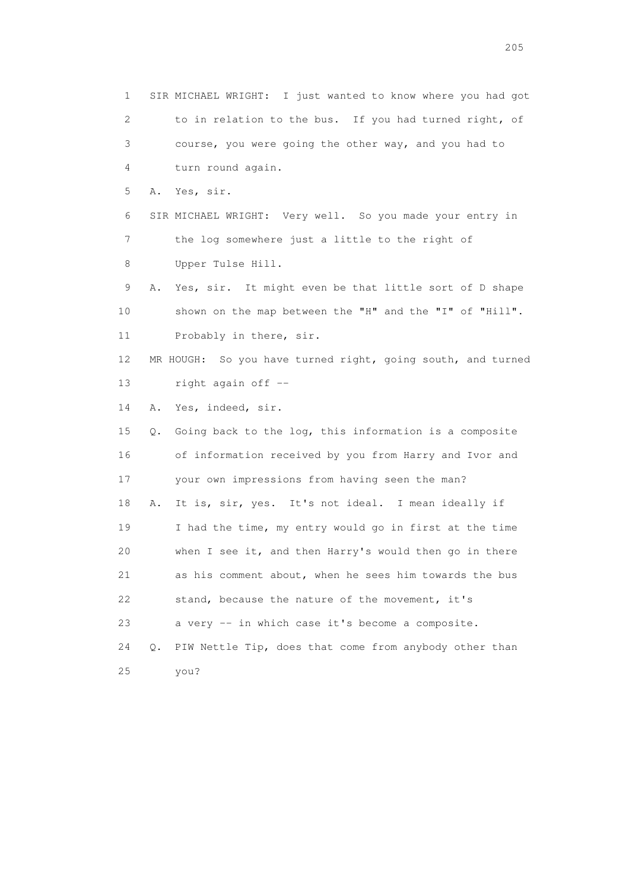1 SIR MICHAEL WRIGHT: I just wanted to know where you had got 2 to in relation to the bus. If you had turned right, of 3 course, you were going the other way, and you had to 4 turn round again. 5 A. Yes, sir. 6 SIR MICHAEL WRIGHT: Very well. So you made your entry in 7 the log somewhere just a little to the right of 8 Upper Tulse Hill. 9 A. Yes, sir. It might even be that little sort of D shape 10 shown on the map between the "H" and the "I" of "Hill". 11 Probably in there, sir. 12 MR HOUGH: So you have turned right, going south, and turned 13 right again off -- 14 A. Yes, indeed, sir. 15 Q. Going back to the log, this information is a composite 16 of information received by you from Harry and Ivor and 17 your own impressions from having seen the man? 18 A. It is, sir, yes. It's not ideal. I mean ideally if 19 I had the time, my entry would go in first at the time 20 when I see it, and then Harry's would then go in there 21 as his comment about, when he sees him towards the bus 22 stand, because the nature of the movement, it's 23 a very -- in which case it's become a composite. 24 Q. PIW Nettle Tip, does that come from anybody other than 25 you?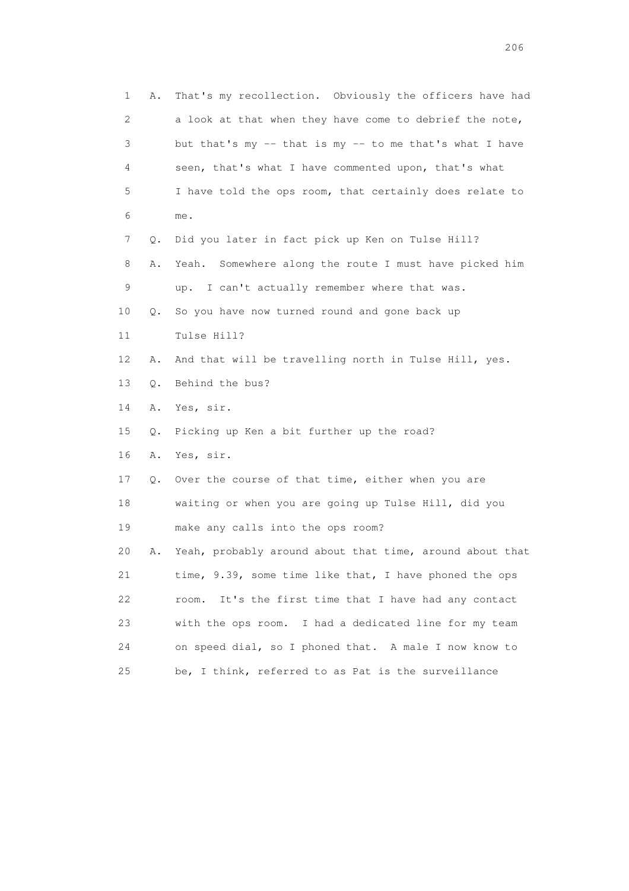1 A. That's my recollection. Obviously the officers have had 2 a look at that when they have come to debrief the note, 3 but that's my -- that is my -- to me that's what I have 4 seen, that's what I have commented upon, that's what 5 I have told the ops room, that certainly does relate to 6 me. 7 Q. Did you later in fact pick up Ken on Tulse Hill? 8 A. Yeah. Somewhere along the route I must have picked him 9 up. I can't actually remember where that was. 10 Q. So you have now turned round and gone back up 11 Tulse Hill? 12 A. And that will be travelling north in Tulse Hill, yes. 13 Q. Behind the bus? 14 A. Yes, sir. 15 Q. Picking up Ken a bit further up the road? 16 A. Yes, sir. 17 Q. Over the course of that time, either when you are 18 waiting or when you are going up Tulse Hill, did you 19 make any calls into the ops room? 20 A. Yeah, probably around about that time, around about that 21 time, 9.39, some time like that, I have phoned the ops 22 room. It's the first time that I have had any contact 23 with the ops room. I had a dedicated line for my team 24 on speed dial, so I phoned that. A male I now know to 25 be, I think, referred to as Pat is the surveillance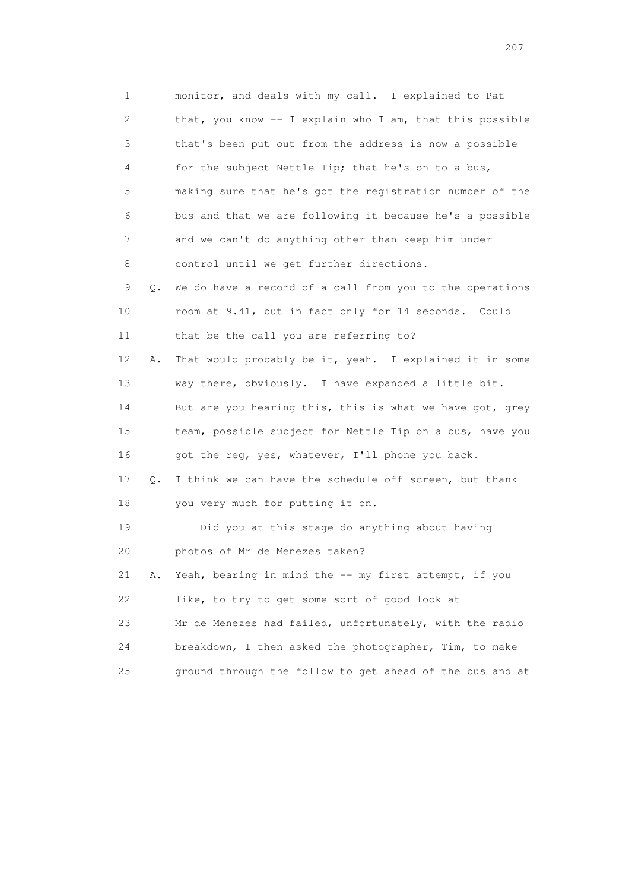1 monitor, and deals with my call. I explained to Pat 2 that, you know -- I explain who I am, that this possible 3 that's been put out from the address is now a possible 4 for the subject Nettle Tip; that he's on to a bus, 5 making sure that he's got the registration number of the 6 bus and that we are following it because he's a possible 7 and we can't do anything other than keep him under 8 control until we get further directions. 9 Q. We do have a record of a call from you to the operations 10 room at 9.41, but in fact only for 14 seconds. Could 11 that be the call you are referring to? 12 A. That would probably be it, yeah. I explained it in some 13 way there, obviously. I have expanded a little bit. 14 But are you hearing this, this is what we have got, grey 15 team, possible subject for Nettle Tip on a bus, have you 16 got the reg, yes, whatever, I'll phone you back. 17 Q. I think we can have the schedule off screen, but thank 18 you very much for putting it on. 19 Did you at this stage do anything about having 20 photos of Mr de Menezes taken? 21 A. Yeah, bearing in mind the -- my first attempt, if you 22 like, to try to get some sort of good look at 23 Mr de Menezes had failed, unfortunately, with the radio 24 breakdown, I then asked the photographer, Tim, to make 25 ground through the follow to get ahead of the bus and at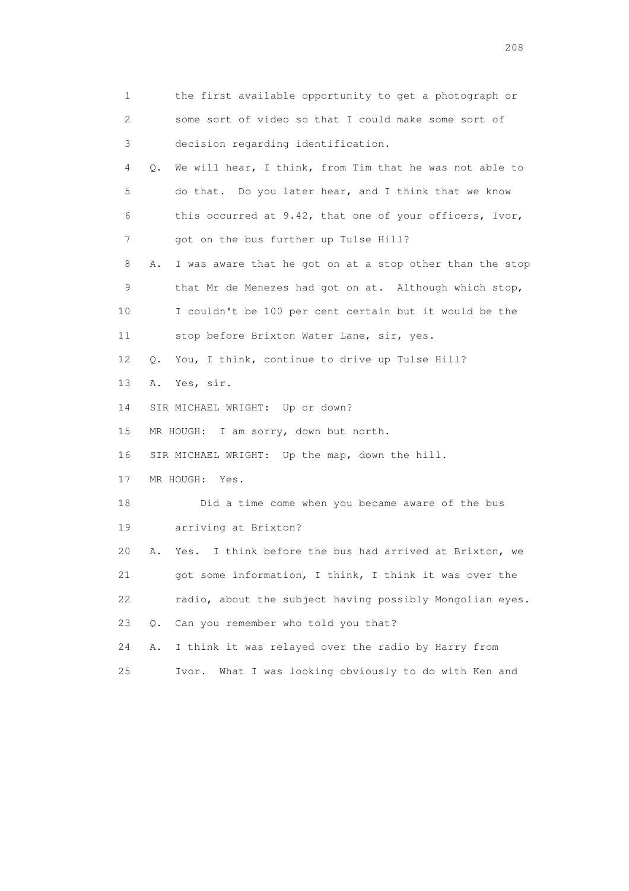| 1  | the first available opportunity to get a photograph or          |
|----|-----------------------------------------------------------------|
| 2  | some sort of video so that I could make some sort of            |
| 3  | decision regarding identification.                              |
| 4  | We will hear, I think, from Tim that he was not able to<br>Q.   |
| 5  | do that. Do you later hear, and I think that we know            |
| 6  | this occurred at 9.42, that one of your officers, Ivor,         |
| 7  | got on the bus further up Tulse Hill?                           |
| 8  | I was aware that he got on at a stop other than the stop<br>Α.  |
| 9  | that Mr de Menezes had got on at. Although which stop,          |
| 10 | I couldn't be 100 per cent certain but it would be the          |
| 11 | stop before Brixton Water Lane, sir, yes.                       |
| 12 | You, I think, continue to drive up Tulse Hill?<br>Q.            |
| 13 | Yes, sir.<br>Α.                                                 |
| 14 | SIR MICHAEL WRIGHT: Up or down?                                 |
| 15 | MR HOUGH: I am sorry, down but north.                           |
| 16 | SIR MICHAEL WRIGHT: Up the map, down the hill.                  |
| 17 | MR HOUGH:<br>Yes.                                               |
| 18 | Did a time come when you became aware of the bus                |
| 19 | arriving at Brixton?                                            |
| 20 | I think before the bus had arrived at Brixton, we<br>Α.<br>Yes. |
| 21 | got some information, I think, I think it was over the          |
| 22 | radio, about the subject having possibly Mongolian eyes.        |
| 23 | Can you remember who told you that?<br>Q.                       |
| 24 | I think it was relayed over the radio by Harry from<br>Α.       |
| 25 | What I was looking obviously to do with Ken and<br>Ivor.        |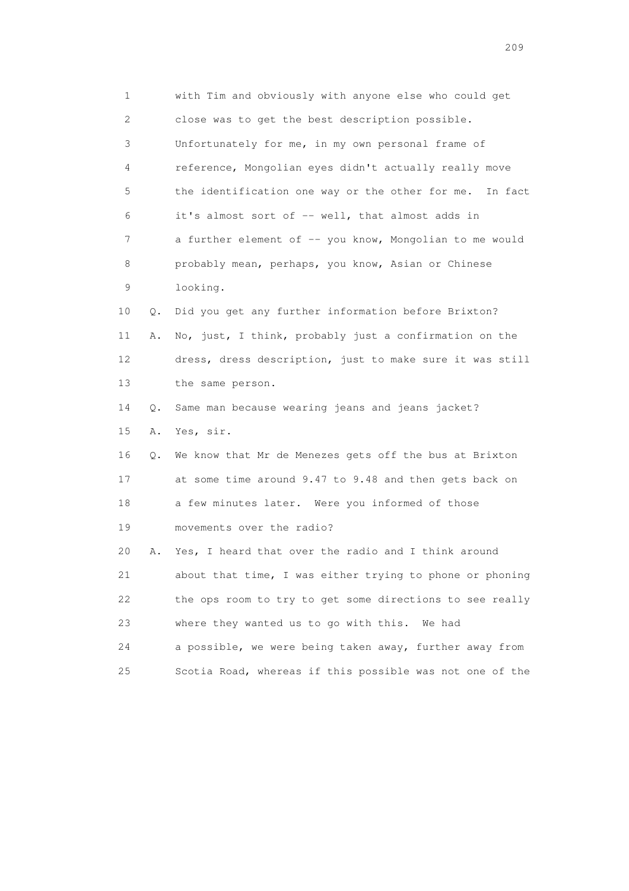1 with Tim and obviously with anyone else who could get 2 close was to get the best description possible. 3 Unfortunately for me, in my own personal frame of 4 reference, Mongolian eyes didn't actually really move 5 the identification one way or the other for me. In fact 6 it's almost sort of -- well, that almost adds in 7 a further element of -- you know, Mongolian to me would 8 probably mean, perhaps, you know, Asian or Chinese 9 looking. 10 Q. Did you get any further information before Brixton? 11 A. No, just, I think, probably just a confirmation on the 12 dress, dress description, just to make sure it was still 13 the same person. 14 Q. Same man because wearing jeans and jeans jacket? 15 A. Yes, sir. 16 Q. We know that Mr de Menezes gets off the bus at Brixton 17 at some time around 9.47 to 9.48 and then gets back on 18 a few minutes later. Were you informed of those 19 movements over the radio? 20 A. Yes, I heard that over the radio and I think around 21 about that time, I was either trying to phone or phoning 22 the ops room to try to get some directions to see really 23 where they wanted us to go with this. We had 24 a possible, we were being taken away, further away from 25 Scotia Road, whereas if this possible was not one of the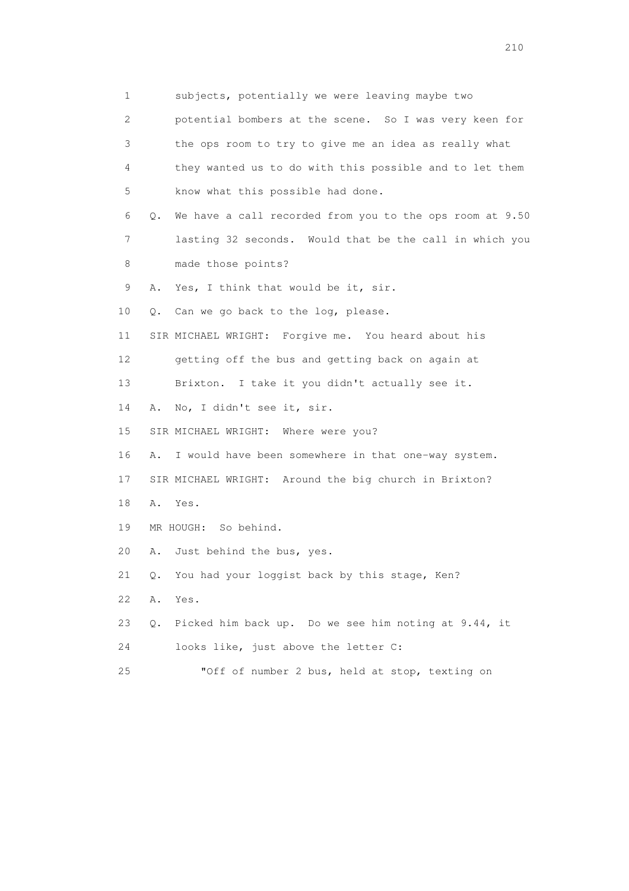1 subjects, potentially we were leaving maybe two 2 potential bombers at the scene. So I was very keen for 3 the ops room to try to give me an idea as really what 4 they wanted us to do with this possible and to let them 5 know what this possible had done. 6 Q. We have a call recorded from you to the ops room at 9.50 7 lasting 32 seconds. Would that be the call in which you 8 made those points? 9 A. Yes, I think that would be it, sir. 10 Q. Can we go back to the log, please. 11 SIR MICHAEL WRIGHT: Forgive me. You heard about his 12 getting off the bus and getting back on again at 13 Brixton. I take it you didn't actually see it. 14 A. No, I didn't see it, sir. 15 SIR MICHAEL WRIGHT: Where were you? 16 A. I would have been somewhere in that one-way system. 17 SIR MICHAEL WRIGHT: Around the big church in Brixton? 18 A. Yes. 19 MR HOUGH: So behind. 20 A. Just behind the bus, yes. 21 Q. You had your loggist back by this stage, Ken? 22 A. Yes. 23 Q. Picked him back up. Do we see him noting at 9.44, it 24 looks like, just above the letter C: 25 "Off of number 2 bus, held at stop, texting on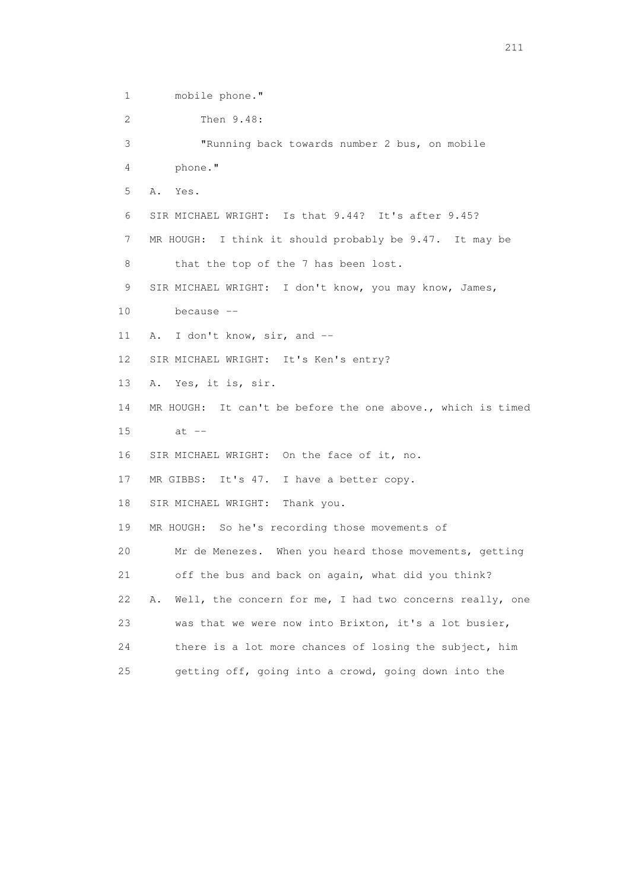1 mobile phone." 2 Then 9.48: 3 "Running back towards number 2 bus, on mobile 4 phone." 5 A. Yes. 6 SIR MICHAEL WRIGHT: Is that 9.44? It's after 9.45? 7 MR HOUGH: I think it should probably be 9.47. It may be 8 that the top of the 7 has been lost. 9 SIR MICHAEL WRIGHT: I don't know, you may know, James, 10 because -- 11 A. I don't know, sir, and -- 12 SIR MICHAEL WRIGHT: It's Ken's entry? 13 A. Yes, it is, sir. 14 MR HOUGH: It can't be before the one above., which is timed 15 at -- 16 SIR MICHAEL WRIGHT: On the face of it, no. 17 MR GIBBS: It's 47. I have a better copy. 18 SIR MICHAEL WRIGHT: Thank you. 19 MR HOUGH: So he's recording those movements of 20 Mr de Menezes. When you heard those movements, getting 21 off the bus and back on again, what did you think? 22 A. Well, the concern for me, I had two concerns really, one 23 was that we were now into Brixton, it's a lot busier, 24 there is a lot more chances of losing the subject, him 25 getting off, going into a crowd, going down into the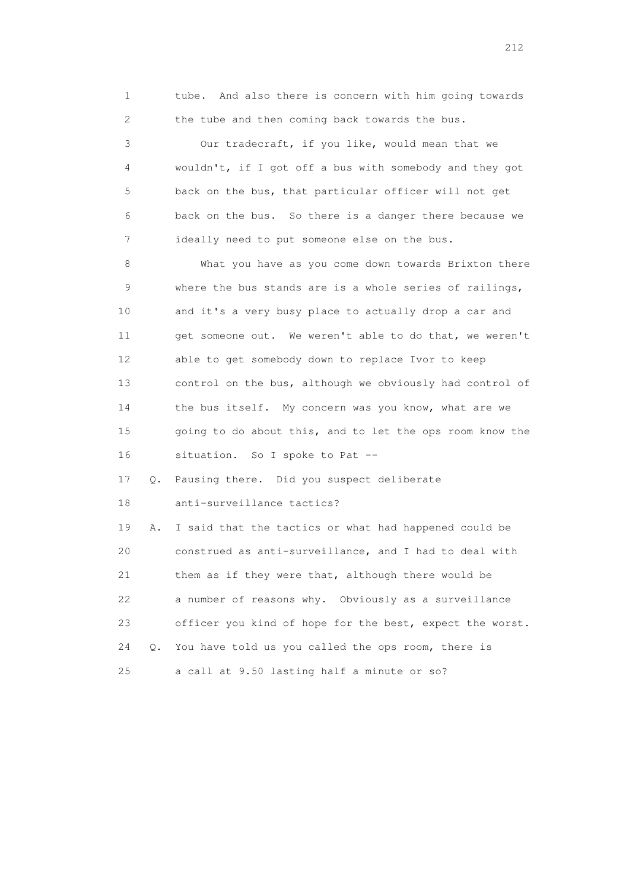1 tube. And also there is concern with him going towards 2 the tube and then coming back towards the bus.

 3 Our tradecraft, if you like, would mean that we 4 wouldn't, if I got off a bus with somebody and they got 5 back on the bus, that particular officer will not get 6 back on the bus. So there is a danger there because we 7 ideally need to put someone else on the bus.

 8 What you have as you come down towards Brixton there 9 where the bus stands are is a whole series of railings, 10 and it's a very busy place to actually drop a car and 11 get someone out. We weren't able to do that, we weren't 12 able to get somebody down to replace Ivor to keep 13 control on the bus, although we obviously had control of 14 the bus itself. My concern was you know, what are we 15 going to do about this, and to let the ops room know the 16 situation. So I spoke to Pat --

 17 Q. Pausing there. Did you suspect deliberate 18 anti-surveillance tactics?

 19 A. I said that the tactics or what had happened could be 20 construed as anti-surveillance, and I had to deal with 21 them as if they were that, although there would be 22 a number of reasons why. Obviously as a surveillance 23 officer you kind of hope for the best, expect the worst. 24 Q. You have told us you called the ops room, there is 25 a call at 9.50 lasting half a minute or so?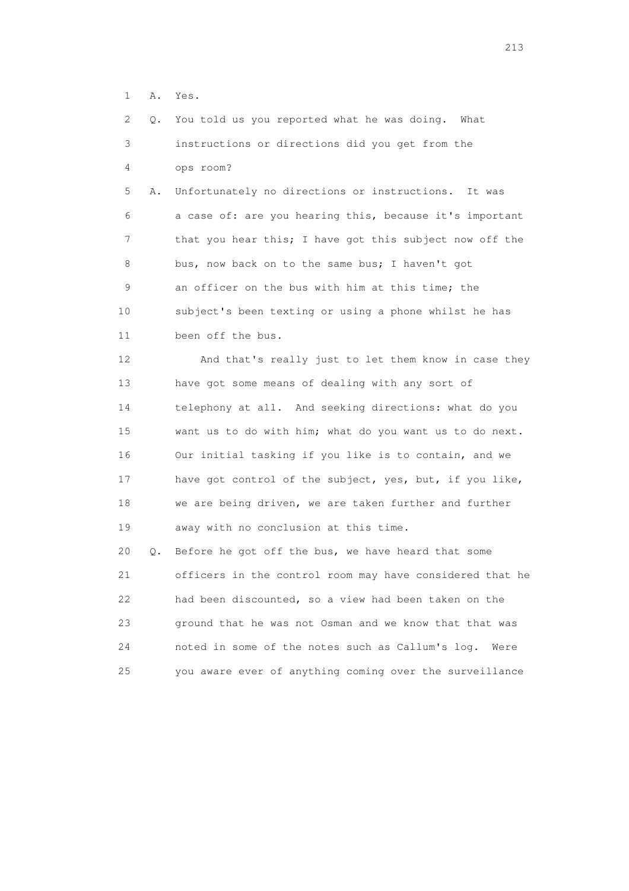1 A. Yes.

 2 Q. You told us you reported what he was doing. What 3 instructions or directions did you get from the 4 ops room?

 5 A. Unfortunately no directions or instructions. It was 6 a case of: are you hearing this, because it's important 7 that you hear this; I have got this subject now off the 8 bus, now back on to the same bus; I haven't got 9 an officer on the bus with him at this time; the 10 subject's been texting or using a phone whilst he has 11 been off the bus.

 12 And that's really just to let them know in case they 13 have got some means of dealing with any sort of 14 telephony at all. And seeking directions: what do you 15 want us to do with him; what do you want us to do next. 16 Our initial tasking if you like is to contain, and we 17 have got control of the subject, yes, but, if you like, 18 we are being driven, we are taken further and further 19 away with no conclusion at this time.

 20 Q. Before he got off the bus, we have heard that some 21 officers in the control room may have considered that he 22 had been discounted, so a view had been taken on the 23 ground that he was not Osman and we know that that was 24 noted in some of the notes such as Callum's log. Were 25 you aware ever of anything coming over the surveillance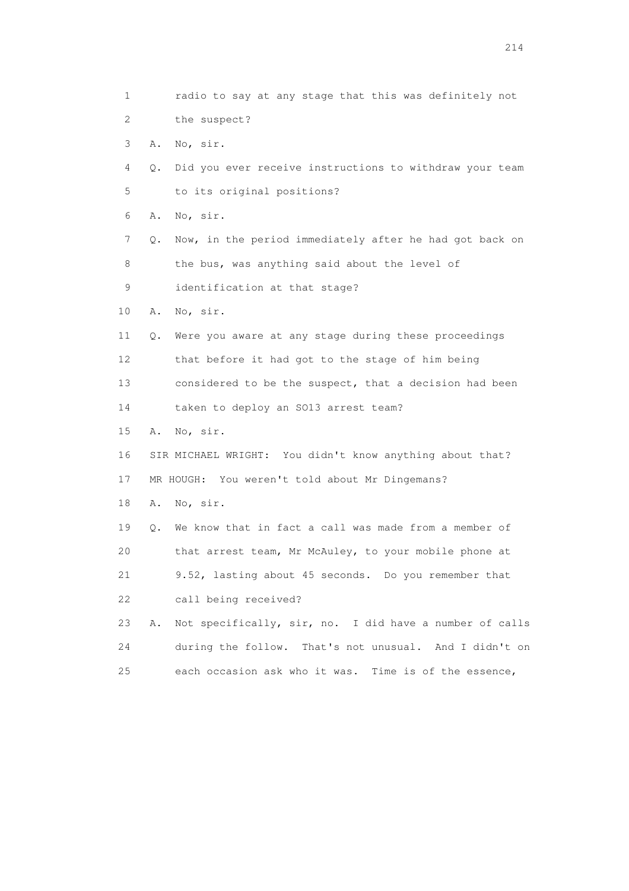1 radio to say at any stage that this was definitely not 2 the suspect? 3 A. No, sir. 4 Q. Did you ever receive instructions to withdraw your team 5 to its original positions? 6 A. No, sir. 7 Q. Now, in the period immediately after he had got back on 8 the bus, was anything said about the level of 9 identification at that stage? 10 A. No, sir. 11 Q. Were you aware at any stage during these proceedings 12 that before it had got to the stage of him being 13 considered to be the suspect, that a decision had been 14 taken to deploy an SO13 arrest team? 15 A. No, sir. 16 SIR MICHAEL WRIGHT: You didn't know anything about that? 17 MR HOUGH: You weren't told about Mr Dingemans? 18 A. No, sir. 19 Q. We know that in fact a call was made from a member of 20 that arrest team, Mr McAuley, to your mobile phone at 21 9.52, lasting about 45 seconds. Do you remember that 22 call being received? 23 A. Not specifically, sir, no. I did have a number of calls 24 during the follow. That's not unusual. And I didn't on 25 each occasion ask who it was. Time is of the essence,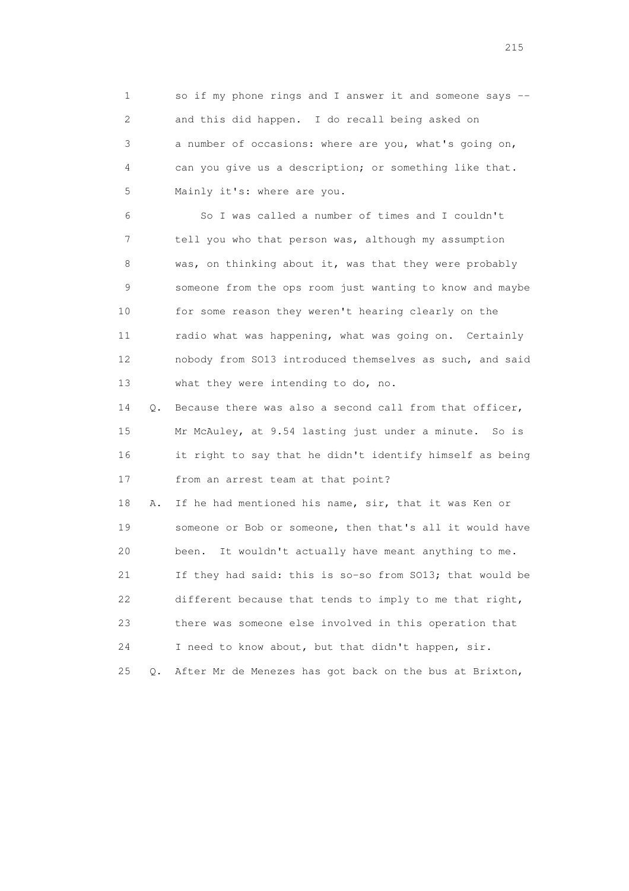1 so if my phone rings and I answer it and someone says -- 2 and this did happen. I do recall being asked on 3 a number of occasions: where are you, what's going on, 4 can you give us a description; or something like that. 5 Mainly it's: where are you.

 6 So I was called a number of times and I couldn't 7 tell you who that person was, although my assumption 8 was, on thinking about it, was that they were probably 9 someone from the ops room just wanting to know and maybe 10 for some reason they weren't hearing clearly on the 11 radio what was happening, what was going on. Certainly 12 nobody from SO13 introduced themselves as such, and said 13 what they were intending to do, no.

 14 Q. Because there was also a second call from that officer, 15 Mr McAuley, at 9.54 lasting just under a minute. So is 16 it right to say that he didn't identify himself as being 17 from an arrest team at that point?

 18 A. If he had mentioned his name, sir, that it was Ken or 19 someone or Bob or someone, then that's all it would have 20 been. It wouldn't actually have meant anything to me. 21 If they had said: this is so-so from SO13; that would be 22 different because that tends to imply to me that right, 23 there was someone else involved in this operation that 24 I need to know about, but that didn't happen, sir. 25 Q. After Mr de Menezes has got back on the bus at Brixton,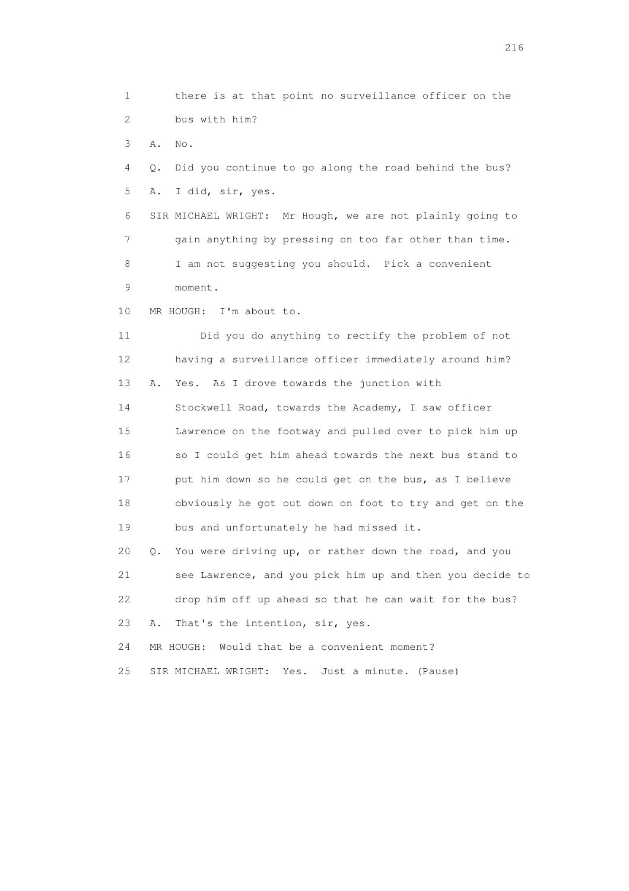1 there is at that point no surveillance officer on the 2 bus with him?

3 A. No.

 4 Q. Did you continue to go along the road behind the bus? 5 A. I did, sir, yes.

 6 SIR MICHAEL WRIGHT: Mr Hough, we are not plainly going to 7 gain anything by pressing on too far other than time. 8 I am not suggesting you should. Pick a convenient 9 moment.

10 MR HOUGH: I'm about to.

 11 Did you do anything to rectify the problem of not 12 having a surveillance officer immediately around him? 13 A. Yes. As I drove towards the junction with 14 Stockwell Road, towards the Academy, I saw officer 15 Lawrence on the footway and pulled over to pick him up 16 so I could get him ahead towards the next bus stand to 17 put him down so he could get on the bus, as I believe 18 obviously he got out down on foot to try and get on the 19 bus and unfortunately he had missed it. 20 Q. You were driving up, or rather down the road, and you 21 see Lawrence, and you pick him up and then you decide to 22 drop him off up ahead so that he can wait for the bus? 23 A. That's the intention, sir, yes.

24 MR HOUGH: Would that be a convenient moment?

25 SIR MICHAEL WRIGHT: Yes. Just a minute. (Pause)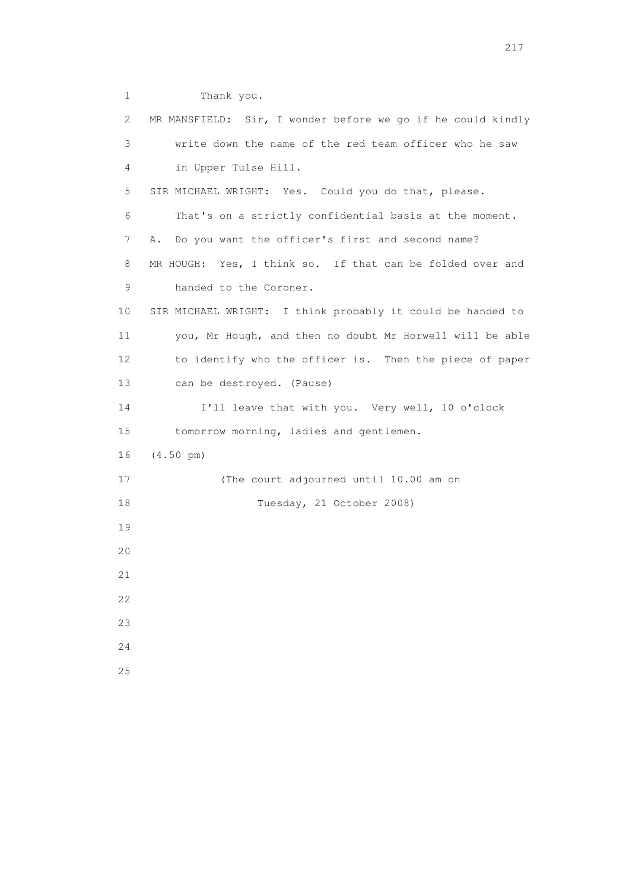1 Thank you. 2 MR MANSFIELD: Sir, I wonder before we go if he could kindly 3 write down the name of the red team officer who he saw 4 in Upper Tulse Hill. 5 SIR MICHAEL WRIGHT: Yes. Could you do that, please. 6 That's on a strictly confidential basis at the moment. 7 A. Do you want the officer's first and second name? 8 MR HOUGH: Yes, I think so. If that can be folded over and 9 handed to the Coroner. 10 SIR MICHAEL WRIGHT: I think probably it could be handed to 11 you, Mr Hough, and then no doubt Mr Horwell will be able 12 to identify who the officer is. Then the piece of paper 13 can be destroyed. (Pause) 14 I'll leave that with you. Very well, 10 o'clock 15 tomorrow morning, ladies and gentlemen. 16 (4.50 pm) 17 (The court adjourned until 10.00 am on 18 Tuesday, 21 October 2008) 19 20 21 22 23 24 25

217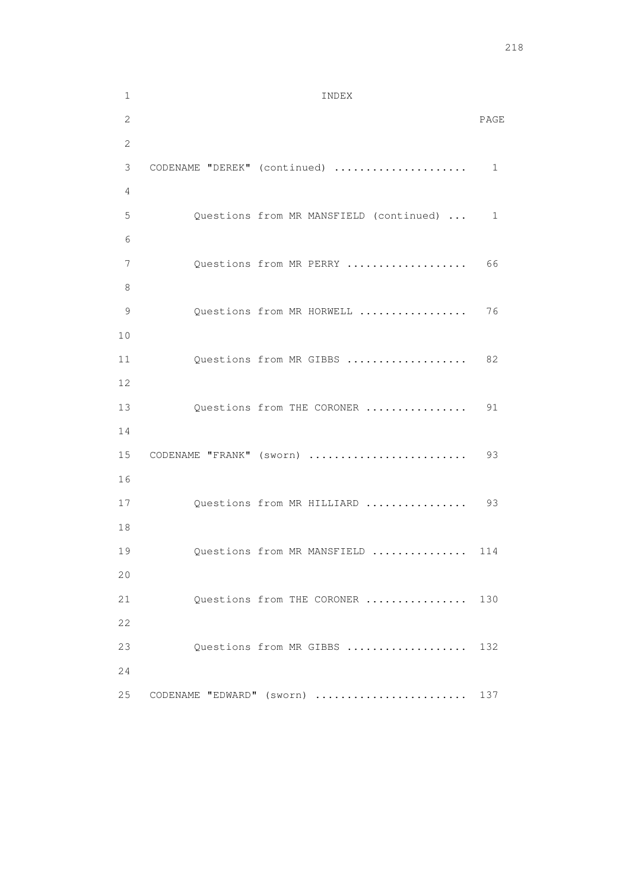1 INDEX 2 PAGE 2 3 CODENAME "DEREK" (continued) ..................... 1 4 5 Questions from MR MANSFIELD (continued) ... 1 6 7 Questions from MR PERRY ................... 66 8 9 Questions from MR HORWELL ................. 76 10 11 Questions from MR GIBBS .................... 82 12 13 Questions from THE CORONER ................. 91 14 15 CODENAME "FRANK" (sworn) ......................... 93 16 17 Questions from MR HILLIARD .................. 93 18 19 Questions from MR MANSFIELD ............... 114 20 21 Questions from THE CORONER ................ 130 22 23 Questions from MR GIBBS ................... 132 24 25 CODENAME "EDWARD" (sworn) ......................... 137